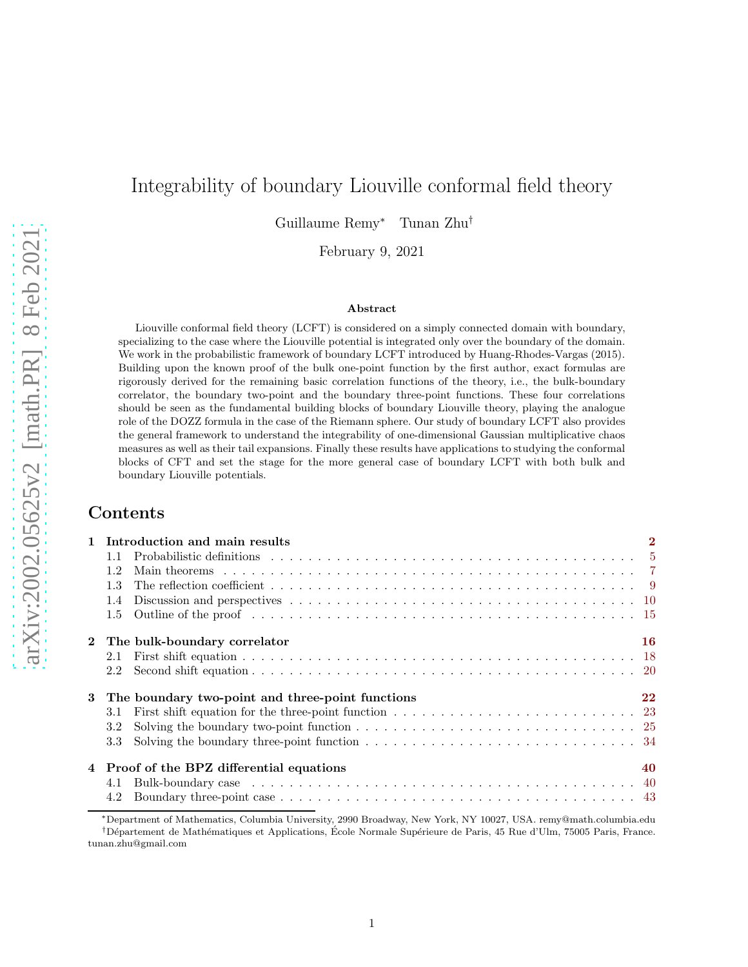# Integrability of boundary Liouville conformal field theory

Guillaume Remy<sup>∗</sup> Tunan Zhu†

February 9, 2021

#### Abstract

Liouville conformal field theory (LCFT) is considered on a simply connected domain with boundary, specializing to the case where the Liouville potential is integrated only over the boundary of the domain. We work in the probabilistic framework of boundary LCFT introduced by Huang-Rhodes-Vargas (2015). Building upon the known proof of the bulk one-point function by the first author, exact formulas are rigorously derived for the remaining basic correlation functions of the theory, i.e., the bulk-boundary correlator, the boundary two-point and the boundary three-point functions. These four correlations should be seen as the fundamental building blocks of boundary Liouville theory, playing the analogue role of the DOZZ formula in the case of the Riemann sphere. Our study of boundary LCFT also provides the general framework to understand the integrability of one-dimensional Gaussian multiplicative chaos measures as well as their tail expansions. Finally these results have applications to studying the conformal blocks of CFT and set the stage for the more general case of boundary LCFT with both bulk and boundary Liouville potentials.

# Contents

|               | 1 Introduction and main results                                                                                                                                                                                                | $\overline{2}$ |
|---------------|--------------------------------------------------------------------------------------------------------------------------------------------------------------------------------------------------------------------------------|----------------|
|               |                                                                                                                                                                                                                                |                |
| 1.2           | Main theorems because the contract of the contract of the contract of the contract of the contract of the contract of the contract of the contract of the contract of the contract of the contract of the contract of the cont |                |
| 1.3           |                                                                                                                                                                                                                                |                |
| 1.4           |                                                                                                                                                                                                                                |                |
| 1.5           |                                                                                                                                                                                                                                |                |
|               | 2 The bulk-boundary correlator                                                                                                                                                                                                 | 16             |
|               |                                                                                                                                                                                                                                |                |
|               |                                                                                                                                                                                                                                |                |
|               | 3 The boundary two-point and three-point functions                                                                                                                                                                             | 22             |
| 3.1           |                                                                                                                                                                                                                                |                |
| $3.2^{\circ}$ | Solving the boundary two-point function $\ldots \ldots \ldots \ldots \ldots \ldots \ldots \ldots \ldots \ldots \ldots \ldots \ldots$                                                                                           |                |
|               |                                                                                                                                                                                                                                |                |
|               | 4 Proof of the BPZ differential equations                                                                                                                                                                                      | 40             |
|               |                                                                                                                                                                                                                                |                |
| 4.2           |                                                                                                                                                                                                                                |                |

<sup>∗</sup>Department of Mathematics, Columbia University, 2990 Broadway, New York, NY 10027, USA. remy@math.columbia.edu <sup>†</sup>Département de Mathématiques et Applications, École Normale Supérieure de Paris, 45 Rue d'Ulm, 75005 Paris, France. tunan.zhu@gmail.com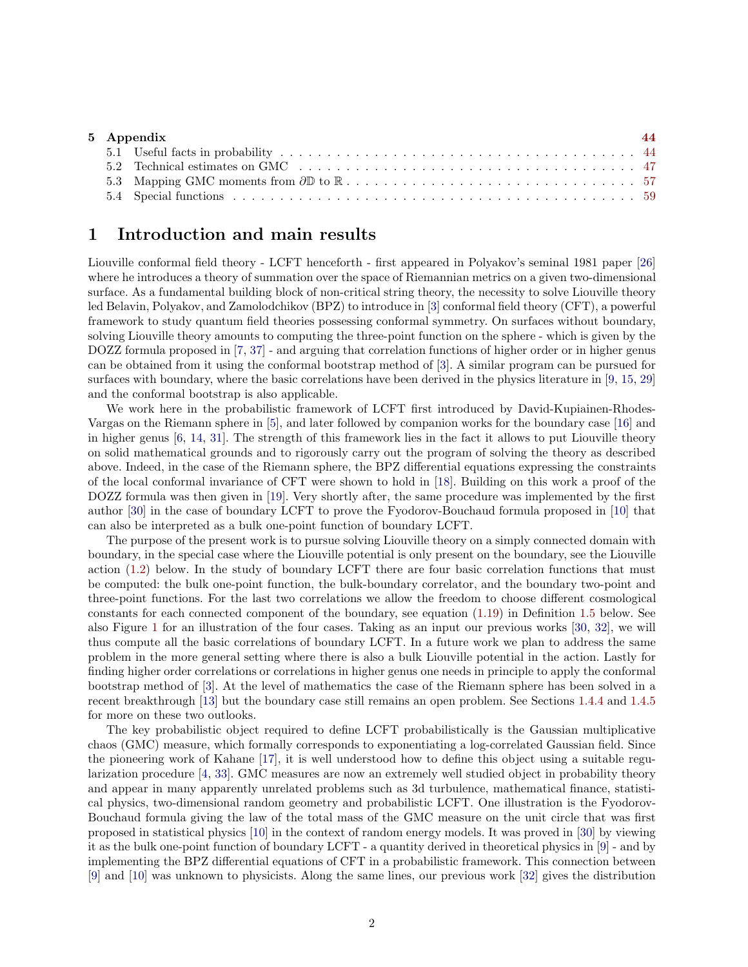| 5 Appendix |  | -44 |
|------------|--|-----|
|            |  |     |
|            |  |     |
|            |  |     |
|            |  |     |

# <span id="page-1-0"></span>1 Introduction and main results

Liouville conformal field theory - LCFT henceforth - first appeared in Polyakov's seminal 1981 paper [\[26\]](#page-65-0) where he introduces a theory of summation over the space of Riemannian metrics on a given two-dimensional surface. As a fundamental building block of non-critical string theory, the necessity to solve Liouville theory led Belavin, Polyakov, and Zamolodchikov (BPZ) to introduce in [\[3\]](#page-64-0) conformal field theory (CFT), a powerful framework to study quantum field theories possessing conformal symmetry. On surfaces without boundary, solving Liouville theory amounts to computing the three-point function on the sphere - which is given by the DOZZ formula proposed in [\[7,](#page-64-1) [37\]](#page-65-1) - and arguing that correlation functions of higher order or in higher genus can be obtained from it using the conformal bootstrap method of [\[3\]](#page-64-0). A similar program can be pursued for surfaces with boundary, where the basic correlations have been derived in the physics literature in [\[9,](#page-64-2) [15,](#page-64-3) [29\]](#page-65-2) and the conformal bootstrap is also applicable.

We work here in the probabilistic framework of LCFT first introduced by David-Kupiainen-Rhodes-Vargas on the Riemann sphere in [\[5\]](#page-64-4), and later followed by companion works for the boundary case [\[16\]](#page-64-5) and in higher genus [\[6,](#page-64-6) [14,](#page-64-7) [31\]](#page-65-3). The strength of this framework lies in the fact it allows to put Liouville theory on solid mathematical grounds and to rigorously carry out the program of solving the theory as described above. Indeed, in the case of the Riemann sphere, the BPZ differential equations expressing the constraints of the local conformal invariance of CFT were shown to hold in [\[18\]](#page-64-8). Building on this work a proof of the DOZZ formula was then given in [\[19\]](#page-64-9). Very shortly after, the same procedure was implemented by the first author [\[30\]](#page-65-4) in the case of boundary LCFT to prove the Fyodorov-Bouchaud formula proposed in [\[10\]](#page-64-10) that can also be interpreted as a bulk one-point function of boundary LCFT.

The purpose of the present work is to pursue solving Liouville theory on a simply connected domain with boundary, in the special case where the Liouville potential is only present on the boundary, see the Liouville action [\(1.2\)](#page-2-0) below. In the study of boundary LCFT there are four basic correlation functions that must be computed: the bulk one-point function, the bulk-boundary correlator, and the boundary two-point and three-point functions. For the last two correlations we allow the freedom to choose different cosmological constants for each connected component of the boundary, see equation [\(1.19\)](#page-5-0) in Definition [1.5](#page-5-1) below. See also Figure [1](#page-3-0) for an illustration of the four cases. Taking as an input our previous works [\[30,](#page-65-4) [32\]](#page-65-5), we will thus compute all the basic correlations of boundary LCFT. In a future work we plan to address the same problem in the more general setting where there is also a bulk Liouville potential in the action. Lastly for finding higher order correlations or correlations in higher genus one needs in principle to apply the conformal bootstrap method of [\[3\]](#page-64-0). At the level of mathematics the case of the Riemann sphere has been solved in a recent breakthrough [\[13\]](#page-64-11) but the boundary case still remains an open problem. See Sections [1.4.4](#page-12-0) and [1.4.5](#page-13-0) for more on these two outlooks.

The key probabilistic object required to define LCFT probabilistically is the Gaussian multiplicative chaos (GMC) measure, which formally corresponds to exponentiating a log-correlated Gaussian field. Since the pioneering work of Kahane [\[17\]](#page-64-12), it is well understood how to define this object using a suitable regularization procedure [\[4,](#page-64-13) [33\]](#page-65-6). GMC measures are now an extremely well studied object in probability theory and appear in many apparently unrelated problems such as 3d turbulence, mathematical finance, statistical physics, two-dimensional random geometry and probabilistic LCFT. One illustration is the Fyodorov-Bouchaud formula giving the law of the total mass of the GMC measure on the unit circle that was first proposed in statistical physics [\[10\]](#page-64-10) in the context of random energy models. It was proved in [\[30\]](#page-65-4) by viewing it as the bulk one-point function of boundary LCFT - a quantity derived in theoretical physics in [\[9\]](#page-64-2) - and by implementing the BPZ differential equations of CFT in a probabilistic framework. This connection between [\[9\]](#page-64-2) and [\[10\]](#page-64-10) was unknown to physicists. Along the same lines, our previous work [\[32\]](#page-65-5) gives the distribution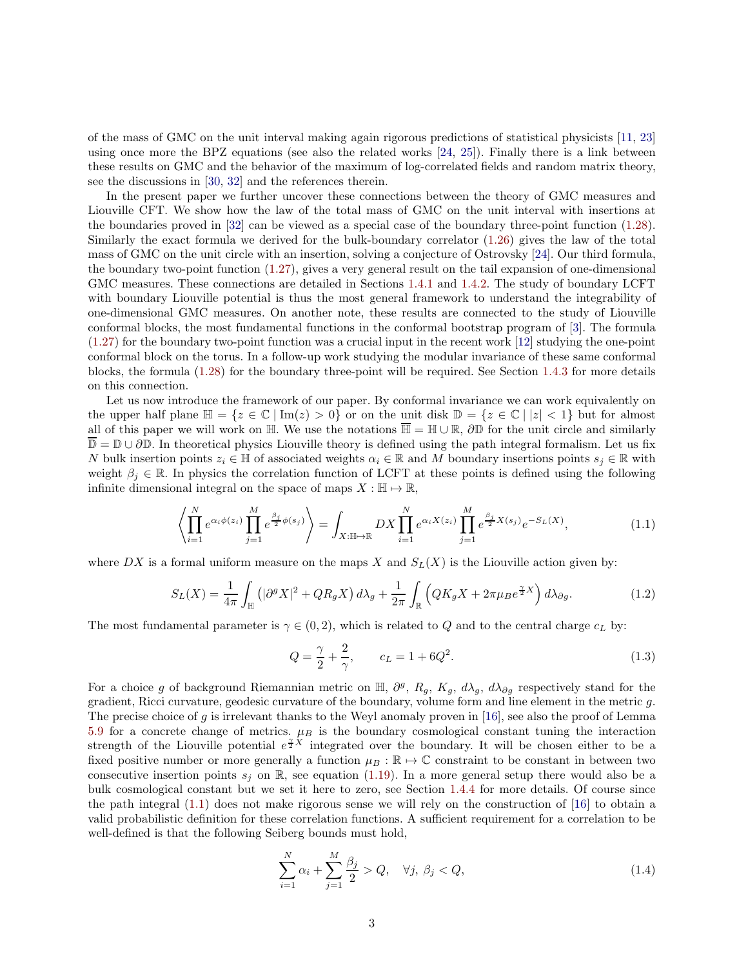of the mass of GMC on the unit interval making again rigorous predictions of statistical physicists [\[11,](#page-64-14) [23\]](#page-64-15) using once more the BPZ equations (see also the related works [\[24,](#page-65-7) [25\]](#page-65-8)). Finally there is a link between these results on GMC and the behavior of the maximum of log-correlated fields and random matrix theory, see the discussions in [\[30,](#page-65-4) [32\]](#page-65-5) and the references therein.

In the present paper we further uncover these connections between the theory of GMC measures and Liouville CFT. We show how the law of the total mass of GMC on the unit interval with insertions at the boundaries proved in [\[32\]](#page-65-5) can be viewed as a special case of the boundary three-point function [\(1.28\)](#page-7-0). Similarly the exact formula we derived for the bulk-boundary correlator [\(1.26\)](#page-7-1) gives the law of the total mass of GMC on the unit circle with an insertion, solving a conjecture of Ostrovsky [\[24\]](#page-65-7). Our third formula, the boundary two-point function [\(1.27\)](#page-7-2), gives a very general result on the tail expansion of one-dimensional GMC measures. These connections are detailed in Sections [1.4.1](#page-9-1) and [1.4.2.](#page-10-0) The study of boundary LCFT with boundary Liouville potential is thus the most general framework to understand the integrability of one-dimensional GMC measures. On another note, these results are connected to the study of Liouville conformal blocks, the most fundamental functions in the conformal bootstrap program of [\[3\]](#page-64-0). The formula [\(1.27\)](#page-7-2) for the boundary two-point function was a crucial input in the recent work [\[12\]](#page-64-16) studying the one-point conformal block on the torus. In a follow-up work studying the modular invariance of these same conformal blocks, the formula [\(1.28\)](#page-7-0) for the boundary three-point will be required. See Section [1.4.3](#page-11-0) for more details on this connection.

Let us now introduce the framework of our paper. By conformal invariance we can work equivalently on the upper half plane  $\mathbb{H} = \{z \in \mathbb{C} \mid \text{Im}(z) > 0\}$  or on the unit disk  $\mathbb{D} = \{z \in \mathbb{C} \mid |z| < 1\}$  but for almost all of this paper we will work on  $\mathbb{H}$ . We use the notations  $\overline{\mathbb{H}} = \mathbb{H} \cup \mathbb{R}$ ,  $\partial \mathbb{D}$  for the unit circle and similarly  $\overline{\mathbb{D}} = \mathbb{D} \cup \partial \mathbb{D}$ . In theoretical physics Liouville theory is defined using the path integral formalism. Let us fix N bulk insertion points  $z_i \in \mathbb{H}$  of associated weights  $\alpha_i \in \mathbb{R}$  and M boundary insertions points  $s_i \in \mathbb{R}$  with weight  $\beta_j \in \mathbb{R}$ . In physics the correlation function of LCFT at these points is defined using the following infinite dimensional integral on the space of maps  $X : \mathbb{H} \to \mathbb{R}$ ,

<span id="page-2-1"></span>
$$
\left\langle \prod_{i=1}^{N} e^{\alpha_i \phi(z_i)} \prod_{j=1}^{M} e^{\frac{\beta_j}{2} \phi(s_j)} \right\rangle = \int_{X : \mathbb{H} \to \mathbb{R}} DX \prod_{i=1}^{N} e^{\alpha_i X(z_i)} \prod_{j=1}^{M} e^{\frac{\beta_j}{2} X(s_j)} e^{-S_L(X)}, \tag{1.1}
$$

where DX is a formal uniform measure on the maps X and  $S_L(X)$  is the Liouville action given by:

<span id="page-2-0"></span>
$$
S_L(X) = \frac{1}{4\pi} \int_{\mathbb{H}} \left( |\partial^g X|^2 + QR_g X \right) d\lambda_g + \frac{1}{2\pi} \int_{\mathbb{R}} \left( QK_g X + 2\pi \mu_B e^{\frac{\gamma}{2} X} \right) d\lambda_{\partial g}.
$$
 (1.2)

The most fundamental parameter is  $\gamma \in (0, 2)$ , which is related to Q and to the central charge  $c<sub>L</sub>$  by:

$$
Q = \frac{\gamma}{2} + \frac{2}{\gamma}, \qquad c_L = 1 + 6Q^2.
$$
 (1.3)

For a choice g of background Riemannian metric on  $\mathbb{H}$ ,  $\partial^g$ ,  $R_g$ ,  $K_g$ ,  $d\lambda_g$ ,  $d\lambda_{\partial g}$  respectively stand for the gradient, Ricci curvature, geodesic curvature of the boundary, volume form and line element in the metric g. The precise choice of g is irrelevant thanks to the Weyl anomaly proven in [\[16\]](#page-64-5), see also the proof of Lemma [5.9](#page-56-1) for a concrete change of metrics.  $\mu_B$  is the boundary cosmological constant tuning the interaction strength of the Liouville potential  $e^{\frac{\gamma}{2}X}$  integrated over the boundary. It will be chosen either to be a fixed positive number or more generally a function  $\mu_B : \mathbb{R} \to \mathbb{C}$  constraint to be constant in between two consecutive insertion points  $s_j$  on R, see equation [\(1.19\)](#page-5-0). In a more general setup there would also be a bulk cosmological constant but we set it here to zero, see Section [1.4.4](#page-12-0) for more details. Of course since the path integral [\(1.1\)](#page-2-1) does not make rigorous sense we will rely on the construction of [\[16\]](#page-64-5) to obtain a valid probabilistic definition for these correlation functions. A sufficient requirement for a correlation to be well-defined is that the following Seiberg bounds must hold,

<span id="page-2-2"></span>
$$
\sum_{i=1}^{N} \alpha_i + \sum_{j=1}^{M} \frac{\beta_j}{2} > Q, \quad \forall j, \ \beta_j < Q,\tag{1.4}
$$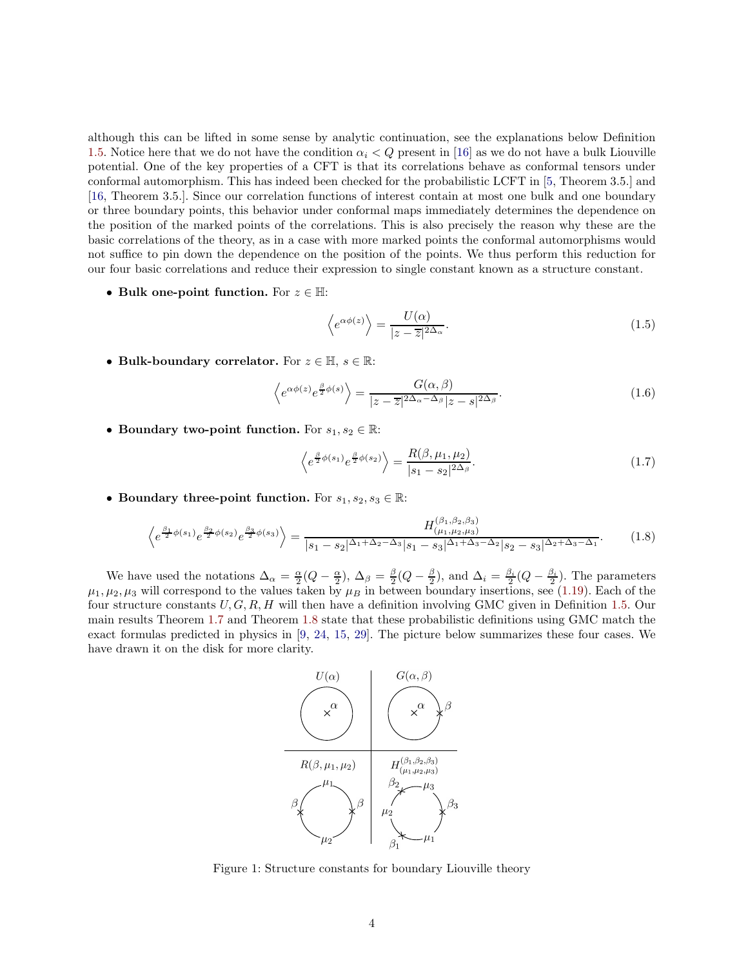although this can be lifted in some sense by analytic continuation, see the explanations below Definition [1.5.](#page-5-1) Notice here that we do not have the condition  $\alpha_i < Q$  present in [\[16\]](#page-64-5) as we do not have a bulk Liouville potential. One of the key properties of a CFT is that its correlations behave as conformal tensors under conformal automorphism. This has indeed been checked for the probabilistic LCFT in [\[5,](#page-64-4) Theorem 3.5.] and [\[16,](#page-64-5) Theorem 3.5.]. Since our correlation functions of interest contain at most one bulk and one boundary or three boundary points, this behavior under conformal maps immediately determines the dependence on the position of the marked points of the correlations. This is also precisely the reason why these are the basic correlations of the theory, as in a case with more marked points the conformal automorphisms would not suffice to pin down the dependence on the position of the points. We thus perform this reduction for our four basic correlations and reduce their expression to single constant known as a structure constant.

• Bulk one-point function. For  $z \in \mathbb{H}$ :

$$
\left\langle e^{\alpha\phi(z)}\right\rangle = \frac{U(\alpha)}{|z-\overline{z}|^{2\Delta_{\alpha}}}.\tag{1.5}
$$

• Bulk-boundary correlator. For  $z \in \mathbb{H}$ ,  $s \in \mathbb{R}$ :

$$
\left\langle e^{\alpha\phi(z)}e^{\frac{\beta}{2}\phi(s)}\right\rangle = \frac{G(\alpha,\beta)}{|z-\overline{z}|^{2\Delta_{\alpha}-\Delta_{\beta}}|z-s|^{2\Delta_{\beta}}}.\tag{1.6}
$$

• Boundary two-point function. For  $s_1, s_2 \in \mathbb{R}$ :

$$
\left\langle e^{\frac{\beta}{2}\phi(s_1)}e^{\frac{\beta}{2}\phi(s_2)} \right\rangle = \frac{R(\beta, \mu_1, \mu_2)}{|s_1 - s_2|^{2\Delta_{\beta}}}.\tag{1.7}
$$

• Boundary three-point function. For  $s_1, s_2, s_3 \in \mathbb{R}$ :

$$
\left\langle e^{\frac{\beta_1}{2}\phi(s_1)}e^{\frac{\beta_2}{2}\phi(s_2)}e^{\frac{\beta_3}{2}\phi(s_3)}\right\rangle = \frac{H_{(\mu_1,\mu_2,\mu_3)}^{(\beta_1,\beta_2,\beta_3)}}{|s_1-s_2|^{\Delta_1+\Delta_2-\Delta_3}|s_1-s_3|^{\Delta_1+\Delta_3-\Delta_2}|s_2-s_3|^{\Delta_2+\Delta_3-\Delta_1}}.\tag{1.8}
$$

<span id="page-3-0"></span>We have used the notations  $\Delta_{\alpha} = \frac{\alpha}{2}(Q - \frac{\alpha}{2}), \Delta_{\beta} = \frac{\beta}{2}(Q - \frac{\beta}{2}),$  and  $\Delta_i = \frac{\beta_i}{2}(Q - \frac{\beta_i}{2}).$  The parameters  $\mu_1, \mu_2, \mu_3$  will correspond to the values taken by  $\mu_B$  in between boundary insertions, see [\(1.19\)](#page-5-0). Each of the four structure constants  $U, G, R, H$  will then have a definition involving GMC given in Definition [1.5.](#page-5-1) Our main results Theorem [1.7](#page-7-3) and Theorem [1.8](#page-7-4) state that these probabilistic definitions using GMC match the exact formulas predicted in physics in [\[9,](#page-64-2) [24,](#page-65-7) [15,](#page-64-3) [29\]](#page-65-2). The picture below summarizes these four cases. We have drawn it on the disk for more clarity.



Figure 1: Structure constants for boundary Liouville theory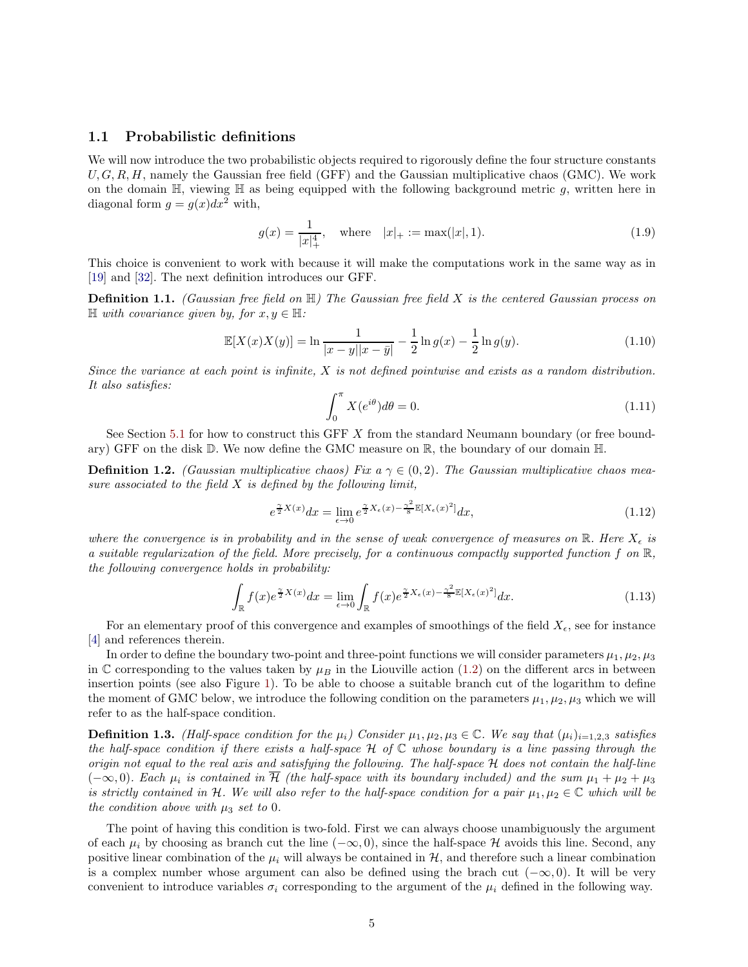## <span id="page-4-0"></span>1.1 Probabilistic definitions

We will now introduce the two probabilistic objects required to rigorously define the four structure constants  $U, G, R, H$ , namely the Gaussian free field (GFF) and the Gaussian multiplicative chaos (GMC). We work on the domain  $\mathbb{H}$ , viewing  $\mathbb{H}$  as being equipped with the following background metric q, written here in diagonal form  $g = g(x)dx^2$  with,

<span id="page-4-2"></span>
$$
g(x) = \frac{1}{|x|_{+}^{4}}, \quad \text{where} \quad |x|_{+} := \max(|x|, 1). \tag{1.9}
$$

This choice is convenient to work with because it will make the computations work in the same way as in [\[19\]](#page-64-9) and [\[32\]](#page-65-5). The next definition introduces our GFF.

Definition 1.1. *(Gaussian free field on* H*) The Gaussian free field* X *is the centered Gaussian process on*  $\mathbb{H}$  *with covariance given by, for*  $x, y \in \mathbb{H}$ *:* 

<span id="page-4-3"></span>
$$
\mathbb{E}[X(x)X(y)] = \ln \frac{1}{|x-y||x-\bar{y}|} - \frac{1}{2}\ln g(x) - \frac{1}{2}\ln g(y).
$$
\n(1.10)

*Since the variance at each point is infinite,* X *is not defined pointwise and exists as a random distribution. It also satisfies:*

$$
\int_0^\pi X(e^{i\theta})d\theta = 0.
$$
\n(1.11)

See Section [5.1](#page-43-1) for how to construct this GFF X from the standard Neumann boundary (or free boundary) GFF on the disk  $\mathbb D$ . We now define the GMC measure on  $\mathbb R$ , the boundary of our domain  $\mathbb H$ .

<span id="page-4-4"></span>**Definition 1.2.** *(Gaussian multiplicative chaos) Fix a*  $\gamma \in (0, 2)$ *. The Gaussian multiplicative chaos measure associated to the field* X *is defined by the following limit,*

$$
e^{\frac{\gamma}{2}X(x)}dx = \lim_{\epsilon \to 0} e^{\frac{\gamma}{2}X_{\epsilon}(x) - \frac{\gamma^2}{8}\mathbb{E}[X_{\epsilon}(x)^2]}dx,
$$
\n(1.12)

*where the convergence is in probability and in the sense of weak convergence of measures on*  $\mathbb{R}$ *. Here*  $X_{\epsilon}$  *is a suitable regularization of the field. More precisely, for a continuous compactly supported function* f *on* R*, the following convergence holds in probability:*

$$
\int_{\mathbb{R}} f(x)e^{\frac{\gamma}{2}X(x)}dx = \lim_{\epsilon \to 0} \int_{\mathbb{R}} f(x)e^{\frac{\gamma}{2}X_{\epsilon}(x) - \frac{\gamma^2}{8}\mathbb{E}[X_{\epsilon}(x)^2]}dx.
$$
\n(1.13)

For an elementary proof of this convergence and examples of smoothings of the field  $X_{\epsilon}$ , see for instance [\[4\]](#page-64-13) and references therein.

In order to define the boundary two-point and three-point functions we will consider parameters  $\mu_1, \mu_2, \mu_3$ in C corresponding to the values taken by  $\mu_B$  in the Liouville action [\(1.2\)](#page-2-0) on the different arcs in between insertion points (see also Figure [1\)](#page-3-0). To be able to choose a suitable branch cut of the logarithm to define the moment of GMC below, we introduce the following condition on the parameters  $\mu_1, \mu_2, \mu_3$  which we will refer to as the half-space condition.

<span id="page-4-1"></span>**Definition 1.3.** *(Half-space condition for the*  $\mu_i$ *) Consider*  $\mu_1, \mu_2, \mu_3 \in \mathbb{C}$ *. We say that*  $(\mu_i)_{i=1,2,3}$  *satisfies the half-space condition if there exists a half-space* H *of* C *whose boundary is a line passing through the origin not equal to the real axis and satisfying the following. The half-space* H *does not contain the half-line*  $(-\infty, 0)$ *. Each*  $\mu_i$  *is contained in*  $\overline{\mathcal{H}}$  *(the half-space with its boundary included) and the sum*  $\mu_1 + \mu_2 + \mu_3$ *is strictly contained in* H. We will also refer to the half-space condition for a pair  $\mu_1, \mu_2 \in \mathbb{C}$  which will be *the condition above with*  $\mu_3$  *set to* 0*.* 

The point of having this condition is two-fold. First we can always choose unambiguously the argument of each  $\mu_i$  by choosing as branch cut the line  $(-\infty, 0)$ , since the half-space H avoids this line. Second, any positive linear combination of the  $\mu_i$  will always be contained in  $\mathcal{H}$ , and therefore such a linear combination is a complex number whose argument can also be defined using the brach cut  $(-\infty, 0)$ . It will be very convenient to introduce variables  $\sigma_i$  corresponding to the argument of the  $\mu_i$  defined in the following way.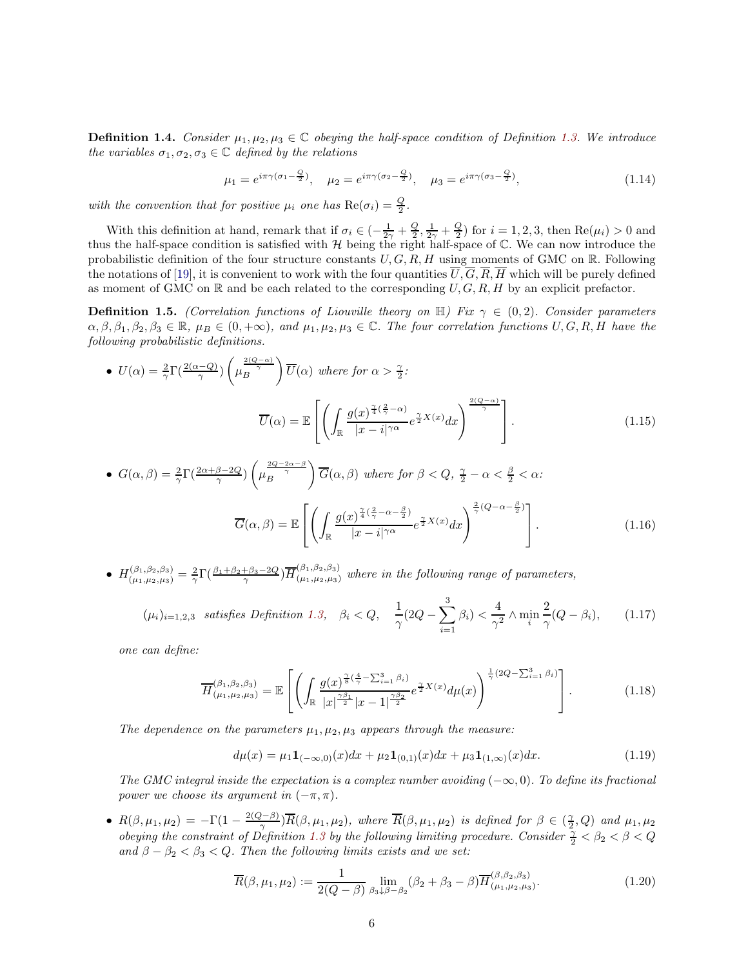**Definition 1.4.** *Consider*  $\mu_1, \mu_2, \mu_3 \in \mathbb{C}$  *obeying the half-space condition of Definition [1.3.](#page-4-1)* We introduce *the variables*  $\sigma_1, \sigma_2, \sigma_3 \in \mathbb{C}$  *defined by the relations* 

$$
\mu_1 = e^{i\pi\gamma(\sigma_1 - \frac{Q}{2})}, \quad \mu_2 = e^{i\pi\gamma(\sigma_2 - \frac{Q}{2})}, \quad \mu_3 = e^{i\pi\gamma(\sigma_3 - \frac{Q}{2})}, \tag{1.14}
$$

with the convention that for positive  $\mu_i$  one has  $\text{Re}(\sigma_i) = \frac{Q}{2}$ .

With this definition at hand, remark that if  $\sigma_i \in \left(-\frac{1}{2\gamma} + \frac{Q}{2}, \frac{1}{2\gamma} + \frac{Q}{2}\right)$  for  $i = 1, 2, 3$ , then  $\text{Re}(\mu_i) > 0$  and thus the half-space condition is satisfied with  $H$  being the right half-space of  $\mathbb{C}$ . We can now introduce the probabilistic definition of the four structure constants  $U, G, R, H$  using moments of GMC on R. Following the notations of [\[19\]](#page-64-9), it is convenient to work with the four quantities  $\overline{U}, \overline{G}, \overline{R}, \overline{H}$  which will be purely defined as moment of GMC on  $\mathbb R$  and be each related to the corresponding  $U, G, R, H$  by an explicit prefactor.

<span id="page-5-1"></span>**Definition 1.5.** *(Correlation functions of Liouville theory on*  $\mathbb{H}$ ) *Fix*  $\gamma \in (0, 2)$ *. Consider parameters*  $\alpha, \beta, \beta_1, \beta_2, \beta_3 \in \mathbb{R}, \mu_B \in (0, +\infty)$ , and  $\mu_1, \mu_2, \mu_3 \in \mathbb{C}$ . The four correlation functions  $U, G, R, H$  have the *following probabilistic definitions.*

• 
$$
U(\alpha) = \frac{2}{\gamma} \Gamma(\frac{2(\alpha - Q)}{\gamma}) \left(\mu_B^{\frac{2(Q - \alpha)}{\gamma}}\right) \overline{U}(\alpha)
$$
 where for  $\alpha > \frac{\gamma}{2}$ :  

$$
\overline{U}(\alpha) = \mathbb{E}\left[\left(\int_{\mathbb{R}} \frac{g(x)^{\frac{\gamma}{4}}(\frac{2}{\gamma} - \alpha)}{|x - i|^{\gamma \alpha}} e^{\frac{\gamma}{2} X(x)} dx\right)^{\frac{2(Q - \alpha)}{\gamma}}\right].
$$
(1.15)

• 
$$
G(\alpha, \beta) = \frac{2}{\gamma} \Gamma(\frac{2\alpha + \beta - 2Q}{\gamma}) \left(\mu_B^{\frac{2Q - 2\alpha - \beta}{\gamma}}\right) \overline{G}(\alpha, \beta)
$$
 where for  $\beta < Q$ ,  $\frac{\gamma}{2} - \alpha < \frac{\beta}{2} < \alpha$ :  

$$
\overline{G}(\alpha, \beta) = \mathbb{E}\left[\left(\int_{\mathbb{R}} \frac{g(x)^{\frac{\gamma}{4}}(\frac{2}{\gamma} - \alpha - \frac{\beta}{2})}{|x - i|^{\gamma \alpha}} e^{\frac{\gamma}{2}X(x)} dx\right)^{\frac{2}{\gamma}(Q - \alpha - \frac{\beta}{2})}\right].
$$
(1.16)

 $\bullet$   $H^{(\beta_1,\beta_2,\beta_3)}_{(\mu_1,\mu_2,\mu_3)} = \frac{2}{\gamma} \Gamma(\frac{\beta_1+\beta_2+\beta_3-2Q}{\gamma}) \overline{H}^{(\beta_1,\beta_2,\beta_3)}_{(\mu_1,\mu_2,\mu_3)}$  where in the following range of parameters,

$$
(\mu_i)_{i=1,2,3} \quad satisfies \quad Definition \quad 1.3, \quad \beta_i < Q, \quad \frac{1}{\gamma} (2Q - \sum_{i=1}^3 \beta_i) < \frac{4}{\gamma^2} \land \min_i \frac{2}{\gamma} (Q - \beta_i), \tag{1.17}
$$

*one can define:*

$$
\overline{H}^{(\beta_1, \beta_2, \beta_3)}_{(\mu_1, \mu_2, \mu_3)} = \mathbb{E}\left[ \left( \int_{\mathbb{R}} \frac{g(x)^{\frac{\gamma}{8}(\frac{4}{\gamma} - \sum_{i=1}^3 \beta_i)}}{|x|^{\frac{\gamma \beta_1}{2}} |x-1|^{\frac{\gamma \beta_2}{2}}} e^{\frac{\gamma}{2} X(x)} d\mu(x) \right)^{\frac{1}{\gamma}(2Q - \sum_{i=1}^3 \beta_i)} \right].
$$
\n(1.18)

*The dependence on the parameters*  $\mu_1, \mu_2, \mu_3$  *appears through the measure:* 

<span id="page-5-3"></span><span id="page-5-0"></span>
$$
d\mu(x) = \mu_1 \mathbf{1}_{(-\infty,0)}(x) dx + \mu_2 \mathbf{1}_{(0,1)}(x) dx + \mu_3 \mathbf{1}_{(1,\infty)}(x) dx.
$$
 (1.19)

*The GMC integral inside the expectation is a complex number avoiding* (−∞, 0)*. To define its fractional power we choose its argument in*  $(-\pi, \pi)$ *.* 

•  $R(\beta, \mu_1, \mu_2) = -\Gamma(1 - \frac{2(Q-\beta)}{\gamma})\overline{R}(\beta, \mu_1, \mu_2)$ , where  $\overline{R}(\beta, \mu_1, \mu_2)$  is defined for  $\beta \in (\frac{\gamma}{2}, Q)$  and  $\mu_1, \mu_2$ *obeying the constraint of Definition [1.3](#page-4-1) by the following limiting procedure. Consider*  $\frac{\gamma}{2} < \beta_2 < \beta < Q$ and  $\beta - \beta_2 < \beta_3 < Q$ . Then the following limits exists and we set:

<span id="page-5-2"></span>
$$
\overline{R}(\beta, \mu_1, \mu_2) := \frac{1}{2(Q - \beta)} \lim_{\beta_3 \downarrow \beta - \beta_2} (\beta_2 + \beta_3 - \beta) \overline{H}^{(\beta, \beta_2, \beta_3)}_{(\mu_1, \mu_2, \mu_3)}.
$$
(1.20)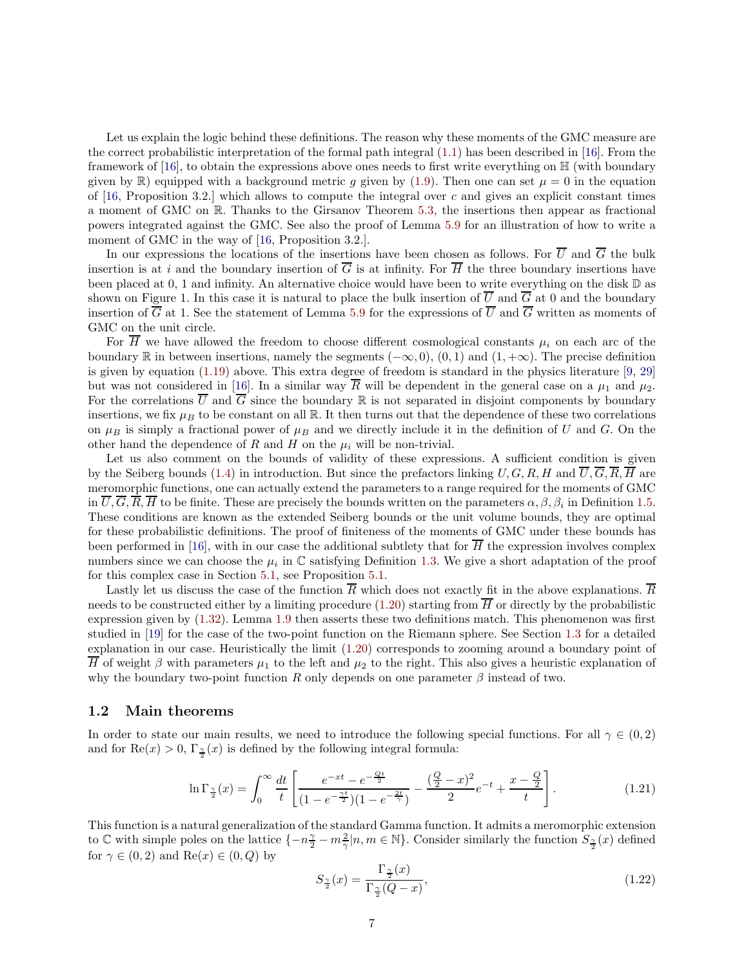Let us explain the logic behind these definitions. The reason why these moments of the GMC measure are the correct probabilistic interpretation of the formal path integral [\(1.1\)](#page-2-1) has been described in [\[16\]](#page-64-5). From the framework of [\[16\]](#page-64-5), to obtain the expressions above ones needs to first write everything on  $\mathbb{H}$  (with boundary given by  $\mathbb{R}$ ) equipped with a background metric g given by [\(1.9\)](#page-4-2). Then one can set  $\mu = 0$  in the equation of [\[16,](#page-64-5) Proposition 3.2.] which allows to compute the integral over c and gives an explicit constant times a moment of GMC on R. Thanks to the Girsanov Theorem [5.3,](#page-45-0) the insertions then appear as fractional powers integrated against the GMC. See also the proof of Lemma [5.9](#page-56-1) for an illustration of how to write a moment of GMC in the way of [\[16,](#page-64-5) Proposition 3.2.].

In our expressions the locations of the insertions have been chosen as follows. For  $\overline{U}$  and  $\overline{G}$  the bulk insertion is at i and the boundary insertion of  $\overline{G}$  is at infinity. For  $\overline{H}$  the three boundary insertions have been placed at 0, 1 and infinity. An alternative choice would have been to write everything on the disk D as shown on Figure 1. In this case it is natural to place the bulk insertion of  $\overline{U}$  and  $\overline{G}$  at 0 and the boundary insertion of  $\overline{G}$  at 1. See the statement of Lemma [5.9](#page-56-1) for the expressions of  $\overline{U}$  and  $\overline{G}$  written as moments of GMC on the unit circle.

For  $\overline{H}$  we have allowed the freedom to choose different cosmological constants  $\mu_i$  on each arc of the boundary R in between insertions, namely the segments  $(-\infty, 0)$ ,  $(0, 1)$  and  $(1, +\infty)$ . The precise definition is given by equation [\(1.19\)](#page-5-0) above. This extra degree of freedom is standard in the physics literature [\[9,](#page-64-2) [29\]](#page-65-2) but was not considered in [\[16\]](#page-64-5). In a similar way  $\overline{R}$  will be dependent in the general case on a  $\mu_1$  and  $\mu_2$ . For the correlations  $\overline{U}$  and  $\overline{G}$  since the boundary  $\mathbb R$  is not separated in disjoint components by boundary insertions, we fix  $\mu_B$  to be constant on all R. It then turns out that the dependence of these two correlations on  $\mu_B$  is simply a fractional power of  $\mu_B$  and we directly include it in the definition of U and G. On the other hand the dependence of R and H on the  $\mu_i$  will be non-trivial.

Let us also comment on the bounds of validity of these expressions. A sufficient condition is given by the Seiberg bounds [\(1.4\)](#page-2-2) in introduction. But since the prefactors linking  $U, G, R, H$  and  $\overline{U}, \overline{G}, \overline{R}, \overline{H}$  are meromorphic functions, one can actually extend the parameters to a range required for the moments of GMC in  $U, G, R, H$  to be finite. These are precisely the bounds written on the parameters  $\alpha, \beta, \beta_i$  in Definition [1.5.](#page-5-1) These conditions are known as the extended Seiberg bounds or the unit volume bounds, they are optimal for these probabilistic definitions. The proof of finiteness of the moments of GMC under these bounds has been performed in [\[16\]](#page-64-5), with in our case the additional subtlety that for  $\overline{H}$  the expression involves complex numbers since we can choose the  $\mu_i$  in  $\mathbb C$  satisfying Definition [1.3.](#page-4-1) We give a short adaptation of the proof for this complex case in Section [5.1,](#page-43-1) see Proposition [5.1.](#page-44-0)

Lastly let us discuss the case of the function  $\overline{R}$  which does not exactly fit in the above explanations.  $\overline{R}$ needs to be constructed either by a limiting procedure [\(1.20\)](#page-5-2) starting from  $\overline{H}$  or directly by the probabilistic expression given by [\(1.32\)](#page-8-1). Lemma [1.9](#page-8-2) then asserts these two definitions match. This phenomenon was first studied in [\[19\]](#page-64-9) for the case of the two-point function on the Riemann sphere. See Section [1.3](#page-8-0) for a detailed explanation in our case. Heuristically the limit [\(1.20\)](#page-5-2) corresponds to zooming around a boundary point of  $\overline{H}$  of weight  $\beta$  with parameters  $\mu_1$  to the left and  $\mu_2$  to the right. This also gives a heuristic explanation of why the boundary two-point function R only depends on one parameter  $\beta$  instead of two.

#### <span id="page-6-0"></span>1.2 Main theorems

In order to state our main results, we need to introduce the following special functions. For all  $\gamma \in (0,2)$ and for  $\text{Re}(x) > 0$ ,  $\Gamma_{\frac{\gamma}{2}}(x)$  is defined by the following integral formula:

$$
\ln \Gamma_{\frac{\gamma}{2}}(x) = \int_0^\infty \frac{dt}{t} \left[ \frac{e^{-xt} - e^{-\frac{Qt}{2}}}{(1 - e^{-\frac{\gamma t}{2}})(1 - e^{-\frac{2t}{\gamma}})} - \frac{(\frac{Q}{2} - x)^2}{2} e^{-t} + \frac{x - \frac{Q}{2}}{t} \right].
$$
 (1.21)

This function is a natural generalization of the standard Gamma function. It admits a meromorphic extension to  $\mathbb C$  with simple poles on the lattice  $\{-n\frac{\gamma}{2} - m\frac{2}{\gamma}|n, m \in \mathbb N\}$ . Consider similarly the function  $S_{\frac{\gamma}{2}}(x)$  defined for  $\gamma \in (0, 2)$  and  $\text{Re}(x) \in (0, Q)$  by

$$
S_{\frac{\gamma}{2}}(x) = \frac{\Gamma_{\frac{\gamma}{2}}(x)}{\Gamma_{\frac{\gamma}{2}}(Q-x)},\tag{1.22}
$$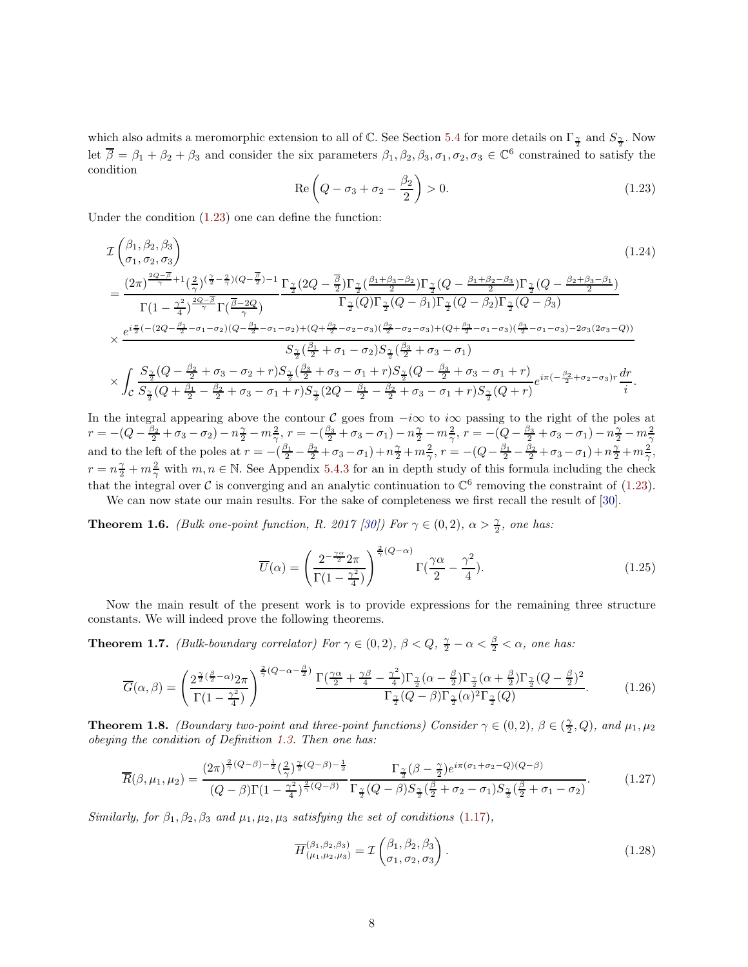which also admits a meromorphic extension to all of  $\mathbb C$ . See Section [5.4](#page-58-0) for more details on  $\Gamma_{\frac{\gamma}{2}}$  and  $S_{\frac{\gamma}{2}}$ . Now let  $\overline{\beta} = \beta_1 + \beta_2 + \beta_3$  and consider the six parameters  $\beta_1, \beta_2, \beta_3, \sigma_1, \sigma_2, \sigma_3 \in \mathbb{C}^6$  constrained to satisfy the condition

<span id="page-7-5"></span>
$$
\operatorname{Re}\left(Q - \sigma_3 + \sigma_2 - \frac{\beta_2}{2}\right) > 0. \tag{1.23}
$$

Under the condition [\(1.23\)](#page-7-5) one can define the function:

$$
\mathcal{I}\begin{pmatrix}\n\beta_{1},\beta_{2},\beta_{3} \\
\sigma_{1},\sigma_{2},\sigma_{3}\n\end{pmatrix}
$$
\n
$$
=\frac{(2\pi)^{\frac{2Q-\overline{\beta}}{\gamma}+1}(\frac{2}{\gamma})(\frac{\gamma}{2}-\frac{2}{\gamma})(Q-\frac{\overline{\beta}}{2})-1}{\Gamma(\frac{2}{\gamma})\Gamma(\frac{\overline{\beta}-2Q}{\gamma})} \frac{\Gamma_{\frac{\gamma}{2}}(2Q-\frac{\overline{\beta}}{2})\Gamma_{\frac{\gamma}{2}}(\frac{\beta_{1}+\beta_{3}-\beta_{2}}{2})\Gamma_{\frac{\gamma}{2}}(Q-\frac{\beta_{1}+\beta_{2}-\beta_{3}}{2})\Gamma_{\frac{\gamma}{2}}(Q-\frac{\beta_{2}+\beta_{3}-\beta_{1}}{2})}{\Gamma(\frac{2}{\gamma})\Gamma(\frac{\gamma}{2}-\frac{\gamma}{2})} \times \frac{e^{i\frac{\pi}{2}(-(2Q-\frac{\beta_{1}}{2}-\sigma_{1}-\sigma_{2})(Q-\frac{\beta_{1}}{2}-\sigma_{1}-\sigma_{2})+(Q+\frac{\beta_{2}}{2}-\sigma_{2}-\sigma_{3})(\frac{\beta_{2}}{2}-\sigma_{2}-\sigma_{3})+(Q+\frac{\beta_{3}}{2}-\sigma_{1}-\sigma_{3})(\frac{\beta_{3}}{2}-\sigma_{1}-\sigma_{3})-2\sigma_{3}(2\sigma_{3}-Q))}{S_{\frac{\gamma}{2}}(\frac{\beta_{1}}{2}+\sigma_{1}-\sigma_{2})S_{\frac{\gamma}{2}}(\frac{\beta_{3}}{2}+\sigma_{3}-\sigma_{1})} \times \int_{C} \frac{S_{\frac{\gamma}{2}}(Q-\frac{\beta_{2}}{2}+\sigma_{3}-\sigma_{2}+r)S_{\frac{\gamma}{2}}(\frac{\beta_{3}}{2}+\sigma_{3}-\sigma_{1}+r)S_{\frac{\gamma}{2}}(Q-\frac{\beta_{3}}{2}+\sigma_{3}-\sigma_{1}+r)S_{\frac{\gamma}{2}}(Q+\frac{\beta_{3}}{2}+\sigma_{3}-\sigma_{1}+r)S_{\frac{\gamma}{2}}(Q+r)} e^{i\pi(-\frac{\beta_{2}}{2}+\sigma_{2}-\sigma_{3})r} \frac{dr}{i}.
$$
\n(1.24)

In the integral appearing above the contour C goes from  $-i\infty$  to  $i\infty$  passing to the right of the poles at  $r=-(Q-\frac{\beta_2}{2}+\sigma_3-\sigma_2)-n\frac{\gamma}{2}-m\frac{2}{\gamma},\, r=-(\frac{\beta_3}{2}+\sigma_3-\sigma_1)-n\frac{\gamma}{2}-m\frac{2}{\gamma},\, r=-(Q-\frac{\beta_3}{2}+\sigma_3-\sigma_1)-n\frac{\gamma}{2}-m\frac{2}{\gamma}$ and to the left of the poles at  $r = -(\frac{\beta_1}{2} - \frac{\beta_2}{2} + \sigma_3 - \sigma_1) + n\frac{\gamma}{2} + m_{\gamma}^2$ ,  $r = -(Q - \frac{\beta_1}{2} - \frac{\beta_2}{2} + \sigma_3 - \sigma_1) + n\frac{\gamma}{2} + m_{\gamma}^2$ ,  $r = n\frac{\gamma}{2} + m\frac{2}{\gamma}$  with  $m, n \in \mathbb{N}$ . See Appendix [5.4.3](#page-60-0) for an in depth study of this formula including the check that the integral over C is converging and an analytic continuation to  $\mathbb{C}^6$  removing the constraint of [\(1.23\)](#page-7-5). We can now state our main results. For the sake of completeness we first recall the result of [\[30\]](#page-65-4).

<span id="page-7-6"></span>**Theorem 1.6.** *(Bulk one-point function, R. 2017 [\[30\]](#page-65-4)) For*  $\gamma \in (0, 2)$ ,  $\alpha > \frac{\gamma}{2}$ *, one has:* 

$$
\overline{U}(\alpha) = \left(\frac{2^{-\frac{\gamma\alpha}{2}} 2\pi}{\Gamma(1 - \frac{\gamma^2}{4})}\right)^{\frac{2}{\gamma}(Q - \alpha)} \Gamma(\frac{\gamma\alpha}{2} - \frac{\gamma^2}{4}).\tag{1.25}
$$

Now the main result of the present work is to provide expressions for the remaining three structure constants. We will indeed prove the following theorems.

<span id="page-7-3"></span>**Theorem 1.7.** *(Bulk-boundary correlator) For*  $\gamma \in (0, 2)$ ,  $\beta < Q$ ,  $\frac{\gamma}{2} - \alpha < \frac{\beta}{2} < \alpha$ , one has:

<span id="page-7-1"></span>
$$
\overline{G}(\alpha,\beta) = \left(\frac{2^{\frac{\gamma}{2}(\frac{\beta}{2}-\alpha)}2\pi}{\Gamma(1-\frac{\gamma^2}{4})}\right)^{\frac{2}{\gamma}(Q-\alpha-\frac{\beta}{2})}\frac{\Gamma(\frac{\gamma\alpha}{2}+\frac{\gamma\beta}{4}-\frac{\gamma^2}{4})\Gamma_{\frac{\gamma}{2}}(\alpha-\frac{\beta}{2})\Gamma_{\frac{\gamma}{2}}(\alpha+\frac{\beta}{2})\Gamma_{\frac{\gamma}{2}}(Q-\frac{\beta}{2})^2}{\Gamma_{\frac{\gamma}{2}}(Q-\beta)\Gamma_{\frac{\gamma}{2}}(\alpha)^2\Gamma_{\frac{\gamma}{2}}(Q)}.
$$
(1.26)

<span id="page-7-4"></span>**Theorem 1.8.** *(Boundary two-point and three-point functions) Consider*  $\gamma \in (0, 2)$ *,*  $\beta \in (\frac{2}{2}, Q)$ *, and*  $\mu_1, \mu_2$ *obeying the condition of Definition [1.3.](#page-4-1) Then one has:*

$$
\overline{R}(\beta,\mu_1,\mu_2) = \frac{(2\pi)^{\frac{2}{\gamma}(Q-\beta)-\frac{1}{2}}(\frac{2}{\gamma})^{\frac{\gamma}{2}(Q-\beta)-\frac{1}{2}}}{(Q-\beta)\Gamma(1-\frac{\gamma^2}{4})^{\frac{2}{\gamma}(Q-\beta)}}\frac{\Gamma_{\frac{\gamma}{2}}(\beta-\frac{\gamma}{2})e^{i\pi(\sigma_1+\sigma_2-Q)(Q-\beta)}}{\Gamma_{\frac{\gamma}{2}}(Q-\beta)S_{\frac{\gamma}{2}}(\frac{\beta}{2}+\sigma_2-\sigma_1)S_{\frac{\gamma}{2}}(\frac{\beta}{2}+\sigma_1-\sigma_2)}.
$$
(1.27)

*Similarly, for*  $\beta_1, \beta_2, \beta_3$  *and*  $\mu_1, \mu_2, \mu_3$  *satisfying the set of conditions* [\(1.17\)](#page-5-3)*,* 

<span id="page-7-2"></span><span id="page-7-0"></span>
$$
\overline{H}^{(\beta_1, \beta_2, \beta_3)}_{(\mu_1, \mu_2, \mu_3)} = \mathcal{I}^{(\beta_1, \beta_2, \beta_3)}_{(\sigma_1, \sigma_2, \sigma_3)}.
$$
\n(1.28)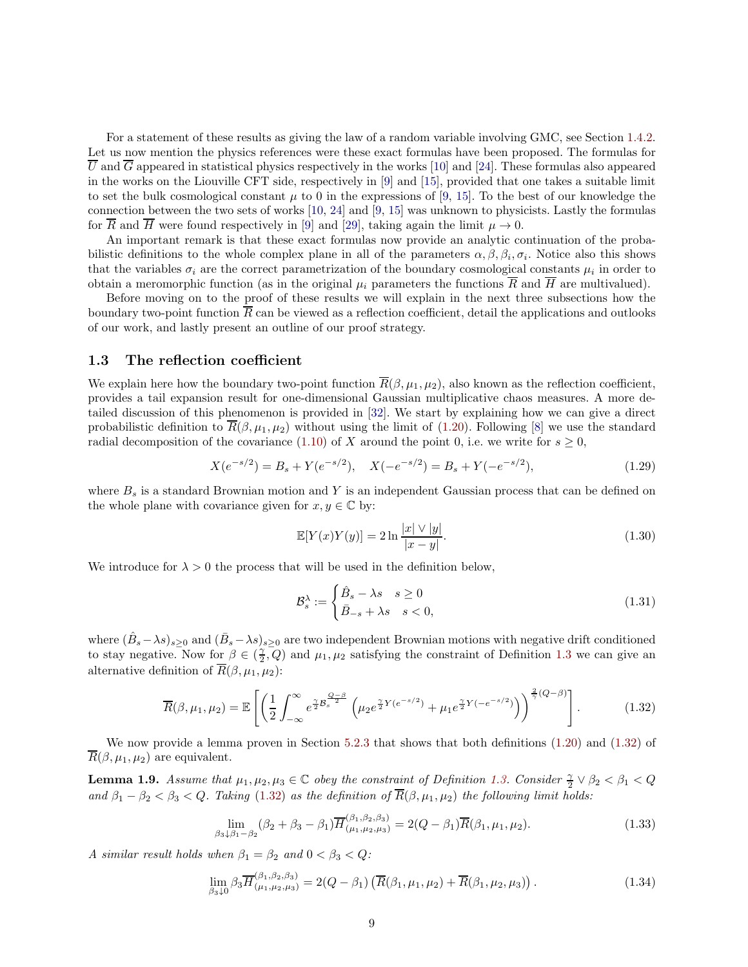For a statement of these results as giving the law of a random variable involving GMC, see Section [1.4.2.](#page-10-0) Let us now mention the physics references were these exact formulas have been proposed. The formulas for  $\overline{U}$  and  $\overline{G}$  appeared in statistical physics respectively in the works [\[10\]](#page-64-10) and [\[24\]](#page-65-7). These formulas also appeared in the works on the Liouville CFT side, respectively in [\[9\]](#page-64-2) and [\[15\]](#page-64-3), provided that one takes a suitable limit to set the bulk cosmological constant  $\mu$  to 0 in the expressions of [\[9,](#page-64-2) [15\]](#page-64-3). To the best of our knowledge the connection between the two sets of works [\[10,](#page-64-10) [24\]](#page-65-7) and [\[9,](#page-64-2) [15\]](#page-64-3) was unknown to physicists. Lastly the formulas for R and H were found respectively in [\[9\]](#page-64-2) and [\[29\]](#page-65-2), taking again the limit  $\mu \to 0$ .

An important remark is that these exact formulas now provide an analytic continuation of the probabilistic definitions to the whole complex plane in all of the parameters  $\alpha, \beta, \beta_i, \sigma_i$ . Notice also this shows that the variables  $\sigma_i$  are the correct parametrization of the boundary cosmological constants  $\mu_i$  in order to obtain a meromorphic function (as in the original  $\mu_i$  parameters the functions  $\overline{R}$  and  $\overline{H}$  are multivalued).

Before moving on to the proof of these results we will explain in the next three subsections how the boundary two-point function  $\overline{R}$  can be viewed as a reflection coefficient, detail the applications and outlooks of our work, and lastly present an outline of our proof strategy.

#### <span id="page-8-0"></span>1.3 The reflection coefficient

We explain here how the boundary two-point function  $\overline{R}(\beta, \mu_1, \mu_2)$ , also known as the reflection coefficient, provides a tail expansion result for one-dimensional Gaussian multiplicative chaos measures. A more detailed discussion of this phenomenon is provided in [\[32\]](#page-65-5). We start by explaining how we can give a direct probabilistic definition to  $\overline{R}(\beta, \mu_1, \mu_2)$  without using the limit of [\(1.20\)](#page-5-2). Following [\[8\]](#page-64-17) we use the standard radial decomposition of the covariance [\(1.10\)](#page-4-3) of X around the point 0, i.e. we write for  $s \geq 0$ ,

<span id="page-8-3"></span>
$$
X(e^{-s/2}) = B_s + Y(e^{-s/2}), \quad X(-e^{-s/2}) = B_s + Y(-e^{-s/2}), \tag{1.29}
$$

where  $B_s$  is a standard Brownian motion and Y is an independent Gaussian process that can be defined on the whole plane with covariance given for  $x, y \in \mathbb{C}$  by:

$$
\mathbb{E}[Y(x)Y(y)] = 2\ln\frac{|x| \vee |y|}{|x - y|}.
$$
\n(1.30)

We introduce for  $\lambda > 0$  the process that will be used in the definition below,

$$
\mathcal{B}_s^{\lambda} := \begin{cases} \hat{B}_s - \lambda s & s \ge 0 \\ \bar{B}_{-s} + \lambda s & s < 0, \end{cases}
$$
\n(1.31)

where  $(\hat{B}_s - \lambda s)_{s \geq 0}$  and  $(\bar{B}_s - \lambda s)_{s \geq 0}$  are two independent Brownian motions with negative drift conditioned to stay negative. Now for  $\beta \in (\frac{\gamma}{2}, Q)$  and  $\mu_1, \mu_2$  satisfying the constraint of Definition [1.3](#page-4-1) we can give an alternative definition of  $\overline{R}(\beta, \mu_1, \mu_2)$ :

<span id="page-8-1"></span>
$$
\overline{R}(\beta, \mu_1, \mu_2) = \mathbb{E}\left[ \left( \frac{1}{2} \int_{-\infty}^{\infty} e^{\frac{\gamma}{2} \mathcal{B}_s^{\frac{Q-\beta}{2}}} \left( \mu_2 e^{\frac{\gamma}{2} Y (e^{-s/2})} + \mu_1 e^{\frac{\gamma}{2} Y (-e^{-s/2})} \right) \right)^{\frac{2}{\gamma}(Q-\beta)} \right].
$$
 (1.32)

We now provide a lemma proven in Section [5.2.3](#page-54-0) that shows that both definitions [\(1.20\)](#page-5-2) and [\(1.32\)](#page-8-1) of  $\overline{R}(\beta, \mu_1, \mu_2)$  are equivalent.

<span id="page-8-2"></span>**Lemma 1.9.** *Assume that*  $\mu_1, \mu_2, \mu_3 \in \mathbb{C}$  *obey the constraint of Definition [1.3.](#page-4-1) Consider*  $\frac{\gamma}{2} \vee \beta_2 < \beta_1 < Q$ *and*  $\beta_1 - \beta_2 < \beta_3 < Q$ . Taking [\(1.32\)](#page-8-1) as the definition of  $\overline{R}(\beta, \mu_1, \mu_2)$  the following limit holds:

$$
\lim_{\beta_3 \downarrow \beta_1 - \beta_2} (\beta_2 + \beta_3 - \beta_1) \overline{H}_{(\mu_1, \mu_2, \mu_3)}^{(\beta_1, \beta_2, \beta_3)} = 2(Q - \beta_1) \overline{R}(\beta_1, \mu_1, \mu_2).
$$
\n(1.33)

*A similar result holds when*  $\beta_1 = \beta_2$  *and*  $0 < \beta_3 < Q$ *:* 

$$
\lim_{\beta_3 \downarrow 0} \beta_3 \overline{H}^{(\beta_1, \beta_2, \beta_3)}_{(\mu_1, \mu_2, \mu_3)} = 2(Q - \beta_1) \left( \overline{R}(\beta_1, \mu_1, \mu_2) + \overline{R}(\beta_1, \mu_2, \mu_3) \right). \tag{1.34}
$$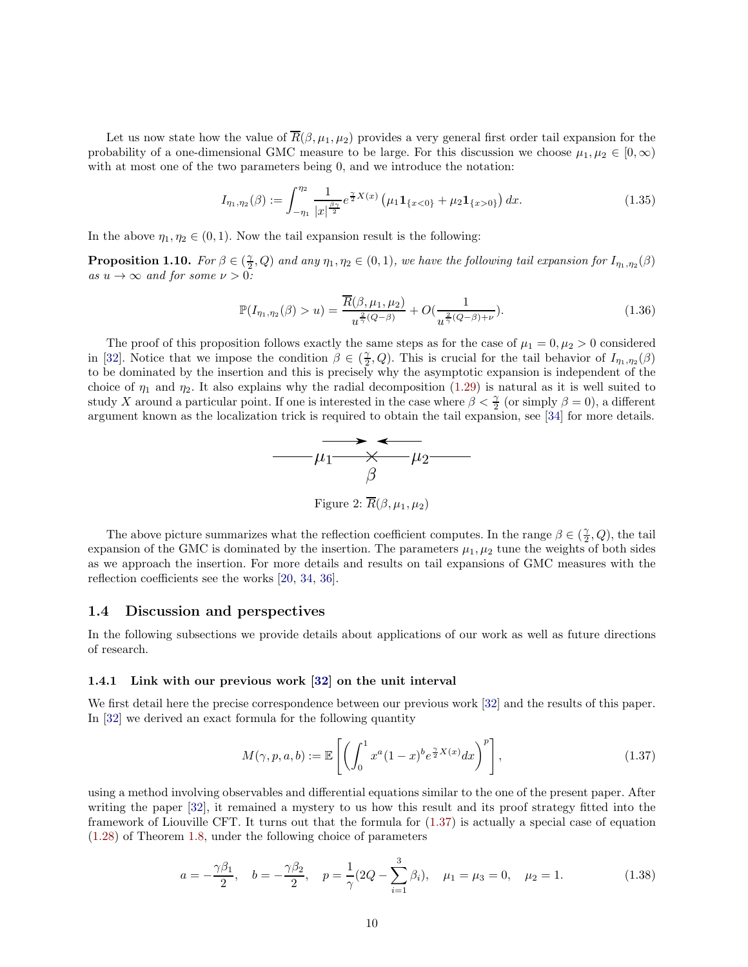Let us now state how the value of  $\overline{R}(\beta, \mu_1, \mu_2)$  provides a very general first order tail expansion for the probability of a one-dimensional GMC measure to be large. For this discussion we choose  $\mu_1, \mu_2 \in [0, \infty)$ with at most one of the two parameters being 0, and we introduce the notation:

$$
I_{\eta_1,\eta_2}(\beta) := \int_{-\eta_1}^{\eta_2} \frac{1}{|x|^{\frac{\beta\gamma}{2}}} e^{\frac{\gamma}{2}X(x)} \left(\mu_1 \mathbf{1}_{\{x<0\}} + \mu_2 \mathbf{1}_{\{x>0\}}\right) dx. \tag{1.35}
$$

In the above  $\eta_1, \eta_2 \in (0, 1)$ . Now the tail expansion result is the following:

**Proposition 1.10.** For  $\beta \in (\frac{\gamma}{2}, Q)$  and any  $\eta_1, \eta_2 \in (0, 1)$ , we have the following tail expansion for  $I_{\eta_1, \eta_2}(\beta)$ *as*  $u \to \infty$  *and for some*  $\nu > 0$ *:* 

$$
\mathbb{P}(I_{\eta_1,\eta_2}(\beta) > u) = \frac{\overline{R}(\beta,\mu_1,\mu_2)}{u^{\frac{2}{\gamma}(Q-\beta)}} + O(\frac{1}{u^{\frac{2}{\gamma}(Q-\beta)+\nu}}). \tag{1.36}
$$

The proof of this proposition follows exactly the same steps as for the case of  $\mu_1 = 0, \mu_2 > 0$  considered in [\[32\]](#page-65-5). Notice that we impose the condition  $\beta \in (\frac{\gamma}{2}, Q)$ . This is crucial for the tail behavior of  $I_{\eta_1, \eta_2}(\beta)$ to be dominated by the insertion and this is precisely why the asymptotic expansion is independent of the choice of  $\eta_1$  and  $\eta_2$ . It also explains why the radial decomposition [\(1.29\)](#page-8-3) is natural as it is well suited to study X around a particular point. If one is interested in the case where  $\beta < \frac{\gamma}{2}$  (or simply  $\beta = 0$ ), a different argument known as the localization trick is required to obtain the tail expansion, see [\[34\]](#page-65-9) for more details.



Figure 2:  $\overline{R}(\beta,\mu_1,\mu_2)$ 

The above picture summarizes what the reflection coefficient computes. In the range  $\beta \in (\frac{\gamma}{2}, Q)$ , the tail expansion of the GMC is dominated by the insertion. The parameters  $\mu_1, \mu_2$  tune the weights of both sides as we approach the insertion. For more details and results on tail expansions of GMC measures with the reflection coefficients see the works [\[20,](#page-64-18) [34,](#page-65-9) [36\]](#page-65-10).

#### <span id="page-9-0"></span>1.4 Discussion and perspectives

In the following subsections we provide details about applications of our work as well as future directions of research.

#### <span id="page-9-1"></span>1.4.1 Link with our previous work [\[32\]](#page-65-5) on the unit interval

We first detail here the precise correspondence between our previous work [\[32\]](#page-65-5) and the results of this paper. In [\[32\]](#page-65-5) we derived an exact formula for the following quantity

<span id="page-9-2"></span>
$$
M(\gamma, p, a, b) := \mathbb{E}\left[\left(\int_0^1 x^a (1-x)^b e^{\frac{\gamma}{2}X(x)} dx\right)^p\right],\tag{1.37}
$$

using a method involving observables and differential equations similar to the one of the present paper. After writing the paper [\[32\]](#page-65-5), it remained a mystery to us how this result and its proof strategy fitted into the framework of Liouville CFT. It turns out that the formula for [\(1.37\)](#page-9-2) is actually a special case of equation [\(1.28\)](#page-7-0) of Theorem [1.8,](#page-7-4) under the following choice of parameters

<span id="page-9-3"></span>
$$
a = -\frac{\gamma \beta_1}{2}, \quad b = -\frac{\gamma \beta_2}{2}, \quad p = \frac{1}{\gamma} (2Q - \sum_{i=1}^3 \beta_i), \quad \mu_1 = \mu_3 = 0, \quad \mu_2 = 1. \tag{1.38}
$$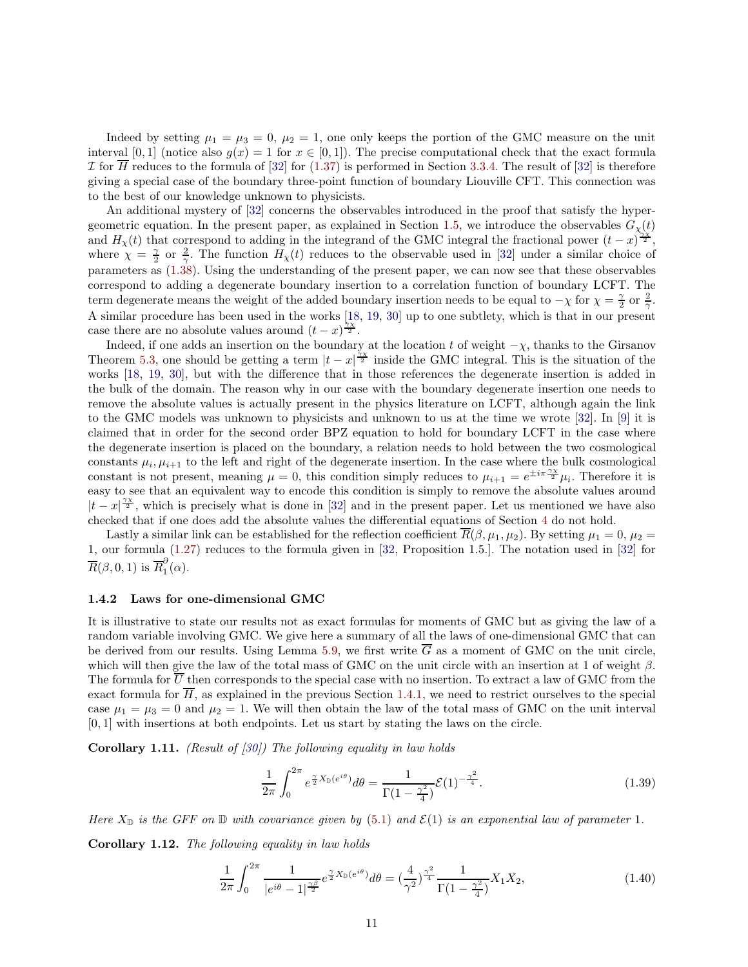Indeed by setting  $\mu_1 = \mu_3 = 0$ ,  $\mu_2 = 1$ , one only keeps the portion of the GMC measure on the unit interval [0, 1] (notice also  $g(x) = 1$  for  $x \in [0, 1]$ ). The precise computational check that the exact formula I for  $\overline{H}$  reduces to the formula of [\[32\]](#page-65-5) for [\(1.37\)](#page-9-2) is performed in Section [3.3.4.](#page-38-0) The result of [32] is therefore giving a special case of the boundary three-point function of boundary Liouville CFT. This connection was to the best of our knowledge unknown to physicists.

An additional mystery of [\[32\]](#page-65-5) concerns the observables introduced in the proof that satisfy the hyper-geometric equation. In the present paper, as explained in Section [1.5,](#page-14-0) we introduce the observables  $G_{\chi}(t)$ and  $H_{\chi}(t)$  that correspond to adding in the integrand of the GMC integral the fractional power  $(t-x)^{\frac{\gamma}{2}}$ , where  $\chi = \frac{\gamma}{2}$  or  $\frac{2}{\gamma}$ . The function  $H_{\chi}(t)$  reduces to the observable used in [\[32\]](#page-65-5) under a similar choice of parameters as [\(1.38\)](#page-9-3). Using the understanding of the present paper, we can now see that these observables correspond to adding a degenerate boundary insertion to a correlation function of boundary LCFT. The term degenerate means the weight of the added boundary insertion needs to be equal to  $-\chi$  for  $\chi = \frac{\gamma}{2}$  or  $\frac{2}{\gamma}$ . A similar procedure has been used in the works [\[18,](#page-64-8) [19,](#page-64-9) [30\]](#page-65-4) up to one subtlety, which is that in our present case there are no absolute values around  $(t-x)^{\frac{\lambda_X}{2}}$ .

Indeed, if one adds an insertion on the boundary at the location t of weight  $-\chi$ , thanks to the Girsanov Theorem [5.3,](#page-45-0) one should be getting a term  $|t-x|^{\frac{\gamma_X}{2}}$  inside the GMC integral. This is the situation of the works [\[18,](#page-64-8) [19,](#page-64-9) [30\]](#page-65-4), but with the difference that in those references the degenerate insertion is added in the bulk of the domain. The reason why in our case with the boundary degenerate insertion one needs to remove the absolute values is actually present in the physics literature on LCFT, although again the link to the GMC models was unknown to physicists and unknown to us at the time we wrote [\[32\]](#page-65-5). In [\[9\]](#page-64-2) it is claimed that in order for the second order BPZ equation to hold for boundary LCFT in the case where the degenerate insertion is placed on the boundary, a relation needs to hold between the two cosmological constants  $\mu_i, \mu_{i+1}$  to the left and right of the degenerate insertion. In the case where the bulk cosmological constant is not present, meaning  $\mu = 0$ , this condition simply reduces to  $\mu_{i+1} = e^{\pm i\pi \frac{\gamma x}{2}} \mu_i$ . Therefore it is easy to see that an equivalent way to encode this condition is simply to remove the absolute values around  $|t-x|^{\frac{\gamma_X}{2}}$ , which is precisely what is done in [\[32\]](#page-65-5) and in the present paper. Let us mentioned we have also checked that if one does add the absolute values the differential equations of Section [4](#page-39-0) do not hold.

Lastly a similar link can be established for the reflection coefficient  $\overline{R}(\beta,\mu_1,\mu_2)$ . By setting  $\mu_1 = 0$ ,  $\mu_2 =$ 1, our formula [\(1.27\)](#page-7-2) reduces to the formula given in [\[32,](#page-65-5) Proposition 1.5.]. The notation used in [\[32\]](#page-65-5) for  $\overline{R}(\beta,0,1)$  is  $\overline{R}_{1}^{\partial}$  $\int_1^{\infty}$ ( $\alpha$ ).

#### <span id="page-10-0"></span>1.4.2 Laws for one-dimensional GMC

It is illustrative to state our results not as exact formulas for moments of GMC but as giving the law of a random variable involving GMC. We give here a summary of all the laws of one-dimensional GMC that can be derived from our results. Using Lemma [5.9,](#page-56-1) we first write  $\overline{G}$  as a moment of GMC on the unit circle, which will then give the law of the total mass of GMC on the unit circle with an insertion at 1 of weight  $\beta$ . The formula for  $\overline{U}$  then corresponds to the special case with no insertion. To extract a law of GMC from the exact formula for  $\overline{H}$ , as explained in the previous Section [1.4.1,](#page-9-1) we need to restrict ourselves to the special case  $\mu_1 = \mu_3 = 0$  and  $\mu_2 = 1$ . We will then obtain the law of the total mass of GMC on the unit interval [0, 1] with insertions at both endpoints. Let us start by stating the laws on the circle.

<span id="page-10-1"></span>Corollary 1.11. *(Result of [\[30\]](#page-65-4)) The following equality in law holds*

$$
\frac{1}{2\pi} \int_0^{2\pi} e^{\frac{\gamma}{2}X_{\mathbb{D}}(e^{i\theta})} d\theta = \frac{1}{\Gamma(1 - \frac{\gamma^2}{4})} \mathcal{E}(1)^{-\frac{\gamma^2}{4}}.
$$
\n(1.39)

*Here*  $X_{\mathbb{D}}$  *is the GFF on*  $\mathbb{D}$  *with covariance given by* [\(5.1\)](#page-43-2) *and*  $\mathcal{E}(1)$  *is an exponential law of parameter* 1*.* 

<span id="page-10-2"></span>Corollary 1.12. *The following equality in law holds*

$$
\frac{1}{2\pi} \int_0^{2\pi} \frac{1}{|e^{i\theta} - 1|^{\frac{\gamma \beta}{2}}} e^{\frac{\gamma}{2} X_{\mathbb{D}}(e^{i\theta})} d\theta = \left(\frac{4}{\gamma^2}\right)^{\frac{\gamma^2}{4}} \frac{1}{\Gamma(1 - \frac{\gamma^2}{4})} X_1 X_2,\tag{1.40}
$$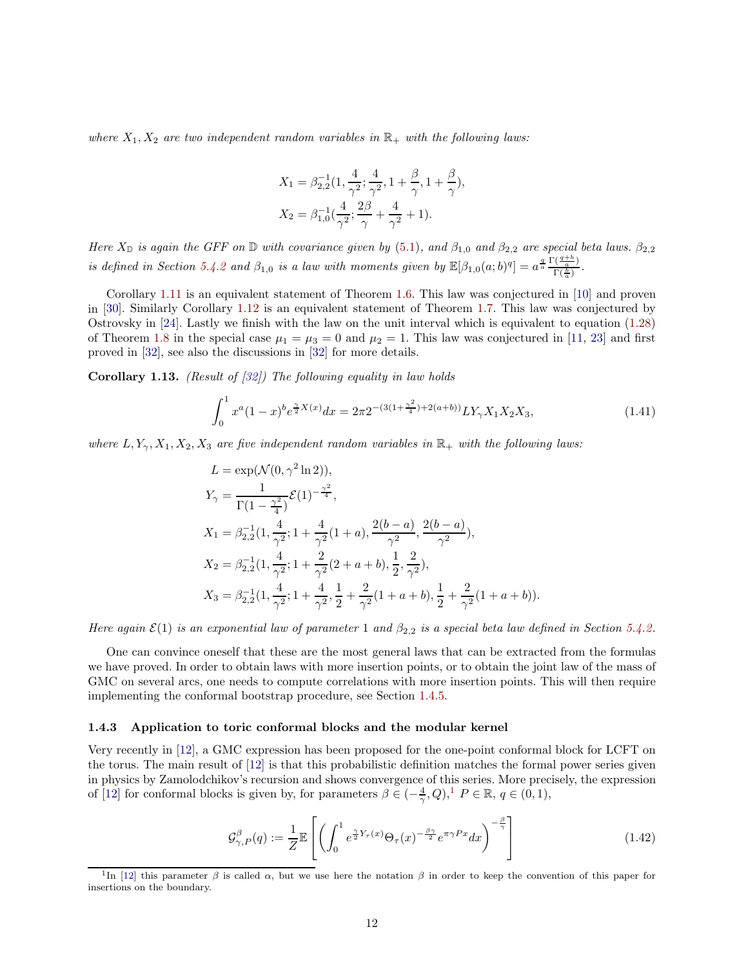*where*  $X_1, X_2$  *are two independent random variables in*  $\mathbb{R}_+$  *with the following laws:* 

$$
X_1 = \beta_{2,2}^{-1} \left( 1, \frac{4}{\gamma^2}; \frac{4}{\gamma^2}, 1 + \frac{\beta}{\gamma}, 1 + \frac{\beta}{\gamma} \right),
$$
  

$$
X_2 = \beta_{1,0}^{-1} \left( \frac{4}{\gamma^2}; \frac{2\beta}{\gamma} + \frac{4}{\gamma^2} + 1 \right).
$$

*Here*  $X_{\mathbb{D}}$  *is again the GFF on*  $\mathbb{D}$  *with covariance given by* [\(5.1\)](#page-43-2)*, and*  $\beta_{1,0}$  *and*  $\beta_{2,2}$  *are special beta laws.*  $\beta_{2,2}$ *is defined in Section* [5.4.2](#page-59-0) *and*  $\beta_{1,0}$  *is a law with moments given by*  $\mathbb{E}[\beta_{1,0}(a;b)^q] = a^{\frac{q}{a}} \frac{\Gamma(\frac{q+b}{a})}{\Gamma(\frac{b}{a})}$  $\frac{\frac{a}{a}}{\Gamma(\frac{b}{a})}$ .

Corollary [1.11](#page-10-1) is an equivalent statement of Theorem [1.6.](#page-7-6) This law was conjectured in [\[10\]](#page-64-10) and proven in [\[30\]](#page-65-4). Similarly Corollary [1.12](#page-10-2) is an equivalent statement of Theorem [1.7.](#page-7-3) This law was conjectured by Ostrovsky in [\[24\]](#page-65-7). Lastly we finish with the law on the unit interval which is equivalent to equation [\(1.28\)](#page-7-0) of Theorem [1.8](#page-7-4) in the special case  $\mu_1 = \mu_3 = 0$  and  $\mu_2 = 1$ . This law was conjectured in [\[11,](#page-64-14) [23\]](#page-64-15) and first proved in [\[32\]](#page-65-5), see also the discussions in [\[32\]](#page-65-5) for more details.

<span id="page-11-3"></span>Corollary 1.13. *(Result of [\[32\]](#page-65-5)) The following equality in law holds*

$$
\int_0^1 x^a (1-x)^b e^{\frac{\gamma}{2}X(x)} dx = 2\pi 2^{-(3(1+\frac{\gamma^2}{4})+2(a+b))} LY_\gamma X_1 X_2 X_3,
$$
\n(1.41)

*where*  $L, Y_\gamma, X_1, X_2, X_3$  *are five independent random variables in*  $\mathbb{R}_+$  *with the following laws:* 

$$
L = \exp(\mathcal{N}(0, \gamma^2 \ln 2)),
$$
  
\n
$$
Y_{\gamma} = \frac{1}{\Gamma(1 - \frac{\gamma^2}{4})} \mathcal{E}(1)^{-\frac{\gamma^2}{4}},
$$
  
\n
$$
X_1 = \beta_{2,2}^{-1}(1, \frac{4}{\gamma^2}; 1 + \frac{4}{\gamma^2}(1 + a), \frac{2(b - a)}{\gamma^2}, \frac{2(b - a)}{\gamma^2}),
$$
  
\n
$$
X_2 = \beta_{2,2}^{-1}(1, \frac{4}{\gamma^2}; 1 + \frac{2}{\gamma^2}(2 + a + b), \frac{1}{2}, \frac{2}{\gamma^2}),
$$
  
\n
$$
X_3 = \beta_{2,2}^{-1}(1, \frac{4}{\gamma^2}; 1 + \frac{4}{\gamma^2}, \frac{1}{2} + \frac{2}{\gamma^2}(1 + a + b), \frac{1}{2} + \frac{2}{\gamma^2}(1 + a + b)).
$$

*Here again*  $\mathcal{E}(1)$  *is an exponential law of parameter* 1 *and*  $\beta_{2,2}$  *is a special beta law defined in Section [5.4.2.](#page-59-0)* 

One can convince oneself that these are the most general laws that can be extracted from the formulas we have proved. In order to obtain laws with more insertion points, or to obtain the joint law of the mass of GMC on several arcs, one needs to compute correlations with more insertion points. This will then require implementing the conformal bootstrap procedure, see Section [1.4.5.](#page-13-0)

#### <span id="page-11-0"></span>1.4.3 Application to toric conformal blocks and the modular kernel

Very recently in [\[12\]](#page-64-16), a GMC expression has been proposed for the one-point conformal block for LCFT on the torus. The main result of [\[12\]](#page-64-16) is that this probabilistic definition matches the formal power series given in physics by Zamolodchikov's recursion and shows convergence of this series. More precisely, the expression of [\[12\]](#page-64-16) for conformal blocks is given by, for parameters  $\beta \in (-\frac{4}{\gamma}, Q)$ ,<sup>[1](#page-11-1)</sup>  $P \in \mathbb{R}$ ,  $q \in (0, 1)$ ,

<span id="page-11-2"></span>
$$
\mathcal{G}^{\beta}_{\gamma,P}(q) := \frac{1}{Z} \mathbb{E}\left[ \left( \int_0^1 e^{\frac{\gamma}{2} Y_\tau(x)} \Theta_\tau(x)^{-\frac{\beta \gamma}{2}} e^{\pi \gamma Px} dx \right)^{-\frac{\beta}{\gamma}} \right]
$$
(1.42)

<span id="page-11-1"></span><sup>&</sup>lt;sup>1</sup>In [\[12\]](#page-64-16) this parameter  $\beta$  is called  $\alpha$ , but we use here the notation  $\beta$  in order to keep the convention of this paper for insertions on the boundary.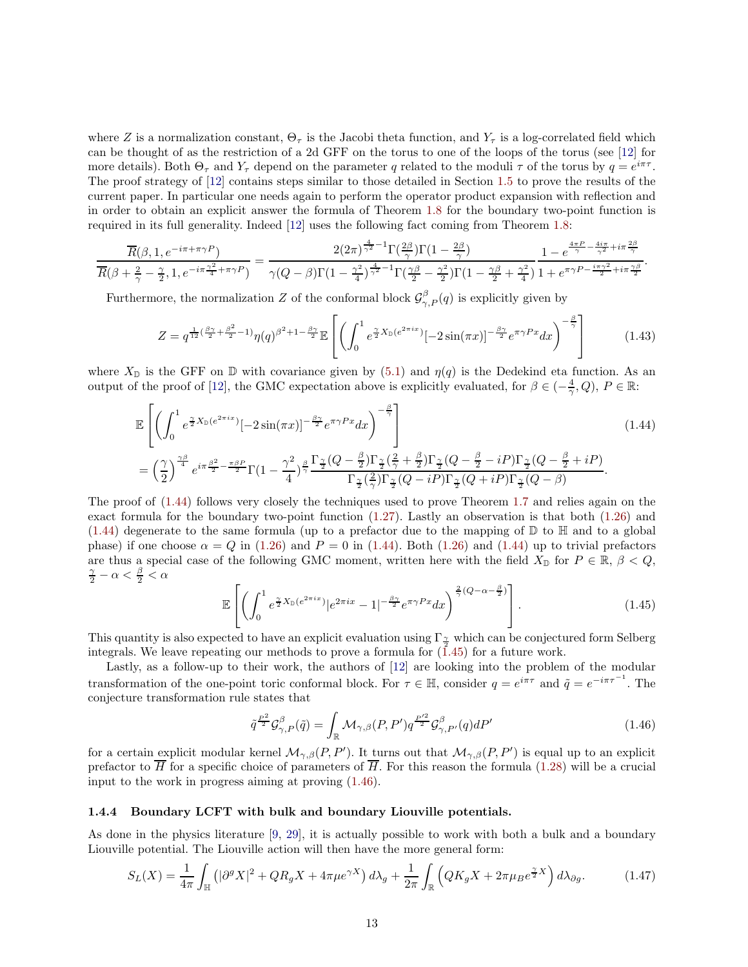where Z is a normalization constant,  $\Theta_{\tau}$  is the Jacobi theta function, and  $Y_{\tau}$  is a log-correlated field which can be thought of as the restriction of a 2d GFF on the torus to one of the loops of the torus (see [\[12\]](#page-64-16) for more details). Both  $\Theta_{\tau}$  and  $Y_{\tau}$  depend on the parameter q related to the moduli  $\tau$  of the torus by  $q=e^{i\pi\tau}$ . The proof strategy of [\[12\]](#page-64-16) contains steps similar to those detailed in Section [1.5](#page-14-0) to prove the results of the current paper. In particular one needs again to perform the operator product expansion with reflection and in order to obtain an explicit answer the formula of Theorem [1.8](#page-7-4) for the boundary two-point function is required in its full generality. Indeed [\[12\]](#page-64-16) uses the following fact coming from Theorem [1.8:](#page-7-4)

$$
\frac{\overline{R}(\beta,1,e^{-i\pi+\pi\gamma P})}{\overline{R}(\beta+\frac{2}{\gamma}-\frac{\gamma}{2},1,e^{-i\pi\frac{\gamma^2}{4}+\pi\gamma P})}=\frac{2(2\pi)^{\frac{4}{\gamma^2}-1}\Gamma(\frac{2\beta}{\gamma})\Gamma(1-\frac{2\beta}{\gamma})}{\gamma(Q-\beta)\Gamma(1-\frac{\gamma^2}{4})^{\frac{4}{\gamma^2}-1}\Gamma(\frac{\gamma\beta}{2}-\frac{\gamma^2}{2})\Gamma(1-\frac{\gamma\beta}{2}+\frac{\gamma^2}{4})}\frac{1-e^{\frac{4\pi P}{\gamma}-\frac{4i\pi}{\gamma^2}+i\pi\frac{2\beta}{\gamma}}}{1+e^{\pi\gamma P-\frac{i\pi\gamma^2}{2}+i\pi\frac{\gamma\beta}{2}}}.
$$

Furthermore, the normalization Z of the conformal block  $\mathcal{G}^{\beta}_{\gamma,P}(q)$  is explicitly given by

$$
Z = q^{\frac{1}{12}(\frac{\beta\gamma}{2} + \frac{\beta^2}{2} - 1)} \eta(q)^{\beta^2 + 1 - \frac{\beta\gamma}{2}} \mathbb{E}\left[ \left( \int_0^1 e^{\frac{\gamma}{2} X_{\mathbb{D}}(e^{2\pi ix})} [-2\sin(\pi x)]^{-\frac{\beta\gamma}{2}} e^{\pi \gamma Px} dx \right)^{-\frac{\beta}{\gamma}} \right]
$$
(1.43)

where  $X_{\mathbb{D}}$  is the GFF on  $\mathbb{D}$  with covariance given by [\(5.1\)](#page-43-2) and  $\eta(q)$  is the Dedekind eta function. As an output of the proof of [\[12\]](#page-64-16), the GMC expectation above is explicitly evaluated, for  $\beta \in (-\frac{4}{\gamma}, Q)$ ,  $P \in \mathbb{R}$ :

$$
\mathbb{E}\left[\left(\int_0^1 e^{\frac{\gamma}{2}X_{\mathbb{D}}(e^{2\pi ix})}[-2\sin(\pi x)]^{-\frac{\beta\gamma}{2}}e^{\pi\gamma Px}dx\right)^{-\frac{\beta}{\gamma}}\right]
$$
\n
$$
=\left(\frac{\gamma}{2}\right)^{\frac{\gamma\beta}{4}}e^{i\pi\frac{\beta^2}{2}-\frac{\pi\beta P}{2}}\Gamma(1-\frac{\gamma^2}{4})^{\frac{\beta}{\gamma}}\frac{\Gamma_{\frac{\gamma}{2}}(Q-\frac{\beta}{2})\Gamma_{\frac{\gamma}{2}}(\frac{2}{\gamma}+\frac{\beta}{2})\Gamma_{\frac{\gamma}{2}}(Q-\frac{\beta}{2}-iP)\Gamma_{\frac{\gamma}{2}}(Q-\frac{\beta}{2}+iP)}{\Gamma_{\frac{\gamma}{2}}(\frac{2}{\gamma})\Gamma_{\frac{\gamma}{2}}(Q-iP)\Gamma_{\frac{\gamma}{2}}(Q+iP)\Gamma_{\frac{\gamma}{2}}(Q-\beta)}.\tag{1.44}
$$

The proof of [\(1.44\)](#page-12-1) follows very closely the techniques used to prove Theorem [1.7](#page-7-3) and relies again on the exact formula for the boundary two-point function [\(1.27\)](#page-7-2). Lastly an observation is that both [\(1.26\)](#page-7-1) and  $(1.44)$  degenerate to the same formula (up to a prefactor due to the mapping of  $\mathbb D$  to  $\mathbb H$  and to a global phase) if one choose  $\alpha = Q$  in [\(1.26\)](#page-7-1) and  $P = 0$  in [\(1.44\)](#page-12-1). Both (1.26) and (1.44) up to trivial prefactors are thus a special case of the following GMC moment, written here with the field  $X_{\mathbb{D}}$  for  $P \in \mathbb{R}, \beta < Q$ ,  $\frac{\gamma}{2} - \alpha < \frac{\beta}{2} < \alpha$ 

<span id="page-12-2"></span><span id="page-12-1"></span>
$$
\mathbb{E}\left[\left(\int_0^1 e^{\frac{\gamma}{2}X_\mathbb{D}(e^{2\pi ix})}|e^{2\pi ix}-1|^{-\frac{\beta\gamma}{2}}e^{\pi\gamma Px}dx\right)^{\frac{2}{\gamma}(Q-\alpha-\frac{\beta}{2})}\right].\tag{1.45}
$$

This quantity is also expected to have an explicit evaluation using  $\Gamma_{\frac{\gamma}{2}}$  which can be conjectured form Selberg integrals. We leave repeating our methods to prove a formula for  $(1.45)$  for a future work.

Lastly, as a follow-up to their work, the authors of [\[12\]](#page-64-16) are looking into the problem of the modular transformation of the one-point toric conformal block. For  $\tau \in \mathbb{H}$ , consider  $q = e^{i\pi\tau}$  and  $\tilde{q} = e^{-i\pi\tau^{-1}}$ . The conjecture transformation rule states that

<span id="page-12-3"></span>
$$
\tilde{q}^{\frac{P^2}{2}}\mathcal{G}^{\beta}_{\gamma,P}(\tilde{q}) = \int_{\mathbb{R}} \mathcal{M}_{\gamma,\beta}(P,P')q^{\frac{P'^2}{2}}\mathcal{G}^{\beta}_{\gamma,P'}(q)dP' \qquad (1.46)
$$

for a certain explicit modular kernel  $\mathcal{M}_{\gamma,\beta}(P,P')$ . It turns out that  $\mathcal{M}_{\gamma,\beta}(P,P')$  is equal up to an explicit prefactor to  $\overline{H}$  for a specific choice of parameters of  $\overline{H}$ . For this reason the formula [\(1.28\)](#page-7-0) will be a crucial input to the work in progress aiming at proving [\(1.46\)](#page-12-3).

#### <span id="page-12-0"></span>1.4.4 Boundary LCFT with bulk and boundary Liouville potentials.

As done in the physics literature [\[9,](#page-64-2) [29\]](#page-65-2), it is actually possible to work with both a bulk and a boundary Liouville potential. The Liouville action will then have the more general form:

$$
S_L(X) = \frac{1}{4\pi} \int_{\mathbb{H}} \left( |\partial^g X|^2 + QR_g X + 4\pi \mu e^{\gamma X} \right) d\lambda_g + \frac{1}{2\pi} \int_{\mathbb{R}} \left( QK_g X + 2\pi \mu_B e^{\frac{\gamma}{2}X} \right) d\lambda_{\partial g}.
$$
 (1.47)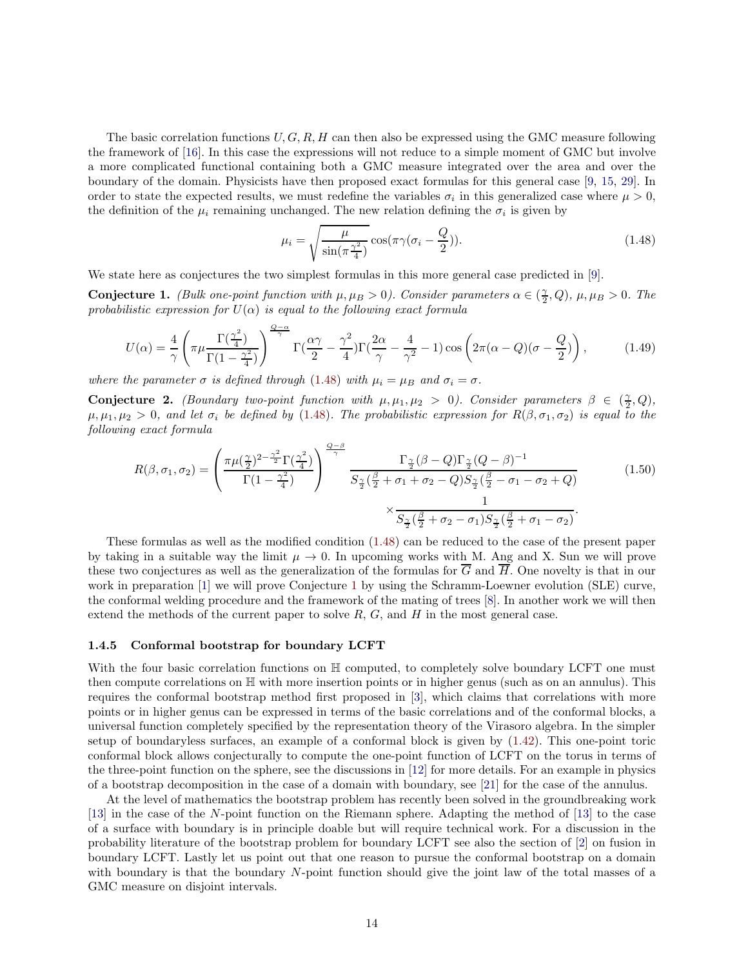The basic correlation functions  $U, G, R, H$  can then also be expressed using the GMC measure following the framework of [\[16\]](#page-64-5). In this case the expressions will not reduce to a simple moment of GMC but involve a more complicated functional containing both a GMC measure integrated over the area and over the boundary of the domain. Physicists have then proposed exact formulas for this general case [\[9,](#page-64-2) [15,](#page-64-3) [29\]](#page-65-2). In order to state the expected results, we must redefine the variables  $\sigma_i$  in this generalized case where  $\mu > 0$ , the definition of the  $\mu_i$  remaining unchanged. The new relation defining the  $\sigma_i$  is given by

<span id="page-13-1"></span>
$$
\mu_i = \sqrt{\frac{\mu}{\sin(\pi \frac{\gamma^2}{4})}} \cos(\pi \gamma (\sigma_i - \frac{Q}{2})).
$$
\n(1.48)

We state here as conjectures the two simplest formulas in this more general case predicted in [\[9\]](#page-64-2).

<span id="page-13-2"></span>**Conjecture 1.** *(Bulk one-point function with*  $\mu, \mu_B > 0$ *). Consider parameters*  $\alpha \in (\frac{\gamma}{2}, Q)$ ,  $\mu, \mu_B > 0$ . The *probabilistic expression for*  $U(\alpha)$  *is equal to the following exact formula* 

$$
U(\alpha) = \frac{4}{\gamma} \left( \pi \mu \frac{\Gamma(\frac{\gamma^2}{4})}{\Gamma(1 - \frac{\gamma^2}{4})} \right)^{\frac{Q - \alpha}{\gamma}} \Gamma(\frac{\alpha \gamma}{2} - \frac{\gamma^2}{4}) \Gamma(\frac{2\alpha}{\gamma} - \frac{4}{\gamma^2} - 1) \cos \left( 2\pi (\alpha - Q)(\sigma - \frac{Q}{2}) \right), \tag{1.49}
$$

*where the parameter*  $\sigma$  *is defined through* [\(1.48\)](#page-13-1) *with*  $\mu_i = \mu_B$  *and*  $\sigma_i = \sigma$ *.* 

Conjecture 2. *(Boundary two-point function with*  $\mu, \mu_1, \mu_2 > 0$ ). Consider parameters  $\beta \in (\frac{\gamma}{2}, Q)$ ,  $\mu, \mu_1, \mu_2 > 0$ , and let  $\sigma_i$  be defined by [\(1.48\)](#page-13-1). The probabilistic expression for  $R(\beta, \sigma_1, \sigma_2)$  is equal to the *following exact formula*

$$
R(\beta, \sigma_1, \sigma_2) = \left(\frac{\pi \mu (\frac{\gamma}{2})^{2-\frac{\gamma^2}{2}} \Gamma(\frac{\gamma^2}{4})}{\Gamma(1-\frac{\gamma^2}{4})}\right)^{\frac{Q-\beta}{\gamma}} \frac{\Gamma_{\frac{\gamma}{2}}(\beta-Q) \Gamma_{\frac{\gamma}{2}}(Q-\beta)^{-1}}{S_{\frac{\gamma}{2}}(\frac{\beta}{2}+\sigma_1+\sigma_2-Q) S_{\frac{\gamma}{2}}(\frac{\beta}{2}-\sigma_1-\sigma_2+Q)} \times \frac{1}{S_{\frac{\gamma}{2}}(\frac{\beta}{2}+\sigma_2-\sigma_1) S_{\frac{\gamma}{2}}(\frac{\beta}{2}+\sigma_1-\sigma_2)}.
$$
\n(1.50)

These formulas as well as the modified condition [\(1.48\)](#page-13-1) can be reduced to the case of the present paper by taking in a suitable way the limit  $\mu \to 0$ . In upcoming works with M. Ang and X. Sun we will prove these two conjectures as well as the generalization of the formulas for  $\overline{G}$  and  $\overline{H}$ . One novelty is that in our work in preparation [\[1\]](#page-63-0) we will prove Conjecture [1](#page-13-2) by using the Schramm-Loewner evolution (SLE) curve, the conformal welding procedure and the framework of the mating of trees [\[8\]](#page-64-17). In another work we will then extend the methods of the current paper to solve  $R, G$ , and  $H$  in the most general case.

#### <span id="page-13-0"></span>1.4.5 Conformal bootstrap for boundary LCFT

With the four basic correlation functions on  $\mathbb H$  computed, to completely solve boundary LCFT one must then compute correlations on H with more insertion points or in higher genus (such as on an annulus). This requires the conformal bootstrap method first proposed in [\[3\]](#page-64-0), which claims that correlations with more points or in higher genus can be expressed in terms of the basic correlations and of the conformal blocks, a universal function completely specified by the representation theory of the Virasoro algebra. In the simpler setup of boundaryless surfaces, an example of a conformal block is given by [\(1.42\)](#page-11-2). This one-point toric conformal block allows conjecturally to compute the one-point function of LCFT on the torus in terms of the three-point function on the sphere, see the discussions in [\[12\]](#page-64-16) for more details. For an example in physics of a bootstrap decomposition in the case of a domain with boundary, see [\[21\]](#page-64-19) for the case of the annulus.

At the level of mathematics the bootstrap problem has recently been solved in the groundbreaking work [\[13\]](#page-64-11) in the case of the N-point function on the Riemann sphere. Adapting the method of [\[13\]](#page-64-11) to the case of a surface with boundary is in principle doable but will require technical work. For a discussion in the probability literature of the bootstrap problem for boundary LCFT see also the section of [\[2\]](#page-63-1) on fusion in boundary LCFT. Lastly let us point out that one reason to pursue the conformal bootstrap on a domain with boundary is that the boundary N-point function should give the joint law of the total masses of a GMC measure on disjoint intervals.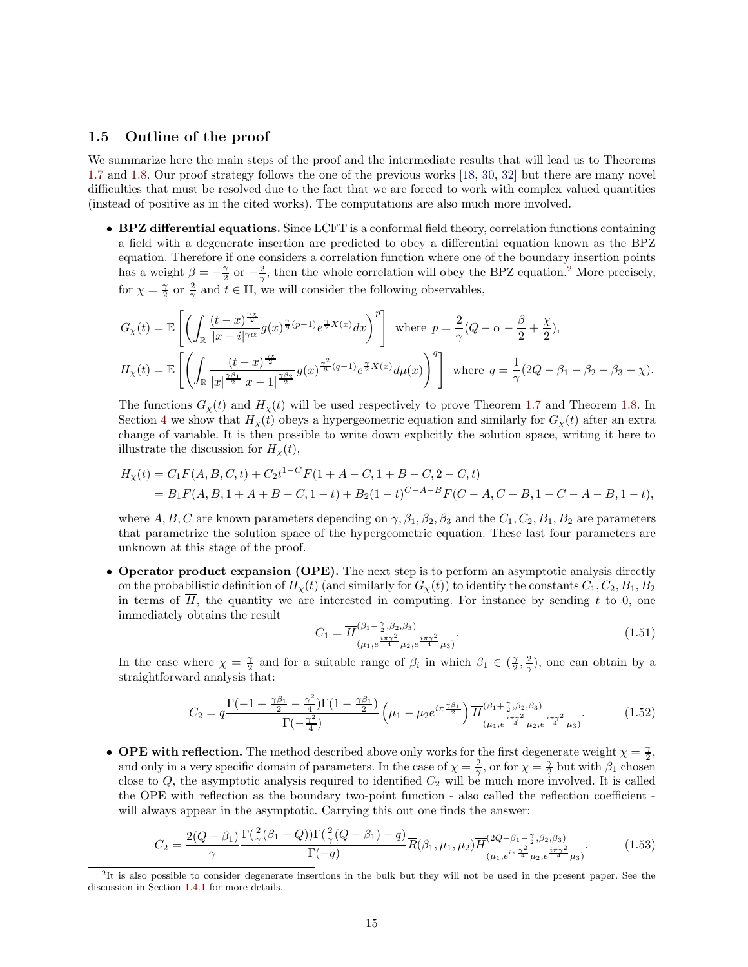## <span id="page-14-0"></span>1.5 Outline of the proof

We summarize here the main steps of the proof and the intermediate results that will lead us to Theorems [1.7](#page-7-3) and [1.8.](#page-7-4) Our proof strategy follows the one of the previous works [\[18,](#page-64-8) [30,](#page-65-4) [32\]](#page-65-5) but there are many novel difficulties that must be resolved due to the fact that we are forced to work with complex valued quantities (instead of positive as in the cited works). The computations are also much more involved.

• BPZ differential equations. Since LCFT is a conformal field theory, correlation functions containing a field with a degenerate insertion are predicted to obey a differential equation known as the BPZ equation. Therefore if one considers a correlation function where one of the boundary insertion points has a weight  $\beta = -\frac{\gamma}{2}$  $\beta = -\frac{\gamma}{2}$  $\beta = -\frac{\gamma}{2}$  or  $-\frac{2}{\gamma}$ , then the whole correlation will obey the BPZ equation.<sup>2</sup> More precisely, for  $\chi = \frac{\gamma}{2}$  or  $\frac{2}{\gamma}$  and  $t \in \mathbb{H}$ , we will consider the following observables,

$$
G_{\chi}(t) = \mathbb{E}\left[\left(\int_{\mathbb{R}}\frac{(t-x)^{\frac{\gamma\chi}{2}}}{|x-i|^{\gamma\alpha}}g(x)^{\frac{\gamma}{8}(p-1)}e^{\frac{\gamma}{2}X(x)}dx\right)^{p}\right] \text{ where } p = \frac{2}{\gamma}(Q - \alpha - \frac{\beta}{2} + \frac{\chi}{2}),
$$
  

$$
H_{\chi}(t) = \mathbb{E}\left[\left(\int_{\mathbb{R}}\frac{(t-x)^{\frac{\gamma\chi}{2}}}{|x|^{\frac{\gamma\beta_1}{2}}|x-1|^{\frac{\gamma\beta_2}{2}}}g(x)^{\frac{\gamma^2}{8}(q-1)}e^{\frac{\gamma}{2}X(x)}d\mu(x)\right)^{q}\right] \text{ where } q = \frac{1}{\gamma}(2Q - \beta_1 - \beta_2 - \beta_3 + \chi).
$$

The functions  $G_{\chi}(t)$  and  $H_{\chi}(t)$  will be used respectively to prove Theorem [1.7](#page-7-3) and Theorem [1.8.](#page-7-4) In Section [4](#page-39-0) we show that  $H<sub>X</sub>(t)$  obeys a hypergeometric equation and similarly for  $G<sub>X</sub>(t)$  after an extra change of variable. It is then possible to write down explicitly the solution space, writing it here to illustrate the discussion for  $H<sub>\chi</sub>(t)$ ,

$$
H_X(t) = C_1 F(A, B, C, t) + C_2 t^{1-C} F(1 + A - C, 1 + B - C, 2 - C, t)
$$
  
= B<sub>1</sub>F(A, B, 1 + A + B - C, 1 - t) + B<sub>2</sub>(1 - t)<sup>C-A-B</sup>F(C - A, C - B, 1 + C - A - B, 1 - t),

where A, B, C are known parameters depending on  $\gamma$ ,  $\beta_1$ ,  $\beta_2$ ,  $\beta_3$  and the  $C_1$ ,  $C_2$ ,  $B_1$ ,  $B_2$  are parameters that parametrize the solution space of the hypergeometric equation. These last four parameters are unknown at this stage of the proof.

• Operator product expansion (OPE). The next step is to perform an asymptotic analysis directly on the probabilistic definition of  $H<sub>X</sub>(t)$  (and similarly for  $G<sub>X</sub>(t)$ ) to identify the constants  $C<sub>1</sub>, C<sub>2</sub>, B<sub>1</sub>, B<sub>2</sub>$ in terms of  $\overline{H}$ , the quantity we are interested in computing. For instance by sending t to 0, one immediately obtains the result

$$
C_1 = \overline{H}^{(\beta_1 - \frac{\gamma}{2}, \beta_2, \beta_3)}_{(\mu_1, e^{\frac{i\pi\gamma^2}{4}}\mu_2, e^{\frac{i\pi\gamma^2}{4}}\mu_3)}.
$$
(1.51)

In the case where  $\chi = \frac{\gamma}{2}$  and for a suitable range of  $\beta_i$  in which  $\beta_1 \in (\frac{\gamma}{2}, \frac{2}{\gamma})$ , one can obtain by a straightforward analysis that:

$$
C_2 = q \frac{\Gamma(-1 + \frac{\gamma \beta_1}{2} - \frac{\gamma^2}{4})\Gamma(1 - \frac{\gamma \beta_1}{2})}{\Gamma(-\frac{\gamma^2}{4})} \left(\mu_1 - \mu_2 e^{i\pi \frac{\gamma \beta_1}{2}}\right) \overline{H}_{(\mu_1, e^{\frac{i\pi \gamma^2}{4}}\mu_2, e^{\frac{i\pi \gamma^2}{4}}\mu_3)}^{(\beta_1 + \frac{\gamma}{2}, \beta_2, \beta_3)}.
$$
(1.52)

• OPE with reflection. The method described above only works for the first degenerate weight  $\chi = \frac{\gamma}{2}$ , and only in a very specific domain of parameters. In the case of  $\chi = \frac{2}{\gamma}$ , or for  $\chi = \frac{\gamma}{2}$  but with  $\beta_1$  chosen close to Q, the asymptotic analysis required to identified  $C_2$  will be much more involved. It is called the OPE with reflection as the boundary two-point function - also called the reflection coefficient will always appear in the asymptotic. Carrying this out one finds the answer:

$$
C_2 = \frac{2(Q - \beta_1)}{\gamma} \frac{\Gamma(\frac{2}{\gamma}(\beta_1 - Q))\Gamma(\frac{2}{\gamma}(Q - \beta_1) - q)}{\Gamma(-q)} \overline{R}(\beta_1, \mu_1, \mu_2) \overline{H}^{(2Q - \beta_1 - \frac{\gamma}{2}, \beta_2, \beta_3)}_{(\mu_1, e^{i\pi} \overline{A}^2 \mu_2, e^{\frac{i\pi \gamma^2}{4}} \mu_3)}.
$$
(1.53)

<span id="page-14-1"></span><sup>2</sup> It is also possible to consider degenerate insertions in the bulk but they will not be used in the present paper. See the discussion in Section [1.4.1](#page-9-1) for more details.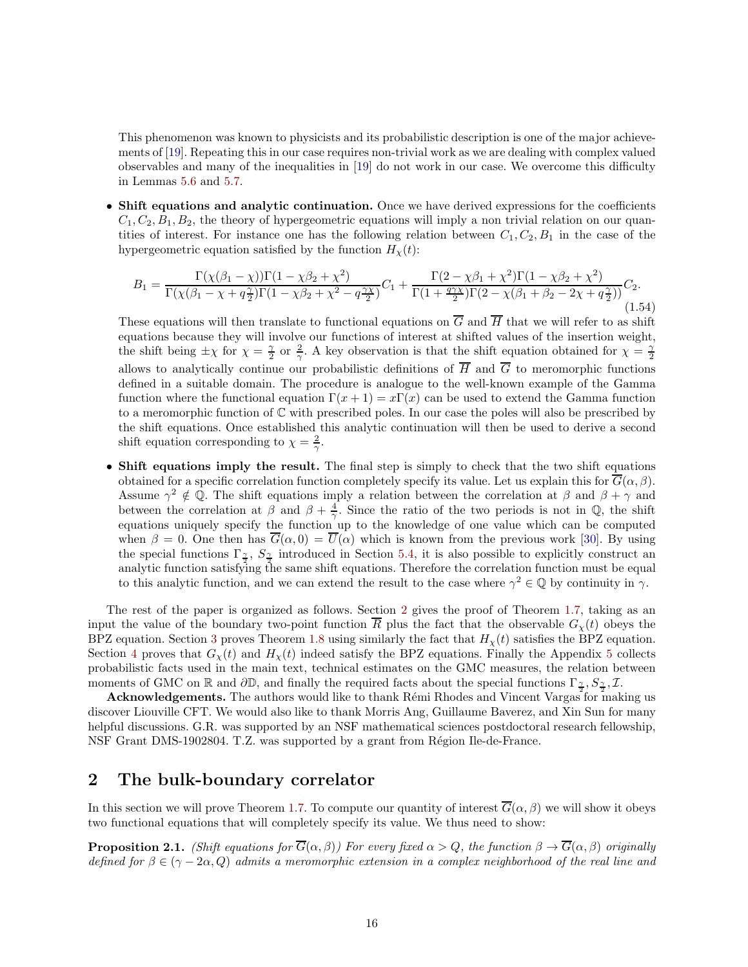This phenomenon was known to physicists and its probabilistic description is one of the major achievements of [\[19\]](#page-64-9). Repeating this in our case requires non-trivial work as we are dealing with complex valued observables and many of the inequalities in [\[19\]](#page-64-9) do not work in our case. We overcome this difficulty in Lemmas [5.6](#page-46-1) and [5.7.](#page-50-0)

• Shift equations and analytic continuation. Once we have derived expressions for the coefficients  $C_1, C_2, B_1, B_2$ , the theory of hypergeometric equations will imply a non trivial relation on our quantities of interest. For instance one has the following relation between  $C_1, C_2, B_1$  in the case of the hypergeometric equation satisfied by the function  $H<sub>x</sub>(t)$ :

$$
B_1 = \frac{\Gamma(\chi(\beta_1 - \chi))\Gamma(1 - \chi\beta_2 + \chi^2)}{\Gamma(\chi(\beta_1 - \chi + q\frac{\gamma}{2})\Gamma(1 - \chi\beta_2 + \chi^2 - q\frac{\gamma\chi}{2})}C_1 + \frac{\Gamma(2 - \chi\beta_1 + \chi^2)\Gamma(1 - \chi\beta_2 + \chi^2)}{\Gamma(1 + \frac{q\gamma\chi}{2})\Gamma(2 - \chi(\beta_1 + \beta_2 - 2\chi + q\frac{\gamma}{2}))}C_2.
$$
\n(1.54)

These equations will then translate to functional equations on  $\overline{G}$  and  $\overline{H}$  that we will refer to as shift equations because they will involve our functions of interest at shifted values of the insertion weight, the shift being  $\pm \chi$  for  $\chi = \frac{\gamma}{2}$  or  $\frac{2}{\gamma}$ . A key observation is that the shift equation obtained for  $\chi = \frac{\gamma}{2}$ allows to analytically continue our probabilistic definitions of  $\overline{H}$  and  $\overline{G}$  to meromorphic functions defined in a suitable domain. The procedure is analogue to the well-known example of the Gamma function where the functional equation  $\Gamma(x+1) = x\Gamma(x)$  can be used to extend the Gamma function to a meromorphic function of C with prescribed poles. In our case the poles will also be prescribed by the shift equations. Once established this analytic continuation will then be used to derive a second shift equation corresponding to  $\chi = \frac{2}{\gamma}$ .

• Shift equations imply the result. The final step is simply to check that the two shift equations obtained for a specific correlation function completely specify its value. Let us explain this for  $G(\alpha, \beta)$ . Assume  $\gamma^2 \notin \mathbb{Q}$ . The shift equations imply a relation between the correlation at  $\beta$  and  $\beta + \gamma$  and between the correlation at  $\beta$  and  $\beta + \frac{4}{\gamma}$ . Since the ratio of the two periods is not in Q, the shift equations uniquely specify the function up to the knowledge of one value which can be computed when  $\beta = 0$ . One then has  $\overline{G}(\alpha, 0) = \overline{U}(\alpha)$  which is known from the previous work [\[30\]](#page-65-4). By using the special functions  $\Gamma_2$ ,  $S_2$  introduced in Section [5.4,](#page-58-0) it is also possible to explicitly construct an analytic function satisfying the same shift equations. Therefore the correlation function must be equal to this analytic function, and we can extend the result to the case where  $\gamma^2 \in \mathbb{Q}$  by continuity in  $\gamma$ .

The rest of the paper is organized as follows. Section [2](#page-15-0) gives the proof of Theorem [1.7,](#page-7-3) taking as an input the value of the boundary two-point function  $\overline{R}$  plus the fact that the observable  $G<sub>x</sub>(t)$  obeys the BPZ equation. Section [3](#page-21-0) proves Theorem [1.8](#page-7-4) using similarly the fact that  $H<sub>X</sub>(t)$  satisfies the BPZ equation. Section [4](#page-39-0) proves that  $G_{\chi}(t)$  and  $H_{\chi}(t)$  indeed satisfy the BPZ equations. Finally the Appendix [5](#page-43-0) collects probabilistic facts used in the main text, technical estimates on the GMC measures, the relation between moments of GMC on R and  $\partial\mathbb{D}$ , and finally the required facts about the special functions  $\Gamma_{\frac{\gamma}{2}}$ ,  $S_{\frac{\gamma}{2}}$ ,  $\mathcal{I}$ .

**Acknowledgements.** The authors would like to thank Rémi Rhodes and Vincent Vargas for making us discover Liouville CFT. We would also like to thank Morris Ang, Guillaume Baverez, and Xin Sun for many helpful discussions. G.R. was supported by an NSF mathematical sciences postdoctoral research fellowship, NSF Grant DMS-1902804. T.Z. was supported by a grant from Région Ile-de-France.

# <span id="page-15-0"></span>2 The bulk-boundary correlator

In this section we will prove Theorem [1.7.](#page-7-3) To compute our quantity of interest  $\overline{G}(\alpha, \beta)$  we will show it obeys two functional equations that will completely specify its value. We thus need to show:

<span id="page-15-1"></span>**Proposition 2.1.** *(Shift equations for*  $\overline{G}(\alpha, \beta)$ *)* For every fixed  $\alpha > Q$ , the function  $\beta \rightarrow \overline{G}(\alpha, \beta)$  originally *defined for*  $\beta \in (\gamma - 2\alpha, Q)$  *admits a meromorphic extension in a complex neighborhood of the real line and*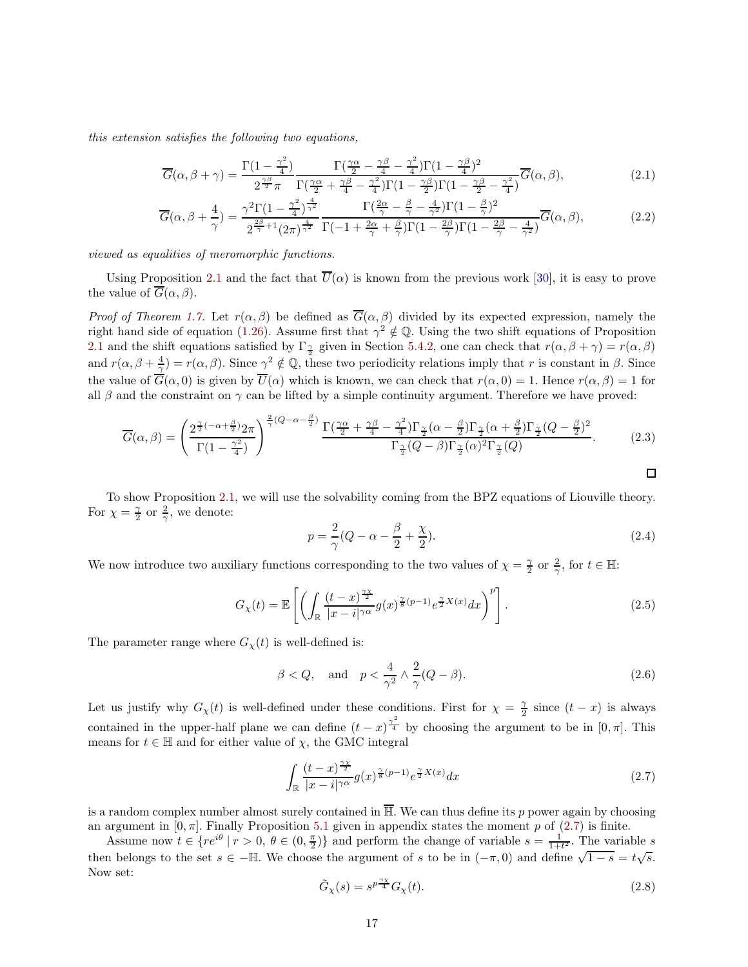*this extension satisfies the following two equations,*

<span id="page-16-1"></span>
$$
\overline{G}(\alpha,\beta+\gamma) = \frac{\Gamma(1-\frac{\gamma^2}{4})}{2^{\frac{\gamma\beta}{2}}\pi} \frac{\Gamma(\frac{\gamma\alpha}{2}-\frac{\gamma\beta}{4}-\frac{\gamma^2}{4})\Gamma(1-\frac{\gamma\beta}{4})^2}{\Gamma(\frac{\gamma\alpha}{2}+\frac{\gamma\beta}{4}-\frac{\gamma^2}{4})\Gamma(1-\frac{\gamma\beta}{2})\Gamma(1-\frac{\gamma\beta}{2}-\frac{\gamma^2}{4})} \overline{G}(\alpha,\beta),\tag{2.1}
$$

$$
\overline{G}(\alpha,\beta+\frac{4}{\gamma})=\frac{\gamma^2\Gamma(1-\frac{\gamma^2}{4})^{\frac{4}{\gamma^2}}}{2^{\frac{2\beta}{\gamma}+1}(2\pi)^{\frac{4}{\gamma^2}}}\frac{\Gamma(\frac{2\alpha}{\gamma}-\frac{\beta}{\gamma}-\frac{4}{\gamma^2})\Gamma(1-\frac{\beta}{\gamma})^2}{\Gamma(-1+\frac{2\alpha}{\gamma}+\frac{\beta}{\gamma})\Gamma(1-\frac{2\beta}{\gamma})\Gamma(1-\frac{2\beta}{\gamma}-\frac{4}{\gamma^2})}\overline{G}(\alpha,\beta),
$$
\n(2.2)

*viewed as equalities of meromorphic functions.*

Using Proposition [2.1](#page-15-1) and the fact that  $\overline{U}(\alpha)$  is known from the previous work [\[30\]](#page-65-4), it is easy to prove the value of  $\overline{G}(\alpha,\beta)$ .

*Proof of Theorem [1.7.](#page-7-3)* Let  $r(\alpha, \beta)$  be defined as  $\overline{G}(\alpha, \beta)$  divided by its expected expression, namely the right hand side of equation [\(1.26\)](#page-7-1). Assume first that  $\gamma^2 \notin \mathbb{Q}$ . Using the two shift equations of Proposition [2.1](#page-15-1) and the shift equations satisfied by  $\Gamma_{\frac{\gamma}{2}}$  given in Section [5.4.2,](#page-59-0) one can check that  $r(\alpha, \beta + \gamma) = r(\alpha, \beta)$ and  $r(\alpha, \beta + \frac{4}{\gamma}) = r(\alpha, \beta)$ . Since  $\gamma^2 \notin \mathbb{Q}$ , these two periodicity relations imply that r is constant in  $\beta$ . Since the value of  $\overline{G}(\alpha,0)$  is given by  $\overline{U}(\alpha)$  which is known, we can check that  $r(\alpha,0) = 1$ . Hence  $r(\alpha,\beta) = 1$  for all  $\beta$  and the constraint on  $\gamma$  can be lifted by a simple continuity argument. Therefore we have proved:

$$
\overline{G}(\alpha,\beta) = \left(\frac{2^{\frac{\gamma}{2}(-\alpha+\frac{\beta}{2})}2\pi}{\Gamma(1-\frac{\gamma^2}{4})}\right)^{\frac{2}{\gamma}(Q-\alpha-\frac{\beta}{2})}\frac{\Gamma(\frac{\gamma\alpha}{2}+\frac{\gamma\beta}{4}-\frac{\gamma^2}{4})\Gamma_{\frac{\gamma}{2}}(\alpha-\frac{\beta}{2})\Gamma_{\frac{\gamma}{2}}(\alpha+\frac{\beta}{2})\Gamma_{\frac{\gamma}{2}}(Q-\frac{\beta}{2})^2}{\Gamma_{\frac{\gamma}{2}}(Q-\beta)\Gamma_{\frac{\gamma}{2}}(\alpha)^2\Gamma_{\frac{\gamma}{2}}(Q)}.
$$
(2.3)

To show Proposition [2.1,](#page-15-1) we will use the solvability coming from the BPZ equations of Liouville theory. For  $\chi = \frac{\gamma}{2}$  or  $\frac{2}{\gamma}$ , we denote:

$$
p = \frac{2}{\gamma}(Q - \alpha - \frac{\beta}{2} + \frac{\chi}{2}).
$$
\n
$$
(2.4)
$$

We now introduce two auxiliary functions corresponding to the two values of  $\chi = \frac{\gamma}{2}$  or  $\frac{2}{\gamma}$ , for  $t \in \mathbb{H}$ :

$$
G_{\chi}(t) = \mathbb{E}\left[\left(\int_{\mathbb{R}} \frac{(t-x)^{\frac{\gamma \chi}{2}}}{|x-i|^{\gamma \alpha}} g(x)^{\frac{\gamma}{8}(p-1)} e^{\frac{\gamma}{2}X(x)} dx\right)^{p}\right].
$$
\n(2.5)

The parameter range where  $G_{\chi}(t)$  is well-defined is:

$$
\beta < Q, \quad \text{and} \quad p < \frac{4}{\gamma^2} \wedge \frac{2}{\gamma} (Q - \beta). \tag{2.6}
$$

Let us justify why  $G_\chi(t)$  is well-defined under these conditions. First for  $\chi = \frac{\gamma}{2}$  since  $(t-x)$  is always contained in the upper-half plane we can define  $(t-x)^{\frac{\gamma^2}{4}}$  by choosing the argument to be in  $[0, \pi]$ . This means for  $t \in \mathbb{H}$  and for either value of  $\chi$ , the GMC integral

<span id="page-16-0"></span>
$$
\int_{\mathbb{R}} \frac{(t-x)^{\frac{\gamma \chi}{2}}}{|x-i|^{\gamma \alpha}} g(x)^{\frac{\gamma}{8}(p-1)} e^{\frac{\gamma}{2}X(x)} dx \tag{2.7}
$$

is a random complex number almost surely contained in  $\overline{\mathbb{H}}$ . We can thus define its p power again by choosing an argument in  $[0, \pi]$ . Finally Proposition [5.1](#page-44-0) given in appendix states the moment p of [\(2.7\)](#page-16-0) is finite.

Assume now  $t \in \{re^{i\theta} \mid r > 0, \theta \in (0, \frac{\pi}{2})\}$  and perform the change of variable  $s = \frac{1}{1+t^2}$ . The variable s then belongs to the set  $s \in -\mathbb{H}$ . We choose the argument of s to be in  $(-\pi, 0)$  and define  $\sqrt{1-s} = t\sqrt{s}$ . Now set:

$$
\tilde{G}_{\chi}(s) = s^{p\frac{\gamma \chi}{4}} G_{\chi}(t). \tag{2.8}
$$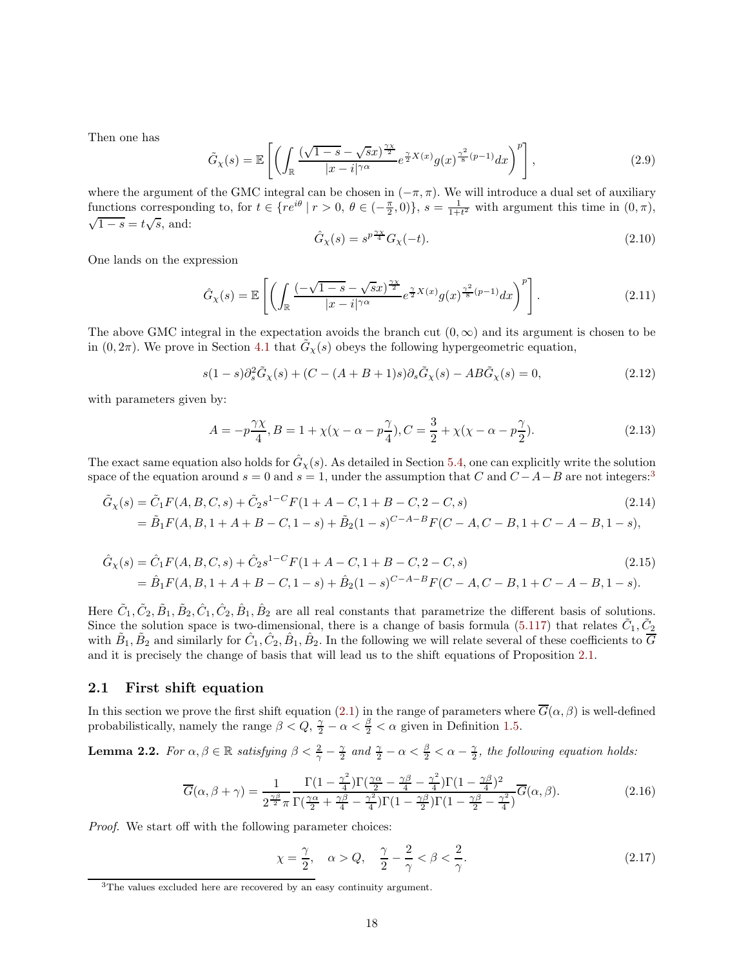Then one has

$$
\tilde{G}_{\chi}(s) = \mathbb{E}\left[\left(\int_{\mathbb{R}} \frac{(\sqrt{1-s}-\sqrt{s}x)^{\frac{\gamma\chi}{2}}}{|x-i|^{\gamma\alpha}} e^{\frac{\gamma}{2}X(x)} g(x)^{\frac{\gamma^2}{8}(p-1)} dx\right)^p\right],\tag{2.9}
$$

where the argument of the GMC integral can be chosen in  $(-\pi, \pi)$ . We will introduce a dual set of auxiliary functions corresponding to, for  $t \in \{re^{i\theta} \mid r > 0, \ \theta \in (-\frac{\pi}{2}, 0)\}, s = \frac{1}{1+t^2}$  with argument this time in  $(0, \pi)$ ,  $\sqrt{1-s} = t\sqrt{s}$ , and:

$$
\hat{G}_{\chi}(s) = s^{p\frac{\gamma\chi}{4}} G_{\chi}(-t). \tag{2.10}
$$

One lands on the expression

$$
\hat{G}_{\chi}(s) = \mathbb{E}\left[\left(\int_{\mathbb{R}} \frac{(-\sqrt{1-s}-\sqrt{s}x)^{\frac{\gamma\chi}{2}}}{|x-i|^{\gamma\alpha}} e^{\frac{\gamma}{2}X(x)} g(x)^{\frac{\gamma^2}{8}(p-1)} dx\right)^p\right].
$$
\n(2.11)

The above GMC integral in the expectation avoids the branch cut  $(0, \infty)$  and its argument is chosen to be in  $(0, 2\pi)$ . We prove in Section [4.1](#page-39-1) that  $\tilde{G}_{\chi}(s)$  obeys the following hypergeometric equation,

$$
s(1-s)\partial_s^2 \tilde{G}_\chi(s) + (C - (A+B+1)s)\partial_s \tilde{G}_\chi(s) - AB \tilde{G}_\chi(s) = 0,\tag{2.12}
$$

with parameters given by:

$$
A = -p\frac{\gamma\chi}{4}, B = 1 + \chi(\chi - \alpha - p\frac{\gamma}{4}), C = \frac{3}{2} + \chi(\chi - \alpha - p\frac{\gamma}{2}).
$$
\n(2.13)

The exact same equation also holds for  $\hat{G}_{\chi}(s)$ . As detailed in Section [5.4,](#page-58-0) one can explicitly write the solution space of the equation around  $s = 0$  and  $s = 1$ , under the assumption that C and  $C - A - B$  are not integers:<sup>[3](#page-17-1)</sup>

$$
\tilde{G}_{\chi}(s) = \tilde{C}_{1}F(A, B, C, s) + \tilde{C}_{2}s^{1-C}F(1 + A - C, 1 + B - C, 2 - C, s)
$$
\n
$$
= \tilde{B}_{1}F(A, B, 1 + A + B - C, 1 - s) + \tilde{B}_{2}(1 - s)^{C - A - B}F(C - A, C - B, 1 + C - A - B, 1 - s),
$$
\n(2.14)

$$
\hat{G}_{\chi}(s) = \hat{C}_1 F(A, B, C, s) + \hat{C}_2 s^{1-C} F(1 + A - C, 1 + B - C, 2 - C, s)
$$
\n
$$
= \hat{B}_1 F(A, B, 1 + A + B - C, 1 - s) + \hat{B}_2 (1 - s)^{C - A - B} F(C - A, C - B, 1 + C - A - B, 1 - s).
$$
\n(2.15)

Here  $\tilde{C}_1, \tilde{C}_2, \tilde{B}_1, \tilde{B}_2, \hat{C}_1, \hat{C}_2, \hat{B}_1, \hat{B}_2$  are all real constants that parametrize the different basis of solutions. Since the solution space is two-dimensional, there is a change of basis formula [\(5.117\)](#page-59-1) that relates  $\tilde{C}_1, \tilde{C}_2$ with  $\tilde{B}_1$ ,  $\tilde{B}_2$  and similarly for  $\hat{C}_1$ ,  $\hat{C}_2$ ,  $\hat{B}_1$ ,  $\hat{B}_2$ . In the following we will relate several of these coefficients to  $\overline{G}$ and it is precisely the change of basis that will lead us to the shift equations of Proposition [2.1.](#page-15-1)

## <span id="page-17-0"></span>2.1 First shift equation

In this section we prove the first shift equation [\(2.1\)](#page-16-1) in the range of parameters where  $\overline{G}(\alpha,\beta)$  is well-defined probabilistically, namely the range  $\beta < Q$ ,  $\frac{\gamma}{2} - \alpha < \frac{\beta}{2} < \alpha$  given in Definition [1.5.](#page-5-1)

<span id="page-17-3"></span>**Lemma 2.2.** For  $\alpha, \beta \in \mathbb{R}$  satisfying  $\beta < \frac{2}{\gamma} - \frac{\gamma}{2}$  and  $\frac{\gamma}{2} - \alpha < \frac{\beta}{2} < \alpha - \frac{\gamma}{2}$ , the following equation holds:

$$
\overline{G}(\alpha,\beta+\gamma) = \frac{1}{2^{\frac{\gamma\beta}{2}}\pi} \frac{\Gamma(1-\frac{\gamma^2}{4})\Gamma(\frac{\gamma\alpha}{2}-\frac{\gamma\beta}{4}-\frac{\gamma^2}{4})\Gamma(1-\frac{\gamma\beta}{4})^2}{\Gamma(\frac{\gamma\alpha}{2}+\frac{\gamma\beta}{4}-\frac{\gamma^2}{4})\Gamma(1-\frac{\gamma\beta}{2})\Gamma(1-\frac{\gamma\beta}{2}-\frac{\gamma^2}{4})} \overline{G}(\alpha,\beta).
$$
(2.16)

*Proof.* We start off with the following parameter choices:

<span id="page-17-2"></span>
$$
\chi = \frac{\gamma}{2}, \quad \alpha > Q, \quad \frac{\gamma}{2} - \frac{2}{\gamma} < \beta < \frac{2}{\gamma}.
$$
\n
$$
(2.17)
$$

<span id="page-17-1"></span><sup>&</sup>lt;sup>3</sup>The values excluded here are recovered by an easy continuity argument.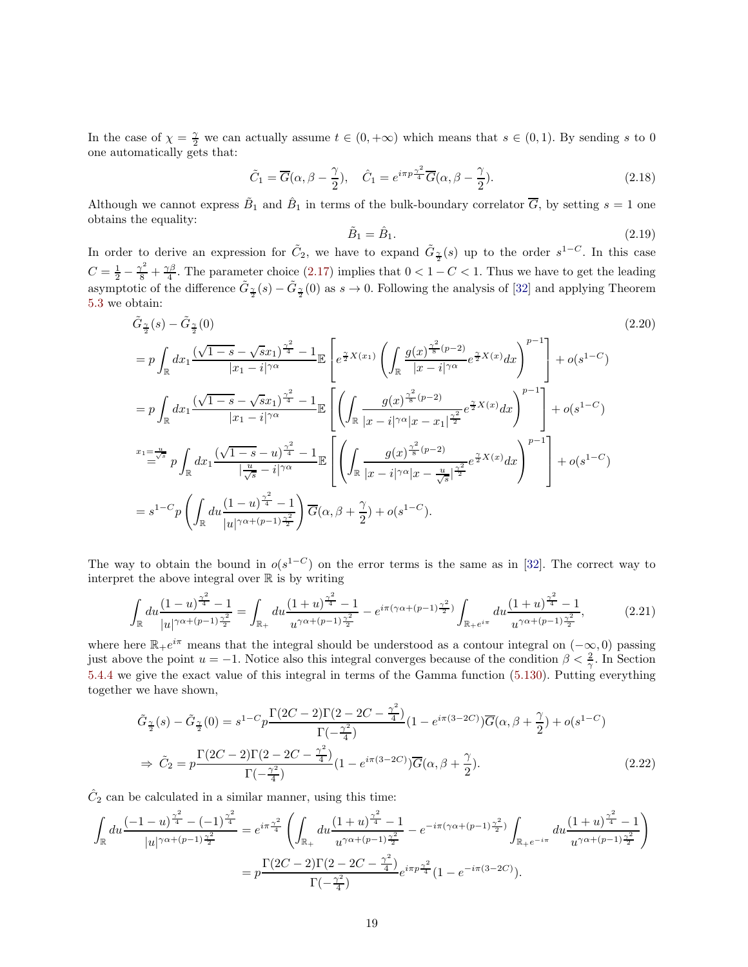In the case of  $\chi = \frac{\gamma}{2}$  we can actually assume  $t \in (0, +\infty)$  which means that  $s \in (0, 1)$ . By sending s to 0 one automatically gets that:

$$
\tilde{C}_1 = \overline{G}(\alpha, \beta - \frac{\gamma}{2}), \quad \hat{C}_1 = e^{i\pi p \frac{\gamma^2}{4}} \overline{G}(\alpha, \beta - \frac{\gamma}{2}). \tag{2.18}
$$

Although we cannot express  $\tilde{B}_1$  and  $\hat{B}_1$  in terms of the bulk-boundary correlator  $\overline{G}$ , by setting  $s=1$  one obtains the equality:

<span id="page-18-0"></span>
$$
\tilde{B}_1 = \hat{B}_1. \tag{2.19}
$$

In order to derive an expression for  $\tilde{C}_2$ , we have to expand  $\tilde{G}_{\frac{\gamma}{2}}(s)$  up to the order  $s^{1-C}$ . In this case  $C = \frac{1}{2} - \frac{\gamma^2}{8} + \frac{\gamma \beta}{4}$ . The parameter choice [\(2.17\)](#page-17-2) implies that  $0 < 1 - C < 1$ . Thus we have to get the leading asymptotic of the difference  $\tilde{G}_{\frac{\gamma}{2}}(s) - \tilde{G}_{\frac{\gamma}{2}}(0)$  as  $s \to 0$ . Following the analysis of [\[32\]](#page-65-5) and applying Theorem [5.3](#page-45-0) we obtain:

$$
\tilde{G}_{\frac{\gamma}{2}}(s) - \tilde{G}_{\frac{\gamma}{2}}(0) \qquad (2.20)
$$
\n
$$
= p \int_{\mathbb{R}} dx_1 \frac{(\sqrt{1-s} - \sqrt{sx_1})^{\frac{\gamma^2}{4}} - 1}{|x_1 - i|^{\gamma \alpha}} \mathbb{E} \left[ e^{\frac{\gamma}{2}X(x_1)} \left( \int_{\mathbb{R}} \frac{g(x)^{\frac{\gamma^2}{8}(p-2)}}{|x - i|^{\gamma \alpha}} e^{\frac{\gamma}{2}X(x)} dx \right)^{p-1} \right] + o(s^{1-C})
$$
\n
$$
= p \int_{\mathbb{R}} dx_1 \frac{(\sqrt{1-s} - \sqrt{sx_1})^{\frac{\gamma^2}{4}} - 1}{|x_1 - i|^{\gamma \alpha}} \mathbb{E} \left[ \left( \int_{\mathbb{R}} \frac{g(x)^{\frac{\gamma^2}{8}(p-2)}}{|x - i|^{\gamma \alpha}|x - x_1|^{\frac{\gamma^2}{2}}} e^{\frac{\gamma}{2}X(x)} dx \right)^{p-1} \right] + o(s^{1-C})
$$
\n
$$
x_1 = \frac{u}{\omega^s} p \int_{\mathbb{R}} dx_1 \frac{(\sqrt{1-s} - u)^{\frac{\gamma^2}{4}} - 1}{|\frac{u}{\sqrt{s}} - i|^{\gamma \alpha}} \mathbb{E} \left[ \left( \int_{\mathbb{R}} \frac{g(x)^{\frac{\gamma^2}{8}(p-2)}}{|x - i|^{\gamma \alpha}|x - \frac{u}{\sqrt{s}}|^{\frac{\gamma^2}{2}}} e^{\frac{\gamma}{2}X(x)} dx \right)^{p-1} \right] + o(s^{1-C})
$$
\n
$$
= s^{1-C} p \left( \int_{\mathbb{R}} du \frac{(1 - u)^{\frac{\gamma^2}{4}} - 1}{|u|^{\gamma \alpha + (p-1)\frac{\gamma^2}{2}}} \right) \overline{G}(\alpha, \beta + \frac{\gamma}{2}) + o(s^{1-C}).
$$
\n(2.20)

The way to obtain the bound in  $o(s^{1-C})$  on the error terms is the same as in [\[32\]](#page-65-5). The correct way to interpret the above integral over  $\mathbb R$  is by writing

$$
\int_{\mathbb{R}} du \frac{(1-u)^{\frac{\gamma^2}{4}} - 1}{|u|^{\gamma \alpha + (p-1)\frac{\gamma^2}{2}}} = \int_{\mathbb{R}_+} du \frac{(1+u)^{\frac{\gamma^2}{4}} - 1}{u^{\gamma \alpha + (p-1)\frac{\gamma^2}{2}}} - e^{i\pi(\gamma \alpha + (p-1)\frac{\gamma^2}{2})} \int_{\mathbb{R}_+ e^{i\pi}} du \frac{(1+u)^{\frac{\gamma^2}{4}} - 1}{u^{\gamma \alpha + (p-1)\frac{\gamma^2}{2}}},\tag{2.21}
$$

where here  $\mathbb{R}_+e^{i\pi}$  means that the integral should be understood as a contour integral on  $(-\infty,0)$  passing just above the point  $u = -1$ . Notice also this integral converges because of the condition  $\beta < \frac{2}{\gamma}$ . In Section [5.4.4](#page-63-2) we give the exact value of this integral in terms of the Gamma function [\(5.130\)](#page-63-3). Putting everything together we have shown,

$$
\tilde{G}_{\frac{\gamma}{2}}(s) - \tilde{G}_{\frac{\gamma}{2}}(0) = s^{1-C} p \frac{\Gamma(2C-2)\Gamma(2-2C-\frac{\gamma^2}{4})}{\Gamma(-\frac{\gamma^2}{4})} (1 - e^{i\pi(3-2C)}) \overline{G}(\alpha, \beta + \frac{\gamma}{2}) + o(s^{1-C})
$$
  
\n
$$
\Rightarrow \tilde{C}_2 = p \frac{\Gamma(2C-2)\Gamma(2-2C-\frac{\gamma^2}{4})}{\Gamma(-\frac{\gamma^2}{4})} (1 - e^{i\pi(3-2C)}) \overline{G}(\alpha, \beta + \frac{\gamma}{2}).
$$
\n(2.22)

 $\hat{C}_2$  can be calculated in a similar manner, using this time:

$$
\int_{\mathbb{R}} du \frac{(-1-u)^{\frac{\gamma^2}{4}} - (-1)^{\frac{\gamma^2}{4}}}{|u|^{\gamma \alpha + (p-1)\frac{\gamma^2}{2}}} = e^{i\pi \frac{\gamma^2}{4}} \left( \int_{\mathbb{R}_+} du \frac{(1+u)^{\frac{\gamma^2}{4}} - 1}{u^{\gamma \alpha + (p-1)\frac{\gamma^2}{2}}} - e^{-i\pi (\gamma \alpha + (p-1)\frac{\gamma^2}{2})} \int_{\mathbb{R}_+ e^{-i\pi}} du \frac{(1+u)^{\frac{\gamma^2}{4}} - 1}{u^{\gamma \alpha + (p-1)\frac{\gamma^2}{2}}} \right)
$$

$$
= p \frac{\Gamma(2C - 2)\Gamma(2 - 2C - \frac{\gamma^2}{4})}{\Gamma(-\frac{\gamma^2}{4})} e^{i\pi p \frac{\gamma^2}{4}} (1 - e^{-i\pi (3 - 2C)}).
$$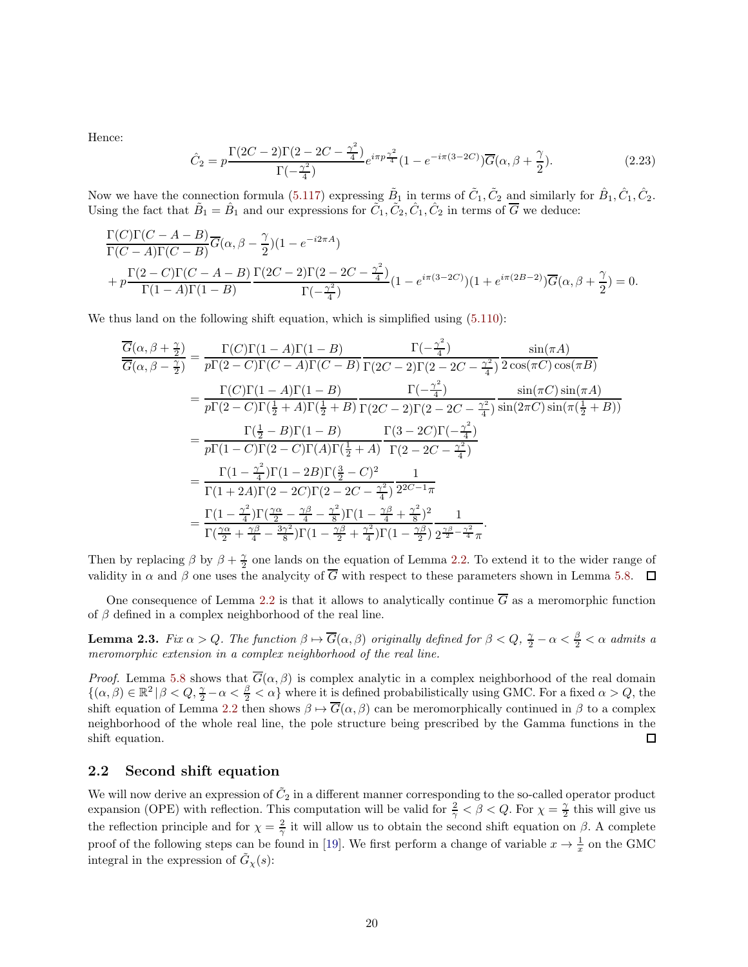Hence:

$$
\hat{C}_2 = p \frac{\Gamma(2C - 2)\Gamma(2 - 2C - \frac{\gamma^2}{4})}{\Gamma(-\frac{\gamma^2}{4})} e^{i\pi p \frac{\gamma^2}{4}} (1 - e^{-i\pi(3 - 2C)}) \overline{G}(\alpha, \beta + \frac{\gamma}{2}).
$$
\n(2.23)

Now we have the connection formula [\(5.117\)](#page-59-1) expressing  $\tilde{B}_1$  in terms of  $\tilde{C}_1, \tilde{C}_2$  and similarly for  $\hat{B}_1, \hat{C}_1, \hat{C}_2$ . Using the fact that  $\tilde{B}_1 = \hat{B}_1$  and our expressions for  $\tilde{C}_1$ ,  $\tilde{C}_2$ ,  $\hat{C}_1$ ,  $\hat{C}_2$  in terms of  $\overline{G}$  we deduce:

$$
\frac{\Gamma(C)\Gamma(C-A-B)}{\Gamma(C-A)\Gamma(C-B)}\overline{G}(\alpha,\beta-\frac{\gamma}{2})(1-e^{-i2\pi A})
$$
\n
$$
+\,p\frac{\Gamma(2-C)\Gamma(C-A-B)}{\Gamma(1-A)\Gamma(1-B)}\frac{\Gamma(2C-2)\Gamma(2-2C-\frac{\gamma^2}{4})}{\Gamma(-\frac{\gamma^2}{4})}\left(1-e^{i\pi(3-2C)}\right)\left(1+e^{i\pi(2B-2)}\right)\overline{G}(\alpha,\beta+\frac{\gamma}{2})=0.
$$

We thus land on the following shift equation, which is simplified using  $(5.110)$ :

$$
\frac{\overline{G}(\alpha,\beta+\frac{\gamma}{2})}{\overline{G}(\alpha,\beta-\frac{\gamma}{2})} = \frac{\Gamma(C)\Gamma(1-A)\Gamma(1-B)}{p\Gamma(2-C)\Gamma(C-A)\Gamma(C-B)} \frac{\Gamma(-\frac{\gamma^2}{4})}{\Gamma(2C-2)\Gamma(2-2C-\frac{\gamma^2}{4})} \frac{\sin(\pi A)}{2\cos(\pi C)\cos(\pi B)}
$$
\n
$$
= \frac{\Gamma(C)\Gamma(1-A)\Gamma(1-B)}{p\Gamma(2-C)\Gamma(\frac{1}{2}+A)\Gamma(\frac{1}{2}+B)} \frac{\Gamma(-\frac{\gamma^2}{4})}{\Gamma(2C-2)\Gamma(2-2C-\frac{\gamma^2}{4})} \frac{\sin(\pi C)\sin(\pi A)}{\sin(2\pi C)\sin(\pi(\frac{1}{2}+B))}
$$
\n
$$
= \frac{\Gamma(\frac{1}{2}-B)\Gamma(1-B)}{p\Gamma(1-C)\Gamma(2-C)\Gamma(A)\Gamma(\frac{1}{2}+A)} \frac{\Gamma(3-2C)\Gamma(-\frac{\gamma^2}{4})}{\Gamma(2-2C-\frac{\gamma^2}{4})}
$$
\n
$$
= \frac{\Gamma(1-\frac{\gamma^2}{4})\Gamma(1-2B)\Gamma(\frac{3}{2}-C)^2}{\Gamma(1+2A)\Gamma(2-2C)\Gamma(2-2C-\frac{\gamma^2}{4})} \frac{1}{2^{2C-1}\pi}
$$
\n
$$
= \frac{\Gamma(1-\frac{\gamma^2}{4})\Gamma(\frac{\gamma\alpha}{2}-\frac{\gamma\beta}{4}-\frac{\gamma^2}{8})\Gamma(1-\frac{\gamma\beta}{4}+\frac{\gamma^2}{8})^2}{\Gamma(\frac{\gamma\alpha}{2}+\frac{\gamma\beta}{4}-\frac{3\gamma^2}{8})\Gamma(1-\frac{\gamma\beta}{2}+\frac{\gamma^2}{4})\Gamma(1-\frac{\gamma\beta}{2})} \frac{1}{2^{\frac{\gamma\beta}{2}-\frac{\gamma^2}{4}-\frac{\gamma^2}{4}}}
$$

Then by replacing  $\beta$  by  $\beta + \frac{\gamma}{2}$  one lands on the equation of Lemma [2.2.](#page-17-3) To extend it to the wider range of validity in  $\alpha$  and  $\beta$  one uses the analycity of  $\overline{G}$  with respect to these parameters shown in Lemma [5.8.](#page-52-0)  $\Box$ 

One consequence of Lemma [2.2](#page-17-3) is that it allows to analytically continue  $\overline{G}$  as a meromorphic function of  $\beta$  defined in a complex neighborhood of the real line.

<span id="page-19-1"></span>**Lemma 2.3.** *Fix*  $\alpha > Q$ . The function  $\beta \mapsto \overline{G}(\alpha, \beta)$  originally defined for  $\beta < Q$ ,  $\frac{\gamma}{2} - \alpha < \frac{\beta}{2} < \alpha$  admits a *meromorphic extension in a complex neighborhood of the real line.*

*Proof.* Lemma [5.8](#page-52-0) shows that  $G(\alpha, \beta)$  is complex analytic in a complex neighborhood of the real domain  $\{(\alpha,\beta)\in\mathbb{R}^2\,|\,\beta< Q,\frac{\gamma}{2}-\alpha<\frac{\beta}{2}<\alpha\}$  where it is defined probabilistically using GMC. For a fixed  $\alpha>Q$ , the shift equation of Lemma [2.2](#page-17-3) then shows  $\beta \mapsto \overline{G}(\alpha, \beta)$  can be meromorphically continued in  $\beta$  to a complex neighborhood of the whole real line, the pole structure being prescribed by the Gamma functions in the shift equation. □

## <span id="page-19-0"></span>2.2 Second shift equation

We will now derive an expression of  $\tilde{C}_2$  in a different manner corresponding to the so-called operator product expansion (OPE) with reflection. This computation will be valid for  $\frac{2}{\gamma} < \beta < Q$ . For  $\chi = \frac{\gamma}{2}$  this will give us the reflection principle and for  $\chi = \frac{2}{\gamma}$  it will allow us to obtain the second shift equation on  $\beta$ . A complete proof of the following steps can be found in [\[19\]](#page-64-9). We first perform a change of variable  $x \to \frac{1}{x}$  on the GMC integral in the expression of  $\tilde{G}_{\chi}(s)$ :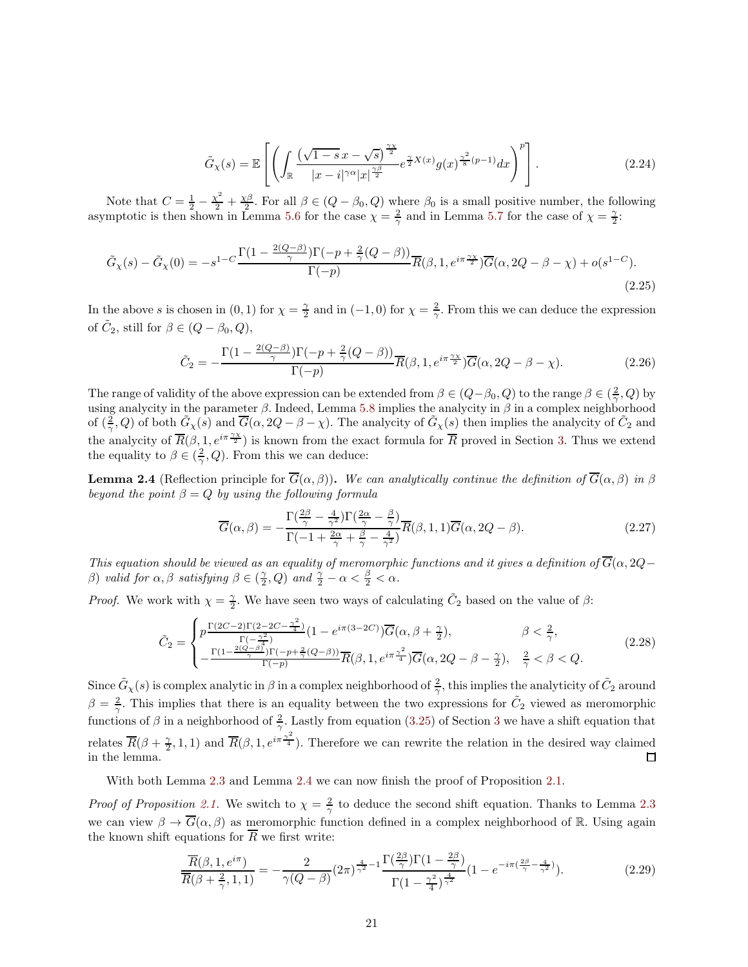$$
\tilde{G}_{\chi}(s) = \mathbb{E}\left[\left(\int_{\mathbb{R}} \frac{(\sqrt{1-s}x - \sqrt{s})^{\frac{\gamma\chi}{2}}}{|x - i|^{\gamma\alpha}|x|^{\frac{\gamma\beta}{2}}} e^{\frac{\gamma}{2}X(x)} g(x)^{\frac{\gamma^2}{8}(p-1)} dx\right)^p\right].
$$
\n(2.24)

Note that  $C = \frac{1}{2} - \frac{\chi^2}{2} + \frac{\chi\beta}{2}$ . For all  $\beta \in (Q - \beta_0, Q)$  where  $\beta_0$  is a small positive number, the following asymptotic is then shown in Lemma [5.6](#page-46-1) for the case  $\chi = \frac{2}{\gamma}$  and in Lemma [5.7](#page-50-0) for the case of  $\chi = \frac{\gamma}{2}$ .

$$
\tilde{G}_{\chi}(s) - \tilde{G}_{\chi}(0) = -s^{1-C} \frac{\Gamma(1 - \frac{2(Q-\beta)}{\gamma})\Gamma(-p + \frac{2}{\gamma}(Q-\beta))}{\Gamma(-p)} \overline{R}(\beta, 1, e^{i\pi \frac{\gamma \chi}{2}}) \overline{G}(\alpha, 2Q - \beta - \chi) + o(s^{1-C}).
$$
\n(2.25)

In the above s is chosen in (0, 1) for  $\chi = \frac{\gamma}{2}$  and in (-1, 0) for  $\chi = \frac{2}{\gamma}$ . From this we can deduce the expression of  $\tilde{C}_2$ , still for  $\beta \in (Q - \beta_0, Q)$ ,

$$
\tilde{C}_2 = -\frac{\Gamma(1 - \frac{2(Q-\beta)}{\gamma})\Gamma(-p + \frac{2}{\gamma}(Q-\beta))}{\Gamma(-p)}\overline{R}(\beta, 1, e^{i\pi \frac{\gamma \chi}{2}})\overline{G}(\alpha, 2Q - \beta - \chi). \tag{2.26}
$$

The range of validity of the above expression can be extended from  $\beta \in (Q-\beta_0, Q)$  to the range  $\beta \in (\frac{2}{\gamma}, Q)$  by using analycity in the parameter  $\beta$ . Indeed, Lemma [5.8](#page-52-0) implies the analycity in  $\beta$  in a complex neighborhood of  $(\frac{2}{\gamma}, Q)$  of both  $\tilde{G}_{\chi}(s)$  and  $\overline{G}(\alpha, 2Q - \beta - \chi)$ . The analycity of  $\tilde{G}_{\chi}(s)$  then implies the analycity of  $\tilde{C}_2$  and the analycity of  $\overline{R}(\beta, 1, e^{i\pi \frac{\gamma_X}{2}})$  is known from the exact formula for  $\overline{R}$  proved in Section [3.](#page-21-0) Thus we extend the equality to  $\beta \in (\frac{2}{\gamma}, Q)$ . From this we can deduce:

<span id="page-20-0"></span>**Lemma 2.4** (Reflection principle for  $\overline{G}(\alpha, \beta)$ ). We can analytically continue the definition of  $\overline{G}(\alpha, \beta)$  in  $\beta$ *beyond the point*  $\beta = Q$  *by using the following formula* 

$$
\overline{G}(\alpha,\beta) = -\frac{\Gamma(\frac{2\beta}{\gamma} - \frac{4}{\gamma^2})\Gamma(\frac{2\alpha}{\gamma} - \frac{\beta}{\gamma})}{\Gamma(-1 + \frac{2\alpha}{\gamma} + \frac{\beta}{\gamma} - \frac{4}{\gamma^2})}\overline{R}(\beta,1,1)\overline{G}(\alpha,2Q-\beta). \tag{2.27}
$$

*This equation should be viewed as an equality of meromorphic functions and it gives a definition of*  $\overline{G}(\alpha,2Q$ *β*) *valid for*  $\alpha, \beta$  *satisfying*  $\beta \in (\frac{\gamma}{2}, Q)$  *and*  $\frac{\gamma}{2} - \alpha < \frac{\beta}{2} < \alpha$ *.* 

*Proof.* We work with  $\chi = \frac{\gamma}{2}$ . We have seen two ways of calculating  $\tilde{C}_2$  based on the value of  $\beta$ :

$$
\tilde{C}_2 = \begin{cases}\np^{\frac{\Gamma(2C-2)\Gamma(2-2C-\frac{\gamma^2}{4})}{\Gamma(-\frac{\gamma^2}{4})}}(1 - e^{i\pi(3-2C)})\overline{G}(\alpha, \beta + \frac{\gamma}{2}), & \beta < \frac{2}{\gamma}, \\
-\frac{\Gamma(1 - \frac{2(Q-\beta)}{\gamma})\Gamma(-p + \frac{2}{\gamma}(Q-\beta))}{\Gamma(-p)}\overline{R}(\beta, 1, e^{i\pi\frac{\gamma^2}{4}})\overline{G}(\alpha, 2Q - \beta - \frac{\gamma}{2}), & \frac{2}{\gamma} < \beta < Q.\n\end{cases}
$$
\n(2.28)

Since  $\tilde{G}_\chi(s)$  is complex analytic in  $\beta$  in a complex neighborhood of  $\frac{2}{\gamma}$ , this implies the analyticity of  $\tilde{C}_2$  around  $\beta = \frac{2}{\gamma}$ . This implies that there is an equality between the two expressions for  $\tilde{C}_2$  viewed as meromorphic functions of  $\beta$  in a neighborhood of  $\frac{2}{\gamma}$ . Lastly from equation [\(3.25\)](#page-25-0) of Section [3](#page-21-0) we have a shift equation that relates  $\overline{R}(\beta+\frac{\gamma}{2},1,1)$  and  $\overline{R}(\beta,1,e^{i\pi\frac{\gamma^2}{4}})$ . Therefore we can rewrite the relation in the desired way claimed in the lemma.  $\Box$ 

With both Lemma [2.3](#page-19-1) and Lemma [2.4](#page-20-0) we can now finish the proof of Proposition [2.1.](#page-15-1)

*Proof of Proposition [2.1.](#page-15-1)* We switch to  $\chi = \frac{2}{\gamma}$  to deduce the second shift equation. Thanks to Lemma [2.3](#page-19-1) we can view  $\beta \to \overline{G}(\alpha, \beta)$  as meromorphic function defined in a complex neighborhood of R. Using again the known shift equations for  $\overline{R}$  we first write:

$$
\frac{\overline{R}(\beta, 1, e^{i\pi})}{\overline{R}(\beta + \frac{2}{\gamma}, 1, 1)} = -\frac{2}{\gamma(Q - \beta)} (2\pi)^{\frac{4}{\gamma^2} - 1} \frac{\Gamma(\frac{2\beta}{\gamma}) \Gamma(1 - \frac{2\beta}{\gamma})}{\Gamma(1 - \frac{\gamma^2}{4})^{\frac{4}{\gamma^2}}} (1 - e^{-i\pi(\frac{2\beta}{\gamma} - \frac{4}{\gamma^2})}).
$$
\n(2.29)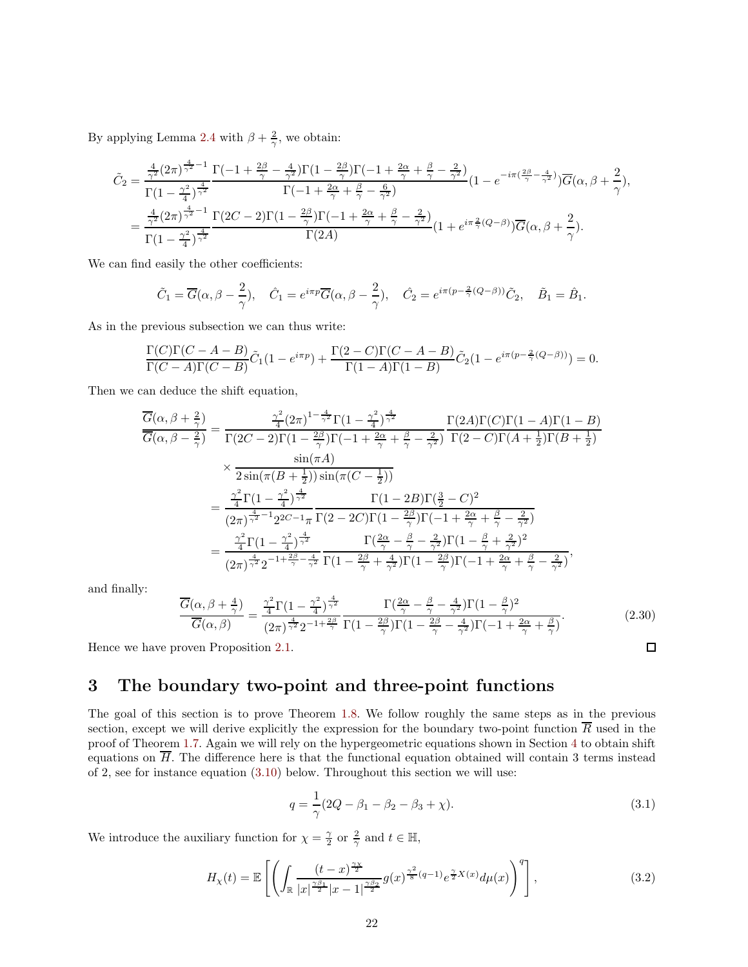By applying Lemma [2.4](#page-20-0) with  $\beta + \frac{2}{\gamma}$ , we obtain:

$$
\tilde{C}_2 = \frac{\frac{4}{\gamma^2} (2\pi)^{\frac{4}{\gamma^2} - 1}}{\Gamma(1 - \frac{\gamma^2}{4})^{\frac{4}{\gamma^2}}} \frac{\Gamma(-1 + \frac{2\beta}{\gamma} - \frac{4}{\gamma^2}) \Gamma(1 - \frac{2\beta}{\gamma}) \Gamma(-1 + \frac{2\alpha}{\gamma} + \frac{\beta}{\gamma} - \frac{2}{\gamma^2})}{\Gamma(-1 + \frac{2\alpha}{\gamma} + \frac{\beta}{\gamma} - \frac{6}{\gamma^2})} (1 - e^{-i\pi(\frac{2\beta}{\gamma} - \frac{4}{\gamma^2})}) \overline{G}(\alpha, \beta + \frac{2}{\gamma}),
$$
\n
$$
= \frac{\frac{4}{\gamma^2} (2\pi)^{\frac{4}{\gamma^2} - 1}}{\Gamma(1 - \frac{\gamma^2}{4})^{\frac{4}{\gamma^2}}} \frac{\Gamma(2C - 2) \Gamma(1 - \frac{2\beta}{\gamma}) \Gamma(-1 + \frac{2\alpha}{\gamma} + \frac{\beta}{\gamma} - \frac{2}{\gamma^2})}{\Gamma(2A)} (1 + e^{i\pi \frac{2}{\gamma} (Q - \beta)}) \overline{G}(\alpha, \beta + \frac{2}{\gamma}).
$$

We can find easily the other coefficients:

$$
\tilde{C}_1 = \overline{G}(\alpha, \beta - \frac{2}{\gamma}), \quad \hat{C}_1 = e^{i\pi p} \overline{G}(\alpha, \beta - \frac{2}{\gamma}), \quad \hat{C}_2 = e^{i\pi(p - \frac{2}{\gamma}(Q - \beta))}\tilde{C}_2, \quad \tilde{B}_1 = \hat{B}_1.
$$

As in the previous subsection we can thus write:

$$
\frac{\Gamma(C)\Gamma(C-A-B)}{\Gamma(C-A)\Gamma(C-B)}\tilde{C}_1(1-e^{i\pi p})+\frac{\Gamma(2-C)\Gamma(C-A-B)}{\Gamma(1-A)\Gamma(1-B)}\tilde{C}_2(1-e^{i\pi(p-\frac{2}{\gamma}(Q-\beta))})=0.
$$

Then we can deduce the shift equation,

$$
\frac{\overline{G}(\alpha,\beta+\frac{2}{\gamma})}{\overline{G}(\alpha,\beta-\frac{2}{\gamma})} = \frac{\frac{\gamma^2}{4}(2\pi)^{1-\frac{4}{\gamma^2}}\Gamma(1-\frac{\gamma^2}{4})^{\frac{4}{\gamma^2}}}{\Gamma(2C-2)\Gamma(1-\frac{2\beta}{\gamma})\Gamma(-1+\frac{2\alpha}{\gamma}+\frac{\beta}{\gamma}-\frac{2}{\gamma^2})}\frac{\Gamma(2A)\Gamma(C)\Gamma(1-A)\Gamma(1-B)}{\Gamma(2-C)\Gamma(A+\frac{1}{2})\Gamma(B+\frac{1}{2})}
$$
\n
$$
\times \frac{\sin(\pi A)}{2\sin(\pi(B+\frac{1}{2}))\sin(\pi(C-\frac{1}{2}))}
$$
\n
$$
= \frac{\frac{\gamma^2}{4}\Gamma(1-\frac{\gamma^2}{4})^{\frac{4}{\gamma^2}}}{(2\pi)^{\frac{4}{\gamma^2}-1}2^{2C-1}\pi}\frac{\Gamma(1-2B)\Gamma(\frac{3}{2}-C)^2}{\Gamma(2-2C)\Gamma(1-\frac{2\beta}{\gamma})\Gamma(-1+\frac{2\alpha}{\gamma}+\frac{\beta}{\gamma}-\frac{2}{\gamma^2})}
$$
\n
$$
= \frac{\frac{\gamma^2}{4}\Gamma(1-\frac{\gamma^2}{4})^{\frac{4}{\gamma^2}}}{(2\pi)^{\frac{4}{\gamma^2}}2^{-1+\frac{2\beta}{\gamma}-\frac{4}{\gamma^2}}}\frac{\Gamma(\frac{2\alpha}{\gamma}-\frac{\beta}{\gamma}-\frac{2}{\gamma^2})\Gamma(1-\frac{\beta}{\gamma}+\frac{2}{\gamma^2})^2}{\Gamma(1-\frac{2\beta}{\gamma}+\frac{4}{\gamma^2})\Gamma(1-\frac{2\beta}{\gamma})\Gamma(-1+\frac{2\alpha}{\gamma}+\frac{\beta}{\gamma}-\frac{2}{\gamma^2})},
$$

and finally:

$$
\frac{\overline{G}(\alpha,\beta+\frac{4}{\gamma})}{\overline{G}(\alpha,\beta)} = \frac{\frac{\gamma^2}{4}\Gamma(1-\frac{\gamma^2}{4})^{\frac{4}{\gamma^2}}}{(2\pi)^{\frac{4}{\gamma^2}}2^{-1+\frac{2\beta}{\gamma}}}\frac{\Gamma(\frac{2\alpha}{\gamma}-\frac{\beta}{\gamma}-\frac{4}{\gamma^2})\Gamma(1-\frac{\beta}{\gamma})^2}{\Gamma(1-\frac{2\beta}{\gamma})\Gamma(1-\frac{2\beta}{\gamma}-\frac{4}{\gamma^2})\Gamma(-1+\frac{2\alpha}{\gamma}+\frac{\beta}{\gamma})}.
$$
\n(2.30)

\nProven Proposition 2.1.

Hence we have proven Proposition [2.1.](#page-15-1)

# <span id="page-21-0"></span>3 The boundary two-point and three-point functions

The goal of this section is to prove Theorem [1.8.](#page-7-4) We follow roughly the same steps as in the previous section, except we will derive explicitly the expression for the boundary two-point function  $\overline{R}$  used in the proof of Theorem [1.7.](#page-7-3) Again we will rely on the hypergeometric equations shown in Section [4](#page-39-0) to obtain shift equations on  $\overline{H}$ . The difference here is that the functional equation obtained will contain 3 terms instead of 2, see for instance equation [\(3.10\)](#page-22-1) below. Throughout this section we will use:

$$
q = \frac{1}{\gamma} (2Q - \beta_1 - \beta_2 - \beta_3 + \chi). \tag{3.1}
$$

We introduce the auxiliary function for  $\chi = \frac{\gamma}{2}$  or  $\frac{2}{\gamma}$  and  $t \in \mathbb{H}$ ,

$$
H_{\chi}(t) = \mathbb{E}\left[\left(\int_{\mathbb{R}} \frac{(t-x)^{\frac{\gamma x}{2}}}{|x|^{\frac{\gamma \beta_1}{2}}|x-1|^{\frac{\gamma \beta_2}{2}}} g(x)^{\frac{\gamma^2}{8}(q-1)} e^{\frac{\gamma}{2}X(x)} d\mu(x)\right)^q\right],\tag{3.2}
$$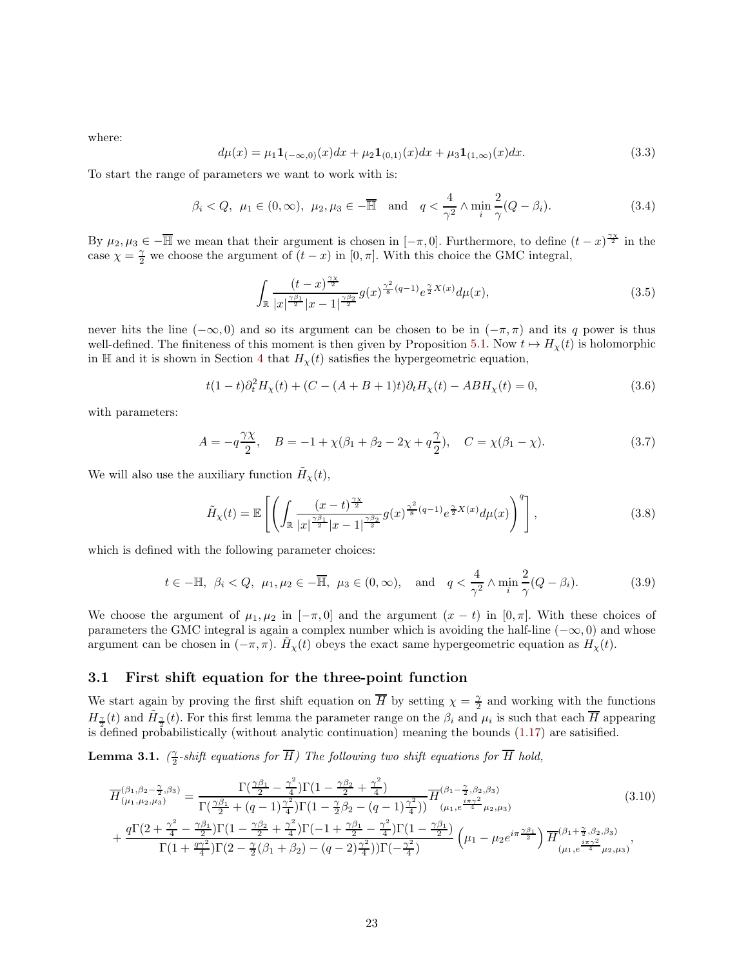where:

$$
d\mu(x) = \mu_1 \mathbf{1}_{(-\infty,0)}(x) dx + \mu_2 \mathbf{1}_{(0,1)}(x) dx + \mu_3 \mathbf{1}_{(1,\infty)}(x) dx.
$$
 (3.3)

To start the range of parameters we want to work with is:

<span id="page-22-2"></span>
$$
\beta_i < Q, \ \mu_1 \in (0, \infty), \ \mu_2, \mu_3 \in -\overline{\mathbb{H}} \quad \text{and} \quad q < \frac{4}{\gamma^2} \land \min_i \frac{2}{\gamma} (Q - \beta_i). \tag{3.4}
$$

By  $\mu_2, \mu_3 \in -\overline{\mathbb{H}}$  we mean that their argument is chosen in  $[-\pi, 0]$ . Furthermore, to define  $(t-x)^{\frac{\gamma_X}{2}}$  in the case  $\chi = \frac{\gamma}{2}$  we choose the argument of  $(t - x)$  in  $[0, \pi]$ . With this choice the GMC integral,

$$
\int_{\mathbb{R}} \frac{(t-x)^{\frac{\gamma x}{2}}}{|x|^{\frac{\gamma \beta_1}{2}} |x-1|^{\frac{\gamma \beta_2}{2}}} g(x)^{\frac{\gamma^2}{8}(q-1)} e^{\frac{\gamma}{2} X(x)} d\mu(x), \tag{3.5}
$$

never hits the line  $(-\infty, 0)$  and so its argument can be chosen to be in  $(-\pi, \pi)$  and its q power is thus well-defined. The finiteness of this moment is then given by Proposition [5.1.](#page-44-0) Now  $t \mapsto H_{\chi}(t)$  is holomorphic in H and it is shown in Section [4](#page-39-0) that  $H<sub>x</sub>(t)$  satisfies the hypergeometric equation,

$$
t(1-t)\partial_t^2 H_\chi(t) + (C - (A+B+1)t)\partial_t H_\chi(t) - ABH_\chi(t) = 0,
$$
\n(3.6)

with parameters:

$$
A = -q\frac{\gamma \chi}{2}, \quad B = -1 + \chi(\beta_1 + \beta_2 - 2\chi + q\frac{\gamma}{2}), \quad C = \chi(\beta_1 - \chi). \tag{3.7}
$$

We will also use the auxiliary function  $\tilde{H}_{\chi}(t)$ ,

$$
\tilde{H}_{\chi}(t) = \mathbb{E}\left[\left(\int_{\mathbb{R}} \frac{(x-t)^{\frac{\gamma x}{2}}}{|x|^{\frac{\gamma \beta_1}{2}}|x-1|^{\frac{\gamma \beta_2}{2}}} g(x)^{\frac{\gamma^2}{8}(q-1)} e^{\frac{\gamma}{2}X(x)} d\mu(x)\right)^q\right],\tag{3.8}
$$

which is defined with the following parameter choices:

<span id="page-22-1"></span>
$$
t \in -\mathbb{H}, \ \beta_i < Q, \ \mu_1, \mu_2 \in -\overline{\mathbb{H}}, \ \mu_3 \in (0, \infty), \quad \text{and} \quad q < \frac{4}{\gamma^2} \land \min_i \frac{2}{\gamma} (Q - \beta_i). \tag{3.9}
$$

We choose the argument of  $\mu_1, \mu_2$  in  $[-\pi, 0]$  and the argument  $(x - t)$  in  $[0, \pi]$ . With these choices of parameters the GMC integral is again a complex number which is avoiding the half-line  $(-\infty, 0)$  and whose argument can be chosen in  $(-\pi, \pi)$ .  $\tilde{H}_{\chi}(t)$  obeys the exact same hypergeometric equation as  $H_{\chi}(t)$ .

## <span id="page-22-0"></span>3.1 First shift equation for the three-point function

We start again by proving the first shift equation on  $\overline{H}$  by setting  $\chi = \frac{\gamma}{2}$  and working with the functions  $H_{\frac{\gamma}{2}}(t)$  and  $\tilde{H}_{\frac{\gamma}{2}}(t)$ . For this first lemma the parameter range on the  $\beta_i$  and  $\mu_i$  is such that each  $\overline{H}$  appearing is defined probabilistically (without analytic continuation) meaning the bounds [\(1.17\)](#page-5-3) are satisfied.

<span id="page-22-3"></span>**Lemma 3.1.**  $(\frac{\gamma}{2}$ -shift equations for  $\overline{H}$ ) The following two shift equations for  $\overline{H}$  hold,

$$
\overline{H}^{(\beta_1, \beta_2 - \frac{\gamma}{2}, \beta_3)}_{(\mu_1, \mu_2, \mu_3)} = \frac{\Gamma(\frac{\gamma \beta_1}{2} - \frac{\gamma^2}{4})\Gamma(1 - \frac{\gamma \beta_2}{2} + \frac{\gamma^2}{4})}{\Gamma(\frac{\gamma \beta_1}{2} + (q - 1)\frac{\gamma^2}{4})\Gamma(1 - \frac{\gamma}{2}\beta_2 - (q - 1)\frac{\gamma^2}{4})} \overline{H}^{(\beta_1 - \frac{\gamma}{2}, \beta_2, \beta_3)}_{(\mu_1, e^{\frac{i\pi \gamma^2}{4}} \mu_2, \mu_3)} \n+ \frac{q\Gamma(2 + \frac{\gamma^2}{4} - \frac{\gamma \beta_1}{2})\Gamma(1 - \frac{\gamma \beta_2}{2} + \frac{\gamma^2}{4})\Gamma(-1 + \frac{\gamma \beta_1}{2} - \frac{\gamma^2}{4})\Gamma(1 - \frac{\gamma \beta_1}{2})}{\Gamma(1 + \frac{q\gamma^2}{4})\Gamma(2 - \frac{\gamma}{2}(\beta_1 + \beta_2) - (q - 2)\frac{\gamma^2}{4})\Gamma(-\frac{\gamma^2}{4})} \left(\mu_1 - \mu_2 e^{i\pi \frac{\gamma \beta_1}{2}}\right) \overline{H}^{(\beta_1 + \frac{\gamma}{2}, \beta_2, \beta_3)}_{(\mu_1, e^{\frac{i\pi \gamma^2}{4}} \mu_2, \mu_3)},
$$
\n(3.10)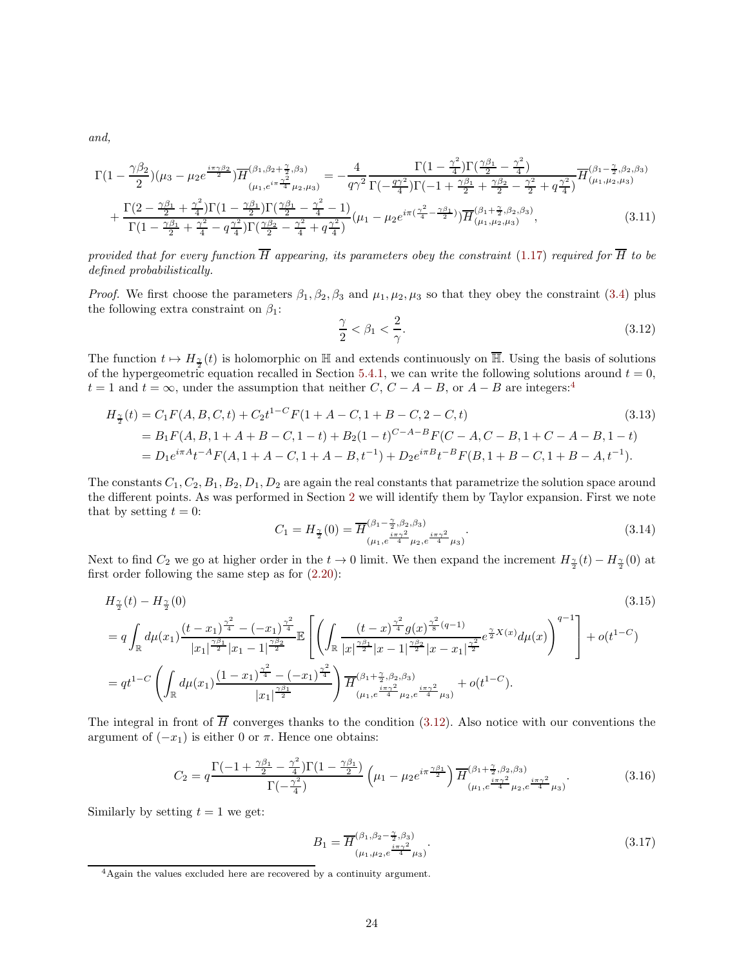*and,*

$$
\Gamma(1 - \frac{\gamma \beta_2}{2}) (\mu_3 - \mu_2 e^{\frac{i\pi \gamma \beta_2}{2}}) \overline{H}^{(\beta_1, \beta_2 + \frac{\gamma}{2}, \beta_3)}_{(\mu_1, e^{i\pi \frac{\gamma^2}{4}} \mu_2, \mu_3)} = -\frac{4}{q\gamma^2} \frac{\Gamma(1 - \frac{\gamma^2}{4}) \Gamma(\frac{\gamma \beta_1}{2} - \frac{\gamma^2}{4})}{\Gamma(-\frac{q\gamma^2}{4}) \Gamma(-1 + \frac{\gamma \beta_1}{2} + \frac{\gamma \beta_2}{2} - \frac{\gamma^2}{2} + q\frac{\gamma^2}{4})} \overline{H}^{(\beta_1 - \frac{\gamma}{2}, \beta_2, \beta_3)}_{(\mu_1, \mu_2, \mu_3)} + \frac{\Gamma(2 - \frac{\gamma \beta_1}{2} + \frac{\gamma^2}{4}) \Gamma(1 - \frac{\gamma \beta_1}{2}) \Gamma(\frac{\gamma \beta_1}{2} - \frac{\gamma^2}{4} - 1)}{\Gamma(1 - \frac{\gamma \beta_1}{2} + \frac{\gamma^2}{4} - q\frac{\gamma^2}{4}) \Gamma(\frac{\gamma \beta_2}{2} - \frac{\gamma^2}{4} + q\frac{\gamma^2}{4})} (\mu_1 - \mu_2 e^{i\pi(\frac{\gamma^2}{4} - \frac{\gamma \beta_1}{2})}) \overline{H}^{(\beta_1 + \frac{\gamma}{2}, \beta_2, \beta_3)}_{(\mu_1, \mu_2, \mu_3)},
$$
\n(3.11)

*provided that for every function*  $\overline{H}$  *appearing, its parameters obey the constraint* [\(1.17\)](#page-5-3) *required for*  $\overline{H}$  *to be defined probabilistically.*

*Proof.* We first choose the parameters  $\beta_1, \beta_2, \beta_3$  and  $\mu_1, \mu_2, \mu_3$  so that they obey the constraint [\(3.4\)](#page-22-2) plus the following extra constraint on  $\beta_1$ :

<span id="page-23-2"></span><span id="page-23-1"></span>
$$
\frac{\gamma}{2} < \beta_1 < \frac{2}{\gamma}.\tag{3.12}
$$

The function  $t \mapsto H_{\frac{\gamma}{2}}(t)$  is holomorphic on H and extends continuously on H. Using the basis of solutions of the hypergeometric equation recalled in Section [5.4.1,](#page-58-2) we can write the following solutions around  $t = 0$ ,  $t = 1$  and  $t = \infty$ , under the assumption that neither C,  $C - A - B$ , or  $A - B$  are integers:<sup>[4](#page-23-0)</sup>

$$
H_{\frac{\gamma}{2}}(t) = C_1 F(A, B, C, t) + C_2 t^{1-C} F(1 + A - C, 1 + B - C, 2 - C, t)
$$
\n
$$
= B_1 F(A, B, 1 + A + B - C, 1 - t) + B_2 (1 - t)^{C - A - B} F(C - A, C - B, 1 + C - A - B, 1 - t)
$$
\n
$$
= D_1 e^{i\pi A} t^{-A} F(A, 1 + A - C, 1 + A - B, t^{-1}) + D_2 e^{i\pi B} t^{-B} F(B, 1 + B - C, 1 + B - A, t^{-1}).
$$
\n(3.13)

The constants  $C_1, C_2, B_1, B_2, D_1, D_2$  are again the real constants that parametrize the solution space around the different points. As was performed in Section [2](#page-15-0) we will identify them by Taylor expansion. First we note that by setting  $t = 0$ :

$$
C_1 = H_{\frac{\gamma}{2}}(0) = \overline{H}^{(\beta_1 - \frac{\gamma}{2}, \beta_2, \beta_3)}_{(\mu_1, e^{\frac{i\pi\gamma^2}{4}}\mu_2, e^{\frac{i\pi\gamma^2}{4}}\mu_3)}.
$$
\n(3.14)

Next to find  $C_2$  we go at higher order in the  $t \to 0$  limit. We then expand the increment  $H_{\frac{\gamma}{2}}(t) - H_{\frac{\gamma}{2}}(0)$  at first order following the same step as for [\(2.20\)](#page-18-0):

$$
H_{\frac{\gamma}{2}}(t) - H_{\frac{\gamma}{2}}(0)
$$
\n
$$
= q \int_{\mathbb{R}} d\mu(x_1) \frac{(t - x_1)^{\frac{\gamma^2}{4}} - (-x_1)^{\frac{\gamma^2}{4}}}{|x_1|^{\frac{\gamma \beta_1}{2}} |x_1 - 1|^{\frac{\gamma \beta_2}{2}}} \mathbb{E}\left[\left(\int_{\mathbb{R}} \frac{(t - x)^{\frac{\gamma^2}{4}} g(x)^{\frac{\gamma^2}{8}} q^{-1}}{|x|^{\frac{\gamma \beta_1}{2}} |x - x_1|^{\frac{\gamma \beta_2}{2}} e^{\frac{\gamma}{2} X(x)} d\mu(x)\right)^{q-1}\right] + o(t^{1-C})
$$
\n
$$
= qt^{1-C} \left(\int_{\mathbb{R}} d\mu(x_1) \frac{(1 - x_1)^{\frac{\gamma^2}{4}} - (-x_1)^{\frac{\gamma^2}{4}}}{|x_1|^{\frac{\gamma \beta_1}{2}}}\right) \overline{H}_{(\mu_1, e^{\frac{i\pi \gamma^2}{4}} \mu_2, e^{\frac{i\pi \gamma^2}{4}} \mu_3)}^{(\frac{\gamma \gamma}{2} + \alpha)} + o(t^{1-C}).
$$
\n
$$
(3.15)
$$
\n
$$
(3.16)
$$

The integral in front of  $\overline{H}$  converges thanks to the condition [\(3.12\)](#page-23-1). Also notice with our conventions the argument of  $(-x_1)$  is either 0 or  $\pi$ . Hence one obtains:

<span id="page-23-3"></span>
$$
C_2 = q \frac{\Gamma(-1 + \frac{\gamma \beta_1}{2} - \frac{\gamma^2}{4})\Gamma(1 - \frac{\gamma \beta_1}{2})}{\Gamma(-\frac{\gamma^2}{4})} \left(\mu_1 - \mu_2 e^{i\pi \frac{\gamma \beta_1}{2}}\right) \overline{H}_{(\mu_1, e^{\frac{i\pi \gamma^2}{4}}\mu_2, e^{\frac{i\pi \gamma^2}{4}}\mu_3)}^{(\beta_1 + \frac{\gamma}{2}, \beta_2, \beta_3)}.
$$
(3.16)

Similarly by setting  $t = 1$  we get:

$$
B_1 = \overline{H}^{(\beta_1, \beta_2 - \frac{\gamma}{2}, \beta_3)}_{(\mu_1, \mu_2, e^{\frac{i\pi\gamma^2}{4}}\mu_3)}.
$$
\n(3.17)

<span id="page-23-0"></span><sup>4</sup>Again the values excluded here are recovered by a continuity argument.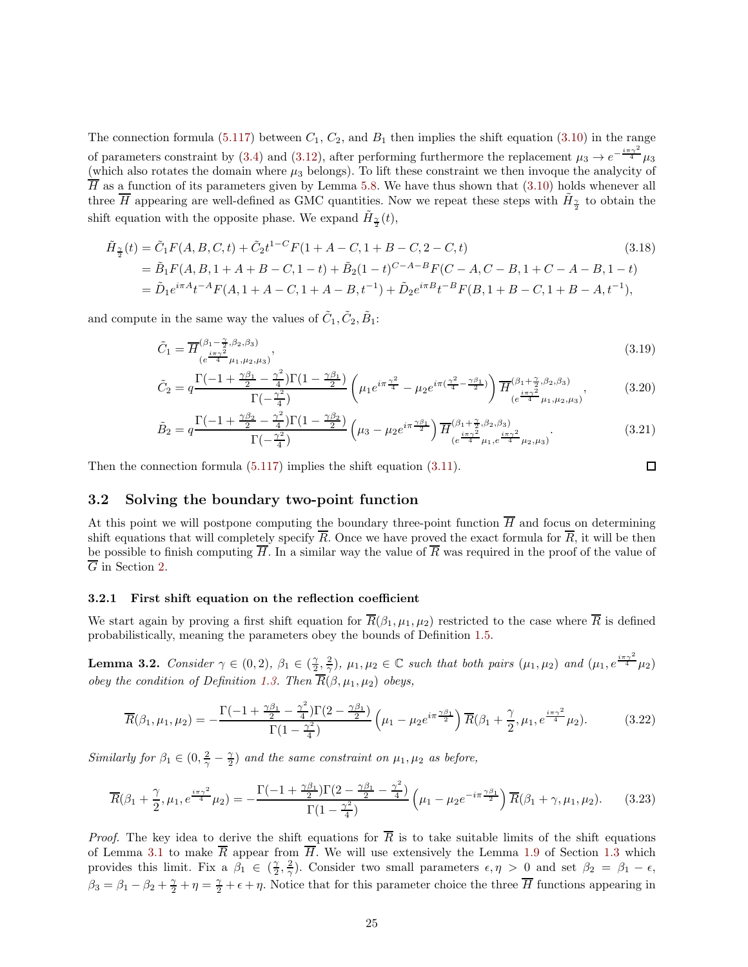The connection formula [\(5.117\)](#page-59-1) between  $C_1$ ,  $C_2$ , and  $B_1$  then implies the shift equation [\(3.10\)](#page-22-1) in the range of parameters constraint by [\(3.4\)](#page-22-2) and [\(3.12\)](#page-23-1), after performing furthermore the replacement  $\mu_3 \to e^{-\frac{i\pi\gamma^2}{4}}\mu_3$ (which also rotates the domain where  $\mu_3$  belongs). To lift these constraint we then invoque the analycity of  $\overline{H}$  as a function of its parameters given by Lemma [5.8.](#page-52-0) We have thus shown that [\(3.10\)](#page-22-1) holds whenever all three  $\overline{H}$  appearing are well-defined as GMC quantities. Now we repeat these steps with  $\tilde{H}_{\frac{\gamma}{2}}$  to obtain the shift equation with the opposite phase. We expand  $\tilde{H}_{\frac{\gamma}{2}}(t)$ ,

$$
\tilde{H}_{\frac{\gamma}{2}}(t) = \tilde{C}_1 F(A, B, C, t) + \tilde{C}_2 t^{1-C} F(1 + A - C, 1 + B - C, 2 - C, t)
$$
\n(3.18)  
\n
$$
= \tilde{B}_1 F(A, B, 1 + A + B - C, 1 - t) + \tilde{B}_2 (1 - t)^{C - A - B} F(C - A, C - B, 1 + C - A - B, 1 - t)
$$
\n
$$
= \tilde{D}_1 e^{i\pi A} t^{-A} F(A, 1 + A - C, 1 + A - B, t^{-1}) + \tilde{D}_2 e^{i\pi B} t^{-B} F(B, 1 + B - C, 1 + B - A, t^{-1}),
$$

and compute in the same way the values of  $\tilde{C}_1, \tilde{C}_2, \tilde{B}_1$ :

$$
\tilde{C}_1 = \overline{H}^{(\beta_1 - \frac{\gamma}{2}, \beta_2, \beta_3)}_{(e^{\frac{i\pi\gamma^2}{4}}\mu_1, \mu_2, \mu_3)},
$$
\n(3.19)

$$
\tilde{C}_2 = q \frac{\Gamma(-1 + \frac{\gamma \beta_1}{2} - \frac{\gamma^2}{4})\Gamma(1 - \frac{\gamma \beta_1}{2})}{\Gamma(-\frac{\gamma^2}{4})} \left(\mu_1 e^{i\pi \frac{\gamma^2}{4}} - \mu_2 e^{i\pi (\frac{\gamma^2}{4} - \frac{\gamma \beta_1}{2})}\right) \overline{H}_{(e^{i\pi \gamma^2} \mu_1, \mu_2, \mu_3)}^{(\beta_1 + \frac{\gamma}{2}, \beta_2, \beta_3)},\tag{3.20}
$$

$$
\tilde{B}_2 = q \frac{\Gamma(-1 + \frac{\gamma \beta_2}{2} - \frac{\gamma^2}{4}) \Gamma(1 - \frac{\gamma \beta_2}{2})}{\Gamma(-\frac{\gamma^2}{4})} \left(\mu_3 - \mu_2 e^{i\pi \frac{\gamma \beta_1}{2}}\right) \overline{H}_{(e^{\frac{i\pi \gamma^2}{4}}\mu_1, e^{\frac{i\pi \gamma^2}{4}}\mu_2, \mu_3)}^{(\beta_1 + \frac{\gamma}{2}, \beta_2, \beta_3)}.
$$
\n(3.21)

Then the connection formula [\(5.117\)](#page-59-1) implies the shift equation [\(3.11\)](#page-23-2).

 $\Box$ 

## <span id="page-24-0"></span>3.2 Solving the boundary two-point function

At this point we will postpone computing the boundary three-point function  $\overline{H}$  and focus on determining shift equations that will completely specify  $\overline{R}$ . Once we have proved the exact formula for  $\overline{R}$ , it will be then be possible to finish computing  $\overline{H}$ . In a similar way the value of  $\overline{R}$  was required in the proof of the value of  $\overline{G}$  in Section [2.](#page-15-0)

#### 3.2.1 First shift equation on the reflection coefficient

We start again by proving a first shift equation for  $\overline{R}(\beta_1,\mu_1,\mu_2)$  restricted to the case where  $\overline{R}$  is defined probabilistically, meaning the parameters obey the bounds of Definition [1.5.](#page-5-1)

<span id="page-24-1"></span>Lemma 3.2. *Consider*  $\gamma \in (0, 2), \beta_1 \in (\frac{\gamma}{2}, \frac{2}{\gamma}), \mu_1, \mu_2 \in \mathbb{C}$  such that both pairs  $(\mu_1, \mu_2)$  and  $(\mu_1, e^{\frac{i\pi \gamma^2}{4}}\mu_2)$ *obey the condition of Definition [1.3.](#page-4-1)* Then  $\overline{R}(\beta, \mu_1, \mu_2)$  *obeys,* 

$$
\overline{R}(\beta_1, \mu_1, \mu_2) = -\frac{\Gamma(-1 + \frac{\gamma \beta_1}{2} - \frac{\gamma^2}{4})\Gamma(2 - \frac{\gamma \beta_1}{2})}{\Gamma(1 - \frac{\gamma^2}{4})} \left(\mu_1 - \mu_2 e^{i\pi \frac{\gamma \beta_1}{2}}\right) \overline{R}(\beta_1 + \frac{\gamma}{2}, \mu_1, e^{\frac{i\pi \gamma^2}{4}} \mu_2).
$$
(3.22)

*Similarly for*  $\beta_1 \in (0, \frac{2}{\gamma} - \frac{\gamma}{2})$  *and the same constraint on*  $\mu_1, \mu_2$  *as before,* 

$$
\overline{R}(\beta_1 + \frac{\gamma}{2}, \mu_1, e^{\frac{i\pi\gamma^2}{4}}\mu_2) = -\frac{\Gamma(-1 + \frac{\gamma\beta_1}{2})\Gamma(2 - \frac{\gamma\beta_1}{2} - \frac{\gamma^2}{4})}{\Gamma(1 - \frac{\gamma^2}{4})}\left(\mu_1 - \mu_2 e^{-i\pi\frac{\gamma\beta_1}{2}}\right)\overline{R}(\beta_1 + \gamma, \mu_1, \mu_2).
$$
 (3.23)

*Proof.* The key idea to derive the shift equations for  $\overline{R}$  is to take suitable limits of the shift equations of Lemma [3.1](#page-22-3) to make  $\overline{R}$  appear from  $\overline{H}$ . We will use extensively the Lemma [1.9](#page-8-2) of Section [1.3](#page-8-0) which provides this limit. Fix a  $\beta_1 \in (\frac{2}{2}, \frac{2}{\gamma})$ . Consider two small parameters  $\epsilon, \eta > 0$  and set  $\beta_2 = \beta_1 - \epsilon$ ,  $\beta_3 = \beta_1 - \beta_2 + \frac{\gamma}{2} + \eta = \frac{\gamma}{2} + \epsilon + \eta$ . Notice that for this parameter choice the three  $\overline{H}$  functions appearing in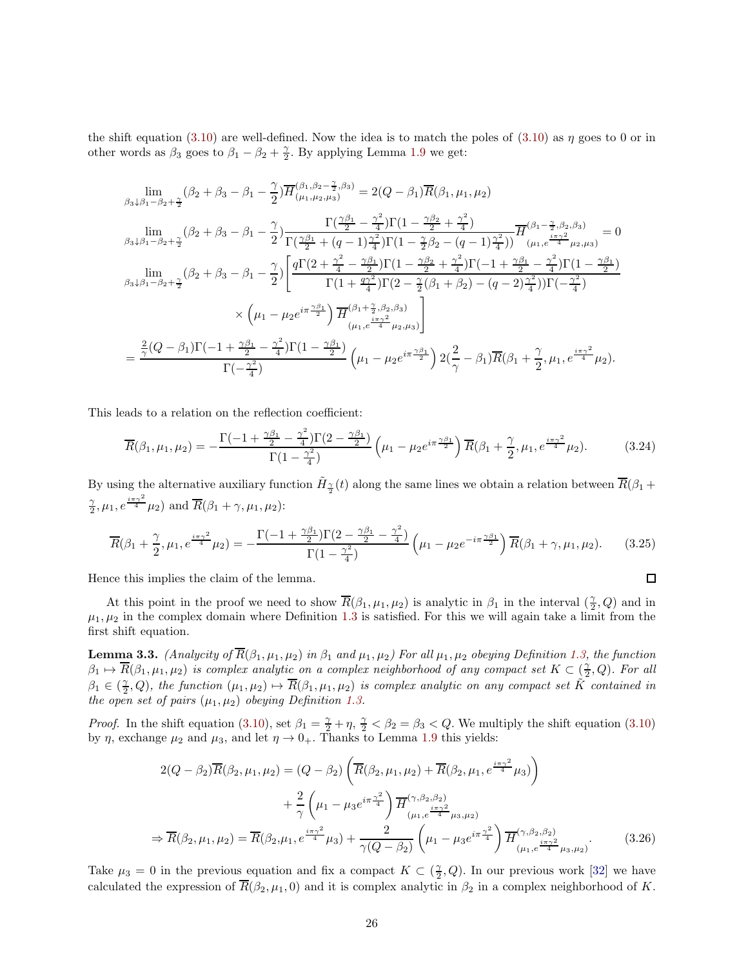the shift equation [\(3.10\)](#page-22-1) are well-defined. Now the idea is to match the poles of (3.10) as  $\eta$  goes to 0 or in other words as  $\beta_3$  goes to  $\beta_1 - \beta_2 + \frac{\gamma}{2}$ . By applying Lemma [1.9](#page-8-2) we get:

$$
\lim_{\beta_3 \downarrow \beta_1 - \beta_2 + \frac{\gamma}{2}} (\beta_2 + \beta_3 - \beta_1 - \frac{\gamma}{2}) \overline{H}_{(\mu_1, \mu_2, \mu_3)}^{(\beta_1, \beta_2 - \frac{\gamma}{2}, \beta_3)} = 2(Q - \beta_1) \overline{R}(\beta_1, \mu_1, \mu_2)
$$
\n
$$
\lim_{\beta_3 \downarrow \beta_1 - \beta_2 + \frac{\gamma}{2}} (\beta_2 + \beta_3 - \beta_1 - \frac{\gamma}{2}) \frac{\Gamma(\frac{\gamma \beta_1}{2} - \frac{\gamma^2}{4}) \Gamma(1 - \frac{\gamma \beta_2}{2} + \frac{\gamma^2}{4})}{\Gamma(\frac{\gamma \beta_1}{2} + (q - 1)\frac{\gamma^2}{4}) \Gamma(1 - \frac{\gamma}{2}\beta_2 - (q - 1)\frac{\gamma^2}{4})} \overline{H}_{(\mu_1, e^{\frac{i\pi \gamma^2}{4}}\mu_2, \mu_3)} = 0
$$
\n
$$
\lim_{\beta_3 \downarrow \beta_1 - \beta_2 + \frac{\gamma}{2}} (\beta_2 + \beta_3 - \beta_1 - \frac{\gamma}{2}) \left[ \frac{q\Gamma(2 + \frac{\gamma^2}{4} - \frac{\gamma \beta_1}{2}) \Gamma(1 - \frac{\gamma \beta_2}{2} + \frac{\gamma^2}{4}) \Gamma(-1 + \frac{\gamma \beta_1}{2} - \frac{\gamma^2}{4}) \Gamma(1 - \frac{\gamma \beta_1}{2})}{\Gamma(1 + \frac{q\gamma^2}{4}) \Gamma(2 - \frac{\gamma}{2}(\beta_1 + \beta_2) - (q - 2)\frac{\gamma^2}{4}) \Gamma(-\frac{\gamma^2}{4})} \right]
$$
\n
$$
\times \left( \mu_1 - \mu_2 e^{i\pi \frac{\gamma \beta_1}{2}} \right) \overline{H}_{(\mu_1, e^{\frac{i\pi \gamma^2}{4}}\mu_2, \mu_3)}^{(\beta_1 + \frac{\gamma}{2}, \beta_2, \beta_3)} \right]
$$
\n
$$
= \frac{\frac{2}{\gamma}(Q - \beta_1)\Gamma(-1 + \frac{\gamma \beta_1}{2} - \frac{\gamma^2}{4}) \Gamma(1 - \frac{\gamma \beta_1}{2})}{\Gamma(-\frac{\gamma^2}{4})} \left( \mu_1 - \mu_2 e^{i\pi
$$

This leads to a relation on the reflection coefficient:

<span id="page-25-1"></span>
$$
\overline{R}(\beta_1, \mu_1, \mu_2) = -\frac{\Gamma(-1 + \frac{\gamma \beta_1}{2} - \frac{\gamma^2}{4})\Gamma(2 - \frac{\gamma \beta_1}{2})}{\Gamma(1 - \frac{\gamma^2}{4})} \left(\mu_1 - \mu_2 e^{i\pi \frac{\gamma \beta_1}{2}}\right) \overline{R}(\beta_1 + \frac{\gamma}{2}, \mu_1, e^{\frac{i\pi \gamma^2}{4}} \mu_2).
$$
(3.24)

By using the alternative auxiliary function  $\tilde{H}_{\frac{\gamma}{2}}(t)$  along the same lines we obtain a relation between  $\overline{R}(\beta_1 +$  $\frac{\gamma}{2}, \mu_1, e^{\frac{i\pi\gamma^2}{4}}\mu_2$  and  $\overline{R}(\beta_1+\gamma, \mu_1, \mu_2)$ :

<span id="page-25-0"></span>
$$
\overline{R}(\beta_1 + \frac{\gamma}{2}, \mu_1, e^{\frac{i\pi\gamma^2}{4}}\mu_2) = -\frac{\Gamma(-1 + \frac{\gamma\beta_1}{2})\Gamma(2 - \frac{\gamma\beta_1}{2} - \frac{\gamma^2}{4})}{\Gamma(1 - \frac{\gamma^2}{4})}\left(\mu_1 - \mu_2 e^{-i\pi\frac{\gamma\beta_1}{2}}\right)\overline{R}(\beta_1 + \gamma, \mu_1, \mu_2).
$$
(3.25)

 $\Box$ 

Hence this implies the claim of the lemma.

At this point in the proof we need to show  $\overline{R}(\beta_1,\mu_1,\mu_2)$  is analytic in  $\beta_1$  in the interval  $(\frac{\gamma}{2},Q)$  and in  $\mu_1, \mu_2$  in the complex domain where Definition [1.3](#page-4-1) is satisfied. For this we will again take a limit from the first shift equation.

<span id="page-25-2"></span>**Lemma 3.3.** *(Analycity of*  $\overline{R}(\beta_1, \mu_1, \mu_2)$  *in*  $\beta_1$  *and*  $\mu_1, \mu_2$ *)* For all  $\mu_1, \mu_2$  *obeying Definition [1.3,](#page-4-1) the function*  $\beta_1 \mapsto \overline{R}(\beta_1, \mu_1, \mu_2)$  *is complex analytic on a complex neighborhood of any compact set*  $K \subset \left(\frac{\gamma}{2}, Q\right)$ *. For all*  $\beta_1 \in (\frac{\gamma}{2}, Q)$ , the function  $(\mu_1, \mu_2) \mapsto \overline{R}(\beta_1, \mu_1, \mu_2)$  is complex analytic on any compact set  $\tilde{K}$  contained in *the open set of pairs*  $(\mu_1, \mu_2)$  *obeying Definition [1.3.](#page-4-1)* 

*Proof.* In the shift equation [\(3.10\)](#page-22-1), set  $\beta_1 = \frac{\gamma}{2} + \eta$ ,  $\frac{\gamma}{2} < \beta_2 = \beta_3 < Q$ . We multiply the shift equation (3.10) by  $\eta$ , exchange  $\mu_2$  and  $\mu_3$ , and let  $\eta \to 0_+$ . Thanks to Lemma [1.9](#page-8-2) this yields:

$$
2(Q - \beta_2)\overline{R}(\beta_2, \mu_1, \mu_2) = (Q - \beta_2) \left( \overline{R}(\beta_2, \mu_1, \mu_2) + \overline{R}(\beta_2, \mu_1, e^{\frac{i\pi\gamma^2}{4}}\mu_3) \right) + \frac{2}{\gamma} \left( \mu_1 - \mu_3 e^{i\pi \frac{\gamma^2}{4}} \right) \overline{H}^{(\gamma, \beta_2, \beta_2)}_{(\mu_1, e^{\frac{i\pi\gamma^2}{4}}\mu_3, \mu_2)} \Rightarrow \overline{R}(\beta_2, \mu_1, \mu_2) = \overline{R}(\beta_2, \mu_1, e^{\frac{i\pi\gamma^2}{4}}\mu_3) + \frac{2}{\gamma(Q - \beta_2)} \left( \mu_1 - \mu_3 e^{i\pi \frac{\gamma^2}{4}} \right) \overline{H}^{(\gamma, \beta_2, \beta_2)}_{(\mu_1, e^{\frac{i\pi\gamma^2}{4}}\mu_3, \mu_2)}.
$$
(3.26)

Take  $\mu_3 = 0$  in the previous equation and fix a compact  $K \subset (\frac{\gamma}{2}, Q)$ . In our previous work [\[32\]](#page-65-5) we have calculated the expression of  $\overline{R}(\beta_2, \mu_1, 0)$  and it is complex analytic in  $\beta_2$  in a complex neighborhood of K.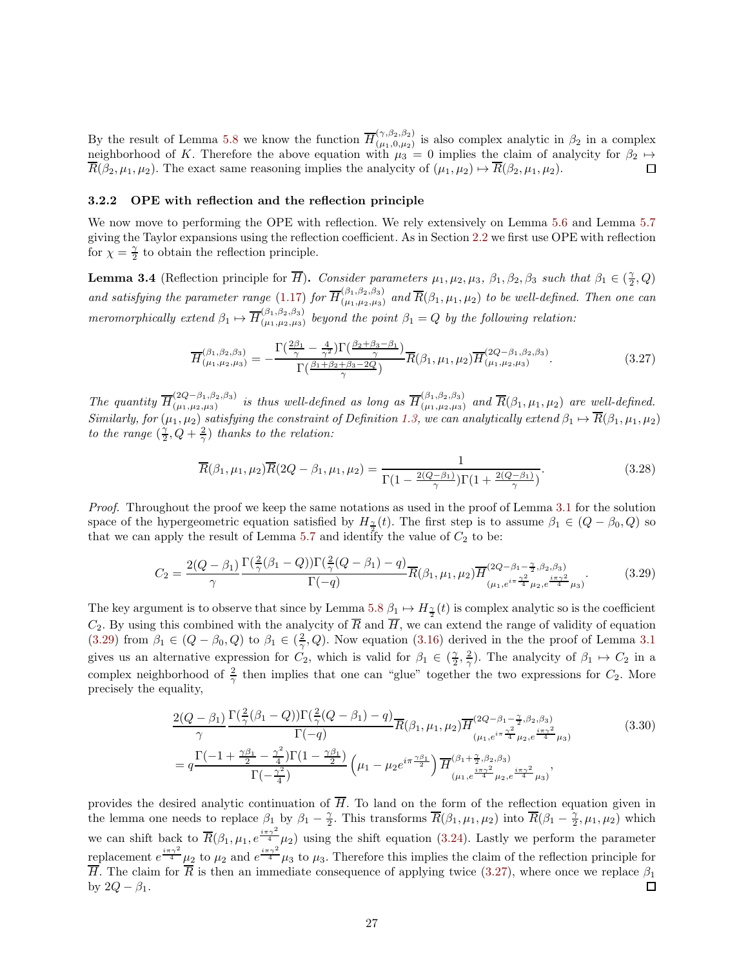By the result of Lemma [5.8](#page-52-0) we know the function  $\overline{H}^{(\gamma,\beta_2,\beta_2)}_{(\mu_1,0,\mu_2)}$  $(\mu_1, \mu_2, \mu_2)$  is also complex analytic in  $\beta_2$  in a complex neighborhood of K. Therefore the above equation with  $\mu_3 = 0$  implies the claim of analycity for  $\beta_2 \mapsto \overline{R}(\beta_2, \mu_1, \mu_2)$ . The exact same reasoning implies the analycity of  $(\mu_1, \mu_2) \mapsto \overline{R}(\beta_2, \mu_1, \mu_2)$ .  $\overline{R}(\beta_2, \mu_1, \mu_2)$ . The exact same reasoning implies the analycity of  $(\mu_1, \mu_2) \mapsto \overline{R}(\beta_2, \mu_1, \mu_2)$ .

## 3.2.2 OPE with reflection and the reflection principle

We now move to performing the OPE with reflection. We rely extensively on Lemma [5.6](#page-46-1) and Lemma [5.7](#page-50-0) giving the Taylor expansions using the reflection coefficient. As in Section [2.2](#page-19-0) we first use OPE with reflection for  $\chi = \frac{\gamma}{2}$  to obtain the reflection principle.

<span id="page-26-3"></span>**Lemma 3.4** (Reflection principle for  $\overline{H}$ ). *Consider parameters*  $\mu_1, \mu_2, \mu_3, \beta_1, \beta_2, \beta_3$  *such that*  $\beta_1 \in (\frac{\gamma}{2}, Q)$ and satisfying the parameter range [\(1.17\)](#page-5-3) for  $\overline{H}^{(\beta_1,\beta_2,\beta_3)}_{(\mu_1,\mu_2,\mu_3)}$  and  $\overline{R}(\beta_1,\mu_1,\mu_2)$  to be well-defined. Then one can *meromorphically extend*  $\beta_1 \mapsto \overline{H}_{(\mu_1,\mu_2,\mu_3)}^{(\beta_1,\beta_2,\beta_3)}$  $\binom{(p_1,p_2,p_3)}{(p_1,p_2,p_3)}$  beyond the point  $\beta_1 = Q$  by the following relation:

<span id="page-26-1"></span>
$$
\overline{H}^{(\beta_1, \beta_2, \beta_3)}_{(\mu_1, \mu_2, \mu_3)} = -\frac{\Gamma(\frac{2\beta_1}{\gamma} - \frac{4}{\gamma^2})\Gamma(\frac{\beta_2 + \beta_3 - \beta_1}{\gamma})}{\Gamma(\frac{\beta_1 + \beta_2 + \beta_3 - 2Q}{\gamma})}\overline{R}(\beta_1, \mu_1, \mu_2)\overline{H}^{(2Q - \beta_1, \beta_2, \beta_3)}_{(\mu_1, \mu_2, \mu_3)}.
$$
(3.27)

*The quantity*  $\overline{H}^{(2Q-\beta_1,\beta_2,\beta_3)}_{(\mu_1,\mu_2,\mu_3)}$  *is thus well-defined as long as*  $\overline{H}^{(\beta_1,\beta_2,\beta_3)}_{(\mu_1,\mu_2,\mu_3)}$  *and*  $\overline{R}(\beta_1,\mu_1,\mu_2)$  *are well-defined. Similarly, for*  $(\mu_1, \mu_2)$  *satisfying the constraint of Definition [1.3,](#page-4-1) we can analytically extend*  $\beta_1 \mapsto R(\beta_1, \mu_1, \mu_2)$ *to the range*  $(\frac{\gamma}{2}, Q + \frac{2}{\gamma})$  *thanks to the relation:* 

<span id="page-26-2"></span>
$$
\overline{R}(\beta_1, \mu_1, \mu_2) \overline{R}(2Q - \beta_1, \mu_1, \mu_2) = \frac{1}{\Gamma(1 - \frac{2(Q - \beta_1)}{\gamma})\Gamma(1 + \frac{2(Q - \beta_1)}{\gamma})}.
$$
\n(3.28)

*Proof.* Throughout the proof we keep the same notations as used in the proof of Lemma [3.1](#page-22-3) for the solution space of the hypergeometric equation satisfied by  $H_{\frac{\gamma}{2}}(t)$ . The first step is to assume  $\beta_1 \in (Q - \beta_0, Q)$  so that we can apply the result of Lemma [5.7](#page-50-0) and identify the value of  $C_2$  to be:

<span id="page-26-0"></span>
$$
C_2 = \frac{2(Q - \beta_1)}{\gamma} \frac{\Gamma(\frac{2}{\gamma}(\beta_1 - Q))\Gamma(\frac{2}{\gamma}(Q - \beta_1) - q)}{\Gamma(-q)} \overline{R}(\beta_1, \mu_1, \mu_2) \overline{H}^{(2Q - \beta_1 - \frac{\gamma}{2}, \beta_2, \beta_3)}_{(\mu_1, e^{i\pi} \frac{\gamma^2}{4} \mu_2, e^{\frac{i\pi \gamma^2}{4}} \mu_3)}.
$$
(3.29)

The key argument is to observe that since by Lemma [5.8](#page-52-0)  $\beta_1 \mapsto H_{\frac{\gamma}{2}}(t)$  is complex analytic so is the coefficient  $C_2$ . By using this combined with the analycity of  $\overline{R}$  and  $\overline{H}$ , we can extend the range of validity of equation [\(3.29\)](#page-26-0) from  $\beta_1 \in (Q - \beta_0, Q)$  to  $\beta_1 \in (\frac{2}{\gamma}, Q)$ . Now equation [\(3.16\)](#page-23-3) derived in the the proof of Lemma [3.1](#page-22-3) gives us an alternative expression for  $C_2$ , which is valid for  $\beta_1 \in (\frac{2}{2}, \frac{2}{\gamma})$ . The analycity of  $\beta_1 \mapsto C_2$  in a complex neighborhood of  $\frac{2}{\gamma}$  then implies that one can "glue" together the two expressions for  $C_2$ . More precisely the equality,

$$
\frac{2(Q-\beta_{1})}{\gamma} \frac{\Gamma(\frac{2}{\gamma}(\beta_{1}-Q))\Gamma(\frac{2}{\gamma}(Q-\beta_{1})-q)}{\Gamma(-q)} \overline{R}(\beta_{1},\mu_{1},\mu_{2}) \overline{H}^{(2Q-\beta_{1}-\frac{\gamma}{2},\beta_{2},\beta_{3})}_{(\mu_{1},e^{i\pi}\frac{\gamma^{2}}{4}\mu_{2},e^{\frac{i\pi\gamma^{2}}{4}}\mu_{3})}
$$
(3.30)  

$$
= q \frac{\Gamma(-1+\frac{\gamma\beta_{1}}{2}-\frac{\gamma^{2}}{4})\Gamma(1-\frac{\gamma\beta_{1}}{2})}{\Gamma(-\frac{\gamma^{2}}{4})} \left(\mu_{1}-\mu_{2}e^{i\pi\frac{\gamma\beta_{1}}{2}}\right) \overline{H}^{(\beta_{1}+\frac{\gamma}{2},\beta_{2},\beta_{3})}_{(\mu_{1},e^{\frac{i\pi\gamma^{2}}{4}\mu_{2},e^{\frac{i\pi\gamma^{2}}{4}}\mu_{3})}},
$$

provides the desired analytic continuation of  $\overline{H}$ . To land on the form of the reflection equation given in the lemma one needs to replace  $\beta_1$  by  $\beta_1 - \frac{\gamma}{2}$ . This transforms  $\overline{R}(\beta_1, \mu_1, \mu_2)$  into  $\overline{R}(\beta_1 - \frac{\gamma}{2}, \mu_1, \mu_2)$  which we can shift back to  $\overline{R}(\beta_1,\mu_1,e^{\frac{i\pi\gamma^2}{4}}\mu_2)$  using the shift equation [\(3.24\)](#page-25-1). Lastly we perform the parameter replacement  $e^{\frac{i\pi\gamma^2}{4}}\mu_2$  to  $\mu_2$  and  $e^{\frac{i\pi\gamma^2}{4}}\mu_3$  to  $\mu_3$ . Therefore this implies the claim of the reflection principle for  $\overline{H}$ . The claim for  $\overline{R}$  is then an immediate consequence of applying twice [\(3.27\)](#page-26-1), where once we replace  $\beta_1$ by  $2Q - \beta_1$ . □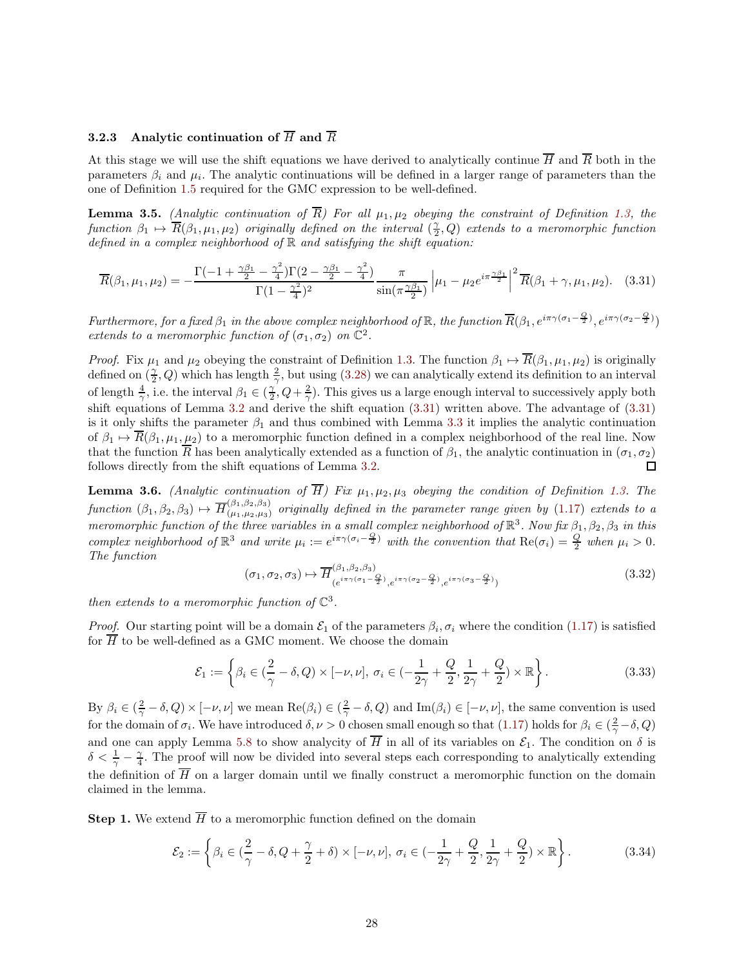# 3.2.3 Analytic continuation of  $\overline{H}$  and  $\overline{R}$

At this stage we will use the shift equations we have derived to analytically continue  $\overline{H}$  and  $\overline{R}$  both in the parameters  $\beta_i$  and  $\mu_i$ . The analytic continuations will be defined in a larger range of parameters than the one of Definition [1.5](#page-5-1) required for the GMC expression to be well-defined.

**Lemma 3.5.** *(Analytic continuation of*  $\overline{R}$ *)* For all  $\mu_1, \mu_2$  *obeying the constraint of Definition [1.3,](#page-4-1) the*  $function \beta_1 \mapsto \overline{R}(\beta_1, \mu_1, \mu_2)$  *originally defined on the interval*  $(\frac{\gamma}{2}, Q)$  *extends to a meromorphic function defined in a complex neighborhood of* R *and satisfying the shift equation:*

<span id="page-27-0"></span>
$$
\overline{R}(\beta_1, \mu_1, \mu_2) = -\frac{\Gamma(-1 + \frac{\gamma \beta_1}{2} - \frac{\gamma^2}{4})\Gamma(2 - \frac{\gamma \beta_1}{2} - \frac{\gamma^2}{4})}{\Gamma(1 - \frac{\gamma^2}{4})^2} \frac{\pi}{\sin(\pi \frac{\gamma \beta_1}{2})} \left| \mu_1 - \mu_2 e^{i\pi \frac{\gamma \beta_1}{2}} \right|^2 \overline{R}(\beta_1 + \gamma, \mu_1, \mu_2). \tag{3.31}
$$

*Furthermore, for a fixed*  $\beta_1$  *in the above complex neighborhood of* R, *the function*  $\overline{R}(\beta_1, e^{i\pi\gamma(\sigma_1-\frac{Q}{2})}, e^{i\pi\gamma(\sigma_2-\frac{Q}{2})})$ *extends to a meromorphic function of*  $(\sigma_1, \sigma_2)$  *on*  $\mathbb{C}^2$ *.* 

*Proof.* Fix  $\mu_1$  and  $\mu_2$  obeying the constraint of Definition [1.3.](#page-4-1) The function  $\beta_1 \mapsto \overline{R}(\beta_1, \mu_1, \mu_2)$  is originally defined on  $(\frac{\gamma}{2}, Q)$  which has length  $\frac{2}{\gamma}$ , but using [\(3.28\)](#page-26-2) we can analytically extend its definition to an interval of length  $\frac{4}{\gamma}$ , i.e. the interval  $\beta_1 \in (\frac{\gamma}{2}, Q + \frac{2}{\gamma})$ . This gives us a large enough interval to successively apply both shift equations of Lemma [3.2](#page-24-1) and derive the shift equation [\(3.31\)](#page-27-0) written above. The advantage of [\(3.31\)](#page-27-0) is it only shifts the parameter  $\beta_1$  and thus combined with Lemma [3.3](#page-25-2) it implies the analytic continuation of  $\beta_1 \mapsto \overline{R}(\beta_1, \mu_1, \mu_2)$  to a meromorphic function defined in a complex neighborhood of the real line. Now that the function  $\overline{R}$  has been analytically extended as a function of  $\beta_1$ , the analytic continuation in  $(\sigma_1, \sigma_2)$ follows directly from the shift equations of Lemma [3.2.](#page-24-1) □

<span id="page-27-1"></span>**Lemma 3.6.** *(Analytic continuation of*  $\overline{H}$ *)* Fix  $\mu_1, \mu_2, \mu_3$  *obeying the condition of Definition [1.3.](#page-4-1)* The  $function (\beta_1, \beta_2, \beta_3) \mapsto \overline{H}_{(\mu_1, \mu_2, \mu_3)}^{(\beta_1, \beta_2, \beta_3)}$  *originally defined in the parameter range given by* [\(1.17\)](#page-5-3) *extends to a meromorphic function of the three variables in a small complex neighborhood of*  $\mathbb{R}^3$ . Now fix  $\beta_1, \beta_2, \beta_3$  *in this complex neighborhood of*  $\mathbb{R}^3$  *and write*  $\mu_i := e^{i\pi \gamma (\sigma_i - \frac{Q}{2})}$  *with the convention that*  $\text{Re}(\sigma_i) = \frac{Q}{2}$  *when*  $\mu_i > 0$ *. The function*

$$
(\sigma_1, \sigma_2, \sigma_3) \mapsto \overline{H}_{(e^{i\pi\gamma(\sigma_1 - \frac{Q}{2})}, e^{i\pi\gamma(\sigma_2 - \frac{Q}{2})}, e^{i\pi\gamma(\sigma_3 - \frac{Q}{2})})}^{(\beta, \beta, 32)}
$$

*then extends to a meromorphic function of*  $\mathbb{C}^3$ .

*Proof.* Our starting point will be a domain  $\mathcal{E}_1$  of the parameters  $\beta_i$ ,  $\sigma_i$  where the condition [\(1.17\)](#page-5-3) is satisfied for  $\overline{H}$  to be well-defined as a GMC moment. We choose the domain

$$
\mathcal{E}_1 := \left\{ \beta_i \in \left( \frac{2}{\gamma} - \delta, Q \right) \times [-\nu, \nu], \ \sigma_i \in \left( -\frac{1}{2\gamma} + \frac{Q}{2}, \frac{1}{2\gamma} + \frac{Q}{2} \right) \times \mathbb{R} \right\}.
$$

By  $\beta_i \in (\frac{2}{\gamma} - \delta, Q) \times [-\nu, \nu]$  we mean  $\text{Re}(\beta_i) \in (\frac{2}{\gamma} - \delta, Q)$  and  $\text{Im}(\beta_i) \in [-\nu, \nu]$ , the same convention is used for the domain of  $\sigma_i$ . We have introduced  $\delta, \nu > 0$  chosen small enough so that  $(1.17)$  holds for  $\beta_i \in (\frac{2}{\gamma} - \delta, Q)$ and one can apply Lemma [5.8](#page-52-0) to show analycity of  $\overline{H}$  in all of its variables on  $\mathcal{E}_1$ . The condition on  $\delta$  is  $\delta < \frac{1}{\gamma} - \frac{\gamma}{4}$ . The proof will now be divided into several steps each corresponding to analytically extending the definition of  $\overline{H}$  on a larger domain until we finally construct a meromorphic function on the domain claimed in the lemma.

**Step 1.** We extend  $\overline{H}$  to a meromorphic function defined on the domain

$$
\mathcal{E}_2 := \left\{ \beta_i \in \left( \frac{2}{\gamma} - \delta, Q + \frac{\gamma}{2} + \delta \right) \times [-\nu, \nu], \ \sigma_i \in \left( -\frac{1}{2\gamma} + \frac{Q}{2}, \frac{1}{2\gamma} + \frac{Q}{2} \right) \times \mathbb{R} \right\}.
$$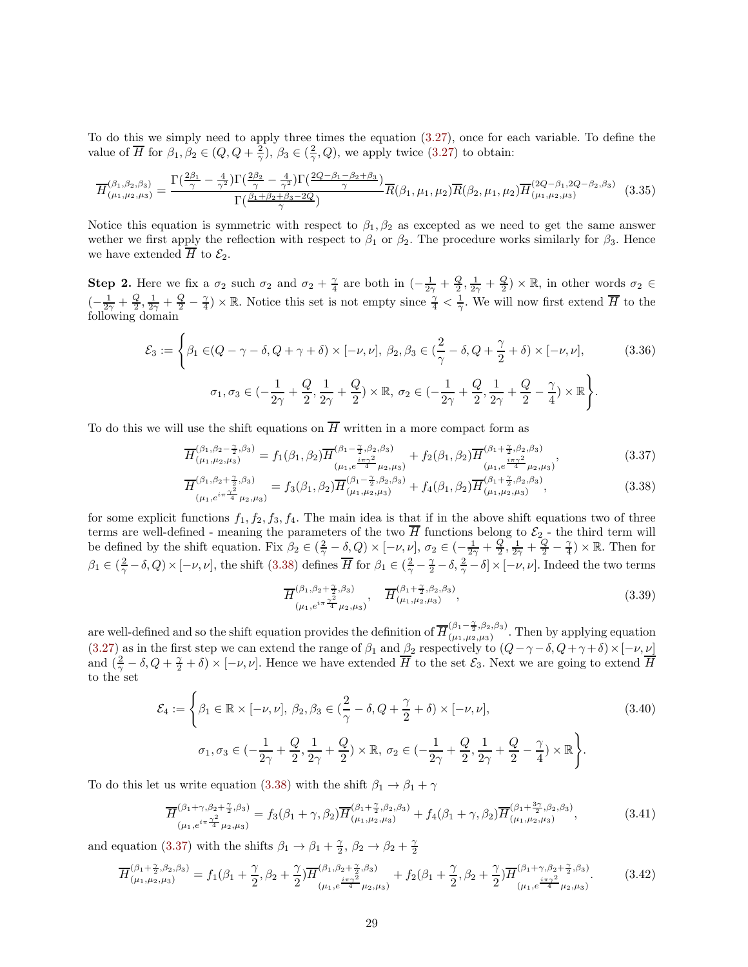To do this we simply need to apply three times the equation [\(3.27\)](#page-26-1), once for each variable. To define the value of  $\overline{H}$  for  $\beta_1, \beta_2 \in (Q, Q + \frac{2}{\gamma}), \beta_3 \in (\frac{2}{\gamma}, Q)$ , we apply twice  $(3.27)$  to obtain:

$$
\overline{H}^{(\beta_1, \beta_2, \beta_3)}_{(\mu_1, \mu_2, \mu_3)} = \frac{\Gamma(\frac{2\beta_1}{\gamma} - \frac{4}{\gamma^2})\Gamma(\frac{2\beta_2}{\gamma} - \frac{4}{\gamma^2})\Gamma(\frac{2Q - \beta_1 - \beta_2 + \beta_3}{\gamma})}{\Gamma(\frac{\beta_1 + \beta_2 + \beta_3 - 2Q}{\gamma})}\overline{R}(\beta_1, \mu_1, \mu_2)\overline{R}(\beta_2, \mu_1, \mu_2)\overline{H}^{(2Q - \beta_1, 2Q - \beta_2, \beta_3)}_{(\mu_1, \mu_2, \mu_3)} \tag{3.35}
$$

Notice this equation is symmetric with respect to  $\beta_1, \beta_2$  as excepted as we need to get the same answer wether we first apply the reflection with respect to  $\beta_1$  or  $\beta_2$ . The procedure works similarly for  $\beta_3$ . Hence we have extended  $\overline{H}$  to  $\mathcal{E}_2$ .

**Step 2.** Here we fix a  $\sigma_2$  such  $\sigma_2$  and  $\sigma_2 + \frac{\gamma}{4}$  are both in  $\left(-\frac{1}{2\gamma} + \frac{Q}{2}, \frac{1}{2\gamma} + \frac{Q}{2}\right) \times \mathbb{R}$ , in other words  $\sigma_2 \in$  $\left(-\frac{1}{2\gamma}+\frac{Q}{2},\frac{1}{2\gamma}+\frac{Q}{2}-\frac{\gamma}{4}\right)\times\mathbb{R}$ . Notice this set is not empty since  $\frac{\gamma}{4}<\frac{1}{\gamma}$ . We will now first extend  $\overline{H}$  to the following domain

$$
\mathcal{E}_3 := \left\{ \beta_1 \in (Q - \gamma - \delta, Q + \gamma + \delta) \times [-\nu, \nu], \ \beta_2, \beta_3 \in \left(\frac{2}{\gamma} - \delta, Q + \frac{\gamma}{2} + \delta\right) \times [-\nu, \nu], \right\}
$$
\n
$$
\sigma_1, \sigma_3 \in \left(-\frac{1}{2\gamma} + \frac{Q}{2}, \frac{1}{2\gamma} + \frac{Q}{2}\right) \times \mathbb{R}, \ \sigma_2 \in \left(-\frac{1}{2\gamma} + \frac{Q}{2}, \frac{1}{2\gamma} + \frac{Q}{2} - \frac{\gamma}{4}\right) \times \mathbb{R} \right\}.
$$
\n(3.36)

To do this we will use the shift equations on  $\overline{H}$  written in a more compact form as

$$
\overline{H}^{(\beta_1, \beta_2 - \frac{\gamma}{2}, \beta_3)}_{(\mu_1, \mu_2, \mu_3)} = f_1(\beta_1, \beta_2) \overline{H}^{(\beta_1 - \frac{\gamma}{2}, \beta_2, \beta_3)}_{(\mu_1, e^{\frac{i\pi\gamma^2}{4}}\mu_2, \mu_3)} + f_2(\beta_1, \beta_2) \overline{H}^{(\beta_1 + \frac{\gamma}{2}, \beta_2, \beta_3)}_{(\mu_1, e^{\frac{i\pi\gamma^2}{4}}\mu_2, \mu_3)},
$$
\n(3.37)

$$
\overline{H}^{(\beta_1, \beta_2 + \frac{\gamma}{2}, \beta_3)}_{(\mu_1, e^{i\pi \frac{\gamma^2}{4}} \mu_2, \mu_3)} = f_3(\beta_1, \beta_2) \overline{H}^{(\beta_1 - \frac{\gamma}{2}, \beta_2, \beta_3)}_{(\mu_1, \mu_2, \mu_3)} + f_4(\beta_1, \beta_2) \overline{H}^{(\beta_1 + \frac{\gamma}{2}, \beta_2, \beta_3)}_{(\mu_1, \mu_2, \mu_3)},
$$
\n(3.38)

for some explicit functions  $f_1, f_2, f_3, f_4$ . The main idea is that if in the above shift equations two of three terms are well-defined - meaning the parameters of the two H functions belong to  $\mathcal{E}_2$  - the third term will be defined by the shift equation. Fix  $\beta_2 \in (\frac{2}{\gamma} - \delta, Q) \times [-\nu, \nu], \sigma_2 \in (-\frac{1}{2\gamma} + \frac{Q}{2}, \frac{1}{2\gamma} + \frac{Q}{2} - \frac{\gamma}{4}) \times \mathbb{R}$ . Then for  $\beta_1 \in (\frac{2}{\gamma} - \delta, Q) \times [-\nu, \nu]$ , the shift [\(3.38\)](#page-28-0) defines  $\overline{H}$  for  $\beta_1 \in (\frac{2}{\gamma} - \frac{\gamma}{2} - \delta, \frac{2}{\gamma} - \delta] \times [-\nu, \nu]$ . Indeed the two terms

<span id="page-28-3"></span><span id="page-28-2"></span><span id="page-28-1"></span><span id="page-28-0"></span>
$$
\overline{H}^{(\beta_1, \beta_2 + \frac{\gamma}{2}, \beta_3)}_{(\mu_1, e^{i\pi \frac{\gamma^2}{4}} \mu_2, \mu_3)}, \quad \overline{H}^{(\beta_1 + \frac{\gamma}{2}, \beta_2, \beta_3)}_{(\mu_1, \mu_2, \mu_3)},
$$
\n(3.39)

are well-defined and so the shift equation provides the definition of  $\overline{H}_{(\mu_1,\mu_2,\mu_3)}^{(\beta_1-\frac{\gamma}{2},\beta_2,\beta_3)}$  $(\mu_1, \mu_2, \mu_3)$ . Then by applying equation [\(3.27\)](#page-26-1) as in the first step we can extend the range of  $\beta_1$  and  $\beta_2$  respectively to  $(Q-\gamma-\delta, Q+\gamma+\delta) \times [-\nu, \nu]$ and  $(\frac{2}{\gamma}-\delta, Q+\frac{\gamma}{2}+\delta) \times [-\nu, \nu]$ . Hence we have extended  $\overline{H}$  to the set  $\mathcal{E}_3$ . Next we are going to extend  $\overline{H}$ to the set

$$
\mathcal{E}_4 := \left\{ \beta_1 \in \mathbb{R} \times [-\nu, \nu], \ \beta_2, \beta_3 \in \left(\frac{2}{\gamma} - \delta, Q + \frac{\gamma}{2} + \delta\right) \times [-\nu, \nu], \right\}
$$
\n
$$
\sigma_1, \sigma_3 \in \left(-\frac{1}{2\gamma} + \frac{Q}{2}, \frac{1}{2\gamma} + \frac{Q}{2}\right) \times \mathbb{R}, \ \sigma_2 \in \left(-\frac{1}{2\gamma} + \frac{Q}{2}, \frac{1}{2\gamma} + \frac{Q}{2} - \frac{\gamma}{4}\right) \times \mathbb{R} \right\}.
$$
\n(3.40)

To do this let us write equation [\(3.38\)](#page-28-0) with the shift  $\beta_1 \rightarrow \beta_1 + \gamma$ 

$$
\overline{H}^{(\beta_1+\gamma,\beta_2+\frac{\gamma}{2},\beta_3)}_{(\mu_1,e^{i\pi\frac{\gamma^2}{4}}\mu_2,\mu_3)} = f_3(\beta_1+\gamma,\beta_2)\overline{H}^{(\beta_1+\frac{\gamma}{2},\beta_2,\beta_3)}_{(\mu_1,\mu_2,\mu_3)} + f_4(\beta_1+\gamma,\beta_2)\overline{H}^{(\beta_1+\frac{3\gamma}{2},\beta_2,\beta_3)}_{(\mu_1,\mu_2,\mu_3)},
$$
(3.41)

and equation [\(3.37\)](#page-28-1) with the shifts  $\beta_1 \rightarrow \beta_1 + \frac{\gamma}{2}, \beta_2 \rightarrow \beta_2 + \frac{\gamma}{2}$ 

$$
\overline{H}^{(\beta_1 + \frac{\gamma}{2}, \beta_2, \beta_3)}_{(\mu_1, \mu_2, \mu_3)} = f_1(\beta_1 + \frac{\gamma}{2}, \beta_2 + \frac{\gamma}{2}) \overline{H}^{(\beta_1, \beta_2 + \frac{\gamma}{2}, \beta_3)}_{(\mu_1, e^{\frac{i\pi\gamma^2}{4}}\mu_2, \mu_3)} + f_2(\beta_1 + \frac{\gamma}{2}, \beta_2 + \frac{\gamma}{2}) \overline{H}^{(\beta_1 + \gamma, \beta_2 + \frac{\gamma}{2}, \beta_3)}_{(\mu_1, e^{\frac{i\pi\gamma^2}{4}}\mu_2, \mu_3)}.
$$
(3.42)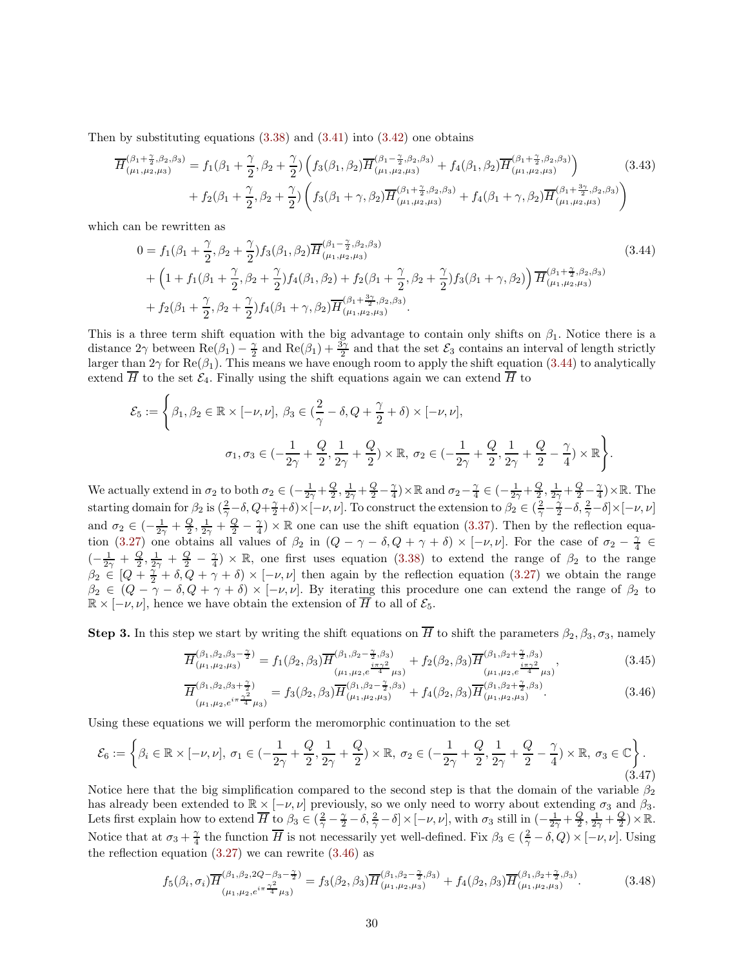Then by substituting equations  $(3.38)$  and  $(3.41)$  into  $(3.42)$  one obtains

$$
\overline{H}^{(\beta_1 + \frac{\gamma}{2}, \beta_2, \beta_3)}_{(\mu_1, \mu_2, \mu_3)} = f_1(\beta_1 + \frac{\gamma}{2}, \beta_2 + \frac{\gamma}{2}) \left( f_3(\beta_1, \beta_2) \overline{H}^{(\beta_1 - \frac{\gamma}{2}, \beta_2, \beta_3)}_{(\mu_1, \mu_2, \mu_3)} + f_4(\beta_1, \beta_2) \overline{H}^{(\beta_1 + \frac{\gamma}{2}, \beta_2, \beta_3)}_{(\mu_1, \mu_2, \mu_3)} \right) \n+ f_2(\beta_1 + \frac{\gamma}{2}, \beta_2 + \frac{\gamma}{2}) \left( f_3(\beta_1 + \gamma, \beta_2) \overline{H}^{(\beta_1 + \frac{\gamma}{2}, \beta_2, \beta_3)}_{(\mu_1, \mu_2, \mu_3)} + f_4(\beta_1 + \gamma, \beta_2) \overline{H}^{(\beta_1 + \frac{3\gamma}{2}, \beta_2, \beta_3)}_{(\mu_1, \mu_2, \mu_3)} \right)
$$
\n(3.43)

which can be rewritten as

<span id="page-29-0"></span>
$$
0 = f_1(\beta_1 + \frac{\gamma}{2}, \beta_2 + \frac{\gamma}{2}) f_3(\beta_1, \beta_2) \overline{H}_{(\mu_1, \mu_2, \mu_3)}^{(\beta_1 - \frac{\gamma}{2}, \beta_2, \beta_3)} + \left(1 + f_1(\beta_1 + \frac{\gamma}{2}, \beta_2 + \frac{\gamma}{2}) f_4(\beta_1, \beta_2) + f_2(\beta_1 + \frac{\gamma}{2}, \beta_2 + \frac{\gamma}{2}) f_3(\beta_1 + \gamma, \beta_2) \right) \overline{H}_{(\mu_1, \mu_2, \mu_3)}^{(\beta_1 + \frac{\gamma}{2}, \beta_2, \beta_3)} + f_2(\beta_1 + \frac{\gamma}{2}, \beta_2 + \frac{\gamma}{2}) f_4(\beta_1 + \gamma, \beta_2) \overline{H}_{(\mu_1, \mu_2, \mu_3)}^{(\beta_1 + \frac{3\gamma}{2}, \beta_2, \beta_3)}.
$$
\n(3.44)

This is a three term shift equation with the big advantage to contain only shifts on  $\beta_1$ . Notice there is a distance  $2\gamma$  between  $\text{Re}(\beta_1) - \frac{\gamma}{2}$  and  $\text{Re}(\beta_1) + \frac{3\gamma}{2}$  and that the set  $\mathcal{E}_3$  contains an interval of length strictly larger than  $2\gamma$  for Re( $\beta_1$ ). This means we have enough room to apply the shift equation [\(3.44\)](#page-29-0) to analytically extend  $\overline{H}$  to the set  $\mathcal{E}_4$ . Finally using the shift equations again we can extend  $\overline{H}$  to

$$
\mathcal{E}_5 := \Bigg\{\beta_1, \beta_2 \in \mathbb{R} \times [-\nu, \nu], \ \beta_3 \in \left(\frac{2}{\gamma} - \delta, Q + \frac{\gamma}{2} + \delta\right) \times [-\nu, \nu],
$$
  

$$
\sigma_1, \sigma_3 \in \left(-\frac{1}{2\gamma} + \frac{Q}{2}, \frac{1}{2\gamma} + \frac{Q}{2}\right) \times \mathbb{R}, \ \sigma_2 \in \left(-\frac{1}{2\gamma} + \frac{Q}{2}, \frac{1}{2\gamma} + \frac{Q}{2} - \frac{\gamma}{4}\right) \times \mathbb{R}\Bigg\}.
$$

We actually extend in  $\sigma_2$  to both  $\sigma_2 \in \left(-\frac{1}{2\gamma} + \frac{Q}{2}, \frac{1}{2\gamma} + \frac{Q}{2} - \frac{\gamma}{4}\right) \times \mathbb{R}$  and  $\sigma_2 - \frac{\gamma}{4} \in \left(-\frac{1}{2\gamma} + \frac{Q}{2}, \frac{1}{2\gamma} + \frac{Q}{2} - \frac{\gamma}{4}\right) \times \mathbb{R}$ . The starting domain for  $\beta_2$  is  $(\frac{2}{\gamma}-\delta, Q+\frac{\gamma}{2}+\delta)\times[-\nu, \nu]$ . To construct the extension to  $\beta_2 \in (\frac{2}{\gamma}-\frac{\gamma}{2}-\delta, \frac{2}{\gamma}-\delta]\times[-\nu, \nu]$ and  $\sigma_2 \in \left(-\frac{1}{2\gamma} + \frac{Q}{2}, \frac{1}{2\gamma} + \frac{Q}{2} - \frac{\gamma}{4}\right) \times \mathbb{R}$  one can use the shift equation [\(3.37\)](#page-28-1). Then by the reflection equa-tion [\(3.27\)](#page-26-1) one obtains all values of  $\beta_2$  in  $(Q - \gamma - \delta, Q + \gamma + \delta) \times [-\nu, \nu]$ . For the case of  $\sigma_2 - \frac{\gamma}{4} \in$  $\left(-\frac{1}{2\gamma}+\frac{Q}{2},\frac{1}{2\gamma}+\frac{Q}{2}-\frac{\gamma}{4}\right)\times\mathbb{R}$ , one first uses equation [\(3.38\)](#page-28-0) to extend the range of  $\beta_2$  to the range  $\beta_2 \in [Q + \frac{\gamma}{2} + \delta, Q + \gamma + \delta] \times [-\nu, \nu]$  then again by the reflection equation [\(3.27\)](#page-26-1) we obtain the range  $\beta_2 \in (Q - \gamma - \delta, Q + \gamma + \delta) \times [-\nu, \nu]$ . By iterating this procedure one can extend the range of  $\beta_2$  to  $\mathbb{R} \times [-\nu, \nu]$ , hence we have obtain the extension of  $\overline{H}$  to all of  $\mathcal{E}_5$ .

**Step 3.** In this step we start by writing the shift equations on  $\overline{H}$  to shift the parameters  $\beta_2, \beta_3, \sigma_3$ , namely

<span id="page-29-3"></span>
$$
\overline{H}^{(\beta_1, \beta_2, \beta_3 - \frac{\gamma}{2})}_{(\mu_1, \mu_2, \mu_3)} = f_1(\beta_2, \beta_3) \overline{H}^{(\beta_1, \beta_2 - \frac{\gamma}{2}, \beta_3)}_{(\mu_1, \mu_2, e^{\frac{i\pi\gamma^2}{4}}\mu_3)} + f_2(\beta_2, \beta_3) \overline{H}^{(\beta_1, \beta_2 + \frac{\gamma}{2}, \beta_3)}_{(\mu_1, \mu_2, e^{\frac{i\pi\gamma^2}{4}}\mu_3)},
$$
\n(3.45)

<span id="page-29-1"></span>
$$
\overline{H}^{(\beta_1, \beta_2, \beta_3 + \frac{\gamma}{2})}_{(\mu_1, \mu_2, e^{i\pi \frac{\gamma^2}{4}} \mu_3)} = f_3(\beta_2, \beta_3) \overline{H}^{(\beta_1, \beta_2 - \frac{\gamma}{2}, \beta_3)}_{(\mu_1, \mu_2, \mu_3)} + f_4(\beta_2, \beta_3) \overline{H}^{(\beta_1, \beta_2 + \frac{\gamma}{2}, \beta_3)}_{(\mu_1, \mu_2, \mu_3)}.
$$
\n(3.46)

Using these equations we will perform the meromorphic continuation to the set

$$
\mathcal{E}_6 := \left\{ \beta_i \in \mathbb{R} \times [-\nu, \nu], \ \sigma_1 \in \left( -\frac{1}{2\gamma} + \frac{Q}{2}, \frac{1}{2\gamma} + \frac{Q}{2} \right) \times \mathbb{R}, \ \sigma_2 \in \left( -\frac{1}{2\gamma} + \frac{Q}{2}, \frac{1}{2\gamma} + \frac{Q}{2} - \frac{\gamma}{4} \right) \times \mathbb{R}, \ \sigma_3 \in \mathbb{C} \right\}.
$$
\n
$$
(3.47)
$$

Notice here that the big simplification compared to the second step is that the domain of the variable  $\beta_2$ has already been extended to  $\mathbb{R} \times [-\nu, \nu]$  previously, so we only need to worry about extending  $\sigma_3$  and  $\beta_3$ . Lets first explain how to extend  $\overline{H}$  to  $\beta_3 \in (\frac{2}{\gamma} - \frac{\gamma}{2} - \delta, \frac{2}{\gamma} - \delta] \times [-\nu, \nu]$ , with  $\sigma_3$  still in  $\left(-\frac{1}{2\gamma} + \frac{Q}{2}, \frac{1}{2\gamma} + \frac{Q}{2}\right) \times \mathbb{R}$ . Notice that at  $\sigma_3 + \frac{\gamma}{4}$  the function  $\overline{H}$  is not necessarily yet well-defined. Fix  $\beta_3 \in (\frac{2}{\gamma} - \delta, Q) \times [-\nu, \nu]$ . Using the reflection equation  $(3.27)$  we can rewrite  $(3.46)$  as

<span id="page-29-2"></span>
$$
f_5(\beta_i, \sigma_i) \overline{H}^{(\beta_1, \beta_2, 2Q - \beta_3 - \frac{\gamma}{2})}_{(\mu_1, \mu_2, e^{i\pi \frac{\gamma^2}{4}} \mu_3)} = f_3(\beta_2, \beta_3) \overline{H}^{(\beta_1, \beta_2 - \frac{\gamma}{2}, \beta_3)}_{(\mu_1, \mu_2, \mu_3)} + f_4(\beta_2, \beta_3) \overline{H}^{(\beta_1, \beta_2 + \frac{\gamma}{2}, \beta_3)}_{(\mu_1, \mu_2, \mu_3)}.
$$
(3.48)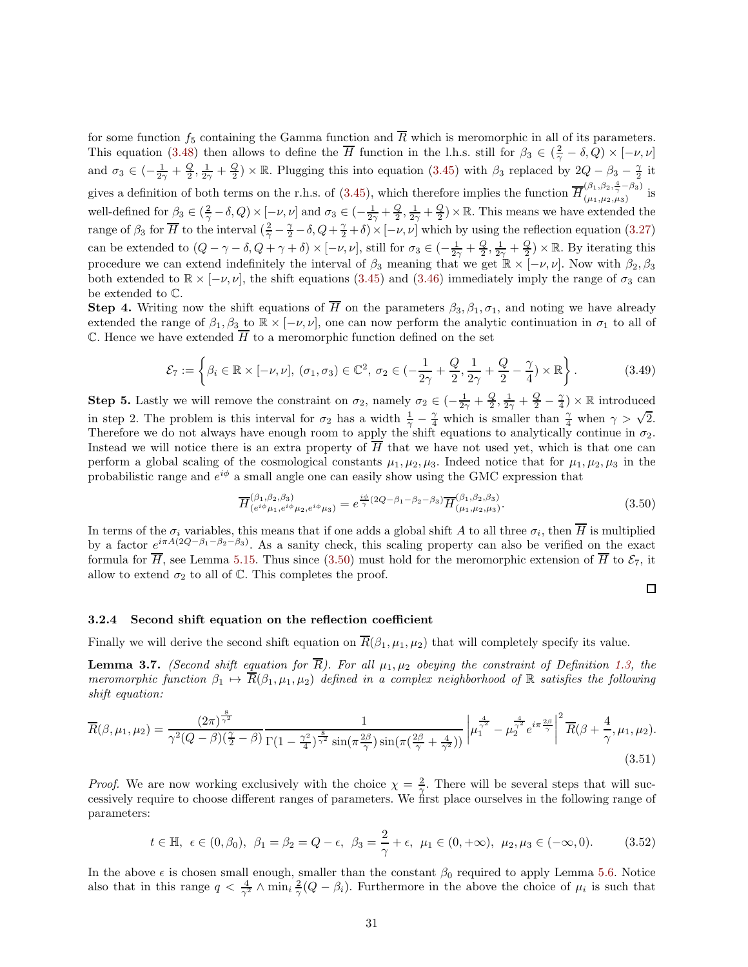for some function  $f_5$  containing the Gamma function and  $\overline{R}$  which is meromorphic in all of its parameters. This equation [\(3.48\)](#page-29-2) then allows to define the  $\overline{H}$  function in the l.h.s. still for  $\beta_3 \in (\frac{2}{\gamma} - \delta, Q) \times [-\nu, \nu]$ and  $\sigma_3 \in \left(-\frac{1}{2\gamma} + \frac{Q}{2}, \frac{1}{2\gamma} + \frac{Q}{2}\right) \times \mathbb{R}$ . Plugging this into equation [\(3.45\)](#page-29-3) with  $\beta_3$  replaced by  $2Q - \beta_3 - \frac{\gamma}{2}$  it gives a definition of both terms on the r.h.s. of [\(3.45\)](#page-29-3), which therefore implies the function  $\overline{H}_{(\mu_1,\mu_2,\mu_3)}^{(\beta_1,\beta_2,\frac{4}{\gamma}-\beta_3)}$  $(\mu_1, \mu_2, \mu_3)$  is well-defined for  $\beta_3 \in (\frac{2}{\gamma} - \delta, Q) \times [-\nu, \nu]$  and  $\sigma_3 \in (-\frac{1}{2\gamma} + \frac{Q}{2}, \frac{1}{2\gamma} + \frac{Q}{2}) \times \mathbb{R}$ . This means we have extended the range of  $\beta_3$  for  $\overline{H}$  to the interval  $(\frac{2}{\gamma}-\frac{\gamma}{2}-\delta, Q+\frac{\gamma}{2}+\delta)\times[-\nu, \nu]$  which by using the reflection equation [\(3.27\)](#page-26-1) can be extended to  $(Q - \gamma - \delta, Q + \gamma + \delta) \times [-\nu, \nu]$ , still for  $\sigma_3 \in (-\frac{1}{2\gamma} + \frac{Q}{2}, \frac{1}{2\gamma} + \frac{Q}{2}) \times \mathbb{R}$ . By iterating this procedure we can extend indefinitely the interval of  $\beta_3$  meaning that we get  $\mathbb{R} \times [-\nu, \nu]$ . Now with  $\beta_2, \beta_3$ both extended to  $\mathbb{R} \times [-\nu, \nu]$ , the shift equations [\(3.45\)](#page-29-3) and [\(3.46\)](#page-29-1) immediately imply the range of  $\sigma_3$  can be extended to C.

**Step 4.** Writing now the shift equations of  $\overline{H}$  on the parameters  $\beta_3, \beta_1, \sigma_1$ , and noting we have already extended the range of  $\beta_1, \beta_3$  to  $\mathbb{R} \times [-\nu, \nu]$ , one can now perform the analytic continuation in  $\sigma_1$  to all of  $\mathbb C$ . Hence we have extended  $\overline{H}$  to a meromorphic function defined on the set

$$
\mathcal{E}_7 := \left\{ \beta_i \in \mathbb{R} \times [-\nu, \nu], \ (\sigma_1, \sigma_3) \in \mathbb{C}^2, \ \sigma_2 \in (-\frac{1}{2\gamma} + \frac{Q}{2}, \frac{1}{2\gamma} + \frac{Q}{2} - \frac{\gamma}{4}) \times \mathbb{R} \right\}.
$$
 (3.49)

**Step 5.** Lastly we will remove the constraint on  $\sigma_2$ , namely  $\sigma_2 \in \left(-\frac{1}{2\gamma} + \frac{Q}{2}, \frac{1}{2\gamma} + \frac{Q}{2} - \frac{\gamma}{4}\right) \times \mathbb{R}$  introduced in step 2. The problem is this interval for  $\sigma_2$  has a width  $\frac{1}{\gamma} - \frac{\gamma}{4}$  which is smaller than  $\frac{\gamma}{4}$  when  $\gamma > \sqrt{2}$ . Therefore we do not always have enough room to apply the shift equations to analytically continue in  $\sigma_2$ . Instead we will notice there is an extra property of  $\overline{H}$  that we have not used yet, which is that one can perform a global scaling of the cosmological constants  $\mu_1, \mu_2, \mu_3$ . Indeed notice that for  $\mu_1, \mu_2, \mu_3$  in the probabilistic range and  $e^{i\phi}$  a small angle one can easily show using the GMC expression that

<span id="page-30-0"></span>
$$
\overline{H}^{(\beta_1, \beta_2, \beta_3)}_{(e^{i\phi}\mu_1, e^{i\phi}\mu_2, e^{i\phi}\mu_3)} = e^{\frac{i\phi}{\gamma}(2Q - \beta_1 - \beta_2 - \beta_3)} \overline{H}^{(\beta_1, \beta_2, \beta_3)}_{(\mu_1, \mu_2, \mu_3)}.
$$
(3.50)

In terms of the  $\sigma_i$  variables, this means that if one adds a global shift A to all three  $\sigma_i$ , then H is multiplied by a factor  $e^{i\pi A(2Q-\beta_1-\beta_2-\beta_3)}$ . As a sanity check, this scaling property can also be verified on the exact formula for  $\overline{H}$ , see Lemma [5.15.](#page-63-4) Thus since [\(3.50\)](#page-30-0) must hold for the meromorphic extension of  $\overline{H}$  to  $\mathcal{E}_7$ , it allow to extend  $\sigma_2$  to all of C. This completes the proof.

<span id="page-30-1"></span>
$$
\Box
$$

#### 3.2.4 Second shift equation on the reflection coefficient

Finally we will derive the second shift equation on  $\overline{R}(\beta_1, \mu_1, \mu_2)$  that will completely specify its value.

**Lemma 3.7.** *(Second shift equation for*  $\overline{R}$ *). For all*  $\mu_1, \mu_2$  *obeying the constraint of Definition [1.3,](#page-4-1) the meromorphic function*  $\beta_1 \rightarrow \overline{R}(\beta_1, \mu_1, \mu_2)$  *defined in a complex neighborhood of* R *satisfies the following shift equation:*

$$
\overline{R}(\beta,\mu_1,\mu_2) = \frac{(2\pi)^{\frac{8}{\gamma^2}}}{\gamma^2(Q-\beta)(\frac{\gamma}{2}-\beta)} \frac{1}{\Gamma(1-\frac{\gamma^2}{4})^{\frac{8}{\gamma^2}}\sin(\pi\frac{2\beta}{\gamma})\sin(\pi(\frac{2\beta}{\gamma}+\frac{4}{\gamma^2}))} \left|\mu_1^{\frac{4}{\gamma^2}} - \mu_2^{\frac{4}{\gamma^2}}e^{i\pi\frac{2\beta}{\gamma}}\right|^2 \overline{R}(\beta+\frac{4}{\gamma},\mu_1,\mu_2).
$$
\n(3.51)

*Proof.* We are now working exclusively with the choice  $\chi = \frac{2}{\gamma}$ . There will be several steps that will successively require to choose different ranges of parameters. We first place ourselves in the following range of parameters:

$$
t \in \mathbb{H}, \epsilon \in (0, \beta_0), \beta_1 = \beta_2 = Q - \epsilon, \beta_3 = \frac{2}{\gamma} + \epsilon, \mu_1 \in (0, +\infty), \mu_2, \mu_3 \in (-\infty, 0).
$$
 (3.52)

In the above  $\epsilon$  is chosen small enough, smaller than the constant  $\beta_0$  required to apply Lemma [5.6.](#page-46-1) Notice also that in this range  $q < \frac{4}{\gamma^2} \wedge \min_i \frac{2}{\gamma}(Q-\beta_i)$ . Furthermore in the above the choice of  $\mu_i$  is such that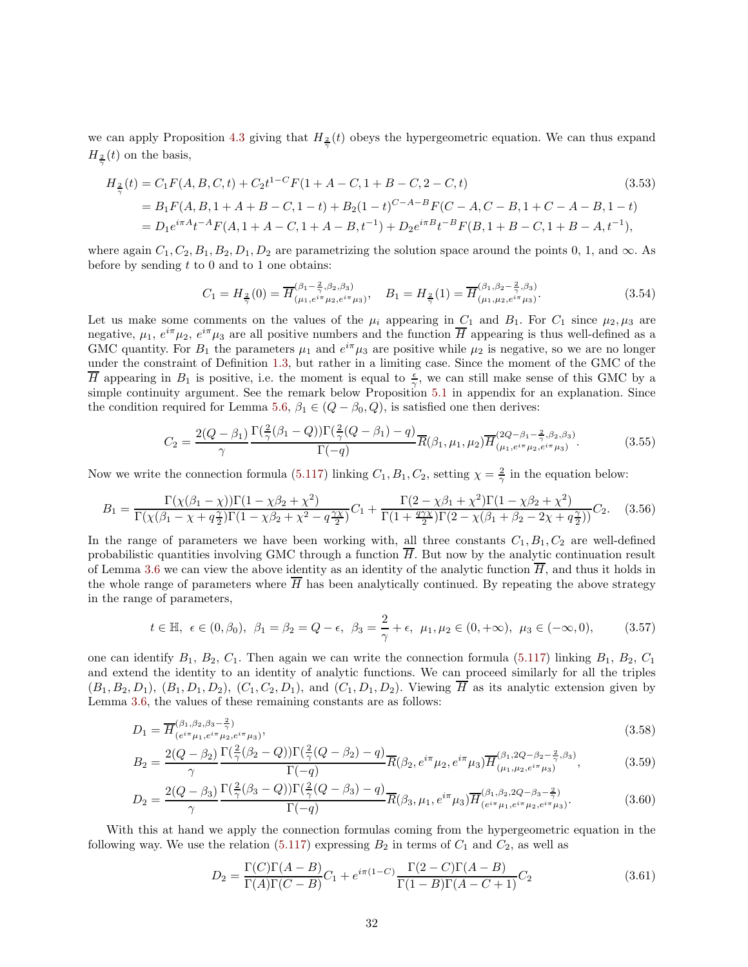we can apply Proposition [4.3](#page-42-1) giving that  $H_{\frac{2}{\gamma}}(t)$  obeys the hypergeometric equation. We can thus expand  $H_{\frac{2}{\gamma}}(t)$  on the basis,

$$
H_2(t) = C_1 F(A, B, C, t) + C_2 t^{1-C} F(1 + A - C, 1 + B - C, 2 - C, t)
$$
\n(3.53)  
\n
$$
= B_1 F(A, B, 1 + A + B - C, 1 - t) + B_2 (1 - t)^{C - A - B} F(C - A, C - B, 1 + C - A - B, 1 - t)
$$
\n
$$
= D_1 e^{i\pi A} t^{-A} F(A, 1 + A - C, 1 + A - B, t^{-1}) + D_2 e^{i\pi B} t^{-B} F(B, 1 + B - C, 1 + B - A, t^{-1}),
$$
\n(3.54)

where again  $C_1, C_2, B_1, B_2, D_1, D_2$  are parametrizing the solution space around the points 0, 1, and  $\infty$ . As before by sending  $t$  to  $0$  and to  $1$  one obtains:

$$
C_1 = H_{\frac{2}{\gamma}}(0) = \overline{H}^{(\beta_1 - \frac{2}{\gamma}, \beta_2, \beta_3)}_{(\mu_1, e^{i\pi}\mu_2, e^{i\pi}\mu_3)}, \quad B_1 = H_{\frac{2}{\gamma}}(1) = \overline{H}^{(\beta_1, \beta_2 - \frac{2}{\gamma}, \beta_3)}_{(\mu_1, \mu_2, e^{i\pi}\mu_3)}.
$$
(3.54)

Let us make some comments on the values of the  $\mu_i$  appearing in  $C_1$  and  $B_1$ . For  $C_1$  since  $\mu_2, \mu_3$  are negative,  $\mu_1, e^{i\pi}\mu_2, e^{i\pi}\mu_3$  are all positive numbers and the function  $\overline{H}$  appearing is thus well-defined as a GMC quantity. For  $B_1$  the parameters  $\mu_1$  and  $e^{i\pi}\mu_3$  are positive while  $\mu_2$  is negative, so we are no longer under the constraint of Definition [1.3,](#page-4-1) but rather in a limiting case. Since the moment of the GMC of the  $\overline{H}$  appearing in  $B_1$  is positive, i.e. the moment is equal to  $\frac{\epsilon}{\gamma}$ , we can still make sense of this GMC by a simple continuity argument. See the remark below Proposition [5.1](#page-44-0) in appendix for an explanation. Since the condition required for Lemma [5.6,](#page-46-1)  $\beta_1 \in (Q - \beta_0, Q)$ , is satisfied one then derives:

$$
C_2 = \frac{2(Q - \beta_1)}{\gamma} \frac{\Gamma(\frac{2}{\gamma}(\beta_1 - Q))\Gamma(\frac{2}{\gamma}(Q - \beta_1) - q)}{\Gamma(-q)} \overline{R}(\beta_1, \mu_1, \mu_2) \overline{H}^{(2Q - \beta_1 - \frac{2}{\gamma}, \beta_2, \beta_3)}_{(\mu_1, e^{i\pi}\mu_2, e^{i\pi}\mu_3)}.
$$
(3.55)

Now we write the connection formula [\(5.117\)](#page-59-1) linking  $C_1, B_1, C_2$ , setting  $\chi = \frac{2}{\gamma}$  in the equation below:

$$
B_1 = \frac{\Gamma(\chi(\beta_1 - \chi))\Gamma(1 - \chi\beta_2 + \chi^2)}{\Gamma(\chi(\beta_1 - \chi + q\frac{\gamma}{2})\Gamma(1 - \chi\beta_2 + \chi^2 - q\frac{\gamma\chi}{2})}C_1 + \frac{\Gamma(2 - \chi\beta_1 + \chi^2)\Gamma(1 - \chi\beta_2 + \chi^2)}{\Gamma(1 + \frac{q\gamma\chi}{2})\Gamma(2 - \chi(\beta_1 + \beta_2 - 2\chi + q\frac{\gamma}{2}))}C_2.
$$
 (3.56)

In the range of parameters we have been working with, all three constants  $C_1, B_1, C_2$  are well-defined probabilistic quantities involving GMC through a function  $\overline{H}$ . But now by the analytic continuation result of Lemma [3.6](#page-27-1) we can view the above identity as an identity of the analytic function  $\overline{H}$ , and thus it holds in the whole range of parameters where  $\overline{H}$  has been analytically continued. By repeating the above strategy in the range of parameters,

$$
t \in \mathbb{H}, \epsilon \in (0, \beta_0), \beta_1 = \beta_2 = Q - \epsilon, \beta_3 = \frac{2}{\gamma} + \epsilon, \mu_1, \mu_2 \in (0, +\infty), \mu_3 \in (-\infty, 0),
$$
 (3.57)

one can identify  $B_1$ ,  $B_2$ ,  $C_1$ . Then again we can write the connection formula [\(5.117\)](#page-59-1) linking  $B_1$ ,  $B_2$ ,  $C_1$ and extend the identity to an identity of analytic functions. We can proceed similarly for all the triples  $(B_1, B_2, D_1), (B_1, D_1, D_2), (C_1, C_2, D_1),$  and  $(C_1, D_1, D_2)$ . Viewing  $\overline{H}$  as its analytic extension given by Lemma [3.6,](#page-27-1) the values of these remaining constants are as follows:

$$
D_1 = \overline{H}_{(e^{i\pi}\mu_1, e^{i\pi}\mu_2, e^{i\pi}\mu_3)}^{(0,1)}.
$$
\n(3.58)

$$
B_2 = \frac{2(Q - \beta_2)}{\gamma} \frac{\Gamma(\frac{2}{\gamma}(\beta_2 - Q))\Gamma(\frac{2}{\gamma}(Q - \beta_2) - q)}{\Gamma(-q)} \overline{R}(\beta_2, e^{i\pi}\mu_2, e^{i\pi}\mu_3) \overline{H}^{(\beta_1, 2Q - \beta_2 - \frac{2}{\gamma}, \beta_3)}_{(\mu_1, \mu_2, e^{i\pi}\mu_3)},
$$
(3.59)

$$
D_2 = \frac{2(Q - \beta_3)}{\gamma} \frac{\Gamma(\frac{2}{\gamma}(\beta_3 - Q))\Gamma(\frac{2}{\gamma}(Q - \beta_3) - q)}{\Gamma(-q)} \overline{R}(\beta_3, \mu_1, e^{i\pi} \mu_3) \overline{H}^{(\beta_1, \beta_2, 2Q - \beta_3 - \frac{2}{\gamma})}_{(e^{i\pi} \mu_1, e^{i\pi} \mu_2, e^{i\pi} \mu_3)}.
$$
(3.60)

With this at hand we apply the connection formulas coming from the hypergeometric equation in the following way. We use the relation  $(5.117)$  expressing  $B_2$  in terms of  $C_1$  and  $C_2$ , as well as

$$
D_2 = \frac{\Gamma(C)\Gamma(A-B)}{\Gamma(A)\Gamma(C-B)}C_1 + e^{i\pi(1-C)}\frac{\Gamma(2-C)\Gamma(A-B)}{\Gamma(1-B)\Gamma(A-C+1)}C_2
$$
\n(3.61)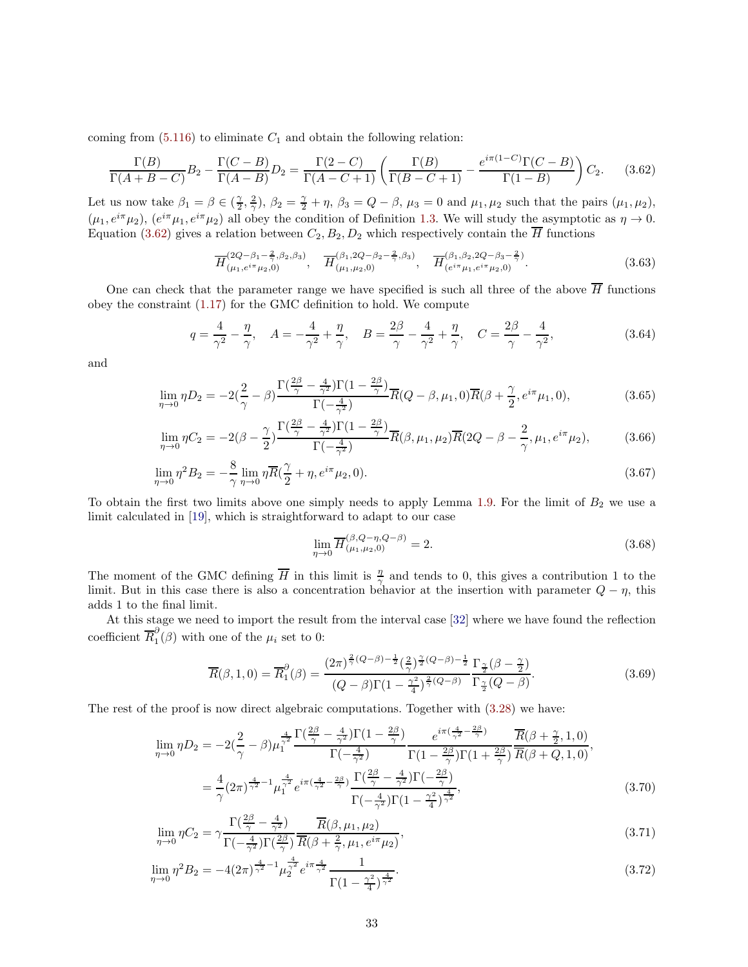coming from  $(5.116)$  to eliminate  $C_1$  and obtain the following relation:

$$
\frac{\Gamma(B)}{\Gamma(A+B-C)}B_2 - \frac{\Gamma(C-B)}{\Gamma(A-B)}D_2 = \frac{\Gamma(2-C)}{\Gamma(A-C+1)} \left(\frac{\Gamma(B)}{\Gamma(B-C+1)} - \frac{e^{i\pi(1-C)}\Gamma(C-B)}{\Gamma(1-B)}\right)C_2.
$$
 (3.62)

Let us now take  $\beta_1 = \beta \in \left(\frac{\gamma}{2}, \frac{2}{\gamma}\right)$ ,  $\beta_2 = \frac{\gamma}{2} + \eta$ ,  $\beta_3 = Q - \beta$ ,  $\mu_3 = 0$  and  $\mu_1, \mu_2$  such that the pairs  $(\mu_1, \mu_2)$ ,  $(\mu_1, e^{i\pi}\mu_2)$ ,  $(e^{i\pi}\mu_1, e^{i\pi}\mu_2)$  all obey the condition of Definition [1.3.](#page-4-1) We will study the asymptotic as  $\eta \to 0$ . Equation [\(3.62\)](#page-32-0) gives a relation between  $C_2, B_2, D_2$  which respectively contain the  $\overline{H}$  functions

<span id="page-32-0"></span>
$$
\overline{H}^{(2Q-\beta_1-\frac{2}{\gamma},\beta_2,\beta_3)}_{(\mu_1,e^{i\pi}\mu_2,0)}, \quad \overline{H}^{(\beta_1,2Q-\beta_2-\frac{2}{\gamma},\beta_3)}_{(\mu_1,\mu_2,0)}, \quad \overline{H}^{(\beta_1,\beta_2,2Q-\beta_3-\frac{2}{\gamma})}_{(e^{i\pi}\mu_1,e^{i\pi}\mu_2,0)}.
$$
\n(3.63)

One can check that the parameter range we have specified is such all three of the above  $\overline{H}$  functions obey the constraint [\(1.17\)](#page-5-3) for the GMC definition to hold. We compute

$$
q = \frac{4}{\gamma^2} - \frac{\eta}{\gamma}, \quad A = -\frac{4}{\gamma^2} + \frac{\eta}{\gamma}, \quad B = \frac{2\beta}{\gamma} - \frac{4}{\gamma^2} + \frac{\eta}{\gamma}, \quad C = \frac{2\beta}{\gamma} - \frac{4}{\gamma^2},
$$
(3.64)

and

$$
\lim_{\eta \to 0} \eta D_2 = -2(\frac{2}{\gamma} - \beta) \frac{\Gamma(\frac{2\beta}{\gamma} - \frac{4}{\gamma^2}) \Gamma(1 - \frac{2\beta}{\gamma})}{\Gamma(-\frac{4}{\gamma^2})} \overline{R}(Q - \beta, \mu_1, 0) \overline{R}(\beta + \frac{\gamma}{2}, e^{i\pi} \mu_1, 0),
$$
\n(3.65)

$$
\lim_{\eta \to 0} \eta C_2 = -2(\beta - \frac{\gamma}{2}) \frac{\Gamma(\frac{2\beta}{\gamma} - \frac{4}{\gamma^2}) \Gamma(1 - \frac{2\beta}{\gamma})}{\Gamma(-\frac{4}{\gamma^2})} \overline{R}(\beta, \mu_1, \mu_2) \overline{R}(2Q - \beta - \frac{2}{\gamma}, \mu_1, e^{i\pi} \mu_2),
$$
\n(3.66)

$$
\lim_{\eta \to 0} \eta^2 B_2 = -\frac{8}{\gamma} \lim_{\eta \to 0} \eta \overline{R}(\frac{\gamma}{2} + \eta, e^{i\pi} \mu_2, 0).
$$
\n(3.67)

To obtain the first two limits above one simply needs to apply Lemma [1.9.](#page-8-2) For the limit of  $B_2$  we use a limit calculated in [\[19\]](#page-64-9), which is straightforward to adapt to our case

$$
\lim_{\eta \to 0} \overline{H}_{(\mu_1, \mu_2, 0)}^{(\beta, Q - \eta, Q - \beta)} = 2.
$$
\n(3.68)

The moment of the GMC defining  $\overline{H}$  in this limit is  $\frac{\eta}{\gamma}$  and tends to 0, this gives a contribution 1 to the limit. But in this case there is also a concentration behavior at the insertion with parameter  $Q - \eta$ , this adds 1 to the final limit.

At this stage we need to import the result from the interval case [\[32\]](#page-65-5) where we have found the reflection coefficient  $\overline{R}_{1}^{\partial}$  $\binom{1}{1}$  ( $\beta$ ) with one of the  $\mu_i$  set to 0:

$$
\overline{R}(\beta,1,0) = \overline{R}_1^{\partial}(\beta) = \frac{(2\pi)^{\frac{2}{\gamma}(Q-\beta)-\frac{1}{2}}(\frac{2}{\gamma})^{\frac{\gamma}{2}(Q-\beta)-\frac{1}{2}}}{(Q-\beta)\Gamma(1-\frac{\gamma^2}{4})^{\frac{2}{\gamma}(Q-\beta)}}\frac{\Gamma_{\frac{\gamma}{2}}(\beta-\frac{\gamma}{2})}{\Gamma_{\frac{\gamma}{2}}(Q-\beta)}.
$$
\n(3.69)

The rest of the proof is now direct algebraic computations. Together with [\(3.28\)](#page-26-2) we have:

$$
\lim_{\eta \to 0} \eta D_2 = -2(\frac{2}{\gamma} - \beta) \mu_1^{\frac{4}{\gamma^2}} \frac{\Gamma(\frac{2\beta}{\gamma} - \frac{4}{\gamma^2}) \Gamma(1 - \frac{2\beta}{\gamma})}{\Gamma(-\frac{4}{\gamma^2})} \frac{e^{i\pi(\frac{4}{\gamma^2} - \frac{2\beta}{\gamma})}}{\Gamma(1 - \frac{2\beta}{\gamma}) \Gamma(1 + \frac{2\beta}{\gamma})} \frac{\overline{R}(\beta + \frac{\gamma}{2}, 1, 0)}{\overline{R}(\beta + Q, 1, 0)},
$$
\n
$$
= \frac{4}{\gamma} (2\pi)^{\frac{4}{\gamma^2} - 1} \mu_1^{\frac{4}{\gamma^2}} e^{i\pi(\frac{4}{\gamma^2} - \frac{2\beta}{\gamma})} \frac{\Gamma(\frac{2\beta}{\gamma} - \frac{4}{\gamma^2}) \Gamma(-\frac{2\beta}{\gamma})}{\Gamma(-\frac{4}{\gamma^2}) \Gamma(1 - \frac{\gamma^2}{4})^{\frac{4}{\gamma^2}}},
$$
\n(3.70)

$$
\lim_{\eta \to 0} \eta C_2 = \gamma \frac{\Gamma(\frac{2\beta}{\gamma} - \frac{4}{\gamma^2})}{\Gamma(-\frac{4}{\gamma^2})\Gamma(\frac{2\beta}{\gamma})} \frac{\overline{R}(\beta, \mu_1, \mu_2)}{\overline{R}(\beta + \frac{2}{\gamma}, \mu_1, e^{i\pi} \mu_2)},
$$
\n(3.71)

$$
\lim_{\eta \to 0} \eta^2 B_2 = -4(2\pi)^{\frac{4}{\gamma^2} - 1} \mu_2^{\frac{4}{\gamma^2}} e^{i\pi \frac{4}{\gamma^2}} \frac{1}{\Gamma(1 - \frac{\gamma^2}{4})^{\frac{4}{\gamma^2}}}.
$$
\n(3.72)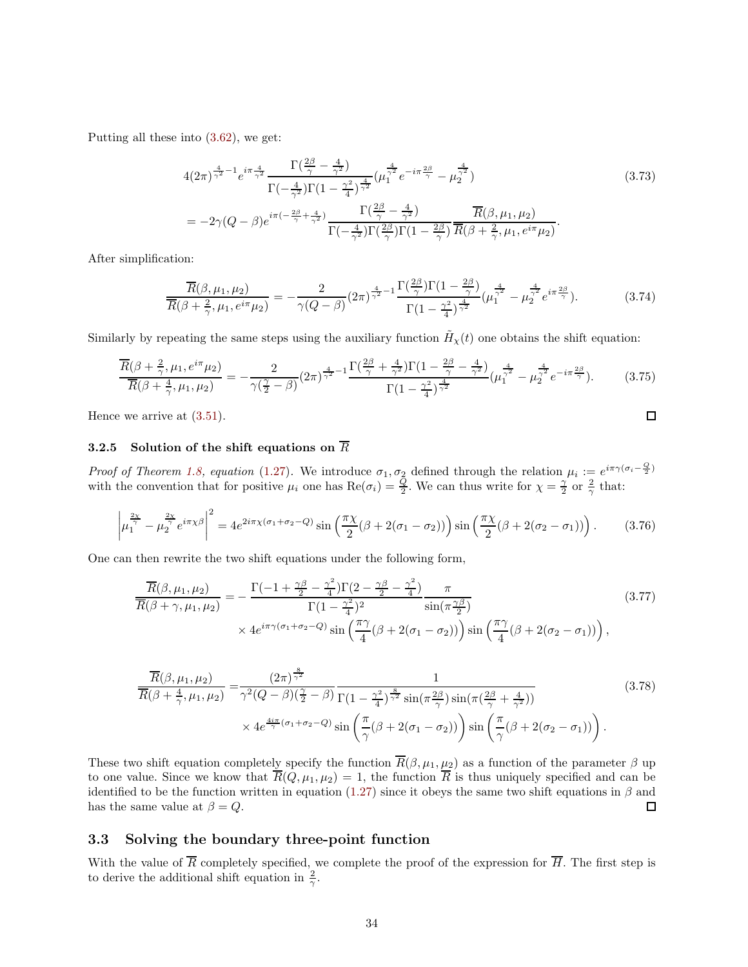Putting all these into [\(3.62\)](#page-32-0), we get:

$$
4(2\pi)^{\frac{4}{\gamma^2}-1}e^{i\pi\frac{4}{\gamma^2}}\frac{\Gamma(\frac{2\beta}{\gamma}-\frac{4}{\gamma^2})}{\Gamma(-\frac{4}{\gamma^2})\Gamma(1-\frac{\gamma^2}{4})^{\frac{4}{\gamma^2}}}(\mu_1^{\frac{4}{\gamma^2}}e^{-i\pi\frac{2\beta}{\gamma}}-\mu_2^{\frac{4}{\gamma^2}})
$$
\n
$$
=-2\gamma(Q-\beta)e^{i\pi(-\frac{2\beta}{\gamma}+\frac{4}{\gamma^2})}\frac{\Gamma(\frac{2\beta}{\gamma}-\frac{4}{\gamma^2})}{\Gamma(-\frac{4}{\gamma^2})\Gamma(\frac{2\beta}{\gamma})\Gamma(1-\frac{2\beta}{\gamma})}\frac{\overline{R}(\beta,\mu_1,\mu_2)}{\overline{R}(\beta+\frac{2}{\gamma},\mu_1,e^{i\pi}\mu_2)}.
$$
\n(3.73)

After simplification:

$$
\frac{\overline{R}(\beta,\mu_1,\mu_2)}{\overline{R}(\beta+\frac{2}{\gamma},\mu_1,e^{i\pi}\mu_2)} = -\frac{2}{\gamma(Q-\beta)}(2\pi)^{\frac{4}{\gamma^2}-1}\frac{\Gamma(\frac{2\beta}{\gamma})\Gamma(1-\frac{2\beta}{\gamma})}{\Gamma(1-\frac{\gamma^2}{4})^{\frac{4}{\gamma^2}}}(\mu_1^{\frac{4}{\gamma^2}}-\mu_2^{\frac{4}{\gamma^2}}e^{i\pi\frac{2\beta}{\gamma}}). \tag{3.74}
$$

 $\Box$ 

Similarly by repeating the same steps using the auxiliary function  $\tilde{H}_{\chi}(t)$  one obtains the shift equation:

$$
\frac{\overline{R}(\beta + \frac{2}{\gamma}, \mu_1, e^{i\pi} \mu_2)}{\overline{R}(\beta + \frac{4}{\gamma}, \mu_1, \mu_2)} = -\frac{2}{\gamma(\frac{\gamma}{2} - \beta)} (2\pi)^{\frac{4}{\gamma^2} - 1} \frac{\Gamma(\frac{2\beta}{\gamma} + \frac{4}{\gamma^2}) \Gamma(1 - \frac{2\beta}{\gamma} - \frac{4}{\gamma^2})}{\Gamma(1 - \frac{\gamma^2}{4})^{\frac{4}{\gamma^2}}} (\mu_1^{\frac{4}{\gamma^2}} - \mu_2^{\frac{4}{\gamma^2}} e^{-i\pi \frac{2\beta}{\gamma}}). \tag{3.75}
$$

Hence we arrive at [\(3.51\)](#page-30-1).

# 3.2.5 Solution of the shift equations on  $\overline{R}$

*Proof of Theorem [1.8,](#page-7-4) equation* [\(1.27\)](#page-7-2). We introduce  $\sigma_1, \sigma_2$  defined through the relation  $\mu_i := e^{i\pi \gamma (\sigma_i - \frac{Q}{2})}$ with the convention that for positive  $\mu_i$  one has  $\text{Re}(\sigma_i) = \frac{Q}{2}$ . We can thus write for  $\chi = \frac{\gamma}{2}$  or  $\frac{2}{\gamma}$  that:

$$
\left|\mu_1^{\frac{2\chi}{\gamma}} - \mu_2^{\frac{2\chi}{\gamma}} e^{i\pi\chi\beta}\right|^2 = 4e^{2i\pi\chi(\sigma_1 + \sigma_2 - Q)} \sin\left(\frac{\pi\chi}{2}(\beta + 2(\sigma_1 - \sigma_2))\right) \sin\left(\frac{\pi\chi}{2}(\beta + 2(\sigma_2 - \sigma_1))\right). \tag{3.76}
$$

One can then rewrite the two shift equations under the following form,

$$
\frac{\overline{R}(\beta,\mu_1,\mu_2)}{\overline{R}(\beta+\gamma,\mu_1,\mu_2)} = -\frac{\Gamma(-1+\frac{\gamma\beta}{2}-\frac{\gamma^2}{4})\Gamma(2-\frac{\gamma\beta}{2}-\frac{\gamma^2}{4})}{\Gamma(1-\frac{\gamma^2}{4})^2} \frac{\pi}{\sin(\pi\frac{\gamma\beta}{2})}
$$
\n
$$
\times 4e^{i\pi\gamma(\sigma_1+\sigma_2-Q)}\sin\left(\frac{\pi\gamma}{4}(\beta+2(\sigma_1-\sigma_2))\right)\sin\left(\frac{\pi\gamma}{4}(\beta+2(\sigma_2-\sigma_1))\right),
$$
\n(3.77)

$$
\frac{\overline{R}(\beta,\mu_1,\mu_2)}{\overline{R}(\beta+\frac{4}{\gamma},\mu_1,\mu_2)} = \frac{(2\pi)^{\frac{8}{\gamma^2}}}{\gamma^2(Q-\beta)(\frac{\gamma}{2}-\beta)} \frac{1}{\Gamma(1-\frac{\gamma^2}{4})^{\frac{8}{\gamma^2}}\sin(\pi\frac{2\beta}{\gamma})\sin(\pi(\frac{2\beta}{\gamma}+\frac{4}{\gamma^2}))}
$$
\n
$$
\times 4e^{\frac{4i\pi}{\gamma}(\sigma_1+\sigma_2-Q)}\sin\left(\frac{\pi}{\gamma}(\beta+2(\sigma_1-\sigma_2))\right)\sin\left(\frac{\pi}{\gamma}(\beta+2(\sigma_2-\sigma_1))\right).
$$
\n(3.78)

These two shift equation completely specify the function  $\overline{R}(\beta, \mu_1, \mu_2)$  as a function of the parameter  $\beta$  up to one value. Since we know that  $\overline{R}(Q, \mu_1, \mu_2) = 1$ , the function  $\overline{R}$  is thus uniquely specified and can be identified to be the function written in equation [\(1.27\)](#page-7-2) since it obeys the same two shift equations in  $\beta$  and has the same value at  $\beta = Q$ .  $\Box$ 

## <span id="page-33-0"></span>3.3 Solving the boundary three-point function

With the value of  $\overline{R}$  completely specified, we complete the proof of the expression for  $\overline{H}$ . The first step is to derive the additional shift equation in  $\frac{2}{\gamma}$ .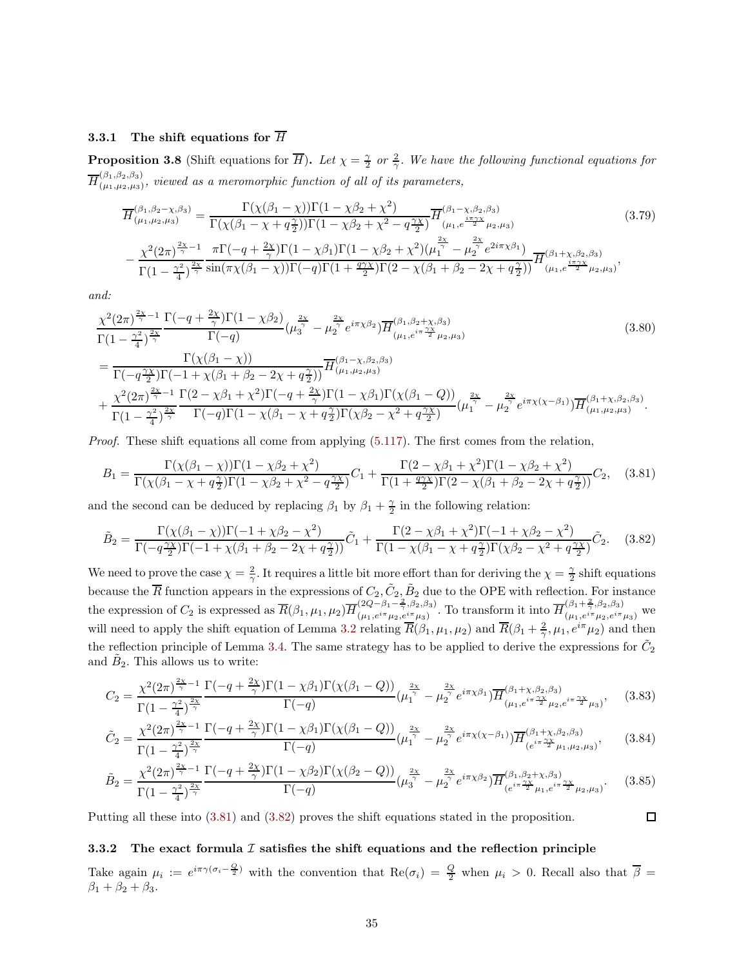## 3.3.1 The shift equations for  $\overline{H}$

<span id="page-34-2"></span>**Proposition 3.8** (Shift equations for  $\overline{H}$ ). Let  $\chi = \frac{\gamma}{2}$  or  $\frac{2}{\gamma}$ . We have the following functional equations for  $\overline{H}^{(\beta_1, \beta_2, \beta_3)}_{(\mu_1, \mu_2, \mu_3)}$  $\binom{(p_1,p_2,p_3)}{(p_1,p_2,p_3)}$ , viewed as a meromorphic function of all of its parameters,

<span id="page-34-3"></span>
$$
\overline{H}^{(\beta_1, \beta_2 - \chi, \beta_3)}_{(\mu_1, \mu_2, \mu_3)} = \frac{\Gamma(\chi(\beta_1 - \chi))\Gamma(1 - \chi\beta_2 + \chi^2)}{\Gamma(\chi(\beta_1 - \chi + q\frac{\gamma}{2}))\Gamma(1 - \chi\beta_2 + \chi^2 - q\frac{\gamma\chi}{2})} \overline{H}^{(\beta_1 - \chi, \beta_2, \beta_3)}_{(\mu_1, e^{\frac{i\pi\gamma\chi}{2}}\mu_2, \mu_3)} \tag{3.79}
$$
\n
$$
-\frac{\chi^2(2\pi)^{\frac{2\chi}{\gamma} - 1}}{\Gamma(1 - \frac{\gamma^2}{4})^{\frac{2\chi}{\gamma}}} \frac{\pi\Gamma(-q + \frac{2\chi}{\gamma})\Gamma(1 - \chi\beta_1)\Gamma(1 - \chi\beta_2 + \chi^2)(\mu_1^{\gamma} - \mu_2^{\frac{2\chi}{\gamma}}e^{2i\pi\chi\beta_1})}{\Gamma(1 - \frac{\gamma^2}{4})^{\frac{2\chi}{\gamma}}} \frac{\pi}{\sin(\pi\chi(\beta_1 - \chi))\Gamma(-q)\Gamma(1 + \frac{q\gamma\chi}{2})\Gamma(2 - \chi(\beta_1 + \beta_2 - 2\chi + q\frac{\gamma}{2}))} \overline{H}^{(\beta_1 + \chi, \beta_2, \beta_3)}_{(\mu_1, e^{\frac{i\pi\gamma\chi}{2}}\mu_2, \mu_3)},
$$
\n(3.79)

*and:*

$$
\frac{\chi^{2}(2\pi)^{\frac{2\chi}{\gamma}-1}}{\Gamma(1-\frac{\gamma^{2}}{4})^{\frac{2\chi}{\gamma}}}\frac{\Gamma(-q+\frac{2\chi}{\gamma})\Gamma(1-\chi\beta_{2})}{\Gamma(-q)}(\mu_{3}^{\frac{2\chi}{\gamma}}-\mu_{2}^{\frac{2\chi}{\gamma}}e^{i\pi\chi\beta_{2}})\overline{H}^{(\beta_{1},\beta_{2}+\chi,\beta_{3})}_{(\mu_{1},e^{i\pi\frac{\gamma\chi}{2}}\mu_{2},\mu_{3})}\n\n=\frac{\Gamma(\chi(\beta_{1}-\chi))}{\Gamma(-q\frac{\gamma\chi}{2})\Gamma(-1+\chi(\beta_{1}+\beta_{2}-2\chi+q\frac{\gamma}{2}))}\overline{H}^{(\beta_{1}-\chi,\beta_{2},\beta_{3})}_{(\mu_{1},\mu_{2},\mu_{3})}\n\n+\frac{\chi^{2}(2\pi)^{\frac{2\chi}{\gamma}-1}}{\Gamma(1-\frac{\gamma^{2}}{4})^{\frac{2\chi}{\gamma}}}\frac{\Gamma(2-\chi\beta_{1}+\chi^{2})\Gamma(-q+\frac{2\chi}{\gamma})\Gamma(1-\chi\beta_{1})\Gamma(\chi(\beta_{1}-Q))}{\Gamma(-q)\Gamma(1-\chi(\beta_{1}-\chi+q\frac{\gamma}{2})\Gamma(\chi\beta_{2}-\chi^{2}+q\frac{\gamma\chi}{2})}(\mu_{1}^{\frac{2\chi}{\gamma}}-\mu_{2}^{\frac{2\chi}{\gamma}}e^{i\pi\chi(\chi-\beta_{1})})\overline{H}^{(\beta_{1}+\chi,\beta_{2},\beta_{3})}_{(\mu_{1},\mu_{2},\mu_{3})}.
$$
\n(3.80)

*Proof.* These shift equations all come from applying [\(5.117\)](#page-59-1). The first comes from the relation,

$$
B_1 = \frac{\Gamma(\chi(\beta_1 - \chi)\Gamma(1 - \chi\beta_2 + \chi^2)}{\Gamma(\chi(\beta_1 - \chi + q\frac{\gamma}{2})\Gamma(1 - \chi\beta_2 + \chi^2 - q\frac{\gamma\chi}{2})}C_1 + \frac{\Gamma(2 - \chi\beta_1 + \chi^2)\Gamma(1 - \chi\beta_2 + \chi^2)}{\Gamma(1 + \frac{q\gamma\chi}{2})\Gamma(2 - \chi(\beta_1 + \beta_2 - 2\chi + q\frac{\gamma}{2}))}C_2, \quad (3.81)
$$

and the second can be deduced by replacing  $\beta_1$  by  $\beta_1 + \frac{\gamma}{2}$  in the following relation:

$$
\tilde{B}_2 = \frac{\Gamma(\chi(\beta_1 - \chi))\Gamma(-1 + \chi\beta_2 - \chi^2)}{\Gamma(-q^{\frac{\gamma_1}{2}})\Gamma(-1 + \chi(\beta_1 + \beta_2 - 2\chi + q^{\frac{\gamma}{2}}))}\tilde{C}_1 + \frac{\Gamma(2 - \chi\beta_1 + \chi^2)\Gamma(-1 + \chi\beta_2 - \chi^2)}{\Gamma(1 - \chi(\beta_1 - \chi + q^{\frac{\gamma}{2}})\Gamma(\chi\beta_2 - \chi^2 + q^{\frac{\gamma_1}{2}}))}\tilde{C}_2.
$$
 (3.82)

We need to prove the case  $\chi = \frac{2}{\gamma}$ . It requires a little bit more effort than for deriving the  $\chi = \frac{\gamma}{2}$  shift equations because the  $\overline{R}$  function appears in the expressions of  $C_2, \tilde{C}_2, \tilde{B}_2$  due to the OPE with reflection. For instance the expression of  $C_2$  is expressed as  $\overline{R}(\beta_1,\mu_1,\mu_2) \overline{H}_{(\mu_1,e^{i\pi}\mu_2,e^{i\pi}\mu_3)}^{(2Q-\beta_1-\frac{2}{\gamma},\beta_2,\beta_3)}$  $(2Q-\beta_1-\frac{2}{\gamma},\beta_2,\beta_3)$ . To transform it into  $\overline{H}^{(\beta_1+\frac{2}{\gamma},\beta_2,\beta_3)}_{(\mu_1,e^{i\pi}\mu_2,e^{i\pi}\mu_3)}$  we will need to apply the shift equation of Lemma [3.2](#page-24-1) relating  $\overline{R}(\beta_1,\mu_1,\mu_2)$  and  $\overline{R}(\beta_1+\frac{2}{\gamma},\mu_1,e^{i\pi}\mu_2)$  and then the reflection principle of Lemma [3.4.](#page-26-3) The same strategy has to be applied to derive the expressions for  $\tilde{C}_2$ and  $\tilde{B}_2$ . This allows us to write:

$$
C_2 = \frac{\chi^2 (2\pi)^{\frac{2\chi}{\gamma}-1}}{\Gamma(1-\frac{\gamma^2}{4})^{\frac{2\chi}{\gamma}}} \frac{\Gamma(-q+\frac{2\chi}{\gamma})\Gamma(1-\chi\beta_1)\Gamma(\chi(\beta_1-Q))}{\Gamma(-q)} (\mu_1^{\frac{2\chi}{\gamma}} - \mu_2^{\frac{2\chi}{\gamma}} e^{i\pi\chi\beta_1}) \overline{H}^{(\beta_1+\chi,\beta_2,\beta_3)}_{(\mu_1,e^{i\pi\frac{\gamma\chi}{2}}\mu_2,e^{i\pi\frac{\gamma\chi}{2}}\mu_3)},
$$
(3.83)

$$
\tilde{C}_{2} = \frac{\chi^{2}(2\pi)^{\frac{2\chi}{\gamma}-1}}{\Gamma(1-\frac{\gamma^{2}}{4})^{\frac{2\chi}{\gamma}}}\frac{\Gamma(-q+\frac{2\chi}{\gamma})\Gamma(1-\chi\beta_{1})\Gamma(\chi(\beta_{1}-Q))}{\Gamma(-q)}(\mu_{1}^{\frac{2\chi}{\gamma}}-\mu_{2}^{\frac{2\chi}{\gamma}}e^{i\pi\chi(\chi-\beta_{1})})\overline{H}_{(e^{i\pi\frac{\gamma\chi}{2}}\mu_{1},\mu_{2},\mu_{3})}^{(\beta_{1}+\chi,\beta_{2},\beta_{3})},
$$
(3.84)

$$
\tilde{B}_2 = \frac{\chi^2 (2\pi)^{\frac{2\chi}{\gamma}-1}}{\Gamma(1-\frac{\gamma^2}{4})^{\frac{2\chi}{\gamma}}} \frac{\Gamma(-q+\frac{2\chi}{\gamma})\Gamma(1-\chi\beta_2)\Gamma(\chi(\beta_2-Q))}{\Gamma(-q)} (\mu_3^{\frac{2\chi}{\gamma}} - \mu_2^{\frac{2\chi}{\gamma}} e^{i\pi\chi\beta_2}) \overline{H}^{(\beta_1,\beta_2+\chi,\beta_3)}_{(e^{i\pi\frac{\gamma\chi}{2}}\mu_1, e^{i\pi\frac{\gamma\chi}{2}}\mu_2,\mu_3)}.
$$
(3.85)

<span id="page-34-4"></span><span id="page-34-1"></span><span id="page-34-0"></span> $\Box$ 

Putting all these into [\(3.81\)](#page-34-0) and [\(3.82\)](#page-34-1) proves the shift equations stated in the proposition.

## 3.3.2 The exact formula  $I$  satisfies the shift equations and the reflection principle

Take again  $\mu_i := e^{i\pi \gamma (\sigma_i - \frac{Q}{2})}$  with the convention that  $\text{Re}(\sigma_i) = \frac{Q}{2}$  when  $\mu_i > 0$ . Recall also that  $\overline{\beta} =$  $\beta_1 + \beta_2 + \beta_3.$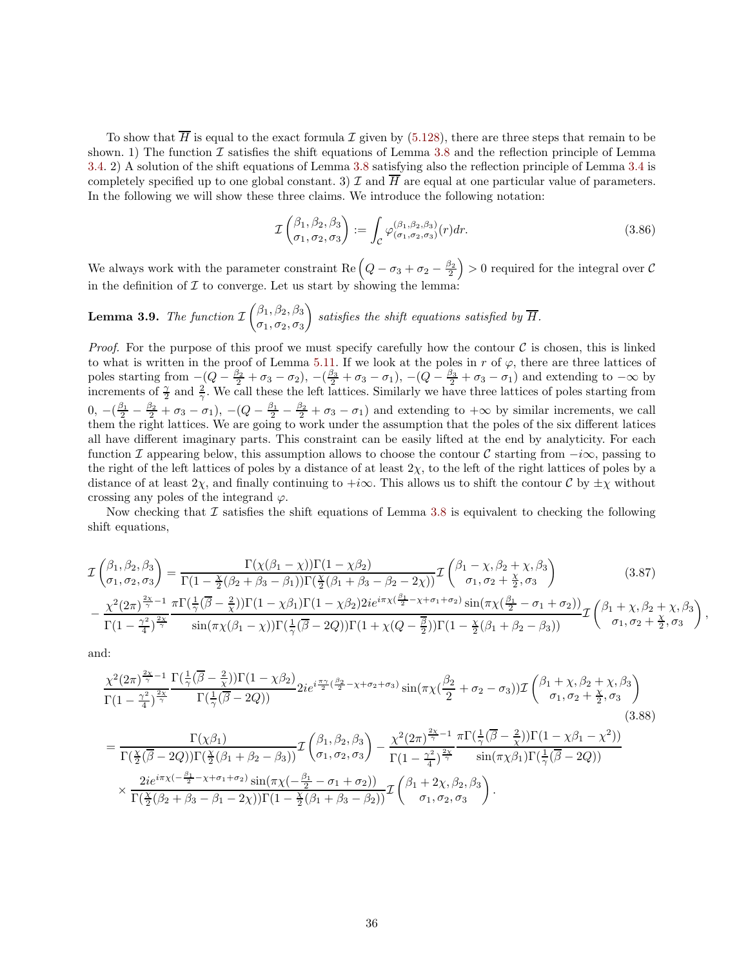To show that  $\overline{H}$  is equal to the exact formula  $\mathcal I$  given by [\(5.128\)](#page-61-0), there are three steps that remain to be shown. 1) The function  $\mathcal I$  satisfies the shift equations of Lemma [3.8](#page-34-2) and the reflection principle of Lemma [3.4.](#page-26-3) 2) A solution of the shift equations of Lemma [3.8](#page-34-2) satisfying also the reflection principle of Lemma [3.4](#page-26-3) is completely specified up to one global constant. 3)  $\mathcal I$  and  $\overline H$  are equal at one particular value of parameters. In the following we will show these three claims. We introduce the following notation:

$$
\mathcal{I}\begin{pmatrix} \beta_1, \beta_2, \beta_3\\ \sigma_1, \sigma_2, \sigma_3 \end{pmatrix} := \int_{\mathcal{C}} \varphi_{(\sigma_1, \sigma_2, \sigma_3)}^{(\beta_1, \beta_2, \beta_3)}(r) dr.
$$
\n(3.86)

We always work with the parameter constraint Re  $(Q - \sigma_3 + \sigma_2 - \frac{\beta_2}{2}) > 0$  required for the integral over C in the definition of  $\mathcal I$  to converge. Let us start by showing the lemma:

**Lemma 3.9.** The function 
$$
\mathcal{I}\begin{pmatrix} \beta_1, \beta_2, \beta_3 \\ \sigma_1, \sigma_2, \sigma_3 \end{pmatrix}
$$
 satisfies the shift equations satisfied by  $\overline{H}$ .

*Proof.* For the purpose of this proof we must specify carefully how the contour  $\mathcal C$  is chosen, this is linked to what is written in the proof of Lemma [5.11.](#page-60-1) If we look at the poles in r of  $\varphi$ , there are three lattices of poles starting from  $-(Q - \frac{\beta_2}{2} + \sigma_3 - \sigma_2), -(\frac{\beta_3}{2} + \sigma_3 - \sigma_1), - (Q - \frac{\beta_3}{2} + \sigma_3 - \sigma_1)$  and extending to  $-\infty$  by increments of  $\frac{\gamma}{2}$  and  $\frac{2}{\gamma}$ . We call these the left lattices. Similarly we have three lattices of poles starting from  $0, -(\frac{\beta_1}{2} - \frac{\beta_2}{2} + \sigma_3 - \sigma_1), - (Q - \frac{\beta_1}{2} - \frac{\beta_2}{2} + \sigma_3 - \sigma_1)$  and extending to  $+\infty$  by similar increments, we call them the right lattices. We are going to work under the assumption that the poles of the six different latices all have different imaginary parts. This constraint can be easily lifted at the end by analyticity. For each function I appearing below, this assumption allows to choose the contour C starting from  $-i\infty$ , passing to the right of the left lattices of poles by a distance of at least  $2\chi$ , to the left of the right lattices of poles by a distance of at least  $2\chi$ , and finally continuing to +i∞. This allows us to shift the contour C by  $\pm \chi$  without crossing any poles of the integrand  $\varphi$ .

Now checking that  $\mathcal I$  satisfies the shift equations of Lemma [3.8](#page-34-2) is equivalent to checking the following shift equations,

$$
\mathcal{I}\begin{pmatrix}\n\beta_1, \beta_2, \beta_3 \\
\sigma_1, \sigma_2, \sigma_3\n\end{pmatrix} = \frac{\Gamma(\chi(\beta_1 - \chi))\Gamma(1 - \chi\beta_2)}{\Gamma(1 - \frac{\chi}{2}(\beta_2 + \beta_3 - \beta_1))\Gamma(\frac{\chi}{2}(\beta_1 + \beta_3 - \beta_2 - 2\chi))}\mathcal{I}\begin{pmatrix}\n\beta_1 - \chi, \beta_2 + \chi, \beta_3 \\
\sigma_1, \sigma_2 + \frac{\chi}{2}, \sigma_3\n\end{pmatrix}
$$
\n
$$
-\frac{\chi^2(2\pi)^{\frac{2\chi}{\gamma} - 1}}{\Gamma(1 - \frac{\gamma^2}{4})^{\frac{2\chi}{\gamma}}} \frac{\pi\Gamma(\frac{1}{\gamma}(\overline{\beta} - \frac{2}{\chi}))\Gamma(1 - \chi\beta_1)\Gamma(1 - \chi\beta_2)2ie^{i\pi\chi(\frac{\beta_1}{2} - \chi + \sigma_1 + \sigma_2)}\sin(\pi\chi(\frac{\beta_1}{2} - \sigma_1 + \sigma_2))}{\sin(\pi\chi(\beta_1 - \chi))\Gamma(\frac{1}{\gamma}(\overline{\beta} - 2Q))\Gamma(1 + \chi(Q - \frac{\overline{\beta}}{2}))\Gamma(1 - \frac{\chi}{2}(\beta_1 + \beta_2 - \beta_3))}\mathcal{I}\begin{pmatrix}\n\beta_1 + \chi, \beta_2 + \chi, \beta_3 \\
\sigma_1, \sigma_2 + \frac{\chi}{2}, \sigma_3\n\end{pmatrix}
$$
\n(3.87)

<span id="page-35-1"></span><span id="page-35-0"></span>,

and:

$$
\frac{\chi^{2}(2\pi)^{\frac{2\chi}{\gamma}-1}}{\Gamma(1-\frac{\gamma^{2}}{4})^{\frac{2\chi}{\gamma}}}\frac{\Gamma(\frac{1}{\gamma}(\overline{\beta}-\frac{2}{\chi}))\Gamma(1-\chi\beta_{2})}{\Gamma(\frac{1}{\gamma}(\overline{\beta}-2Q))}2ie^{i\frac{\pi\gamma}{2}(\frac{\beta_{2}}{2}-\chi+\sigma_{2}+\sigma_{3})}\sin(\pi\chi(\frac{\beta_{2}}{2}+\sigma_{2}-\sigma_{3}))\mathcal{I}\begin{pmatrix}\beta_{1}+\chi,\beta_{2}+\chi,\beta_{3}\\\sigma_{1},\sigma_{2}+\frac{\chi}{2},\sigma_{3}\end{pmatrix}
$$
\n
$$
=\frac{\Gamma(\chi\beta_{1})}{\Gamma(\frac{\chi}{2}(\overline{\beta}-2Q))\Gamma(\frac{\chi}{2}(\beta_{1}+\beta_{2}-\beta_{3}))}\mathcal{I}\begin{pmatrix}\beta_{1},\beta_{2},\beta_{3}\\\sigma_{1},\sigma_{2},\sigma_{3}\end{pmatrix}-\frac{\chi^{2}(2\pi)^{\frac{2\chi}{\gamma}-1}}{\Gamma(1-\frac{\gamma^{2}}{4})^{\frac{2\chi}{\gamma}}}\frac{\pi\Gamma(\frac{1}{\gamma}(\overline{\beta}-\frac{2}{\chi}))\Gamma(1-\chi\beta_{1}-\chi^{2}))}{\sin(\pi\chi\beta_{1})\Gamma(\frac{1}{\gamma}(\overline{\beta}-2Q))}\times\frac{2ie^{i\pi\chi(-\frac{\beta_{1}}{2}-\chi+\sigma_{1}+\sigma_{2})}\sin(\pi\chi(-\frac{\beta_{1}}{2}-\sigma_{1}+\sigma_{2}))}{\Gamma(\frac{\chi}{2}(\beta_{2}+\beta_{3}-\beta_{1}-2\chi))\Gamma(1-\frac{\chi}{2}(\beta_{1}+\beta_{3}-\beta_{2}))}\mathcal{I}\begin{pmatrix}\beta_{1}+2\chi,\beta_{2},\beta_{3}\\\sigma_{1},\sigma_{2},\sigma_{3}\end{pmatrix}.
$$
\n
$$
\times \frac{2ie^{i\pi\chi(-\frac{\beta_{1}}{2}-\chi+\sigma_{1}+\sigma_{2})}\sin(\pi\chi(-\frac{\beta_{1}}{2}-\sigma_{1}+\sigma_{2}))}{\Gamma(\frac{\chi}{2}(\beta_{2}+\beta_{3}-\beta_{1}-2\chi))\Gamma(1-\frac{\chi}{2}(\beta_{1}+\beta_{3}-\beta_{2}))}\mathcal{I}\begin{pmatrix}\beta
$$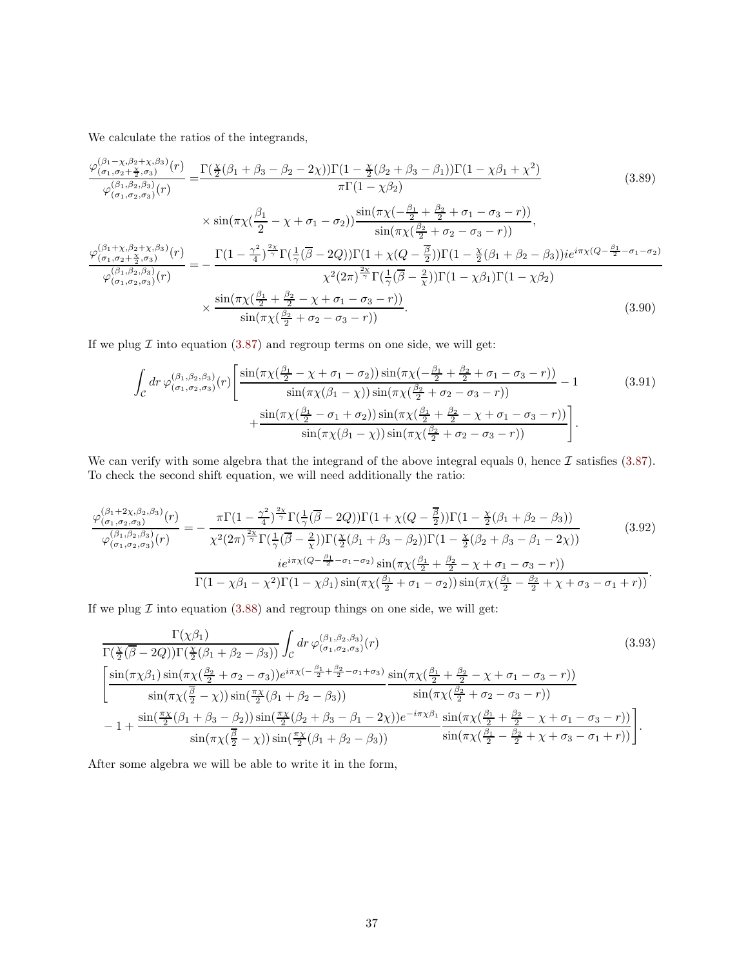We calculate the ratios of the integrands,

$$
\frac{\varphi_{(\sigma_1, \sigma_2+\frac{\chi}{2}, \sigma_3)}^{(\beta_1-\chi, \beta_2+\chi, \beta_3)}(r)}{\varphi_{(\sigma_1, \sigma_2, \sigma_3)}^{(\beta_1,\beta_2,\beta_3)}(r)} = \frac{\Gamma(\frac{\chi}{2}(\beta_1+\beta_3-\beta_2-2\chi))\Gamma(1-\frac{\chi}{2}(\beta_2+\beta_3-\beta_1))\Gamma(1-\chi\beta_1+\chi^2)}{\pi\Gamma(1-\chi\beta_2)} \qquad (3.89)
$$
\n
$$
\times \sin(\pi\chi(\frac{\beta_1}{2}-\chi+\sigma_1-\sigma_2))\frac{\sin(\pi\chi(-\frac{\beta_1}{2}+\frac{\beta_2}{2}+\sigma_1-\sigma_3-r))}{\sin(\pi\chi(\frac{\beta_2}{2}+\sigma_2-\sigma_3-r))},
$$
\n
$$
\frac{\varphi_{(\sigma_1, \sigma_2+\frac{\chi}{2}, \sigma_3)}^{(\beta_1+\chi,\beta_2+\chi,\beta_3)}(r)}{\varphi_{(\sigma_1, \sigma_2,\sigma_3)}^{(\beta_1,\beta_2,\beta_3)}(r)} = -\frac{\Gamma(1-\frac{\gamma^2}{4})^{\frac{2\chi}{\gamma}}\Gamma(\frac{1}{\gamma}(\overline{\beta}-2Q))\Gamma(1+\chi(Q-\frac{\overline{\beta}}{2}))\Gamma(1-\frac{\chi}{2}(\beta_1+\beta_2-\beta_3))ie^{i\pi\chi(Q-\frac{\beta_1}{2}-\sigma_1-\sigma_2)}}{\chi^2(2\pi)^{\frac{2\chi}{\gamma}}\Gamma(\frac{1}{\gamma}(\overline{\beta}-\frac{2}{\chi}))\Gamma(1-\chi\beta_1)\Gamma(1-\chi\beta_2)} \times \frac{\sin(\pi\chi(\frac{\beta_1}{2}+\frac{\beta_2}{2}-\chi+\sigma_1-\sigma_3-r))}{\sin(\pi\chi(\frac{\beta_2}{2}+\sigma_2-\sigma_3-r))}.
$$
\n(3.90)

If we plug  $\mathcal I$  into equation [\(3.87\)](#page-35-0) and regroup terms on one side, we will get:

$$
\int_{\mathcal{C}} dr \, \varphi_{(\sigma_1, \sigma_2, \sigma_3)}^{(\beta_1, \beta_2, \beta_3)}(r) \left[ \frac{\sin(\pi \chi(\frac{\beta_1}{2} - \chi + \sigma_1 - \sigma_2)) \sin(\pi \chi(-\frac{\beta_1}{2} + \frac{\beta_2}{2} + \sigma_1 - \sigma_3 - r))}{\sin(\pi \chi(\beta_1 - \chi)) \sin(\pi \chi(\frac{\beta_2}{2} + \sigma_2 - \sigma_3 - r))} - 1 \right. \tag{3.91}
$$
\n
$$
+ \frac{\sin(\pi \chi(\frac{\beta_1}{2} - \sigma_1 + \sigma_2)) \sin(\pi \chi(\frac{\beta_1}{2} + \frac{\beta_2}{2} - \chi + \sigma_1 - \sigma_3 - r))}{\sin(\pi \chi(\beta_1 - \chi)) \sin(\pi \chi(\frac{\beta_2}{2} + \sigma_2 - \sigma_3 - r))} \right].
$$

We can verify with some algebra that the integrand of the above integral equals 0, hence  $\mathcal I$  satisfies [\(3.87\)](#page-35-0). To check the second shift equation, we will need additionally the ratio:

$$
\frac{\varphi_{(\sigma_1,\sigma_2,\sigma_3)}^{(\beta_1+2\chi,\beta_2,\beta_3)}(r)}{\varphi_{(\sigma_1,\sigma_2,\sigma_3)}^{(\beta_1,\beta_2,\beta_3)}(r)} = -\frac{\pi\Gamma(1-\frac{\gamma^2}{4})^{\frac{2\chi}{\gamma}}\Gamma(\frac{1}{\gamma}(\overline{\beta}-2Q))\Gamma(1+\chi(Q-\frac{\overline{\beta}}{2}))\Gamma(1-\frac{\chi}{2}(\beta_1+\beta_2-\beta_3))}{\chi^2(2\pi)^{\frac{2\chi}{\gamma}}\Gamma(\frac{1}{\gamma}(\overline{\beta}-\frac{2}{\chi}))\Gamma(\frac{\chi}{2}(\beta_1+\beta_3-\beta_2))\Gamma(1-\frac{\chi}{2}(\beta_2+\beta_3-\beta_1-2\chi))}
$$
(3.92)  

$$
\frac{ie^{i\pi}\chi(Q-\frac{\beta_1}{2}-\sigma_1-\sigma_2)\sin(\pi\chi(\frac{\beta_1}{2}+\frac{\beta_2}{2}-\chi+\sigma_1-\sigma_3-r))}{\Gamma(1-\chi\beta_1-\chi^2)\Gamma(1-\chi\beta_1)\sin(\pi\chi(\frac{\beta_1}{2}+\sigma_1-\sigma_2))\sin(\pi\chi(\frac{\beta_1}{2}-\frac{\beta_2}{2}+\chi+\sigma_3-\sigma_1+r))}.
$$

If we plug  $\mathcal I$  into equation [\(3.88\)](#page-35-1) and regroup things on one side, we will get:

$$
\frac{\Gamma(\chi\beta_{1})}{\Gamma(\frac{\chi}{2}(\beta-2Q))\Gamma(\frac{\chi}{2}(\beta_{1}+\beta_{2}-\beta_{3}))}\int_{\mathcal{C}}dr\,\varphi_{(\sigma_{1},\sigma_{2},\sigma_{3})}^{(3,3)}(r)
$$
\n
$$
\left[\frac{\sin(\pi\chi\beta_{1})\sin(\pi\chi(\frac{\beta_{2}}{2}+\sigma_{2}-\sigma_{3}))e^{i\pi\chi(-\frac{\beta_{1}}{2}+\frac{\beta_{2}}{2}-\sigma_{1}+\sigma_{3})}\sin(\pi\chi(\frac{\beta_{1}}{2}+\frac{\beta_{2}}{2}-\chi+\sigma_{1}-\sigma_{3}-r))}{\sin(\pi\chi(\frac{\beta}{2}-\chi))\sin(\frac{\pi\chi}{2}(\beta_{1}+\beta_{2}-\beta_{3}))}\frac{\sin(\pi\chi(\frac{\beta_{1}}{2}+\frac{\beta_{2}}{2}-\chi+\sigma_{1}-\sigma_{3}-r))}{\sin(\pi\chi(\frac{\beta_{2}}{2}+\sigma_{2}-\sigma_{3}-r))}\right]-1+\frac{\sin(\frac{\pi\chi}{2}(\beta_{1}+\beta_{3}-\beta_{2}))\sin(\frac{\pi\chi}{2}(\beta_{2}+\beta_{3}-\beta_{1}-2\chi))e^{-i\pi\chi\beta_{1}}}{\sin(\pi\chi(\frac{\beta_{1}}{2}+\frac{\beta_{2}}{2}-\chi+\sigma_{1}-\sigma_{3}-r))}\left[\frac{\pi\chi}{2}(\beta_{1}+\beta_{2}-\beta_{3})\right]}.
$$
\n(3.93)

After some algebra we will be able to write it in the form,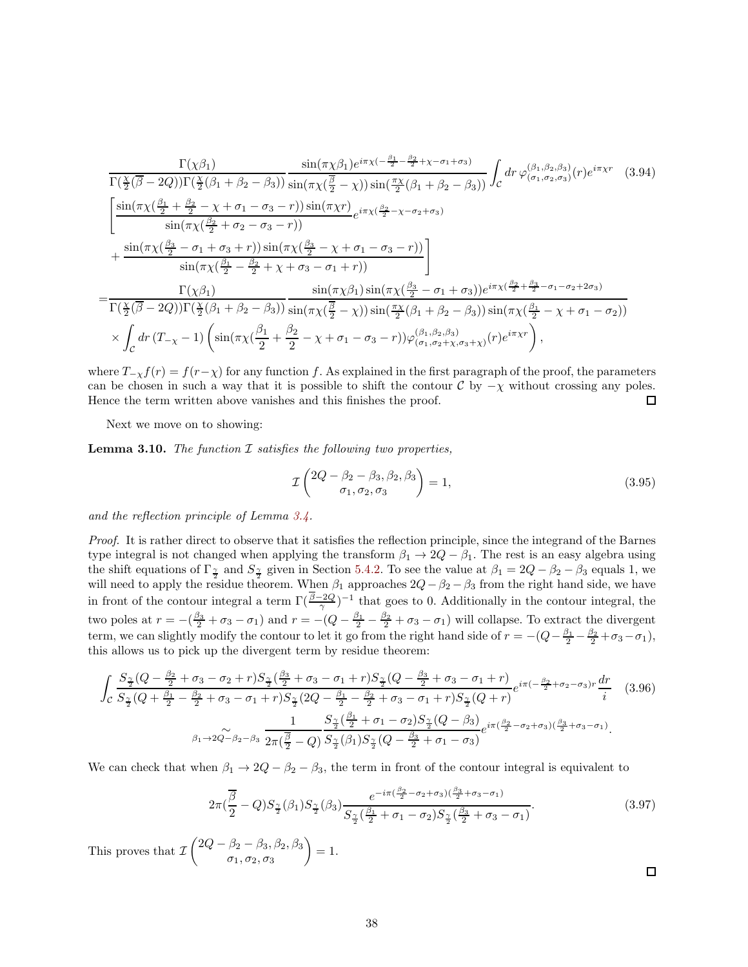$$
\frac{\Gamma(\chi\beta_{1})}{\Gamma(\frac{\chi}{2}(\overline{\beta}-2Q))\Gamma(\frac{\chi}{2}(\beta_{1}+\beta_{2}-\beta_{3}))}\frac{\sin(\pi\chi\beta_{1})e^{i\pi\chi(-\frac{\beta_{1}}{2}-\frac{\beta_{2}}{2}+\chi-\sigma_{1}+\sigma_{3})}}{\sin(\pi\chi(\frac{\overline{\beta}}{2}-\chi))\sin(\frac{\pi\chi}{2}(\beta_{1}+\beta_{2}-\beta_{3}))}\int_{c}dr\,\varphi_{(\sigma_{1},\sigma_{2},\sigma_{3})}^{(\beta_{1},\beta_{2},\beta_{3})}(r)e^{i\pi\chi r} \quad (3.94)
$$
\n
$$
\left[\frac{\sin(\pi\chi(\frac{\beta_{1}}{2}+\frac{\beta_{2}}{2}-\chi+\sigma_{1}-\sigma_{3}-r))\sin(\pi\chi r)}{\sin(\pi\chi(\frac{\beta_{2}}{2}+\sigma_{2}-\sigma_{3}-r))}-\frac{\sin(\pi\chi(\frac{\beta_{2}}{2}-\chi+\sigma_{1}-\sigma_{3}-r))}{\sin(\pi\chi(\frac{\beta_{1}}{2}-\frac{\beta_{2}}{2}+\chi+\sigma_{3}-\sigma_{1}+r))}\right]\right.\n\left.\left.+\frac{\Gamma(\chi\beta_{1})}{\Gamma(\frac{\chi}{2}(\beta-2Q))\Gamma(\frac{\chi}{2}(\beta_{1}+\beta_{2}-\beta_{3}))}\frac{\sin(\pi\chi\beta_{1})\sin(\pi\chi(\frac{\beta_{3}}{2}-\sigma_{1}+\sigma_{3}))e^{i\pi\chi(\frac{\beta_{2}}{2}+\frac{\beta_{3}}{2}-\sigma_{1}-\sigma_{2}+2\sigma_{3})}{\Gamma(\frac{\chi}{2}(\beta-2Q))\Gamma(\frac{\chi}{2}(\beta_{1}+\beta_{2}-\beta_{3}))}\frac{\sin(\pi\chi(\frac{\beta_{1}}{2}-\chi)+\sigma_{3})e^{i\pi\chi(\frac{\beta_{2}}{2}+\frac{\beta_{3}}{2}-\sigma_{1}-\sigma_{2}+2\sigma_{3})}}{\sin(\pi\chi(\frac{\beta_{1}}{2}-\chi)+\sigma_{1}-\sigma_{3})\sin(\pi\chi(\frac{\beta_{1}}{2}-\chi)+\sigma_{1}-\sigma_{3}-r))\varphi_{(\sigma_{1},\sigma_{2}+\chi,\sigma_{3}+\chi)}^{(\beta_{1},\beta_{2},\beta_{3})}(r)e^{i\pi\chi r}\right),\n\left.\times\int_{c}dr
$$

where  $T_{-\chi}f(r) = f(r-\chi)$  for any function f. As explained in the first paragraph of the proof, the parameters can be chosen in such a way that it is possible to shift the contour C by  $-\chi$  without crossing any poles.<br>Hence the term written above vanishes and this finishes the proof. Hence the term written above vanishes and this finishes the proof.

Next we move on to showing:

Lemma 3.10. *The function* I *satisfies the following two properties,*

$$
\mathcal{I}\left(\begin{matrix}2Q-\beta_2-\beta_3,\beta_2,\beta_3\\ \sigma_1,\sigma_2,\sigma_3\end{matrix}\right)=1,
$$
\n(3.95)

*and the reflection principle of Lemma [3.4.](#page-26-3)*

*Proof.* It is rather direct to observe that it satisfies the reflection principle, since the integrand of the Barnes type integral is not changed when applying the transform  $\beta_1 \to 2Q - \beta_1$ . The rest is an easy algebra using the shift equations of  $\Gamma_{\frac{\gamma}{2}}$  and  $S_{\frac{\gamma}{2}}$  given in Section [5.4.2.](#page-59-0) To see the value at  $\beta_1 = 2Q - \beta_2 - \beta_3$  equals 1, we will need to apply the residue theorem. When  $\beta_1$  approaches  $2Q - \beta_2 - \beta_3$  from the right hand side, we have in front of the contour integral a term  $\Gamma(\frac{\beta-2Q}{\gamma})^{-1}$  that goes to 0. Additionally in the contour integral, the two poles at  $r = -(\frac{\beta_3}{2} + \sigma_3 - \sigma_1)$  and  $r = -(Q - \frac{\beta_1}{2} - \frac{\beta_2}{2} + \sigma_3 - \sigma_1)$  will collapse. To extract the divergent term, we can slightly modify the contour to let it go from the right hand side of  $r = -(Q - \frac{\beta_1}{2} - \frac{\beta_2}{2} + \sigma_3 - \sigma_1)$ , this allows us to pick up the divergent term by residue theorem:

$$
\int_{\mathcal{C}} \frac{S_{\frac{\gamma}{2}}(Q - \frac{\beta_{2}}{2} + \sigma_{3} - \sigma_{2} + r)S_{\frac{\gamma}{2}}(\frac{\beta_{3}}{2} + \sigma_{3} - \sigma_{1} + r)S_{\frac{\gamma}{2}}(Q - \frac{\beta_{3}}{2} + \sigma_{3} - \sigma_{1} + r)}{S_{\frac{\gamma}{2}}(Q + \frac{\beta_{1}}{2} - \frac{\beta_{2}}{2} + \sigma_{3} - \sigma_{1} + r)S_{\frac{\gamma}{2}}(2Q - \frac{\beta_{1}}{2} - \frac{\beta_{2}}{2} + \sigma_{3} - \sigma_{1} + r)S_{\frac{\gamma}{2}}(Q + r)} e^{i\pi(-\frac{\beta_{2}}{2} + \sigma_{2} - \sigma_{3})r} \frac{dr}{i} \tag{3.96}
$$
\n
$$
\int_{\beta_{1} \to 2Q - \beta_{2} - \beta_{3}} \frac{1}{2\pi(\frac{\beta}{2} - Q)} \frac{S_{\frac{\gamma}{2}}(\frac{\beta_{1}}{2} + \sigma_{1} - \sigma_{2})S_{\frac{\gamma}{2}}(Q - \beta_{3})}{S_{\frac{\gamma}{2}}(\beta_{1})S_{\frac{\gamma}{2}}(Q - \frac{\beta_{3}}{2} + \sigma_{1} - \sigma_{3})} e^{i\pi(\frac{\beta_{2}}{2} - \sigma_{2} + \sigma_{3})(\frac{\beta_{3}}{2} + \sigma_{3} - \sigma_{1})}.
$$

We can check that when  $\beta_1 \to 2Q - \beta_2 - \beta_3$ , the term in front of the contour integral is equivalent to

$$
2\pi(\frac{\overline{\beta}}{2}-Q)S_{\frac{\gamma}{2}}(\beta_1)S_{\frac{\gamma}{2}}(\beta_3)\frac{e^{-i\pi(\frac{\beta_2}{2}-\sigma_2+\sigma_3)(\frac{\beta_3}{2}+\sigma_3-\sigma_1)}}{S_{\frac{\gamma}{2}}(\frac{\beta_1}{2}+\sigma_1-\sigma_2)S_{\frac{\gamma}{2}}(\frac{\beta_3}{2}+\sigma_3-\sigma_1)}.
$$
(3.97)

This proves that  $\mathcal{I}\left(\begin{matrix} 2Q - \beta_2 - \beta_3, \beta_2, \beta_3 \\ \sigma_1, \sigma_2, \sigma_3 \end{matrix}\right)$  $\sigma_1, \sigma_2, \sigma_3$  $= 1.$ 

 $\Box$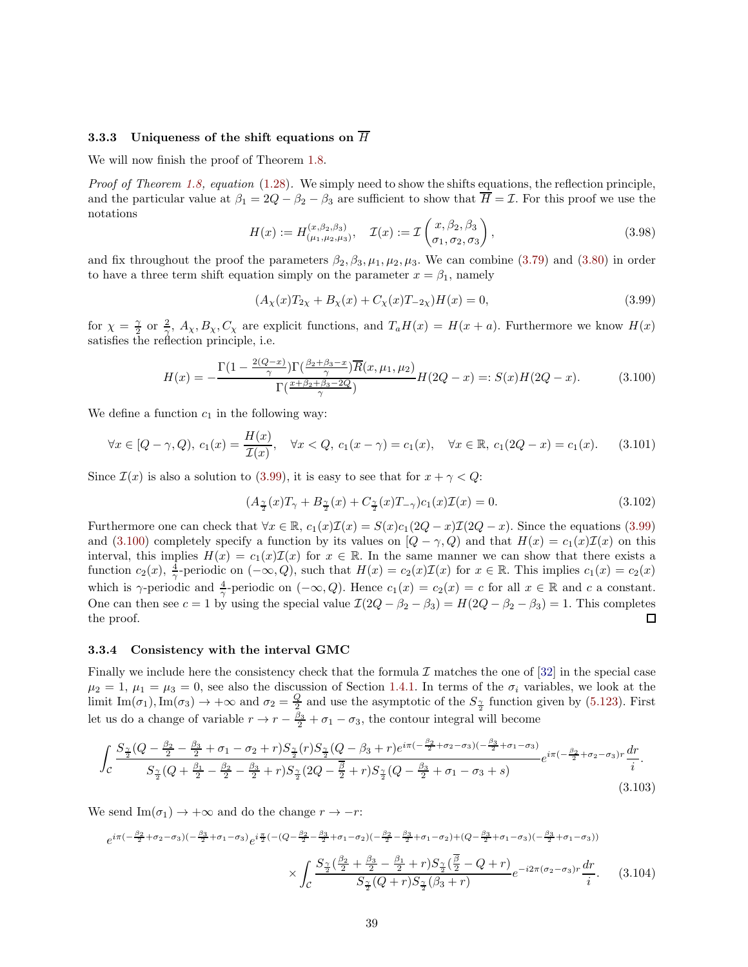## 3.3.3 Uniqueness of the shift equations on  $\overline{H}$

We will now finish the proof of Theorem [1.8.](#page-7-4)

*Proof of Theorem [1.8,](#page-7-4) equation* [\(1.28\)](#page-7-0)*.* We simply need to show the shifts equations, the reflection principle, and the particular value at  $\beta_1 = 2Q - \beta_2 - \beta_3$  are sufficient to show that  $\overline{H} = \mathcal{I}$ . For this proof we use the notations

$$
H(x) := H_{(\mu_1, \mu_2, \mu_3)}^{(x, \beta_2, \beta_3)}, \quad \mathcal{I}(x) := \mathcal{I}\left(\begin{matrix} x, \beta_2, \beta_3\\ \sigma_1, \sigma_2, \sigma_3 \end{matrix}\right),\tag{3.98}
$$

and fix throughout the proof the parameters  $\beta_2, \beta_3, \mu_1, \mu_2, \mu_3$ . We can combine [\(3.79\)](#page-34-3) and [\(3.80\)](#page-34-4) in order to have a three term shift equation simply on the parameter  $x = \beta_1$ , namely

<span id="page-38-1"></span>
$$
(A_{\chi}(x)T_{2\chi} + B_{\chi}(x) + C_{\chi}(x)T_{-2\chi})H(x) = 0,
$$
\n(3.99)

for  $\chi = \frac{\gamma}{2}$  or  $\frac{2}{\gamma}$ ,  $A_{\chi}$ ,  $B_{\chi}$ ,  $C_{\chi}$  are explicit functions, and  $T_a H(x) = H(x+a)$ . Furthermore we know  $H(x)$ satisfies the reflection principle, i.e.

<span id="page-38-2"></span>
$$
H(x) = -\frac{\Gamma(1 - \frac{2(Q - x)}{\gamma})\Gamma(\frac{\beta_2 + \beta_3 - x}{\gamma})\overline{R}(x, \mu_1, \mu_2)}{\Gamma(\frac{x + \beta_2 + \beta_3 - 2Q}{\gamma})}H(2Q - x) =: S(x)H(2Q - x).
$$
 (3.100)

We define a function  $c_1$  in the following way:

$$
\forall x \in [Q - \gamma, Q), \ c_1(x) = \frac{H(x)}{\mathcal{I}(x)}, \quad \forall x < Q, \ c_1(x - \gamma) = c_1(x), \quad \forall x \in \mathbb{R}, \ c_1(2Q - x) = c_1(x). \tag{3.101}
$$

Since  $\mathcal{I}(x)$  is also a solution to [\(3.99\)](#page-38-1), it is easy to see that for  $x + \gamma < Q$ :

$$
(A_{\frac{\gamma}{2}}(x)T_{\gamma} + B_{\frac{\gamma}{2}}(x) + C_{\frac{\gamma}{2}}(x)T_{-\gamma})c_1(x)\mathcal{I}(x) = 0.
$$
\n(3.102)

Furthermore one can check that  $\forall x \in \mathbb{R}$ ,  $c_1(x)\mathcal{I}(x) = S(x)c_1(2Q-x)\mathcal{I}(2Q-x)$ . Since the equations [\(3.99\)](#page-38-1) and [\(3.100\)](#page-38-2) completely specify a function by its values on  $[Q - \gamma, Q)$  and that  $H(x) = c_1(x)\mathcal{I}(x)$  on this interval, this implies  $H(x) = c_1(x)\mathcal{I}(x)$  for  $x \in \mathbb{R}$ . In the same manner we can show that there exists a function  $c_2(x)$ ,  $\frac{4}{\gamma}$ -periodic on  $(-\infty, Q)$ , such that  $H(x) = c_2(x)\mathcal{I}(x)$  for  $x \in \mathbb{R}$ . This implies  $c_1(x) = c_2(x)$ which is  $\gamma$ -periodic and  $\frac{4}{\gamma}$ -periodic on  $(-\infty, Q)$ . Hence  $c_1(x) = c_2(x) = c$  for all  $x \in \mathbb{R}$  and c a constant. One can then see  $c = 1$  by using the special value  $\mathcal{I}(2Q - \beta_2 - \beta_3) = H(2Q - \beta_2 - \beta_3) = 1$ . This completes the proof.

#### <span id="page-38-0"></span>3.3.4 Consistency with the interval GMC

Finally we include here the consistency check that the formula I matches the one of  $[32]$  in the special case  $\mu_2 = 1, \mu_1 = \mu_3 = 0$ , see also the discussion of Section [1.4.1.](#page-9-1) In terms of the  $\sigma_i$  variables, we look at the limit Im( $\sigma_1$ ), Im( $\sigma_3$ )  $\to +\infty$  and  $\sigma_2 = \frac{Q}{2}$  and use the asymptotic of the  $S_{\frac{\gamma}{2}}$  function given by [\(5.123\)](#page-59-3). First let us do a change of variable  $r \to r - \frac{\beta_3}{2} + \sigma_1 - \sigma_3$ , the contour integral will become

$$
\int_{\mathcal{C}} \frac{S_{\frac{\gamma}{2}}(Q-\frac{\beta_2}{2}-\frac{\beta_3}{2}+\sigma_1-\sigma_2+r)S_{\frac{\gamma}{2}}(r)S_{\frac{\gamma}{2}}(Q-\beta_3+r)e^{i\pi(-\frac{\beta_2}{2}+\sigma_2-\sigma_3)(-\frac{\beta_3}{2}+\sigma_1-\sigma_3)}}{S_{\frac{\gamma}{2}}(Q+\frac{\beta_1}{2}-\frac{\beta_2}{2}-\frac{\beta_3}{2}+r)S_{\frac{\gamma}{2}}(2Q-\frac{\overline{\beta}}{2}+r)S_{\frac{\gamma}{2}}(Q-\frac{\beta_3}{2}+\sigma_1-\sigma_3+s)}e^{i\pi(-\frac{\beta_2}{2}+\sigma_2-\sigma_3)r}\frac{dr}{i}.
$$
\n(3.103)

We send Im( $\sigma_1$ )  $\rightarrow +\infty$  and do the change  $r \rightarrow -r$ :

$$
e^{i\pi(-\frac{\beta_{2}}{2}+\sigma_{2}-\sigma_{3})(-\frac{\beta_{3}}{2}+\sigma_{1}-\sigma_{3})}e^{i\frac{\pi}{2}(-(Q-\frac{\beta_{2}}{2}-\frac{\beta_{3}}{2}+\sigma_{1}-\sigma_{2})(-\frac{\beta_{2}}{2}-\frac{\beta_{3}}{2}+\sigma_{1}-\sigma_{2})+(Q-\frac{\beta_{3}}{2}+\sigma_{1}-\sigma_{3})(-\frac{\beta_{3}}{2}+\sigma_{1}-\sigma_{3}))}
$$

$$
\times \int_{\mathcal{C}} \frac{S_{\frac{\gamma}{2}}(\frac{\beta_{2}}{2}+\frac{\beta_{3}}{2}-\frac{\beta_{1}}{2}+r)S_{\frac{\gamma}{2}}(\frac{\beta}{2}-Q+r)}{S_{\frac{\gamma}{2}}(Q+r)S_{\frac{\gamma}{2}}(\beta_{3}+r)}e^{-i2\pi(\sigma_{2}-\sigma_{3})r}\frac{dr}{i}.
$$
(3.104)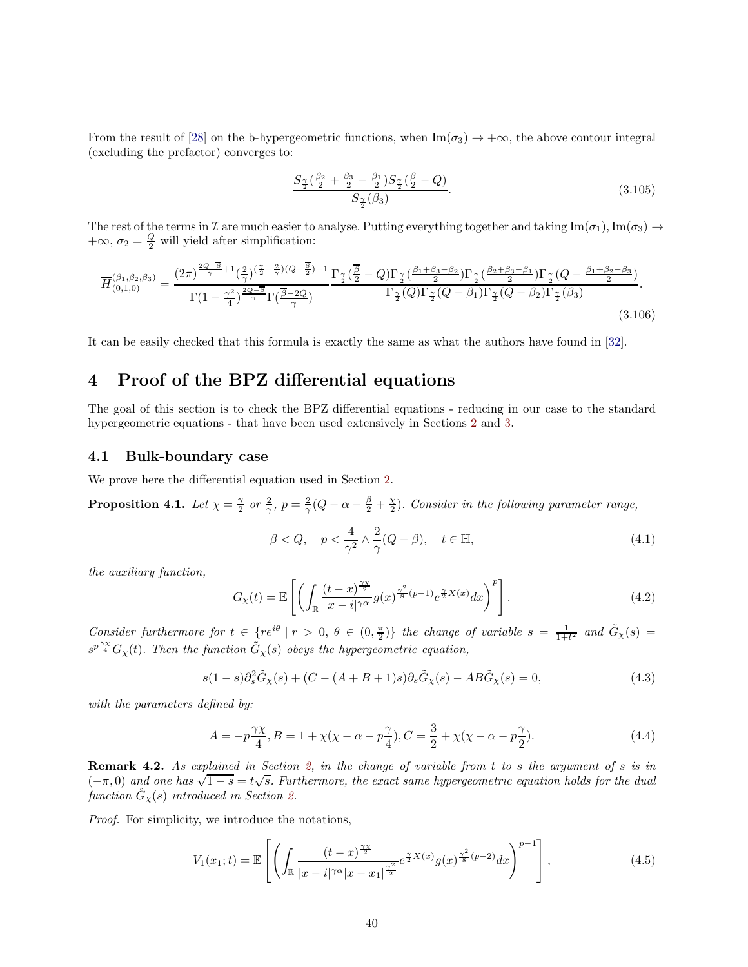From the result of [28] on the b-hypergeometric functions, when  $\text{Im}(\sigma_3) \to +\infty$ , the above contour integral (excluding the prefactor) converges to:

$$
\frac{S_{\frac{\gamma}{2}}(\frac{\beta_2}{2} + \frac{\beta_3}{2} - \frac{\beta_1}{2})S_{\frac{\gamma}{2}}(\frac{\beta}{2} - Q)}{S_{\frac{\gamma}{2}}(\beta_3)}.
$$
\n(3.105)

The rest of the terms in I are much easier to analyse. Putting everything together and taking  $\text{Im}(\sigma_1), \text{Im}(\sigma_3) \rightarrow$  $+\infty$ ,  $\sigma_2 = \frac{Q}{2}$  will yield after simplification:

$$
\overline{H}_{(0,1,0)}^{(\beta_1,\beta_2,\beta_3)} = \frac{(2\pi)^{\frac{2Q-\overline{\beta}}{\gamma}+1}(\frac{2}{\gamma})(\frac{\gamma}{2}-\frac{2}{\gamma})(Q-\frac{\overline{\beta}}{2})-1}{\Gamma(1-\frac{\gamma^2}{4})^{\frac{2Q-\overline{\beta}}{\gamma}}\Gamma(\frac{\overline{\beta}-2Q}{\gamma})}\frac{\Gamma_{\frac{\gamma}{2}}(\frac{\overline{\beta}}{2}-Q)\Gamma_{\frac{\gamma}{2}}(\frac{\beta_1+\beta_3-\beta_2}{2})\Gamma_{\frac{\gamma}{2}}(\frac{\beta_2+\beta_3-\beta_1}{2})\Gamma_{\frac{\gamma}{2}}(Q-\frac{\beta_1+\beta_2-\beta_3}{2})}{\Gamma_{\frac{\gamma}{2}}(Q)\Gamma_{\frac{\gamma}{2}}(Q-\beta_1)\Gamma_{\frac{\gamma}{2}}(Q-\beta_2)\Gamma_{\frac{\gamma}{2}}(\beta_3)}.
$$
\n(3.106)

It can be easily checked that this formula is exactly the same as what the authors have found in [\[32\]](#page-65-5).

# <span id="page-39-0"></span>4 Proof of the BPZ differential equations

The goal of this section is to check the BPZ differential equations - reducing in our case to the standard hypergeometric equations - that have been used extensively in Sections [2](#page-15-0) and [3.](#page-21-0)

## <span id="page-39-1"></span>4.1 Bulk-boundary case

We prove here the differential equation used in Section [2.](#page-15-0)

**Proposition 4.1.** Let  $\chi = \frac{\gamma}{2}$  or  $\frac{2}{\gamma}$ ,  $p = \frac{2}{\gamma}(Q - \alpha - \frac{\beta}{2} + \frac{\chi}{2})$ . Consider in the following parameter range,

$$
\beta < Q, \quad p < \frac{4}{\gamma^2} \land \frac{2}{\gamma} (Q - \beta), \quad t \in \mathbb{H}, \tag{4.1}
$$

*the auxiliary function,*

$$
G_{\chi}(t) = \mathbb{E}\left[\left(\int_{\mathbb{R}} \frac{(t-x)^{\frac{\gamma \chi}{2}}}{|x-i|^{\gamma \alpha}} g(x)^{\frac{\gamma^2}{8}(p-1)} e^{\frac{\gamma}{2}X(x)} dx\right)^p\right].\tag{4.2}
$$

*Consider furthermore for*  $t \in \{re^{i\theta} \mid r > 0, \theta \in (0, \frac{\pi}{2})\}$  *the change of variable*  $s = \frac{1}{1+t^2}$  *and*  $\tilde{G}_\chi(s)$  =  $s^{p\frac{\gamma_X}{4}}G_\chi(t)$ . Then the function  $\tilde{G}_\chi(s)$  obeys the hypergeometric equation,

$$
s(1-s)\partial_s^2 \tilde{G}_\chi(s) + (C - (A+B+1)s)\partial_s \tilde{G}_\chi(s) - AB \tilde{G}_\chi(s) = 0,\tag{4.3}
$$

*with the parameters defined by:*

$$
A = -p\frac{\gamma \chi}{4}, B = 1 + \chi(\chi - \alpha - p\frac{\gamma}{4}), C = \frac{3}{2} + \chi(\chi - \alpha - p\frac{\gamma}{2}).
$$
\n(4.4)

Remark 4.2. *As explained in Section [2,](#page-15-0) in the change of variable from* t *to* s *the argument of* s *is in*  $(-\pi, 0)$  and one has  $\sqrt{1-s} = t\sqrt{s}$ . Furthermore, the exact same hypergeometric equation holds for the dual  $function \hat{G}_{\chi}(s)$  *introduced in Section [2.](#page-15-0)* 

*Proof.* For simplicity, we introduce the notations,

$$
V_1(x_1;t) = \mathbb{E}\left[\left(\int_{\mathbb{R}} \frac{(t-x)^{\frac{\gamma x}{2}}}{|x-i|^{\gamma \alpha}|x-x_1|^{\frac{\gamma^2}{2}}} e^{\frac{\gamma}{2}X(x)} g(x)^{\frac{\gamma^2}{8}(p-2)} dx\right)^{p-1}\right],\tag{4.5}
$$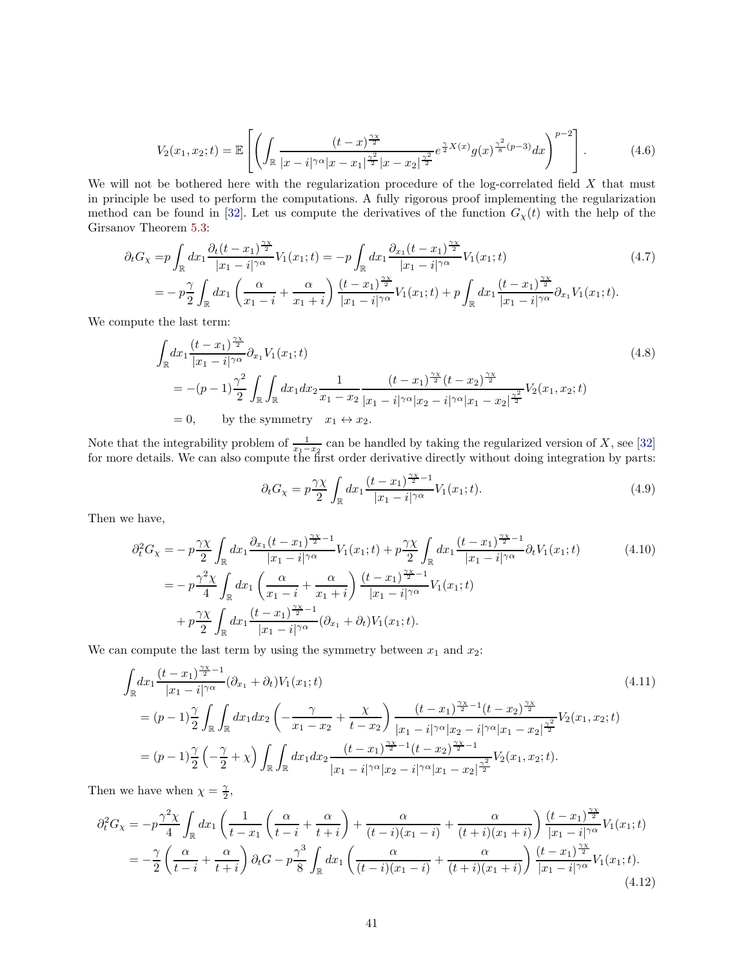$$
V_2(x_1, x_2; t) = \mathbb{E}\left[\left(\int_{\mathbb{R}} \frac{(t-x)^{\frac{\gamma x}{2}}}{|x-i|^{\gamma \alpha}|x-x_1|^{\frac{\gamma^2}{2}}|x-x_2|^{\frac{\gamma^2}{2}}} e^{\frac{\gamma}{2}X(x)}g(x)^{\frac{\gamma^2}{8}(p-3)}dx\right)^{p-2}\right].
$$
 (4.6)

We will not be bothered here with the regularization procedure of the log-correlated field  $X$  that must in principle be used to perform the computations. A fully rigorous proof implementing the regularization method can be found in [\[32\]](#page-65-5). Let us compute the derivatives of the function  $G_{\chi}(t)$  with the help of the Girsanov Theorem [5.3:](#page-45-0)

$$
\partial_t G_{\chi} = p \int_{\mathbb{R}} dx_1 \frac{\partial_t (t - x_1)^{\frac{\gamma \chi}{2}}}{|x_1 - i|^{\gamma \alpha}} V_1(x_1; t) = -p \int_{\mathbb{R}} dx_1 \frac{\partial_{x_1} (t - x_1)^{\frac{\gamma \chi}{2}}}{|x_1 - i|^{\gamma \alpha}} V_1(x_1; t)
$$
\n
$$
= -p \frac{\gamma}{2} \int_{\mathbb{R}} dx_1 \left( \frac{\alpha}{x_1 - i} + \frac{\alpha}{x_1 + i} \right) \frac{(t - x_1)^{\frac{\gamma \chi}{2}}}{|x_1 - i|^{\gamma \alpha}} V_1(x_1; t) + p \int_{\mathbb{R}} dx_1 \frac{(t - x_1)^{\frac{\gamma \chi}{2}}}{|x_1 - i|^{\gamma \alpha}} \partial_{x_1} V_1(x_1; t).
$$
\n(4.7)

We compute the last term:

$$
\int_{\mathbb{R}} dx_1 \frac{(t - x_1)^{\frac{\gamma x}{2}}}{|x_1 - i|^{\gamma \alpha}} \partial_{x_1} V_1(x_1; t)
$$
\n
$$
= -(p - 1) \frac{\gamma^2}{2} \int_{\mathbb{R}} \int_{\mathbb{R}} dx_1 dx_2 \frac{1}{x_1 - x_2} \frac{(t - x_1)^{\frac{\gamma x}{2}} (t - x_2)^{\frac{\gamma x}{2}}}{|x_1 - i|^{\gamma \alpha} |x_2 - i|^{\gamma \alpha} |x_1 - x_2|^{\frac{\gamma^2}{2}}} V_2(x_1, x_2; t)
$$
\n
$$
= 0, \quad \text{by the symmetry} \quad x_1 \leftrightarrow x_2.
$$
\n(4.8)

Note that the integrability problem of  $\frac{1}{x_1-x_2}$  can be handled by taking the regularized version of X, see [\[32\]](#page-65-5) for more details. We can also compute the first order derivative directly without doing integration by parts:

$$
\partial_t G_\chi = p \frac{\gamma \chi}{2} \int_{\mathbb{R}} dx_1 \frac{(t - x_1)^{\frac{\gamma \chi}{2} - 1}}{|x_1 - i|^{\gamma \alpha}} V_1(x_1; t). \tag{4.9}
$$

Then we have,

$$
\partial_t^2 G_\chi = -p \frac{\gamma \chi}{2} \int_{\mathbb{R}} dx_1 \frac{\partial_{x_1} (t - x_1)^{\frac{\gamma \chi}{2} - 1}}{|x_1 - i|^{\gamma \alpha}} V_1(x_1; t) + p \frac{\gamma \chi}{2} \int_{\mathbb{R}} dx_1 \frac{(t - x_1)^{\frac{\gamma \chi}{2} - 1}}{|x_1 - i|^{\gamma \alpha}} \partial_t V_1(x_1; t)
$$
\n
$$
= -p \frac{\gamma^2 \chi}{4} \int_{\mathbb{R}} dx_1 \left( \frac{\alpha}{x_1 - i} + \frac{\alpha}{x_1 + i} \right) \frac{(t - x_1)^{\frac{\gamma \chi}{2} - 1}}{|x_1 - i|^{\gamma \alpha}} V_1(x_1; t)
$$
\n
$$
+ p \frac{\gamma \chi}{2} \int_{\mathbb{R}} dx_1 \frac{(t - x_1)^{\frac{\gamma \chi}{2} - 1}}{|x_1 - i|^{\gamma \alpha}} (\partial_{x_1} + \partial_t) V_1(x_1; t).
$$
\n(4.10)

We can compute the last term by using the symmetry between  $x_1$  and  $x_2$ :

$$
\int_{\mathbb{R}} dx_1 \frac{(t - x_1)^{\frac{\gamma_X}{2} - 1}}{|x_1 - i|^{\gamma \alpha}} (\partial_{x_1} + \partial_t) V_1(x_1; t)
$$
\n
$$
= (p - 1) \frac{\gamma}{2} \int_{\mathbb{R}} \int_{\mathbb{R}} dx_1 dx_2 \left( -\frac{\gamma}{x_1 - x_2} + \frac{\chi}{t - x_2} \right) \frac{(t - x_1)^{\frac{\gamma_X}{2} - 1} (t - x_2)^{\frac{\gamma_X}{2}}}{|x_1 - i|^{\gamma \alpha} |x_2 - i|^{\gamma \alpha} |x_1 - x_2|^{\frac{\gamma^2}{2}}} V_2(x_1, x_2; t)
$$
\n
$$
= (p - 1) \frac{\gamma}{2} \left( -\frac{\gamma}{2} + \chi \right) \int_{\mathbb{R}} \int_{\mathbb{R}} dx_1 dx_2 \frac{(t - x_1)^{\frac{\gamma_X}{2} - 1} (t - x_2)^{\frac{\gamma_X}{2} - 1}}{|x_1 - i|^{\gamma \alpha} |x_2 - i|^{\gamma \alpha} |x_1 - x_2|^{\frac{\gamma^2}{2}}} V_2(x_1, x_2; t).
$$
\n(4.11)

Then we have when  $\chi = \frac{\gamma}{2}$ ,

$$
\partial_t^2 G_\chi = -p \frac{\gamma^2 \chi}{4} \int_{\mathbb{R}} dx_1 \left( \frac{1}{t - x_1} \left( \frac{\alpha}{t - i} + \frac{\alpha}{t + i} \right) + \frac{\alpha}{(t - i)(x_1 - i)} + \frac{\alpha}{(t + i)(x_1 + i)} \right) \frac{(t - x_1)^{\frac{\gamma \chi}{2}}}{|x_1 - i|^{\gamma \alpha}} V_1(x_1; t)
$$
  
= 
$$
-\frac{\gamma}{2} \left( \frac{\alpha}{t - i} + \frac{\alpha}{t + i} \right) \partial_t G - p \frac{\gamma^3}{8} \int_{\mathbb{R}} dx_1 \left( \frac{\alpha}{(t - i)(x_1 - i)} + \frac{\alpha}{(t + i)(x_1 + i)} \right) \frac{(t - x_1)^{\frac{\gamma \chi}{2}}}{|x_1 - i|^{\gamma \alpha}} V_1(x_1; t).
$$
(4.12)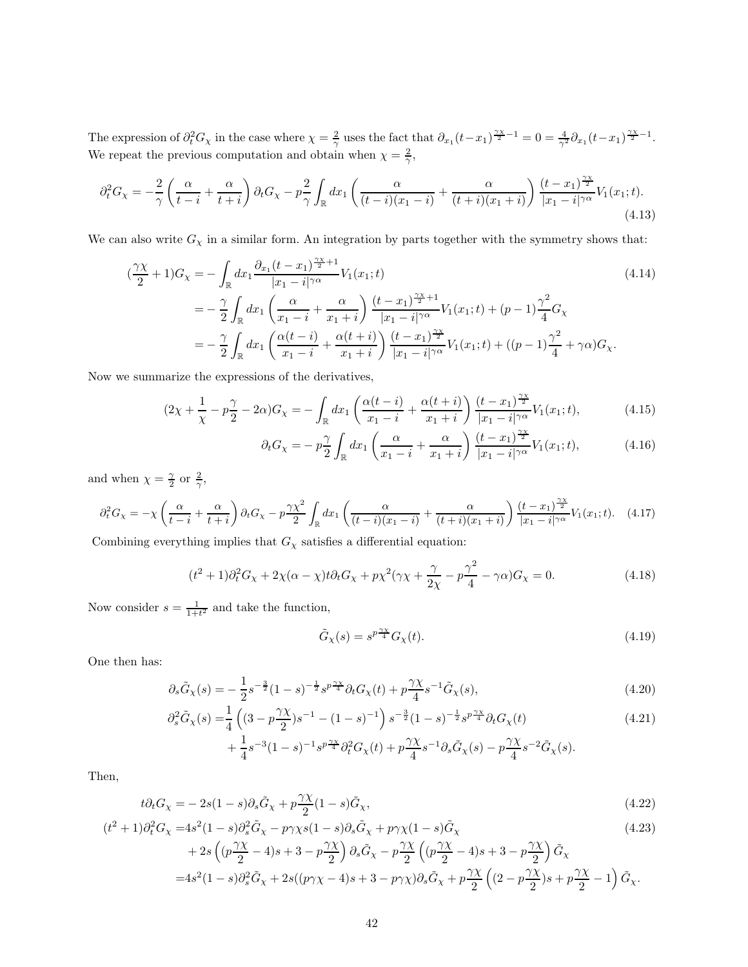The expression of  $\partial_t^2 G_\chi$  in the case where  $\chi = \frac{2}{\gamma}$  uses the fact that  $\partial_{x_1}(t-x_1)^{\frac{\gamma_X}{2}-1} = 0 = \frac{4}{\gamma^2} \partial_{x_1}(t-x_1)^{\frac{\gamma_X}{2}-1}$ . We repeat the previous computation and obtain when  $\chi = \frac{2}{\gamma}$ ,

$$
\partial_t^2 G_\chi = -\frac{2}{\gamma} \left( \frac{\alpha}{t-i} + \frac{\alpha}{t+i} \right) \partial_t G_\chi - p\frac{2}{\gamma} \int_{\mathbb{R}} dx_1 \left( \frac{\alpha}{(t-i)(x_1-i)} + \frac{\alpha}{(t+i)(x_1+i)} \right) \frac{(t-x_1)^{\frac{\gamma\chi}{2}}}{|x_1-i|^{\gamma\alpha}} V_1(x_1;t). \tag{4.13}
$$

We can also write  $G_{\chi}$  in a similar form. An integration by parts together with the symmetry shows that:

$$
\begin{split}\n\left(\frac{\gamma \chi}{2} + 1\right) G_{\chi} &= -\int_{\mathbb{R}} dx_{1} \frac{\partial_{x_{1}}(t - x_{1})^{\frac{\gamma \chi}{2} + 1}}{|x_{1} - i|^{\gamma \alpha}} V_{1}(x_{1}; t) \\
&= -\frac{\gamma}{2} \int_{\mathbb{R}} dx_{1} \left(\frac{\alpha}{x_{1} - i} + \frac{\alpha}{x_{1} + i}\right) \frac{(t - x_{1})^{\frac{\gamma \chi}{2} + 1}}{|x_{1} - i|^{\gamma \alpha}} V_{1}(x_{1}; t) + (p - 1) \frac{\gamma^{2}}{4} G_{\chi} \\
&= -\frac{\gamma}{2} \int_{\mathbb{R}} dx_{1} \left(\frac{\alpha(t - i)}{x_{1} - i} + \frac{\alpha(t + i)}{x_{1} + i}\right) \frac{(t - x_{1})^{\frac{\gamma \chi}{2}}}{|x_{1} - i|^{\gamma \alpha}} V_{1}(x_{1}; t) + ((p - 1) \frac{\gamma^{2}}{4} + \gamma \alpha) G_{\chi}.\n\end{split}
$$
\n(4.14)

Now we summarize the expressions of the derivatives,

$$
(2\chi + \frac{1}{\chi} - p\frac{\gamma}{2} - 2\alpha)G_{\chi} = -\int_{\mathbb{R}} dx_1 \left( \frac{\alpha(t - i)}{x_1 - i} + \frac{\alpha(t + i)}{x_1 + i} \right) \frac{(t - x_1)^{\frac{\gamma \chi}{2}}}{|x_1 - i|^{\gamma \alpha}} V_1(x_1; t),\tag{4.15}
$$

$$
\partial_t G_\chi = -p\frac{\gamma}{2} \int_{\mathbb{R}} dx_1 \left( \frac{\alpha}{x_1 - i} + \frac{\alpha}{x_1 + i} \right) \frac{(t - x_1)^{\frac{\gamma \chi}{2}}}{|x_1 - i|^{\gamma \alpha}} V_1(x_1; t), \tag{4.16}
$$

and when  $\chi = \frac{\gamma}{2}$  or  $\frac{2}{\gamma}$ ,

$$
\partial_t^2 G_\chi = -\chi \left( \frac{\alpha}{t-i} + \frac{\alpha}{t+i} \right) \partial_t G_\chi - p \frac{\gamma \chi^2}{2} \int_{\mathbb{R}} dx_1 \left( \frac{\alpha}{(t-i)(x_1-i)} + \frac{\alpha}{(t+i)(x_1+i)} \right) \frac{(t-x_1)^{\frac{\gamma \chi}{2}}}{|x_1-i|^{\gamma \alpha}} V_1(x_1;t). \tag{4.17}
$$

Combining everything implies that  $G_\chi$  satisfies a differential equation:

$$
(t2 + 1)\partial_t^2 G_\chi + 2\chi(\alpha - \chi)t\partial_t G_\chi + p\chi^2(\gamma\chi + \frac{\gamma}{2\chi} - p\frac{\gamma^2}{4} - \gamma\alpha)G_\chi = 0.
$$
 (4.18)

Now consider  $s = \frac{1}{1+t^2}$  and take the function,

$$
\tilde{G}_{\chi}(s) = s^{p\frac{\gamma \chi}{4}} G_{\chi}(t). \tag{4.19}
$$

One then has:

$$
\partial_s \tilde{G}_\chi(s) = -\frac{1}{2} s^{-\frac{3}{2}} (1-s)^{-\frac{1}{2}} s^{p\frac{\gamma\chi}{4}} \partial_t G_\chi(t) + p \frac{\gamma\chi}{4} s^{-1} \tilde{G}_\chi(s),\tag{4.20}
$$

$$
\partial_s^2 \tilde{G}_\chi(s) = \frac{1}{4} \left( (3 - p\frac{\gamma \chi}{2})s^{-1} - (1 - s)^{-1} \right) s^{-\frac{3}{2}} (1 - s)^{-\frac{1}{2}} s^{p\frac{\gamma \chi}{4}} \partial_t G_\chi(t) \tag{4.21}
$$

$$
+\frac{1}{4}s^{-3}(1-s)^{-1}s^{p\frac{\gamma_X}{4}}\partial_t^2G_\chi(t)+p\frac{\gamma_X}{4}s^{-1}\partial_s\tilde{G}_\chi(s)-p\frac{\gamma_X}{4}s^{-2}\tilde{G}_\chi(s).
$$

Then,

$$
t\partial_t G_\chi = -2s(1-s)\partial_s \tilde{G}_\chi + p\frac{\gamma \chi}{2}(1-s)\tilde{G}_\chi,\tag{4.22}
$$

$$
(t2 + 1)\partial_t^2 G_\chi = 4s^2(1 - s)\partial_s \tilde{G}_\chi - p\gamma \chi s(1 - s)\partial_s \tilde{G}_\chi + p\gamma \chi (1 - s)\tilde{G}_\chi
$$
\n
$$
+ 2s\left( (p\frac{\gamma \chi}{2} - 4)s + 3 - p\frac{\gamma \chi}{2} \right) \partial_s \tilde{G}_\chi - p\frac{\gamma \chi}{2} \left( (p\frac{\gamma \chi}{2} - 4)s + 3 - p\frac{\gamma \chi}{2} \right) \tilde{G}_\chi
$$
\n
$$
= 4s^2(1 - s)\partial_s^2 \tilde{G}_\chi + 2s((p\gamma \chi - 4)s + 3 - p\gamma \chi)\partial_s \tilde{G}_\chi + p\frac{\gamma \chi}{2} \left( (2 - p\frac{\gamma \chi}{2})s + p\frac{\gamma \chi}{2} - 1 \right) \tilde{G}_\chi.
$$
\n(4.23)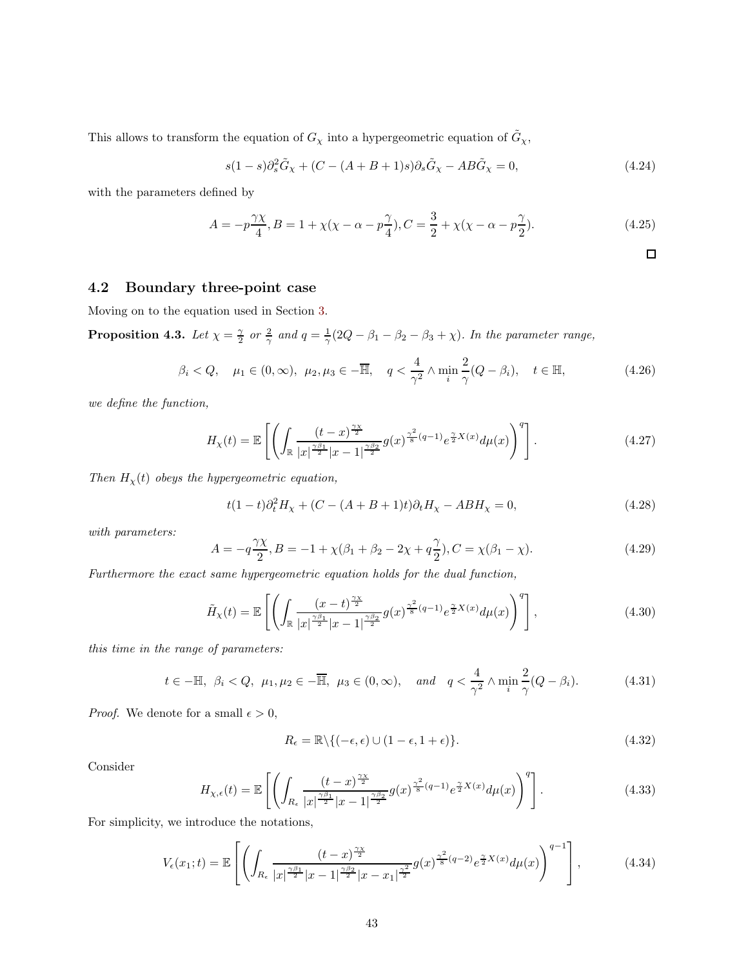This allows to transform the equation of  $G_\chi$  into a hypergeometric equation of  $\tilde{G}_\chi$ ,

$$
s(1-s)\partial_s^2 \tilde{G}_\chi + (C - (A + B + 1)s)\partial_s \tilde{G}_\chi - AB \tilde{G}_\chi = 0,
$$
\n(4.24)

with the parameters defined by

$$
A = -p\frac{\gamma \chi}{4}, B = 1 + \chi(\chi - \alpha - p\frac{\gamma}{4}), C = \frac{3}{2} + \chi(\chi - \alpha - p\frac{\gamma}{2}).
$$
\n(4.25)

 $\Box$ 

## <span id="page-42-0"></span>4.2 Boundary three-point case

Moving on to the equation used in Section [3.](#page-21-0)

<span id="page-42-1"></span>**Proposition 4.3.** Let  $\chi = \frac{\gamma}{2}$  or  $\frac{2}{\gamma}$  and  $q = \frac{1}{\gamma}(2Q - \beta_1 - \beta_2 - \beta_3 + \chi)$ . In the parameter range,

$$
\beta_i < Q, \quad \mu_1 \in (0, \infty), \ \mu_2, \mu_3 \in -\overline{\mathbb{H}}, \quad q < \frac{4}{\gamma^2} \land \min_i \frac{2}{\gamma} (Q - \beta_i), \quad t \in \mathbb{H}, \tag{4.26}
$$

*we define the function,*

$$
H_X(t) = \mathbb{E}\left[\left(\int_{\mathbb{R}} \frac{(t-x)^{\frac{\gamma x}{2}}}{|x|^{\frac{\gamma \beta_1}{2}}|x-1|^{\frac{\gamma \beta_2}{2}}} g(x)^{\frac{\gamma^2}{8}(q-1)} e^{\frac{\gamma}{2}X(x)} d\mu(x)\right)^q\right].
$$
\n(4.27)

*Then*  $H_{\chi}(t)$  *obeys the hypergeometric equation,* 

$$
t(1-t)\partial_t^2 H_\chi + (C - (A+B+1)t)\partial_t H_\chi - ABH_\chi = 0,
$$
\n(4.28)

*with parameters:*

$$
A = -q\frac{\gamma \chi}{2}, B = -1 + \chi(\beta_1 + \beta_2 - 2\chi + q\frac{\gamma}{2}), C = \chi(\beta_1 - \chi). \tag{4.29}
$$

*Furthermore the exact same hypergeometric equation holds for the dual function,*

$$
\tilde{H}_{\chi}(t) = \mathbb{E}\left[\left(\int_{\mathbb{R}} \frac{(x-t)^{\frac{\gamma x}{2}}}{|x|^{\frac{\gamma \beta_1}{2}}|x-1|^{\frac{\gamma \beta_2}{2}}} g(x)^{\frac{\gamma^2}{8}(q-1)} e^{\frac{\gamma}{2}X(x)} d\mu(x)\right)^q\right],\tag{4.30}
$$

*this time in the range of parameters:*

$$
t \in -\mathbb{H}, \ \beta_i < Q, \ \mu_1, \mu_2 \in -\overline{\mathbb{H}}, \ \mu_3 \in (0, \infty), \quad \text{and} \quad q < \frac{4}{\gamma^2} \land \min_i \frac{2}{\gamma} (Q - \beta_i). \tag{4.31}
$$

*Proof.* We denote for a small  $\epsilon > 0$ ,

$$
R_{\epsilon} = \mathbb{R} \setminus \{ (-\epsilon, \epsilon) \cup (1 - \epsilon, 1 + \epsilon) \}.
$$
\n(4.32)

Consider

$$
H_{\chi,\epsilon}(t) = \mathbb{E}\left[\left(\int_{R_{\epsilon}} \frac{(t-x)^{\frac{\gamma\chi}{2}}}{|x|^{\frac{\gamma\beta_1}{2}}|x-1|^{\frac{\gamma\beta_2}{2}}} g(x)^{\frac{\gamma^2}{8}(q-1)} e^{\frac{\gamma}{2}X(x)} d\mu(x)\right)^{q}\right].
$$
\n(4.33)

For simplicity, we introduce the notations,

$$
V_{\epsilon}(x_1;t) = \mathbb{E}\left[\left(\int_{R_{\epsilon}} \frac{(t-x)^{\frac{\gamma x}{2}}}{|x|^{\frac{\gamma \beta_1}{2}}|x-1|^{\frac{\gamma \beta_2}{2}}|x-x_1|^{\frac{\gamma^2}{2}}} g(x)^{\frac{\gamma^2}{8}(q-2)} e^{\frac{\gamma}{2}X(x)} d\mu(x)\right)^{q-1}\right],
$$
(4.34)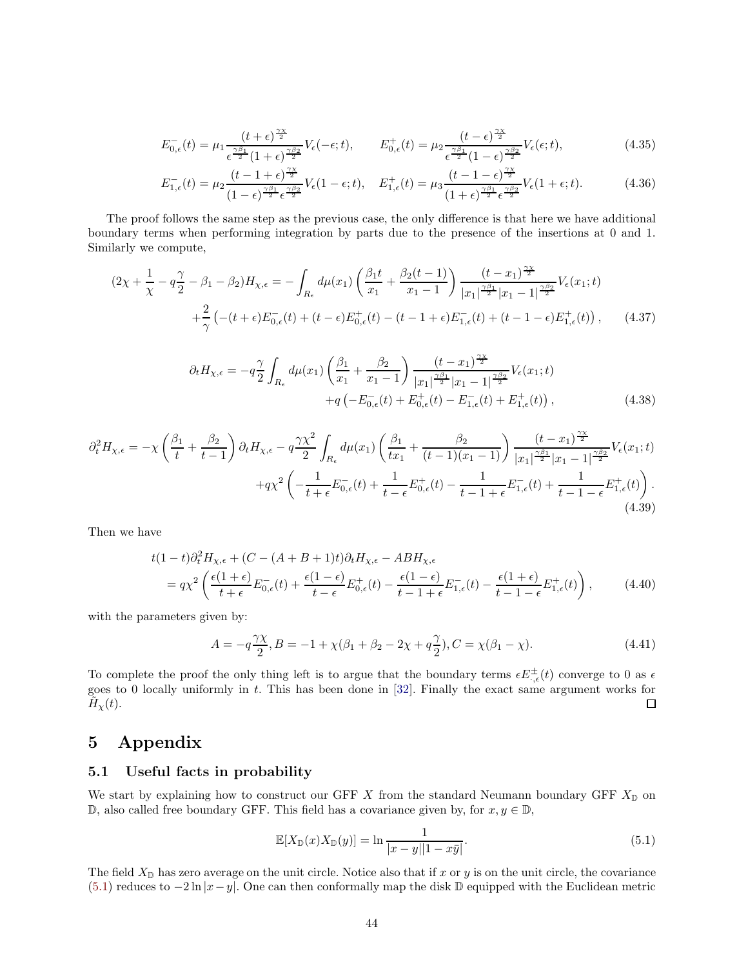$$
E_{0,\epsilon}^{-}(t) = \mu_1 \frac{(t+\epsilon)^{\frac{\gamma \chi}{2}}}{\epsilon^{\frac{\gamma \beta_1}{2}} (1+\epsilon)^{\frac{\gamma \beta_2}{2}}} V_{\epsilon}(-\epsilon; t), \qquad E_{0,\epsilon}^{+}(t) = \mu_2 \frac{(t-\epsilon)^{\frac{\gamma \chi}{2}}}{\epsilon^{\frac{\gamma \beta_1}{2}} (1-\epsilon)^{\frac{\gamma \beta_2}{2}}} V_{\epsilon}(\epsilon; t), \tag{4.35}
$$

$$
E_{1,\epsilon}^{-}(t) = \mu_2 \frac{(t-1+\epsilon)^{\frac{\gamma \chi}{2}}}{(1-\epsilon)^{\frac{\gamma \beta_1}{2}} \epsilon^{\frac{\gamma \beta_2}{2}}} V_{\epsilon}(1-\epsilon;t), \quad E_{1,\epsilon}^{+}(t) = \mu_3 \frac{(t-1-\epsilon)^{\frac{\gamma \chi}{2}}}{(1+\epsilon)^{\frac{\gamma \beta_1}{2}} \epsilon^{\frac{\gamma \beta_2}{2}}} V_{\epsilon}(1+\epsilon;t). \tag{4.36}
$$

The proof follows the same step as the previous case, the only difference is that here we have additional boundary terms when performing integration by parts due to the presence of the insertions at 0 and 1. Similarly we compute,

$$
(2\chi + \frac{1}{\chi} - q\frac{\gamma}{2} - \beta_1 - \beta_2)H_{\chi,\epsilon} = -\int_{R_{\epsilon}} d\mu(x_1) \left(\frac{\beta_1 t}{x_1} + \frac{\beta_2(t-1)}{x_1 - 1}\right) \frac{(t-x_1)^{\frac{\gamma x}{2}}}{|x_1|^{\frac{\gamma \beta_1}{2}}|x_1 - 1|^{\frac{\gamma \beta_2}{2}}} V_{\epsilon}(x_1;t)
$$
  
 
$$
+ \frac{2}{\gamma} \left(-(t+\epsilon)E_{0,\epsilon}^-(t) + (t-\epsilon)E_{0,\epsilon}^+(t) - (t-1+\epsilon)E_{1,\epsilon}^-(t) + (t-1-\epsilon)E_{1,\epsilon}^+(t)\right), \qquad (4.37)
$$

$$
\partial_t H_{\chi,\epsilon} = -q \frac{\gamma}{2} \int_{R_{\epsilon}} d\mu(x_1) \left( \frac{\beta_1}{x_1} + \frac{\beta_2}{x_1 - 1} \right) \frac{(t - x_1)^{\frac{\gamma \chi}{2}}}{|x_1|^{\frac{\gamma \beta_1}{2}} |x_1 - 1|^{\frac{\gamma \beta_2}{2}}} V_{\epsilon}(x_1; t) + q \left( -E_{0,\epsilon}^-(t) + E_{0,\epsilon}^+(t) - E_{1,\epsilon}^-(t) + E_{1,\epsilon}^+(t) \right), \tag{4.38}
$$

$$
\partial_t^2 H_{\chi,\epsilon} = -\chi \left( \frac{\beta_1}{t} + \frac{\beta_2}{t-1} \right) \partial_t H_{\chi,\epsilon} - q \frac{\gamma \chi^2}{2} \int_{R_{\epsilon}} d\mu(x_1) \left( \frac{\beta_1}{tx_1} + \frac{\beta_2}{(t-1)(x_1-1)} \right) \frac{(t-x_1)^{\frac{\gamma \beta_1}{2}}}{|x_1|^{\frac{\gamma \beta_1}{2}} |x_1-1|^{\frac{\gamma \beta_2}{2}}} V_{\epsilon}(x_1;t)
$$

$$
+ q \chi^2 \left( -\frac{1}{t+\epsilon} E_{0,\epsilon}^{-}(t) + \frac{1}{t-\epsilon} E_{0,\epsilon}^{+}(t) - \frac{1}{t-1+\epsilon} E_{1,\epsilon}^{-}(t) + \frac{1}{t-1-\epsilon} E_{1,\epsilon}^{+}(t) \right). \tag{4.39}
$$

Then we have

$$
t(1-t)\partial_t^2 H_{\chi,\epsilon} + (C - (A + B + 1)t)\partial_t H_{\chi,\epsilon} - ABH_{\chi,\epsilon}
$$
  
=  $q\chi^2 \left( \frac{\epsilon(1+\epsilon)}{t+\epsilon} E_{0,\epsilon}^-(t) + \frac{\epsilon(1-\epsilon)}{t-\epsilon} E_{0,\epsilon}^+(t) - \frac{\epsilon(1-\epsilon)}{t-1+\epsilon} E_{1,\epsilon}^-(t) - \frac{\epsilon(1+\epsilon)}{t-1-\epsilon} E_{1,\epsilon}^+(t) \right),$  (4.40)

with the parameters given by:

$$
A = -q\frac{\gamma \chi}{2}, B = -1 + \chi(\beta_1 + \beta_2 - 2\chi + q\frac{\gamma}{2}), C = \chi(\beta_1 - \chi). \tag{4.41}
$$

To complete the proof the only thing left is to argue that the boundary terms  $\epsilon E_{\cdot,\epsilon}^{\pm}(t)$  converge to 0 as  $\epsilon$ goes to 0 locally uniformly in t. This has been done in [\[32\]](#page-65-5). Finally the exact same argument works for  $\tilde{H}_{\chi}(t)$ .  $\Box$ 

# <span id="page-43-0"></span>5 Appendix

## <span id="page-43-1"></span>5.1 Useful facts in probability

We start by explaining how to construct our GFF  $X$  from the standard Neumann boundary GFF  $X_{\mathbb{D}}$  on D, also called free boundary GFF. This field has a covariance given by, for  $x, y ∈ D$ ,

<span id="page-43-2"></span>
$$
\mathbb{E}[X_{\mathbb{D}}(x)X_{\mathbb{D}}(y)] = \ln \frac{1}{|x-y||1-x\bar{y}|}.
$$
\n
$$
(5.1)
$$

The field  $X_{\mathbb{D}}$  has zero average on the unit circle. Notice also that if x or y is on the unit circle, the covariance [\(5.1\)](#page-43-2) reduces to  $-2 \ln |x-y|$ . One can then conformally map the disk D equipped with the Euclidean metric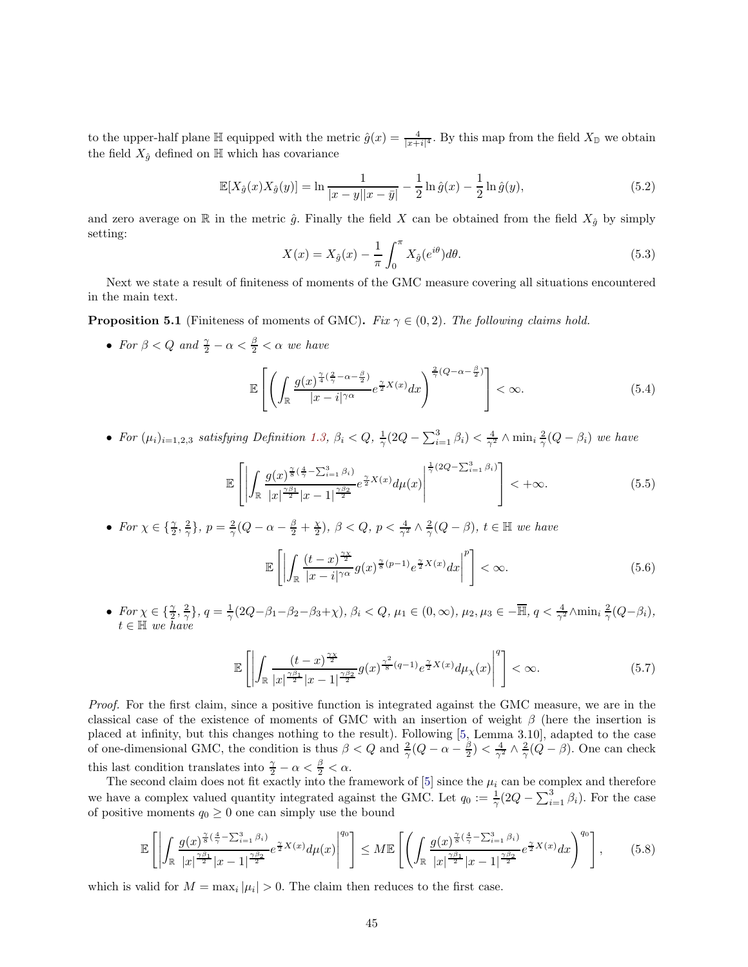to the upper-half plane  $\mathbb{H}$  equipped with the metric  $\hat{g}(x) = \frac{4}{|x+i|^4}$ . By this map from the field  $X_{\mathbb{D}}$  we obtain the field  $X_{\hat{g}}$  defined on  $\mathbb H$  which has covariance

<span id="page-44-1"></span>
$$
\mathbb{E}[X_{\hat{g}}(x)X_{\hat{g}}(y)] = \ln \frac{1}{|x - y||x - \bar{y}|} - \frac{1}{2}\ln \hat{g}(x) - \frac{1}{2}\ln \hat{g}(y),\tag{5.2}
$$

and zero average on R in the metric  $\hat{g}$ . Finally the field X can be obtained from the field  $X_{\hat{g}}$  by simply setting:

$$
X(x) = X_{\hat{g}}(x) - \frac{1}{\pi} \int_0^{\pi} X_{\hat{g}}(e^{i\theta}) d\theta.
$$
\n(5.3)

Next we state a result of finiteness of moments of the GMC measure covering all situations encountered in the main text.

<span id="page-44-0"></span>**Proposition 5.1** (Finiteness of moments of GMC). *Fix*  $\gamma \in (0, 2)$ *. The following claims hold.* 

- For  $\beta < Q$  and  $\frac{\gamma}{2} \alpha < \frac{\beta}{2} < \alpha$  we have E  $\lceil$  $\overline{1}$  $\left($ R  $g(x)^{\frac{\gamma}{4}(\frac{2}{\gamma}-\alpha-\frac{\beta}{2})}$  $\left[\frac{\gamma}{4}(\frac{2}{\gamma}-\alpha-\frac{\beta}{2})}{|x-i|^{\gamma\alpha}}e^{\frac{\gamma}{2}X(x)}dx\right]^{\frac{2}{\gamma}(Q-\alpha-\frac{\beta}{2})}$  $\vert < \infty.$  (5.4)
- *For*  $(\mu_i)_{i=1,2,3}$  *satisfying Definition [1.3,](#page-4-1)*  $\beta_i < Q$ ,  $\frac{1}{\gamma}(2Q \sum_{i=1}^3 \beta_i) < \frac{4}{\gamma^2} \wedge \min_i \frac{2}{\gamma}(Q \beta_i)$  *we have*

$$
\mathbb{E}\left[\left|\int_{\mathbb{R}}\frac{g(x)^{\frac{\gamma}{8}(\frac{4}{\gamma}-\sum_{i=1}^{3}\beta_{i})}}{|x|^{\frac{\gamma\beta_{1}}{2}}|x-1|^{\frac{\gamma\beta_{2}}{2}}}e^{\frac{\gamma}{2}X(x)}d\mu(x)\right|^{\frac{1}{\gamma}(2Q-\sum_{i=1}^{3}\beta_{i})}\right]<+\infty.
$$
\n(5.5)

• *For*  $\chi \in \{\frac{\gamma}{2}, \frac{2}{\gamma}\}\$ ,  $p = \frac{2}{\gamma}(Q - \alpha - \frac{\beta}{2} + \frac{\chi}{2})$ ,  $\beta < Q$ ,  $p < \frac{4}{\gamma^2} \wedge \frac{2}{\gamma}(Q - \beta)$ ,  $t \in \mathbb{H}$  we have

$$
\mathbb{E}\left[\left|\int_{\mathbb{R}}\frac{(t-x)^{\frac{\gamma\chi}{2}}}{|x-i|^{\gamma\alpha}}g(x)^{\frac{\gamma}{8}(p-1)}e^{\frac{\gamma}{2}X(x)}dx\right|^{p}\right]<\infty.
$$
\n(5.6)

•  $For \chi \in {\frac{\gamma}{2}, \frac{2}{\gamma}}, q = \frac{1}{\gamma}(2Q - \beta_1 - \beta_2 - \beta_3 + \chi), \beta_i < Q, \mu_1 \in (0, \infty), \mu_2, \mu_3 \in -\overline{\mathbb{H}}, q < \frac{4}{\gamma^2} \wedge \min_i \frac{2}{\gamma}(Q - \beta_i),$ t ∈ H *we have*

$$
\mathbb{E}\left[\left|\int_{\mathbb{R}}\frac{(t-x)^{\frac{\gamma x}{2}}}{|x|^{\frac{\gamma\beta_1}{2}}|x-1|^{\frac{\gamma\beta_2}{2}}}g(x)^{\frac{\gamma^2}{8}(q-1)}e^{\frac{\gamma}{2}X(x)}d\mu_X(x)\right|^q\right]<\infty.
$$
\n(5.7)

*Proof.* For the first claim, since a positive function is integrated against the GMC measure, we are in the classical case of the existence of moments of GMC with an insertion of weight  $\beta$  (here the insertion is placed at infinity, but this changes nothing to the result). Following [\[5,](#page-64-4) Lemma 3.10], adapted to the case of one-dimensional GMC, the condition is thus  $\beta < Q$  and  $\frac{2}{\gamma}(Q - \alpha - \frac{\beta}{2}) < \frac{4}{\gamma^2} \wedge \frac{2}{\gamma}(Q - \beta)$ . One can check this last condition translates into  $\frac{\gamma}{2} - \alpha < \frac{\beta}{2} < \alpha$ .

The second claim does not fit exactly into the framework of  $[5]$  since the  $\mu_i$  can be complex and therefore we have a complex valued quantity integrated against the GMC. Let  $q_0 := \frac{1}{\gamma} (2Q - \sum_{i=1}^3 \beta_i)$ . For the case of positive moments  $q_0 \geq 0$  one can simply use the bound

$$
\mathbb{E}\left[\left|\int_{\mathbb{R}}\frac{g(x)^{\frac{\gamma}{8}(\frac{4}{\gamma}-\sum_{i=1}^{3}\beta_{i})}}{|x|^{\frac{\gamma\beta_{1}}{2}}|x-1|^{\frac{\gamma\beta_{2}}{2}}}e^{\frac{\gamma}{2}X(x)}d\mu(x)\right|^{q_{0}}\right] \leq M\mathbb{E}\left[\left(\int_{\mathbb{R}}\frac{g(x)^{\frac{\gamma}{8}(\frac{4}{\gamma}-\sum_{i=1}^{3}\beta_{i})}}{|x|^{\frac{\gamma\beta_{1}}{2}}|x-1|^{\frac{\gamma\beta_{2}}{2}}}e^{\frac{\gamma}{2}X(x)}dx\right)^{q_{0}}\right],\qquad(5.8)
$$

which is valid for  $M = \max_i |\mu_i| > 0$ . The claim then reduces to the first case.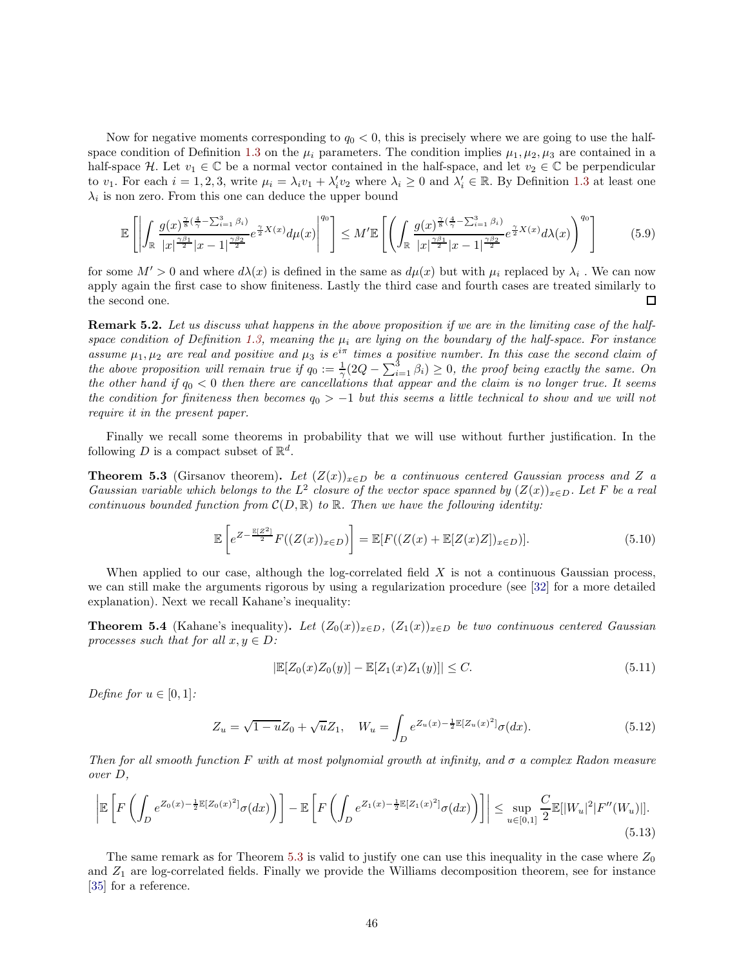Now for negative moments corresponding to  $q_0 < 0$ , this is precisely where we are going to use the half-space condition of Definition [1.3](#page-4-1) on the  $\mu_i$  parameters. The condition implies  $\mu_1, \mu_2, \mu_3$  are contained in a half-space H. Let  $v_1 \in \mathbb{C}$  be a normal vector contained in the half-space, and let  $v_2 \in \mathbb{C}$  be perpendicular to  $v_1$ . For each  $i = 1, 2, 3$ , write  $\mu_i = \lambda_i v_1 + \lambda'_i v_2$  where  $\lambda_i \geq 0$  and  $\lambda'_i \in \mathbb{R}$ . By Definition [1.3](#page-4-1) at least one  $\lambda_i$  is non zero. From this one can deduce the upper bound

$$
\mathbb{E}\left[\left|\int_{\mathbb{R}}\frac{g(x)^{\frac{\gamma}{8}(\frac{4}{\gamma}-\sum_{i=1}^{3}\beta_{i})}}{|x|^{\frac{\gamma\beta_{1}}{2}}|x-1|^{\frac{\gamma\beta_{2}}{2}}}e^{\frac{\gamma}{2}X(x)}d\mu(x)\right|^{q_{0}}\right] \leq M'\mathbb{E}\left[\left(\int_{\mathbb{R}}\frac{g(x)^{\frac{\gamma}{8}(\frac{4}{\gamma}-\sum_{i=1}^{3}\beta_{i})}}{|x|^{\frac{\gamma\beta_{1}}{2}}|x-1|^{\frac{\gamma\beta_{2}}{2}}}e^{\frac{\gamma}{2}X(x)}d\lambda(x)\right)^{q_{0}}\right] \tag{5.9}
$$

for some  $M' > 0$  and where  $d\lambda(x)$  is defined in the same as  $d\mu(x)$  but with  $\mu_i$  replaced by  $\lambda_i$ . We can now apply again the first case to show finiteness. Lastly the third case and fourth cases are treated similarly to the second one. П

Remark 5.2. *Let us discuss what happens in the above proposition if we are in the limiting case of the half-*space condition of Definition [1.3,](#page-4-1) meaning the  $\mu_i$  are lying on the boundary of the half-space. For instance assume  $\mu_1, \mu_2$  are real and positive and  $\mu_3$  is  $e^{i\pi}$  times a positive number. In this case the second claim of *the above proposition will remain true if*  $q_0 := \frac{1}{\gamma} (2Q - \sum_{i=1}^3 \beta_i) \geq 0$ , the proof being exactly the same. On *the other hand if*  $q_0 < 0$  *then there are cancellations that appear and the claim is no longer true. It seems the condition for finiteness then becomes*  $q_0 > -1$  *but this seems a little technical to show and we will not require it in the present paper.*

Finally we recall some theorems in probability that we will use without further justification. In the following D is a compact subset of  $\mathbb{R}^d$ .

<span id="page-45-0"></span>Theorem 5.3 (Girsanov theorem). Let  $(Z(x))_{x\in D}$  be a continuous centered Gaussian process and Z a *Gaussian variable which belongs to the*  $L^2$  *closure of the vector space spanned by*  $(Z(x))_{x\in D}$ *. Let* F *be a real continuous bounded function from*  $\mathcal{C}(D, \mathbb{R})$  *to*  $\mathbb{R}$ *. Then we have the following identity:* 

$$
\mathbb{E}\left[e^{Z-\frac{\mathbb{E}[Z^2]}{2}}F((Z(x))_{x\in D})\right]=\mathbb{E}[F((Z(x)+\mathbb{E}[Z(x)Z])_{x\in D})].\tag{5.10}
$$

When applied to our case, although the log-correlated field  $X$  is not a continuous Gaussian process, we can still make the arguments rigorous by using a regularization procedure (see [\[32\]](#page-65-5) for a more detailed explanation). Next we recall Kahane's inequality:

<span id="page-45-1"></span>**Theorem 5.4** (Kahane's inequality). Let  $(Z_0(x))_{x\in D}$ ,  $(Z_1(x))_{x\in D}$  be two continuous centered Gaussian *processes such that for all*  $x, y \in D$ :

$$
|\mathbb{E}[Z_0(x)Z_0(y)] - \mathbb{E}[Z_1(x)Z_1(y)]| \le C.
$$
\n(5.11)

*Define for*  $u \in [0, 1]$ *:* 

$$
Z_u = \sqrt{1 - u} Z_0 + \sqrt{u} Z_1, \quad W_u = \int_D e^{Z_u(x) - \frac{1}{2} \mathbb{E}[Z_u(x)^2]} \sigma(dx).
$$
 (5.12)

*Then for all smooth function* F *with at most polynomial growth at infinity, and* σ *a complex Radon measure over* D*,*

$$
\left| \mathbb{E}\left[F\left(\int_{D} e^{Z_0(x) - \frac{1}{2}\mathbb{E}[Z_0(x)^2]} \sigma(dx)\right) \right] - \mathbb{E}\left[F\left(\int_{D} e^{Z_1(x) - \frac{1}{2}\mathbb{E}[Z_1(x)^2]} \sigma(dx)\right) \right] \right| \leq \sup_{u \in [0,1]} \frac{C}{2} \mathbb{E}[|W_u|^2|F''(W_u)|].
$$
\n(5.13)

The same remark as for Theorem [5.3](#page-45-0) is valid to justify one can use this inequality in the case where  $Z_0$ and  $Z_1$  are log-correlated fields. Finally we provide the Williams decomposition theorem, see for instance [\[35\]](#page-65-11) for a reference.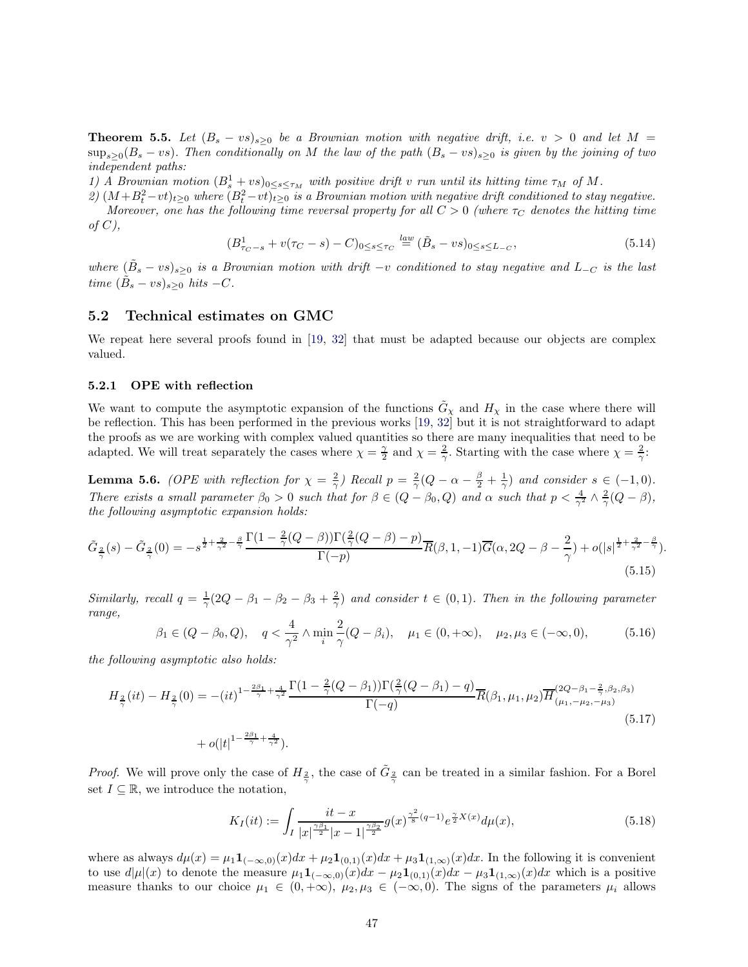<span id="page-46-2"></span>**Theorem 5.5.** Let  $(B_s - vs)_{s>0}$  be a Brownian motion with negative drift, i.e.  $v > 0$  and let  $M =$  $\sup_{s\geq 0} (B_s - vs)$ . Then conditionally on M the law of the path  $(B_s - vs)_{s\geq 0}$  is given by the joining of two *independent paths:*

1) A Brownian motion  $(B_s^1 + vs)_{0 \le s \le \tau_M}$  with positive drift v run until its hitting time  $\tau_M$  of M.

 $2)$   $(M+B_t^2-vt)_{t\geq0}$  *where*  $(B_t^2-vt)_{t\geq0}$  *is a Brownian motion with negative drift conditioned to stay negative. Moreover, one has the following time reversal property for all*  $C > 0$  *(where*  $\tau_C$  *denotes the hitting time of* C*),*

$$
(B_{\tau_C - s}^1 + v(\tau_C - s) - C)_{0 \le s \le \tau_C} \stackrel{law}{=} (\tilde{B}_s - vs)_{0 \le s \le L_{-C}},
$$
\n(5.14)

 $where \ (\tilde{B}_s - vs)_{s \geq 0}$  *is a Brownian motion with drift*  $-v$  *conditioned to stay negative and*  $L_{-C}$  *is the last*  $time \ (\tilde{B}_s - vs)_{s \geq 0} \ hits -C.$ 

## <span id="page-46-0"></span>5.2 Technical estimates on GMC

We repeat here several proofs found in [\[19,](#page-64-9) [32\]](#page-65-5) that must be adapted because our objects are complex valued.

#### 5.2.1 OPE with reflection

We want to compute the asymptotic expansion of the functions  $\tilde{G}_{\chi}$  and  $H_{\chi}$  in the case where there will be reflection. This has been performed in the previous works [\[19,](#page-64-9) [32\]](#page-65-5) but it is not straightforward to adapt the proofs as we are working with complex valued quantities so there are many inequalities that need to be adapted. We will treat separately the cases where  $\chi = \frac{\gamma}{2}$  and  $\chi = \frac{2}{\gamma}$ . Starting with the case where  $\chi = \frac{2}{\gamma}$ .

<span id="page-46-1"></span>**Lemma 5.6.** *(OPE with reflection for*  $\chi = \frac{2}{\gamma}$ *) Recall*  $p = \frac{2}{\gamma}(Q - \alpha - \frac{\beta}{2} + \frac{1}{\gamma})$  *and consider*  $s \in (-1,0)$ *. There exists a small parameter*  $\beta_0 > 0$  *such that for*  $\beta \in (Q - \beta_0, Q)$  *and*  $\alpha$  *such that*  $p < \frac{4}{\gamma^2} \wedge \frac{2}{\gamma} (Q - \beta)$ *, the following asymptotic expansion holds:*

$$
\tilde{G}_{\frac{2}{\gamma}}(s) - \tilde{G}_{\frac{2}{\gamma}}(0) = -s^{\frac{1}{2} + \frac{2}{\gamma^2} - \frac{\beta}{\gamma}} \frac{\Gamma(1 - \frac{2}{\gamma}(Q - \beta))\Gamma(\frac{2}{\gamma}(Q - \beta) - p)}{\Gamma(-p)} \overline{R}(\beta, 1, -1) \overline{G}(\alpha, 2Q - \beta - \frac{2}{\gamma}) + o(|s|^{\frac{1}{2} + \frac{2}{\gamma^2} - \frac{\beta}{\gamma}}).
$$
\n(5.15)

*Similarly, recall*  $q = \frac{1}{\gamma}(2Q - \beta_1 - \beta_2 - \beta_3 + \frac{2}{\gamma})$  and consider  $t \in (0,1)$ . Then in the following parameter *range,*

$$
\beta_1 \in (Q - \beta_0, Q), \quad q < \frac{4}{\gamma^2} \land \min_i \frac{2}{\gamma} (Q - \beta_i), \quad \mu_1 \in (0, +\infty), \quad \mu_2, \mu_3 \in (-\infty, 0), \tag{5.16}
$$

*the following asymptotic also holds:*

$$
H_{\frac{2}{\gamma}}(it) - H_{\frac{2}{\gamma}}(0) = -(it)^{1-\frac{2\beta_1}{\gamma} + \frac{4}{\gamma^2}} \frac{\Gamma(1 - \frac{2}{\gamma}(Q - \beta_1))\Gamma(\frac{2}{\gamma}(Q - \beta_1) - q)}{\Gamma(-q)} \overline{R}(\beta_1, \mu_1, \mu_2) \overline{H}_{(\mu_1, -\mu_2, -\mu_3)}^{(2Q - \beta_1 - \frac{2}{\gamma}, \beta_2, \beta_3)} + o(|t|^{1-\frac{2\beta_1}{\gamma} + \frac{4}{\gamma^2}}).
$$
\n
$$
(5.17)
$$

*Proof.* We will prove only the case of  $H_{\frac{2}{\gamma}}$ , the case of  $\tilde{G}_{\frac{2}{\gamma}}$  can be treated in a similar fashion. For a Borel set  $I \subseteq \mathbb{R}$ , we introduce the notation,

$$
K_I(it) := \int_I \frac{it - x}{|x|^{\frac{\gamma \beta_1}{2}} |x - 1|^{\frac{\gamma \beta_2}{2}}} g(x)^{\frac{\gamma^2}{8}(q - 1)} e^{\frac{\gamma}{2} X(x)} d\mu(x), \tag{5.18}
$$

where as always  $d\mu(x) = \mu_1 \mathbf{1}_{(-\infty,0)}(x) dx + \mu_2 \mathbf{1}_{(0,1)}(x) dx + \mu_3 \mathbf{1}_{(1,\infty)}(x) dx$ . In the following it is convenient to use  $d|\mu|(x)$  to denote the measure  $\mu_1\mathbf{1}_{(-\infty,0)}(x)dx - \mu_2\mathbf{1}_{(0,1)}(x)dx - \mu_3\mathbf{1}_{(1,\infty)}(x)dx$  which is a positive measure thanks to our choice  $\mu_1 \in (0, +\infty)$ ,  $\mu_2, \mu_3 \in (-\infty, 0)$ . The signs of the parameters  $\mu_i$  allows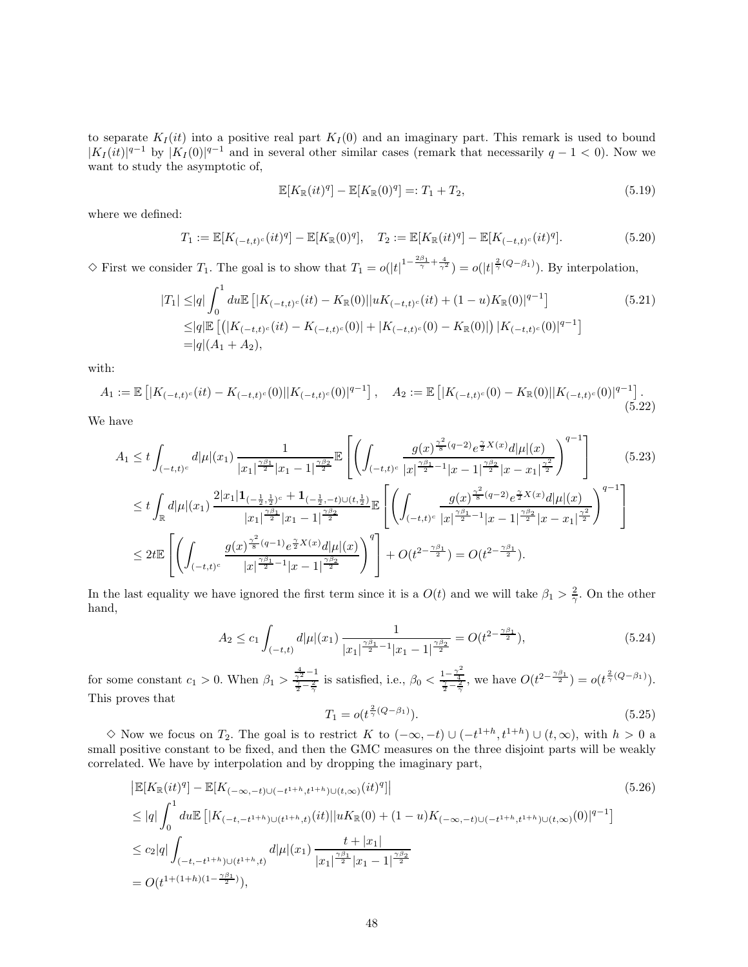to separate  $K_I(it)$  into a positive real part  $K_I(0)$  and an imaginary part. This remark is used to bound  $|K_I(it)|^{q-1}$  by  $|K_I(0)|^{q-1}$  and in several other similar cases (remark that necessarily  $q-1 < 0$ ). Now we want to study the asymptotic of,

$$
\mathbb{E}[K_{\mathbb{R}}(it)^{q}] - \mathbb{E}[K_{\mathbb{R}}(0)^{q}] =: T_1 + T_2,
$$
\n(5.19)

where we defined:

$$
T_1 := \mathbb{E}[K_{(-t,t)^c}(it)^q] - \mathbb{E}[K_{\mathbb{R}}(0)^q], \quad T_2 := \mathbb{E}[K_{\mathbb{R}}(it)^q] - \mathbb{E}[K_{(-t,t)^c}(it)^q]. \tag{5.20}
$$

 $\Diamond$  First we consider  $T_1$ . The goal is to show that  $T_1 = o(|t|^{1-\frac{2\beta_1}{\gamma}+\frac{4}{\gamma^2}}) = o(|t|^{\frac{2}{\gamma}(Q-\beta_1)})$ . By interpolation,

$$
|T_1| \leq |q| \int_0^1 du \mathbb{E} \left[ |K_{(-t,t)^c}(it) - K_{\mathbb{R}}(0)| |uK_{(-t,t)^c}(it) + (1-u)K_{\mathbb{R}}(0)|^{q-1} \right]
$$
  
\n
$$
\leq |q| \mathbb{E} \left[ \left( |K_{(-t,t)^c}(it) - K_{(-t,t)^c}(0)| + |K_{(-t,t)^c}(0) - K_{\mathbb{R}}(0)| \right) |K_{(-t,t)^c}(0)|^{q-1} \right]
$$
  
\n
$$
= |q|(A_1 + A_2), \tag{5.21}
$$

with:

$$
A_1 := \mathbb{E}\left[|K_{(-t,t)^c}(it) - K_{(-t,t)^c}(0)||K_{(-t,t)^c}(0)|^{q-1}\right], \quad A_2 := \mathbb{E}\left[|K_{(-t,t)^c}(0) - K_{\mathbb{R}}(0)||K_{(-t,t)^c}(0)|^{q-1}\right].
$$
\n(5.22)

We have

$$
A_{1} \leq t \int_{(-t,t)^{c}} d|\mu|(x_{1}) \frac{1}{|x_{1}|^{\frac{\gamma\beta_{1}}{2}}|x_{1}-1|^{\frac{\gamma\beta_{2}}{2}}}\mathbb{E}\left[\left(\int_{(-t,t)^{c}} \frac{g(x)^{\frac{\gamma^{2}}{8}(q-2)}e^{\frac{\gamma}{2}X(x)}d|\mu|(x)}{|x|^{\frac{\gamma\beta_{1}}{2}}|x-x_{1}|^{\frac{\gamma^{2}}{2}}}\right)^{q-1}\right] \tag{5.23}
$$
  

$$
\leq t \int_{\mathbb{R}} d|\mu|(x_{1}) \frac{2|x_{1}|1_{(-\frac{1}{2},\frac{1}{2})^{c}} + 1_{(-\frac{1}{2},-t)\cup(t,\frac{1}{2})}}{|x_{1}|^{\frac{\gamma\beta_{1}}{2}}|x_{1}-1|^{\frac{\gamma\beta_{2}}{2}}}\mathbb{E}\left[\left(\int_{(-t,t)^{c}} \frac{g(x)^{\frac{\gamma^{2}}{8}(q-2)}e^{\frac{\gamma}{2}X(x)}d|\mu|(x)}{|x|^{\frac{\gamma\beta_{1}}{2}}|x-x_{1}|^{\frac{\gamma\beta_{2}}{2}}}\right)^{q-1}\right]
$$
  

$$
\leq 2t \mathbb{E}\left[\left(\int_{(-t,t)^{c}} \frac{g(x)^{\frac{\gamma^{2}}{8}(q-1)}e^{\frac{\gamma}{2}X(x)}d|\mu|(x)}{|x|^{\frac{\gamma\beta_{1}}{2}}|x-x_{1}|^{\frac{\gamma\beta_{2}}{2}}}\right)^{q}\right] + O(t^{2-\frac{\gamma\beta_{1}}{2}}) = O(t^{2-\frac{\gamma\beta_{1}}{2}}).
$$

In the last equality we have ignored the first term since it is a  $O(t)$  and we will take  $\beta_1 > \frac{2}{\gamma}$ . On the other hand,

$$
A_2 \le c_1 \int_{(-t,t)} d|\mu|(x_1) \frac{1}{|x_1|^{\frac{\gamma \beta_1}{2} - 1}|x_1 - 1|^{\frac{\gamma \beta_2}{2}}} = O(t^{2 - \frac{\gamma \beta_1}{2}}),\tag{5.24}
$$

for some constant  $c_1 > 0$ . When  $\beta_1 > \frac{\frac{4}{\gamma^2} - 1}{\frac{\gamma}{2} - \frac{2}{\gamma}}$  is satisfied, i.e.,  $\beta_0 < \frac{1 - \frac{\gamma^2}{4}}{\frac{\gamma}{2} - \frac{2}{\gamma}}$ , we have  $O(t^{2 - \frac{\gamma \beta_1}{2}}) = o(t^{\frac{2}{\gamma}(Q-\beta_1)})$ . This proves that 2

$$
T_1 = o(t^{\frac{2}{\gamma}(Q-\beta_1)}).
$$
\n(5.25)

 $\diamond$  Now we focus on  $T_2$ . The goal is to restrict K to  $(-\infty, -t) \cup (-t^{1+h}, t^{1+h}) \cup (t, \infty)$ , with  $h > 0$  a small positive constant to be fixed, and then the GMC measures on the three disjoint parts will be weakly correlated. We have by interpolation and by dropping the imaginary part,

$$
\begin{split} &\left| \mathbb{E}[K_{\mathbb{R}}(it)^{q}] - \mathbb{E}[K_{(-\infty,-t)\cup(-t^{1+h},t^{1+h})\cup(t,\infty)}(it)^{q}] \right| \\ &\leq |q| \int_{0}^{1} du \mathbb{E}\left[ |K_{(-t,-t^{1+h})\cup(t^{1+h},t)}(it)| |uK_{\mathbb{R}}(0) + (1-u)K_{(-\infty,-t)\cup(-t^{1+h},t^{1+h})\cup(t,\infty)}(0)|^{q-1} \right] \\ &\leq c_{2}|q| \int_{(-t,-t^{1+h})\cup(t^{1+h},t)} d|\mu|(x_{1}) \frac{t+|x_{1}|}{|x_{1}|^{\frac{\gamma\beta_{1}}{2}}|x_{1}-1|^{\frac{\gamma\beta_{2}}{2}}}{|x_{1}-1|^{\frac{\gamma\beta_{2}}{2}}} \\ &= O(t^{1+(1+h)(1-\frac{\gamma\beta_{1}}{2})}), \end{split} \tag{5.26}
$$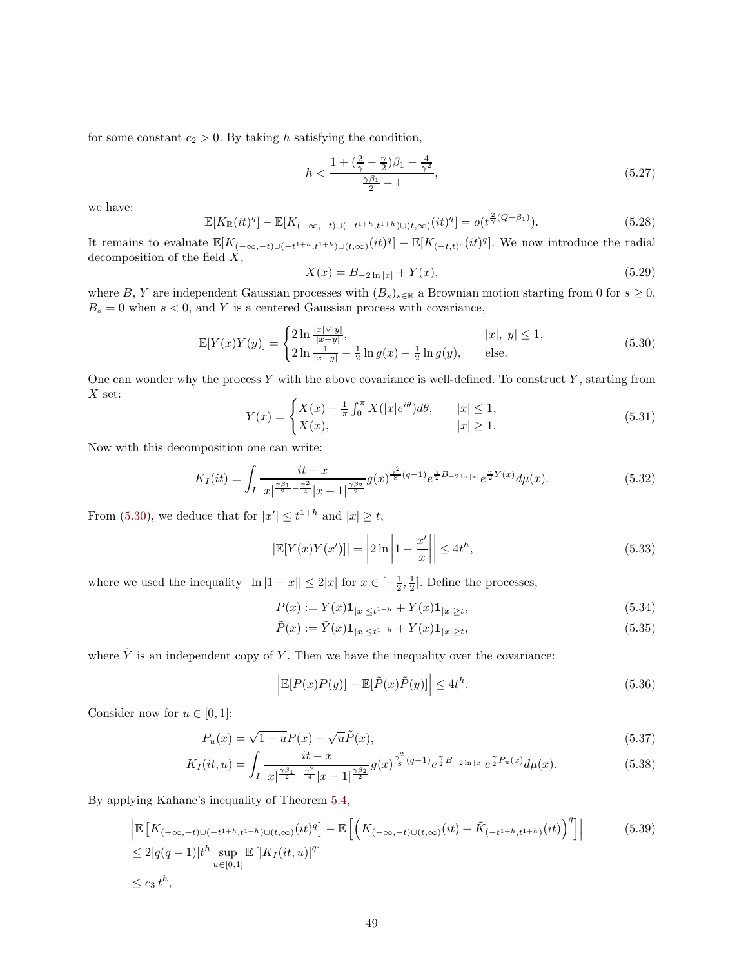for some constant  $c_2 > 0$ . By taking h satisfying the condition,

$$
h < \frac{1 + \left(\frac{2}{\gamma} - \frac{\gamma}{2}\right)\beta_1 - \frac{4}{\gamma^2}}{\frac{\gamma \beta_1}{2} - 1},\tag{5.27}
$$

we have:

$$
\mathbb{E}[K_{\mathbb{R}}(it)^{q}] - \mathbb{E}[K_{(-\infty, -t)\cup(-t^{1+h}, t^{1+h})\cup(t, \infty)}(it)^{q}] = o(t^{\frac{2}{\gamma}(Q-\beta_{1})}).
$$
\n(5.28)

It remains to evaluate  $\mathbb{E}[K_{(-\infty,-t)\cup(-t^{1+h},t^{1+h})\cup(t,\infty)}(it)^q] - \mathbb{E}[K_{(-t,t)^c}(it)^q]$ . We now introduce the radial decomposition of the field  $\hat{X}$ ,

$$
X(x) = B_{-2\ln|x|} + Y(x),\tag{5.29}
$$

where B, Y are independent Gaussian processes with  $(B_s)_{s\in\mathbb{R}}$  a Brownian motion starting from 0 for  $s \geq 0$ ,  $B_s = 0$  when  $s < 0$ , and Y is a centered Gaussian process with covariance,

<span id="page-48-0"></span>
$$
\mathbb{E}[Y(x)Y(y)] = \begin{cases} 2\ln\frac{|x|\vee|y|}{|x-y|}, & |x|, |y| \le 1, \\ 2\ln\frac{1}{|x-y|} - \frac{1}{2}\ln g(x) - \frac{1}{2}\ln g(y), & \text{else.} \end{cases}
$$
(5.30)

One can wonder why the process Y with the above covariance is well-defined. To construct Y, starting from  $X$  set:

$$
Y(x) = \begin{cases} X(x) - \frac{1}{\pi} \int_0^{\pi} X(|x|e^{i\theta}) d\theta, & |x| \le 1, \\ X(x), & |x| \ge 1. \end{cases}
$$
(5.31)

Now with this decomposition one can write:

$$
K_{I}(it) = \int_{I} \frac{it - x}{|x|^{\frac{\gamma \beta_1}{2} - \frac{\gamma^2}{4}} |x - 1|^{\frac{\gamma \beta_2}{2}}} g(x)^{\frac{\gamma^2}{8}(q - 1)} e^{\frac{\gamma}{2}B_{-2 \ln|x|}} e^{\frac{\gamma}{2}Y(x)} d\mu(x).
$$
 (5.32)

From [\(5.30\)](#page-48-0), we deduce that for  $|x'| \leq t^{1+h}$  and  $|x| \geq t$ ,

$$
\left|\mathbb{E}[Y(x)Y(x')] \right| = \left| 2\ln\left| 1 - \frac{x'}{x} \right| \right| \le 4t^h,
$$
\n(5.33)

where we used the inequality  $|\ln |1-x|| \leq 2|x|$  for  $x \in [-\frac{1}{2}, \frac{1}{2}]$ . Define the processes,

$$
P(x) := Y(x)\mathbf{1}_{|x| \le t^{1+h}} + Y(x)\mathbf{1}_{|x| \ge t},\tag{5.34}
$$

$$
\tilde{P}(x) := \tilde{Y}(x) \mathbf{1}_{|x| \le t^{1+h}} + Y(x) \mathbf{1}_{|x| \ge t},\tag{5.35}
$$

where  $\tilde{Y}$  is an independent copy of Y. Then we have the inequality over the covariance:

$$
\left| \mathbb{E}[P(x)P(y)] - \mathbb{E}[\tilde{P}(x)\tilde{P}(y)] \right| \le 4t^h.
$$
\n(5.36)

Consider now for  $u \in [0, 1]$ :

$$
P_u(x) = \sqrt{1 - u} P(x) + \sqrt{u} \tilde{P}(x),\tag{5.37}
$$

$$
K_{I}(it,u) = \int_{I} \frac{it - x}{|x|^{\frac{\gamma \beta_1}{2} - \frac{\gamma^2}{4}} |x - 1|^{\frac{\gamma \beta_2}{2}}} g(x)^{\frac{\gamma^2}{8}(q-1)} e^{\frac{\gamma}{2}B_{-2\ln|x|}} e^{\frac{\gamma}{2}P_u(x)} d\mu(x).
$$
 (5.38)

By applying Kahane's inequality of Theorem [5.4,](#page-45-1)

$$
\left| \mathbb{E} \left[ K_{(-\infty, -t) \cup (-t^{1+h}, t^{1+h}) \cup (t, \infty)}(it)^q \right] - \mathbb{E} \left[ \left( K_{(-\infty, -t) \cup (t, \infty)}(it) + \tilde{K}_{(-t^{1+h}, t^{1+h})}(it) \right)^q \right] \right|
$$
\n
$$
\leq 2|q(q-1)|t^h \sup_{u \in [0, 1]} \mathbb{E} \left[ |K_I(it, u)|^q \right]
$$
\n
$$
\leq c_3 t^h,
$$
\n(5.39)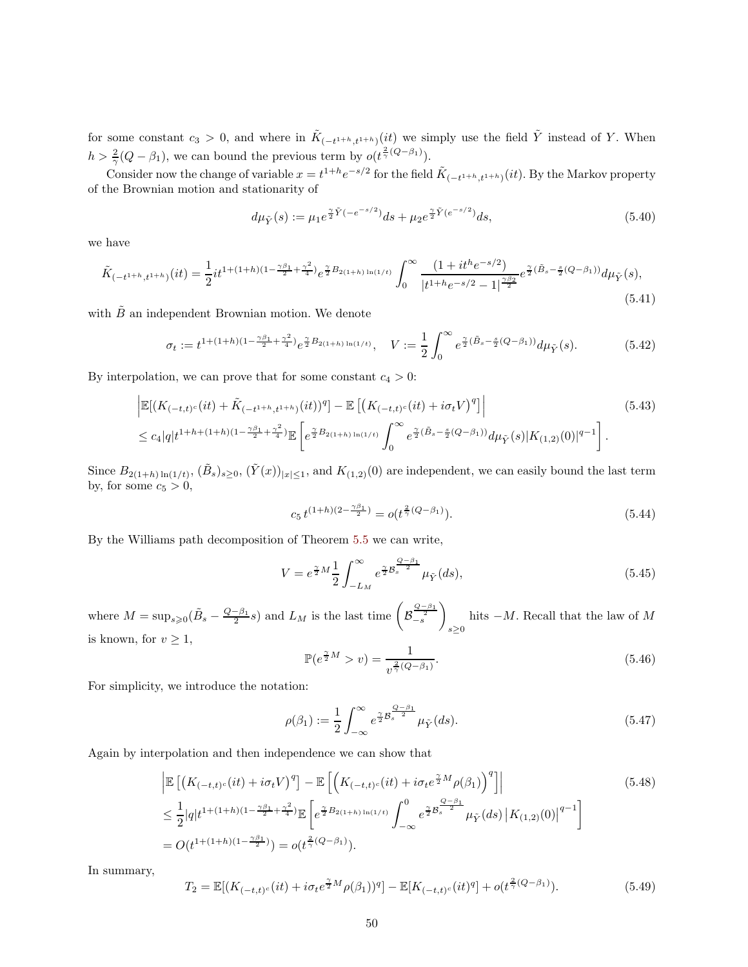for some constant  $c_3 > 0$ , and where in  $\tilde{K}_{(-t^{1+h},t^{1+h})}(it)$  we simply use the field  $\tilde{Y}$  instead of Y. When  $h > \frac{2}{\gamma}(Q - \beta_1)$ , we can bound the previous term by  $o(t^{\frac{2}{\gamma}(Q - \beta_1)})$ .

Consider now the change of variable  $x = t^{1+h}e^{-s/2}$  for the field  $\tilde{K}_{(-t^{1+h},t^{1+h})}(it)$ . By the Markov property of the Brownian motion and stationarity of

$$
d\mu_{\tilde{Y}}(s) := \mu_1 e^{\frac{\gamma}{2}\tilde{Y}(-e^{-s/2})} ds + \mu_2 e^{\frac{\gamma}{2}\tilde{Y}(e^{-s/2})} ds,\tag{5.40}
$$

we have

$$
\tilde{K}_{(-t^{1+h},t^{1+h})}(it) = \frac{1}{2}it^{1+(1+h)(1-\frac{\gamma\beta_1}{2}+\frac{\gamma^2}{4})}e^{\frac{\gamma}{2}B_{2(1+h)\ln(1/t)}}\int_0^\infty \frac{(1+it^he^{-s/2})}{|t^{1+h}e^{-s/2}-1|^{\frac{\gamma\beta_2}{2}}}e^{\frac{\gamma}{2}(\tilde{B}_s-\frac{s}{2}(Q-\beta_1))}d\mu_{\tilde{Y}}(s),\tag{5.41}
$$

with  $\tilde{B}$  an independent Brownian motion. We denote

$$
\sigma_t := t^{1 + (1+h)(1 - \frac{\gamma \beta_1}{2} + \frac{\gamma^2}{4})} e^{\frac{\gamma}{2} B_{2(1+h)\ln(1/t)}}, \quad V := \frac{1}{2} \int_0^\infty e^{\frac{\gamma}{2} (\tilde{B}_s - \frac{s}{2}(Q - \beta_1))} d\mu_{\tilde{Y}}(s).
$$
(5.42)

By interpolation, we can prove that for some constant  $c_4 > 0$ :

$$
\begin{split} &\left| \mathbb{E}[(K_{(-t,t)^{c}}(it) + \tilde{K}_{(-t^{1+h},t^{1+h})}(it))^q] - \mathbb{E}\left[ \left(K_{(-t,t)^{c}}(it) + i\sigma_t V\right)^q \right] \right| \\ &\leq c_4 |q| t^{1+h + (1+h)(1-\frac{\gamma\beta_1}{2} + \frac{\gamma^2}{4})} \mathbb{E}\left[ e^{\frac{\gamma}{2}B_{2(1+h)\ln(1/t)}} \int_0^\infty e^{\frac{\gamma}{2}(\tilde{B}_s - \frac{s}{2}(Q-\beta_1))} d\mu_{\tilde{Y}}(s) |K_{(1,2)}(0)|^{q-1} \right]. \end{split} \tag{5.43}
$$

Since  $B_{2(1+h)\ln(1/t)}$ ,  $(\tilde{B}_s)_{s\geq0}$ ,  $(\tilde{Y}(x))_{|x|\leq1}$ , and  $K_{(1,2)}(0)$  are independent, we can easily bound the last term by, for some  $c_5 > 0$ ,

$$
c_5 t^{(1+h)(2-\frac{\gamma \beta_1}{2})} = o(t^{\frac{2}{\gamma}(Q-\beta_1)}).
$$
\n(5.44)

By the Williams path decomposition of Theorem [5.5](#page-46-2) we can write,

$$
V = e^{\frac{\gamma}{2}M} \frac{1}{2} \int_{-L_M}^{\infty} e^{\frac{\gamma}{2}B_s^{\frac{Q-\beta_1}{2}}} \mu_{\tilde{Y}}(ds), \tag{5.45}
$$

where  $M = \sup_{s \geqslant 0} (\tilde{B}_s - \frac{Q - \beta_1}{2} s)$  and  $L_M$  is the last time  $\left( \mathcal{B}_s - \frac{Q - \beta_1}{2} s \right)$  $\frac{Q-\beta_1}{2}$ <br>- s  $\setminus$  $s \geq 0$ hits  $-M$ . Recall that the law of M is known, for  $v \geq 1$ ,

$$
\mathbb{P}(e^{\frac{\gamma}{2}M} > v) = \frac{1}{v^{\frac{2}{\gamma}(Q-\beta_1)}}.
$$
\n(5.46)

For simplicity, we introduce the notation:

$$
\rho(\beta_1) := \frac{1}{2} \int_{-\infty}^{\infty} e^{\frac{\gamma}{2} \mathcal{B}_s^{\frac{Q-\beta_1}{2}} } \mu_{\tilde{Y}}(ds). \tag{5.47}
$$

Again by interpolation and then independence we can show that

$$
\begin{split} &\left| \mathbb{E} \left[ \left( K_{(-t,t)^c}(it) + i\sigma_t V \right)^q \right] - \mathbb{E} \left[ \left( K_{(-t,t)^c}(it) + i\sigma_t e^{\frac{\gamma}{2}M} \rho(\beta_1) \right)^q \right] \right| \\ &\leq \frac{1}{2} |q| t^{1 + (1+h)(1 - \frac{\gamma \beta_1}{2} + \frac{\gamma^2}{4})} \mathbb{E} \left[ e^{\frac{\gamma}{2}B_{2(1+h)\ln(1/t)}} \int_{-\infty}^0 e^{\frac{\gamma}{2}B_s^{\frac{Q-\beta_1}{2}} \mu_{\tilde{Y}}(ds)} \left| K_{(1,2)}(0) \right|^{q-1} \right] \\ & = O(t^{1 + (1+h)(1 - \frac{\gamma \beta_1}{2})}) = o(t^{\frac{2}{\gamma}(Q-\beta_1)}). \end{split} \tag{5.48}
$$

In summary,

$$
T_2 = \mathbb{E}[(K_{(-t,t)^c}(it) + i\sigma_t e^{\frac{\gamma}{2}M}\rho(\beta_1))^q] - \mathbb{E}[K_{(-t,t)^c}(it)^q] + o(t^{\frac{2}{\gamma}(Q-\beta_1)}).
$$
(5.49)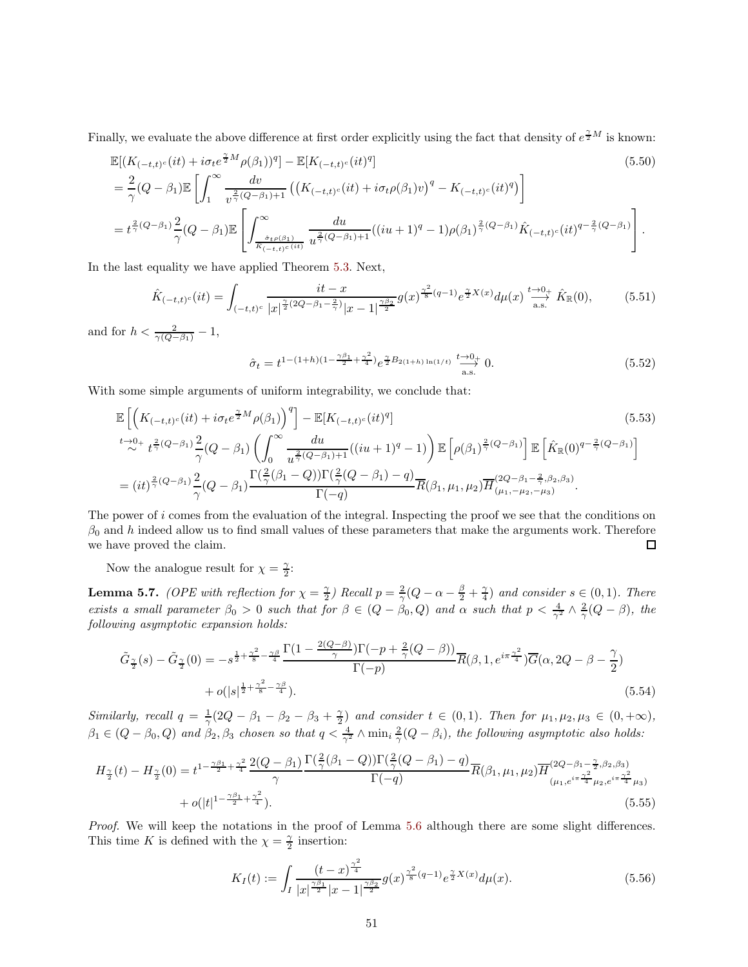Finally, we evaluate the above difference at first order explicitly using the fact that density of  $e^{\frac{\gamma}{2}M}$  is known:

$$
\mathbb{E}[(K_{(-t,t)^{c}}(it) + i\sigma_{t}e^{\frac{\gamma}{2}M}\rho(\beta_{1}))^{q}] - \mathbb{E}[K_{(-t,t)^{c}}(it)^{q}] \tag{5.50}
$$
\n
$$
= \frac{2}{\gamma}(Q - \beta_{1})\mathbb{E}\left[\int_{1}^{\infty}\frac{dv}{v^{\frac{2}{\gamma}(Q-\beta_{1})+1}}\left((K_{(-t,t)^{c}}(it) + i\sigma_{t}\rho(\beta_{1})v)^{q} - K_{(-t,t)^{c}}(it)^{q}\right)\right]
$$
\n
$$
= t^{\frac{2}{\gamma}(Q-\beta_{1})}\frac{2}{\gamma}(Q - \beta_{1})\mathbb{E}\left[\int_{\frac{\delta_{t}\rho(\beta_{1})}{K_{(-t,t)^{c}}(it)}}^{\infty}\frac{du}{u^{\frac{2}{\gamma}(Q-\beta_{1})+1}}((iu+1)^{q}-1)\rho(\beta_{1})^{\frac{2}{\gamma}(Q-\beta_{1})}\hat{K}_{(-t,t)^{c}}(it)^{q-\frac{2}{\gamma}(Q-\beta_{1})}\right].
$$
\n(5.50)

In the last equality we have applied Theorem [5.3.](#page-45-0) Next,

$$
\hat{K}_{(-t,t)^c}(it) = \int_{(-t,t)^c} \frac{it - x}{|x|^{\frac{\gamma}{2}(2Q - \beta_1 - \frac{2}{\gamma})}|x - 1|^{\frac{\gamma \beta_2}{2}}} g(x)^{\frac{\gamma^2}{8}(q - 1)} e^{\frac{\gamma}{2}X(x)} d\mu(x) \xrightarrow[a.s.]{t \to 0+} \hat{K}_{\mathbb{R}}(0),
$$
(5.51)

and for  $h < \frac{2}{\gamma(Q-\beta_1)} - 1$ ,

$$
\hat{\sigma}_t = t^{1 - (1 + h)(1 - \frac{\gamma \beta_1}{2} + \frac{\gamma^2}{4})} e^{\frac{\gamma}{2} B_{2(1 + h)\ln(1/t)}} \stackrel{t \to 0_+}{\longrightarrow} 0. \tag{5.52}
$$

With some simple arguments of uniform integrability, we conclude that:

$$
\mathbb{E}\left[\left(K_{(-t,t)^{c}}(it) + i\sigma_{t}e^{\frac{\gamma}{2}M}\rho(\beta_{1})\right)^{q}\right] - \mathbb{E}[K_{(-t,t)^{c}}(it)^{q}] \qquad (5.53)
$$
\n
$$
\stackrel{t\to 0+}{\sim} t^{\frac{2}{\gamma}(Q-\beta_{1})} \frac{2}{\gamma}(Q-\beta_{1})\left(\int_{0}^{\infty} \frac{du}{u^{\frac{2}{\gamma}(Q-\beta_{1})+1}}((iu+1)^{q}-1)\right) \mathbb{E}\left[\rho(\beta_{1})^{\frac{2}{\gamma}(Q-\beta_{1})}\right] \mathbb{E}\left[\hat{K}_{\mathbb{R}}(0)^{q-\frac{2}{\gamma}(Q-\beta_{1})}\right]
$$
\n
$$
= (it)^{\frac{2}{\gamma}(Q-\beta_{1})} \frac{2}{\gamma}(Q-\beta_{1}) \frac{\Gamma(\frac{2}{\gamma}(\beta_{1}-Q))\Gamma(\frac{2}{\gamma}(Q-\beta_{1})-q)}{\Gamma(-q)} \overline{R}(\beta_{1},\mu_{1},\mu_{2}) \overline{H}^{(2Q-\beta_{1}-\frac{2}{\gamma},\beta_{2},\beta_{3})}_{(\mu_{1},-\mu_{2},-\mu_{3})}.
$$
\n(5.53)

The power of i comes from the evaluation of the integral. Inspecting the proof we see that the conditions on  $\beta_0$  and h indeed allow us to find small values of these parameters that make the arguments work. Therefore we have proved the claim.  $\Box$ 

Now the analogue result for  $\chi = \frac{\gamma}{2}$ :

<span id="page-50-0"></span>**Lemma 5.7.** *(OPE with reflection for*  $\chi = \frac{\gamma}{2}$ ) *Recall*  $p = \frac{2}{\gamma}(Q - \alpha - \frac{\beta}{2} + \frac{\gamma}{4})$  *and consider*  $s \in (0,1)$ *. There exists a small parameter*  $\beta_0 > 0$  *such that for*  $\beta \in (Q - \beta_0, Q)$  *and*  $\alpha$  *such that*  $p < \frac{4}{\gamma^2} \wedge \frac{2}{\gamma} (Q - \beta)$ , the *following asymptotic expansion holds:*

$$
\tilde{G}_{\frac{\gamma}{2}}(s) - \tilde{G}_{\frac{\gamma}{2}}(0) = -s^{\frac{1}{2} + \frac{\gamma^2}{8} - \frac{\gamma \beta}{4}} \frac{\Gamma(1 - \frac{2(Q - \beta)}{\gamma})\Gamma(-p + \frac{2}{\gamma}(Q - \beta))}{\Gamma(-p)} \overline{R}(\beta, 1, e^{i\pi \frac{\gamma^2}{4}}) \overline{G}(\alpha, 2Q - \beta - \frac{\gamma}{2}) + o(|s|^{\frac{1}{2} + \frac{\gamma^2}{8} - \frac{\gamma \beta}{4}}).
$$
\n(5.54)

*Similarly, recall*  $q = \frac{1}{\gamma}(2Q - \beta_1 - \beta_2 - \beta_3 + \frac{\gamma}{2})$  and consider  $t \in (0, 1)$ . Then for  $\mu_1, \mu_2, \mu_3 \in (0, +\infty)$ ,  $\beta_1 \in (Q - \beta_0, Q)$  and  $\beta_2, \beta_3$  chosen so that  $q < \frac{4}{\gamma^2} \wedge \min_i \frac{2}{\gamma} (Q - \beta_i)$ , the following asymptotic also holds:

$$
H_{\frac{\gamma}{2}}(t) - H_{\frac{\gamma}{2}}(0) = t^{1 - \frac{\gamma \beta_1}{2} + \frac{\gamma^2}{4}} \frac{2(Q - \beta_1)}{\gamma} \frac{\Gamma(\frac{2}{\gamma}(\beta_1 - Q))\Gamma(\frac{2}{\gamma}(Q - \beta_1) - q)}{\Gamma(-q)} \overline{R}(\beta_1, \mu_1, \mu_2) \overline{H}^{(2Q - \beta_1 - \frac{\gamma}{2}, \beta_2, \beta_3)}_{(\mu_1, e^{i\pi \frac{\gamma^2}{4}} \mu_2, e^{i\pi \frac{\gamma^2}{4}} \mu_3)} + o(|t|^{1 - \frac{\gamma \beta_1}{2} + \frac{\gamma^2}{4}}). \tag{5.55}
$$

*Proof.* We will keep the notations in the proof of Lemma [5.6](#page-46-1) although there are some slight differences. This time K is defined with the  $\chi = \frac{\gamma}{2}$  insertion:

$$
K_I(t) := \int_I \frac{(t-x)^{\frac{\gamma^2}{4}}}{|x|^{\frac{\gamma\beta_1}{2}}|x-1|^{\frac{\gamma\beta_2}{2}}} g(x)^{\frac{\gamma^2}{8}(q-1)} e^{\frac{\gamma}{2}X(x)} d\mu(x). \tag{5.56}
$$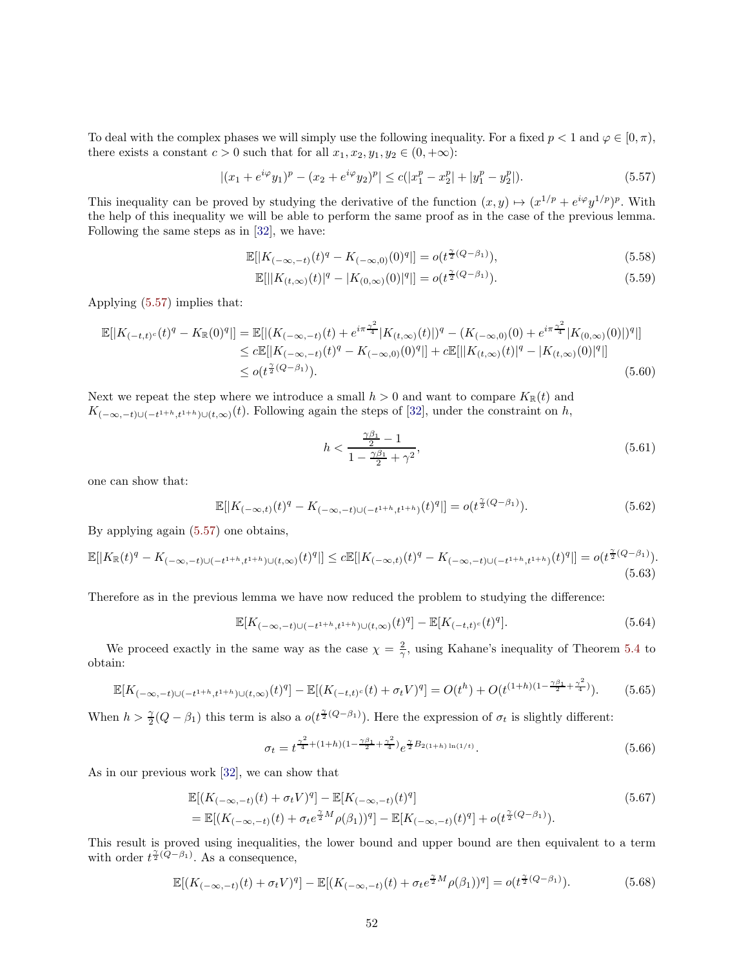To deal with the complex phases we will simply use the following inequality. For a fixed  $p < 1$  and  $\varphi \in [0, \pi)$ , there exists a constant  $c > 0$  such that for all  $x_1, x_2, y_1, y_2 \in (0, +\infty)$ :

<span id="page-51-0"></span>
$$
|(x_1 + e^{i\varphi}y_1)^p - (x_2 + e^{i\varphi}y_2)^p| \le c(|x_1^p - x_2^p| + |y_1^p - y_2^p|). \tag{5.57}
$$

This inequality can be proved by studying the derivative of the function  $(x, y) \mapsto (x^{1/p} + e^{i\varphi} y^{1/p})^p$ . With the help of this inequality we will be able to perform the same proof as in the case of the previous lemma. Following the same steps as in [\[32\]](#page-65-5), we have:

$$
\mathbb{E}[|K_{(-\infty,-t)}(t)^q - K_{(-\infty,0)}(0)^q|] = o(t^{\frac{\gamma}{2}(Q-\beta_1)}),\tag{5.58}
$$

$$
\mathbb{E}[||K_{(t,\infty)}(t)|^q - |K_{(0,\infty)}(0)|^q|| = o(t^{\frac{\gamma}{2}(Q-\beta_1)}).
$$
\n(5.59)

Applying [\(5.57\)](#page-51-0) implies that:

$$
\mathbb{E}[|K_{(-t,t)^c}(t)^q - K_{\mathbb{R}}(0)^q|] = \mathbb{E}[|(K_{(-\infty,-t)}(t) + e^{i\pi \frac{\gamma^2}{4}}|K_{(t,\infty)}(t)|)^q - (K_{(-\infty,0)}(0) + e^{i\pi \frac{\gamma^2}{4}}|K_{(0,\infty)}(0)|)^q|]
$$
  
\n
$$
\leq c\mathbb{E}[|K_{(-\infty,-t)}(t)^q - K_{(-\infty,0)}(0)^q|] + c\mathbb{E}[||K_{(t,\infty)}(t)|^q - |K_{(t,\infty)}(0)|^q|]
$$
  
\n
$$
\leq o(t^{\frac{\gamma}{2}(Q-\beta_1)}).
$$
\n(5.60)

Next we repeat the step where we introduce a small  $h > 0$  and want to compare  $K_{\mathbb{R}}(t)$  and  $K_{(-\infty,-t)\cup(-t^{1+h},t^{1+h})\cup(t,\infty)}(t)$ . Following again the steps of [\[32\]](#page-65-5), under the constraint on h,

$$
h < \frac{\frac{\gamma \beta_1}{2} - 1}{1 - \frac{\gamma \beta_1}{2} + \gamma^2},\tag{5.61}
$$

one can show that:

$$
\mathbb{E}[|K_{(-\infty,t)}(t)^q - K_{(-\infty,-t)\cup (-t^{1+h},t^{1+h})}(t)^q|] = o(t^{\frac{\gamma}{2}(Q-\beta_1)}).
$$
\n(5.62)

By applying again [\(5.57\)](#page-51-0) one obtains,

$$
\mathbb{E}[|K_{\mathbb{R}}(t)^{q} - K_{(-\infty, -t)\cup(-t^{1+h}, t^{1+h})\cup(t, \infty)}(t)^{q}|] \leq c\mathbb{E}[|K_{(-\infty, t)}(t)^{q} - K_{(-\infty, -t)\cup(-t^{1+h}, t^{1+h})}(t)^{q}|] = o(t^{\frac{\gamma}{2}(Q-\beta_1)}).
$$
\n(5.63)

Therefore as in the previous lemma we have now reduced the problem to studying the difference:

$$
\mathbb{E}[K_{(-\infty,-t)\cup(-t^{1+h},t^{1+h})\cup(t,\infty)}(t)^q] - \mathbb{E}[K_{(-t,t)^c}(t)^q].
$$
\n(5.64)

We proceed exactly in the same way as the case  $\chi = \frac{2}{\gamma}$ , using Kahane's inequality of Theorem [5.4](#page-45-1) to obtain:

$$
\mathbb{E}[K_{(-\infty,-t)\cup(-t^{1+h},t^{1+h})\cup(t,\infty)}(t)^q] - \mathbb{E}[(K_{(-t,t)^c}(t) + \sigma_t V)^q] = O(t^h) + O(t^{(1+h)(1-\frac{\gamma\beta_1}{2} + \frac{\gamma^2}{4})}).
$$
 (5.65)

When  $h > \frac{\gamma}{2}(Q - \beta_1)$  this term is also a  $o(t^{\frac{\gamma}{2}(Q - \beta_1)})$ . Here the expression of  $\sigma_t$  is slightly different:

$$
\sigma_t = t^{\frac{\gamma^2}{4} + (1+h)(1 - \frac{\gamma \beta_1}{2} + \frac{\gamma^2}{4})} e^{\frac{\gamma}{2} B_{2(1+h)\ln(1/t)}}.
$$
\n(5.66)

As in our previous work [\[32\]](#page-65-5), we can show that

$$
\mathbb{E}[(K_{(-\infty,-t)}(t) + \sigma_t V)^q] - \mathbb{E}[K_{(-\infty,-t)}(t)^q]
$$
\n
$$
= \mathbb{E}[(K_{(-\infty,-t)}(t) + \sigma_t e^{\frac{\gamma}{2}M} \rho(\beta_1))^q] - \mathbb{E}[K_{(-\infty,-t)}(t)^q] + o(t^{\frac{\gamma}{2}(Q-\beta_1)}).
$$
\n(5.67)

This result is proved using inequalities, the lower bound and upper bound are then equivalent to a term with order  $t^{\frac{\gamma}{2}(\tilde{Q}-\beta_1)}$ . As a consequence,

$$
\mathbb{E}[(K_{(-\infty,-t)}(t) + \sigma_t V)^q] - \mathbb{E}[(K_{(-\infty,-t)}(t) + \sigma_t e^{\frac{\gamma}{2}M} \rho(\beta_1))^q] = o(t^{\frac{\gamma}{2}(Q-\beta_1)}).
$$
(5.68)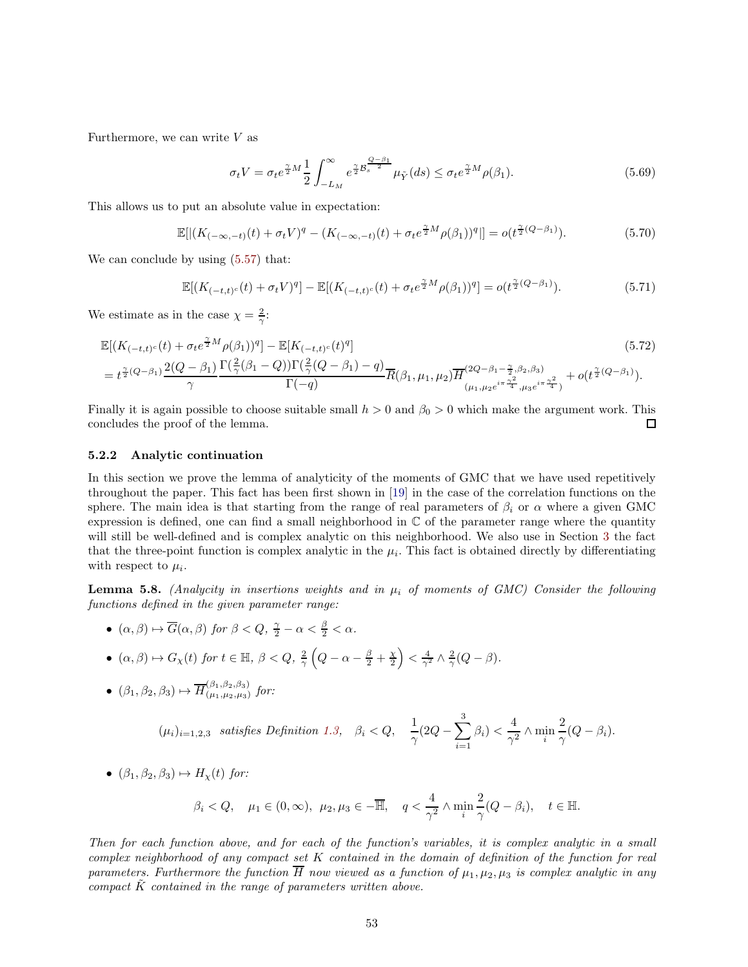Furthermore, we can write  $V$  as

$$
\sigma_t V = \sigma_t e^{\frac{\gamma}{2} M} \frac{1}{2} \int_{-L_M}^{\infty} e^{\frac{\gamma}{2} \mathcal{B}_s^{\frac{Q-\beta_1}{2}}} \mu_{\tilde{Y}}(ds) \leq \sigma_t e^{\frac{\gamma}{2} M} \rho(\beta_1). \tag{5.69}
$$

This allows us to put an absolute value in expectation:

$$
\mathbb{E}[|(K_{(-\infty,-t)}(t) + \sigma_t V)^q - (K_{(-\infty,-t)}(t) + \sigma_t e^{\frac{\gamma}{2}M} \rho(\beta_1))^q|] = o(t^{\frac{\gamma}{2}(Q-\beta_1)}).
$$
(5.70)

We can conclude by using  $(5.57)$  that:

$$
\mathbb{E}[(K_{(-t,t)^c}(t) + \sigma_t V)^q] - \mathbb{E}[(K_{(-t,t)^c}(t) + \sigma_t e^{\frac{\gamma}{2}M} \rho(\beta_1))^q] = o(t^{\frac{\gamma}{2}(Q-\beta_1)}).
$$
\n(5.71)

We estimate as in the case  $\chi = \frac{2}{\gamma}$ :

$$
\mathbb{E}[(K_{(-t,t)^{c}}(t) + \sigma_{t}e^{\frac{\gamma}{2}M}\rho(\beta_{1}))^{q}] - \mathbb{E}[K_{(-t,t)^{c}}(t)^{q}]
$$
\n
$$
= t^{\frac{\gamma}{2}(Q-\beta_{1})}\frac{2(Q-\beta_{1})}{\gamma}\frac{\Gamma(\frac{2}{\gamma}(\beta_{1}-Q))\Gamma(\frac{2}{\gamma}(Q-\beta_{1})-q)}{\Gamma(-q)}\overline{R}(\beta_{1},\mu_{1},\mu_{2})\overline{H}^{(2Q-\beta_{1}-\frac{\gamma}{2},\beta_{2},\beta_{3})}_{(\mu_{1},\mu_{2}e^{i\pi}\frac{\gamma^{2}}{4},\mu_{3}e^{i\pi\frac{\gamma^{2}}{4}})} + o(t^{\frac{\gamma}{2}(Q-\beta_{1})}).
$$
\n(5.72)

Finally it is again possible to choose suitable small  $h > 0$  and  $\beta_0 > 0$  which make the argument work. This concludes the proof of the lemma.  $\Box$ 

#### 5.2.2 Analytic continuation

In this section we prove the lemma of analyticity of the moments of GMC that we have used repetitively throughout the paper. This fact has been first shown in [\[19\]](#page-64-9) in the case of the correlation functions on the sphere. The main idea is that starting from the range of real parameters of  $\beta_i$  or  $\alpha$  where a given GMC expression is defined, one can find a small neighborhood in  $\mathbb C$  of the parameter range where the quantity will still be well-defined and is complex analytic on this neighborhood. We also use in Section [3](#page-21-0) the fact that the three-point function is complex analytic in the  $\mu_i$ . This fact is obtained directly by differentiating with respect to  $\mu_i$ .

<span id="page-52-0"></span>**Lemma 5.8.** *(Analycity in insertions weights and in*  $\mu_i$  *of moments of GMC) Consider the following functions defined in the given parameter range:*

- $(\alpha, \beta) \mapsto \overline{G}(\alpha, \beta)$  *for*  $\beta < Q$ ,  $\frac{\gamma}{2} \alpha < \frac{\beta}{2} < \alpha$ *.*
- $(\alpha, \beta) \mapsto G_{\chi}(t)$  *for*  $t \in \mathbb{H}$ ,  $\beta < Q$ ,  $\frac{2}{\gamma} \left(Q \alpha \frac{\beta}{2} + \frac{\chi}{2}\right) < \frac{4}{\gamma^2} \wedge \frac{2}{\gamma} (Q \beta)$ .
- $(\beta_1, \beta_2, \beta_3) \mapsto \overline{H}_{(\mu_1, \mu_2, \mu_3)}^{(\beta_1, \beta_2, \beta_3)}$  $(\mu_1,\mu_2,\mu_3)$  for:

$$
(\mu_i)_{i=1,2,3} \quad satisfies \; Definition \; 1.3, \quad \beta_i < Q, \quad \frac{1}{\gamma} (2Q - \sum_{i=1}^3 \beta_i) < \frac{4}{\gamma^2} \wedge \min_i \frac{2}{\gamma} (Q - \beta_i).
$$

•  $(\beta_1, \beta_2, \beta_3) \mapsto H_{\gamma}(t)$  *for:* 

$$
\beta_i < Q, \quad \mu_1 \in (0, \infty), \ \mu_2, \mu_3 \in -\overline{\mathbb{H}}, \quad q < \frac{4}{\gamma^2} \wedge \min_i \frac{2}{\gamma} (Q - \beta_i), \quad t \in \mathbb{H}.
$$

*Then for each function above, and for each of the function's variables, it is complex analytic in a small complex neighborhood of any compact set* K *contained in the domain of definition of the function for real parameters. Furthermore the function*  $\overline{H}$  *now viewed as a function of*  $\mu_1, \mu_2, \mu_3$  *is complex analytic in any compact*  $\tilde{K}$  *contained in the range of parameters written above.*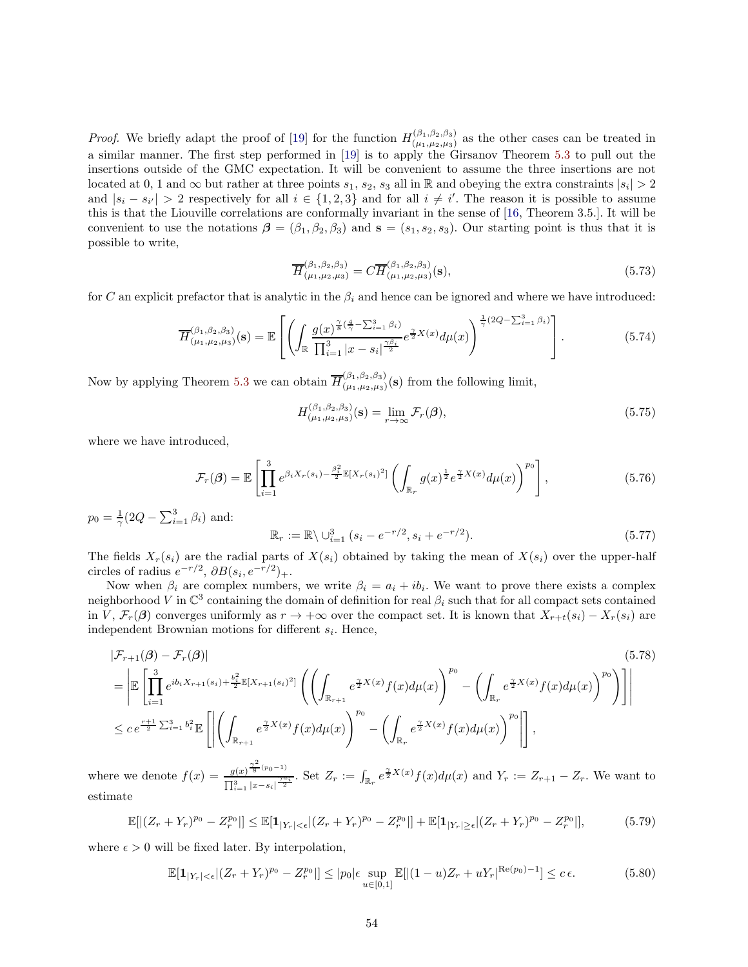*Proof.* We briefly adapt the proof of [\[19\]](#page-64-9) for the function  $H_{(u_1, u_2, u_3)}^{(\beta_1, \beta_2, \beta_3)}$  $(\mu_1,\mu_2,\mu_3)$  as the other cases can be treated in a similar manner. The first step performed in [\[19\]](#page-64-9) is to apply the Girsanov Theorem [5.3](#page-45-0) to pull out the insertions outside of the GMC expectation. It will be convenient to assume the three insertions are not located at 0, 1 and  $\infty$  but rather at three points  $s_1, s_2, s_3$  all in R and obeying the extra constraints  $|s_i| > 2$ and  $|s_i - s_{i'}| > 2$  respectively for all  $i \in \{1, 2, 3\}$  and for all  $i \neq i'$ . The reason it is possible to assume this is that the Liouville correlations are conformally invariant in the sense of [\[16,](#page-64-5) Theorem 3.5.]. It will be convenient to use the notations  $\boldsymbol{\beta} = (\beta_1, \beta_2, \beta_3)$  and  $\mathbf{s} = (s_1, s_2, s_3)$ . Our starting point is thus that it is possible to write,

$$
\overline{H}^{(\beta_1,\beta_2,\beta_3)}_{(\mu_1,\mu_2,\mu_3)} = C\overline{H}^{(\beta_1,\beta_2,\beta_3)}_{(\mu_1,\mu_2,\mu_3)}(\mathbf{s}),\tag{5.73}
$$

for C an explicit prefactor that is analytic in the  $\beta_i$  and hence can be ignored and where we have introduced:

$$
\overline{H}^{(\beta_1, \beta_2, \beta_3)}_{(\mu_1, \mu_2, \mu_3)}(\mathbf{s}) = \mathbb{E}\left[\left(\int_{\mathbb{R}} \frac{g(x)^{\frac{\gamma}{8}(\frac{4}{\gamma}-\sum_{i=1}^3 \beta_i)}}{\prod_{i=1}^3 |x-s_i|^{\frac{\gamma \beta_i}{2}}} e^{\frac{\gamma}{2}X(x)} d\mu(x)\right)^{\frac{1}{\gamma}(2Q-\sum_{i=1}^3 \beta_i)}\right].
$$
\n(5.74)

Now by applying Theorem [5.3](#page-45-0) we can obtain  $\overline{H}_{(\mu_1,\mu_2,\mu_3)}^{(\beta_1,\beta_2,\beta_3)}$  $(\mu_1,\mu_2,\mu_3)(s)$  from the following limit,

$$
H_{(\mu_1,\mu_2,\mu_3)}^{(\beta_1,\beta_2,\beta_3)}(\mathbf{s}) = \lim_{r \to \infty} \mathcal{F}_r(\boldsymbol{\beta}),\tag{5.75}
$$

 $(5.77)$ 

where we have introduced,

$$
\mathcal{F}_r(\boldsymbol{\beta}) = \mathbb{E}\left[\prod_{i=1}^3 e^{\beta_i X_r(s_i) - \frac{\beta_i^2}{2} \mathbb{E}[X_r(s_i)^2]} \left(\int_{\mathbb{R}_r} g(x)^{\frac{1}{2}} e^{\frac{\gamma}{2} X(x)} d\mu(x)\right)^{p_0}\right],\tag{5.76}
$$

 $p_0 = \frac{1}{\gamma} (2Q - \sum_{i=1}^3 \beta_i)$  and:  $\mathbb{R}_r := \mathbb{R} \setminus \bigcup_{i=1}^3 (s_i - e^{-r/2}, s_i + e^{-r/2})$ 

The fields  $X_r(s_i)$  are the radial parts of  $X(s_i)$  obtained by taking the mean of  $X(s_i)$  over the upper-half circles of radius  $e^{-r/2}$ ,  $\partial B(s_i, e^{-r/2})_+$ .

Now when  $\beta_i$  are complex numbers, we write  $\beta_i = a_i + ib_i$ . We want to prove there exists a complex neighborhood V in  $\mathbb{C}^3$  containing the domain of definition for real  $\beta_i$  such that for all compact sets contained in V,  $\mathcal{F}_r(\beta)$  converges uniformly as  $r \to +\infty$  over the compact set. It is known that  $X_{r+t}(s_i) - X_r(s_i)$  are independent Brownian motions for different  $s_i$ . Hence,

$$
\begin{split} |\mathcal{F}_{r+1}(\beta) - \mathcal{F}_{r}(\beta)| &= \left| \mathbb{E} \left[ \prod_{i=1}^{3} e^{ib_{i}X_{r+1}(s_{i}) + \frac{b_{i}^{2}}{2}} \mathbb{E}[X_{r+1}(s_{i})^{2}] \left( \left( \int_{\mathbb{R}_{r+1}} e^{\frac{\gamma}{2}X(x)} f(x) d\mu(x) \right)^{p_{0}} - \left( \int_{\mathbb{R}_{r}} e^{\frac{\gamma}{2}X(x)} f(x) d\mu(x) \right)^{p_{0}} \right) \right] \right| \\ &\leq c \, e^{\frac{r+1}{2} \sum_{i=1}^{3} b_{i}^{2}} \mathbb{E} \left[ \left| \left( \int_{\mathbb{R}_{r+1}} e^{\frac{\gamma}{2}X(x)} f(x) d\mu(x) \right)^{p_{0}} - \left( \int_{\mathbb{R}_{r}} e^{\frac{\gamma}{2}X(x)} f(x) d\mu(x) \right)^{p_{0}} \right| \right], \end{split} \tag{5.78}
$$

where we denote  $f(x) = \frac{g(x)^{\frac{\gamma^2}{8}(p_0-1)}}{\gamma^2}$  $\frac{g(x)^{\frac{r}{8}(p_0-1)}}{\prod_{i=1}^3 |x-s_i|^{\frac{\gamma a_i}{2}}}$ . Set  $Z_r := \int_{\mathbb{R}_r} e^{\frac{\gamma}{2}X(x)} f(x) d\mu(x)$  and  $Y_r := Z_{r+1} - Z_r$ . We want to estimate

$$
\mathbb{E}[|(Z_r + Y_r)^{p_0} - Z_r^{p_0}|] \le \mathbb{E}[\mathbf{1}_{|Y_r| < \epsilon} | (Z_r + Y_r)^{p_0} - Z_r^{p_0}|] + \mathbb{E}[\mathbf{1}_{|Y_r| \ge \epsilon} | (Z_r + Y_r)^{p_0} - Z_r^{p_0}|],\tag{5.79}
$$

where  $\epsilon > 0$  will be fixed later. By interpolation,

$$
\mathbb{E}[\mathbf{1}_{|Y_r|<\epsilon}|(Z_r+Y_r)^{p_0}-Z_r^{p_0}|\leq|p_0|\epsilon \sup_{u\in[0,1]}\mathbb{E}[|(1-u)Z_r+uY_r|^{\text{Re}(p_0)-1}]\leq c\,\epsilon. \tag{5.80}
$$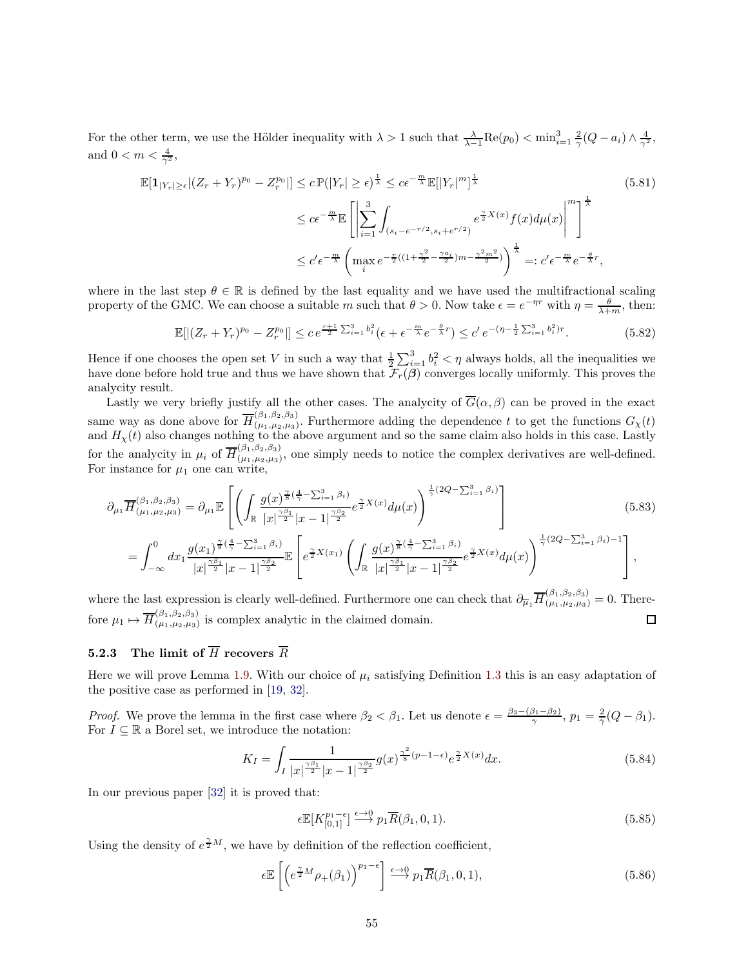For the other term, we use the Hölder inequality with  $\lambda > 1$  such that  $\frac{\lambda}{\lambda-1}\text{Re}(p_0) < \min_{i=1}^3 \frac{2}{\gamma}(Q - a_i) \wedge \frac{4}{\gamma^2}$ , and  $0 < m < \frac{4}{\gamma^2}$ ,

$$
\mathbb{E}[\mathbf{1}_{|Y_r| \ge \epsilon} | (Z_r + Y_r)^{p_0} - Z_r^{p_0} |] \le c \mathbb{P}(|Y_r| \ge \epsilon)^{\frac{1}{\lambda}} \le c\epsilon^{-\frac{m}{\lambda}} \mathbb{E}[|Y_r|^m]^{\frac{1}{\lambda}}
$$
(5.81)  

$$
\le c\epsilon^{-\frac{m}{\lambda}} \mathbb{E}\left[\left|\sum_{i=1}^3 \int_{(s_i - e^{-r/2}, s_i + e^{r/2})} e^{\frac{\gamma}{2}X(x)} f(x) d\mu(x)\right|^m\right]^{\frac{1}{\lambda}}
$$
  

$$
\le c'\epsilon^{-\frac{m}{\lambda}} \left(\max_{i} e^{-\frac{r}{2}((1 + \frac{\gamma^2}{2} - \frac{\gamma a_i}{2})m - \frac{\gamma^2 m^2}{2})}\right)^{\frac{1}{\lambda}} =: c'\epsilon^{-\frac{m}{\lambda}} e^{-\frac{\theta}{\lambda}r},
$$

where in the last step  $\theta \in \mathbb{R}$  is defined by the last equality and we have used the multifractional scaling property of the GMC. We can choose a suitable m such that  $\theta > 0$ . Now take  $\epsilon = e^{-\eta r}$  with  $\eta = \frac{\theta}{\lambda + m}$ , then:

$$
\mathbb{E}[|(Z_r + Y_r)^{p_0} - Z_r^{p_0}|] \le c e^{\frac{r+1}{2} \sum_{i=1}^3 b_i^2} (\epsilon + \epsilon^{-\frac{m}{\lambda}} e^{-\frac{\theta}{\lambda}r}) \le c' e^{-(\eta - \frac{1}{2} \sum_{i=1}^3 b_i^2)r}.
$$
 (5.82)

Hence if one chooses the open set V in such a way that  $\frac{1}{2}\sum_{i=1}^{3} b_i^2 < \eta$  always holds, all the inequalities we have done before hold true and thus we have shown that  $\mathcal{F}_r(\beta)$  converges locally uniformly. This proves the analycity result.

Lastly we very briefly justify all the other cases. The analycity of  $\overline{G}(\alpha,\beta)$  can be proved in the exact same way as done above for  $\overline{H}_{(\mu_1,\mu_2,\mu_3)}^{(\beta_1,\beta_2,\beta_3)}$  $(\mu_1,\mu_2,\mu_3)$ . Furthermore adding the dependence t to get the functions  $G_{\chi}(t)$ and  $H_{\chi}(t)$  also changes nothing to the above argument and so the same claim also holds in this case. Lastly for the analycity in  $\mu_i$  of  $\overline{H}^{(\beta_1,\beta_2,\beta_3)}_{(\mu_1,\mu_2,\mu_3)}$  $(\mu_1,\mu_2,\mu_3)$ , one simply needs to notice the complex derivatives are well-defined. For instance for  $\mu_1$  one can write,

$$
\partial_{\mu_{1}} \overline{H}^{(\beta_{1},\beta_{2},\beta_{3})}_{(\mu_{1},\mu_{2},\mu_{3})} = \partial_{\mu_{1}} \mathbb{E}\left[\left(\int_{\mathbb{R}} \frac{g(x)^{\frac{\gamma}{8}(\frac{4}{\gamma}-\sum_{i=1}^{3}\beta_{i})}}{|x|^{\frac{\gamma\beta_{1}}{2}}|x-1|^{\frac{\gamma\beta_{2}}{2}}} e^{\frac{\gamma}{2}X(x)} d\mu(x)\right)^{\frac{1}{\gamma}(2Q-\sum_{i=1}^{3}\beta_{i})}\right]
$$
\n
$$
= \int_{-\infty}^{0} dx_{1} \frac{g(x_{1})^{\frac{\gamma}{8}(\frac{4}{\gamma}-\sum_{i=1}^{3}\beta_{i})}}{|x|^{\frac{\gamma\beta_{1}}{2}}|x-1|^{\frac{\gamma\beta_{2}}{2}}}\mathbb{E}\left[e^{\frac{\gamma}{2}X(x_{1})}\left(\int_{\mathbb{R}} \frac{g(x)^{\frac{\gamma}{8}(\frac{4}{\gamma}-\sum_{i=1}^{3}\beta_{i})}}{|x|^{\frac{\gamma\beta_{2}}{2}}|x-1|^{\frac{\gamma\beta_{2}}{2}}} e^{\frac{\gamma}{2}X(x)} d\mu(x)\right)^{\frac{1}{\gamma}(2Q-\sum_{i=1}^{3}\beta_{i})-1}\right],
$$
\n(5.83)

where the last expression is clearly well-defined. Furthermore one can check that  $\partial_{\overline{\mu}_1} \overline{H}_{(\mu_1,\mu_2,\mu_3)}^{(\beta_1,\beta_2,\beta_3)} = 0$ . Therefore  $\mu_1 \mapsto \overline{H}^{(\beta_1,\beta_2,\beta_3)}_{(\mu_1,\mu_2,\mu_3)}$  $\Box$  $(\mu_1,\mu_2,\mu_3)$  is complex analytic in the claimed domain.

## <span id="page-54-0"></span>5.2.3 The limit of  $\overline{H}$  recovers  $\overline{R}$

Here we will prove Lemma [1.9.](#page-8-2) With our choice of  $\mu_i$  satisfying Definition [1.3](#page-4-1) this is an easy adaptation of the positive case as performed in [\[19,](#page-64-9) [32\]](#page-65-5).

*Proof.* We prove the lemma in the first case where  $\beta_2 < \beta_1$ . Let us denote  $\epsilon = \frac{\beta_3 - (\beta_1 - \beta_2)}{\gamma}$ ,  $p_1 = \frac{2}{\gamma} (Q - \beta_1)$ . For  $I\subseteq \mathbb{R}$  a Borel set, we introduce the notation:

$$
K_{I} = \int_{I} \frac{1}{|x|^{\frac{\gamma \beta_{1}}{2}} |x - 1|^{\frac{\gamma \beta_{2}}{2}}} g(x)^{\frac{\gamma^{2}}{8}(p - 1 - \epsilon)} e^{\frac{\gamma}{2} X(x)} dx.
$$
 (5.84)

In our previous paper [\[32\]](#page-65-5) it is proved that:

$$
\epsilon \mathbb{E}[K_{[0,1]}^{p_1-\epsilon}] \stackrel{\epsilon \to 0}{\longrightarrow} p_1 \overline{R}(\beta_1, 0, 1). \tag{5.85}
$$

Using the density of  $e^{\frac{\gamma}{2}M}$ , we have by definition of the reflection coefficient,

$$
\epsilon \mathbb{E}\left[\left(e^{\frac{\gamma}{2}M}\rho_+(\beta_1)\right)^{p_1-\epsilon}\right] \xrightarrow{\epsilon \to 0} p_1 \overline{R}(\beta_1, 0, 1),\tag{5.86}
$$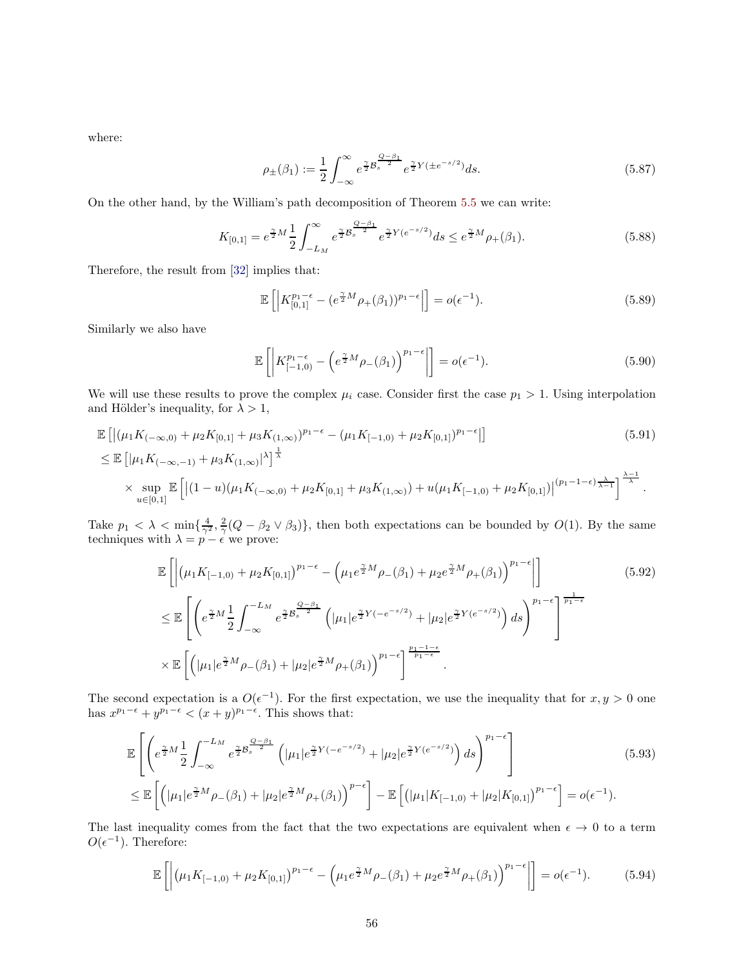where:

$$
\rho_{\pm}(\beta_1) := \frac{1}{2} \int_{-\infty}^{\infty} e^{\frac{\gamma}{2} B_s^{\frac{Q-\beta_1}{2}}} e^{\frac{\gamma}{2} Y (\pm e^{-s/2})} ds.
$$
\n(5.87)

On the other hand, by the William's path decomposition of Theorem [5.5](#page-46-2) we can write:

$$
K_{[0,1]} = e^{\frac{\gamma}{2}M} \frac{1}{2} \int_{-L_M}^{\infty} e^{\frac{\gamma}{2} \mathcal{B}_s^{\frac{Q-\beta_1}{2}}} e^{\frac{\gamma}{2} Y (e^{-s/2})} ds \le e^{\frac{\gamma}{2}M} \rho_+(\beta_1). \tag{5.88}
$$

Therefore, the result from [\[32\]](#page-65-5) implies that:

$$
\mathbb{E}\left[\left|K_{[0,1]}^{p_1-\epsilon}-(e^{\frac{\gamma}{2}M}\rho_{+}(\beta_1))^{p_1-\epsilon}\right|\right]=o(\epsilon^{-1}).\tag{5.89}
$$

Similarly we also have

$$
\mathbb{E}\left[\left|K_{[-1,0)}^{p_1-\epsilon} - \left(e^{\frac{\gamma}{2}M}\rho_-(\beta_1)\right)^{p_1-\epsilon}\right|\right] = o(\epsilon^{-1}).\tag{5.90}
$$

We will use these results to prove the complex  $\mu_i$  case. Consider first the case  $p_1 > 1$ . Using interpolation and Hölder's inequality, for  $\lambda > 1$ ,

$$
\mathbb{E}\left[\left|\left(\mu_{1}K_{(-\infty,0)} + \mu_{2}K_{[0,1]} + \mu_{3}K_{(1,\infty)}\right)^{p_{1}-\epsilon} - \left(\mu_{1}K_{[-1,0)} + \mu_{2}K_{[0,1]}\right)^{p_{1}-\epsilon}\right|\right] \tag{5.91}
$$
\n
$$
\leq \mathbb{E}\left[\left|\mu_{1}K_{(-\infty,-1)} + \mu_{3}K_{(1,\infty)}\right|^{\lambda}\right]^{\frac{1}{\lambda}}
$$
\n
$$
\times \sup_{u\in[0,1]}\mathbb{E}\left[\left|(1-u)(\mu_{1}K_{(-\infty,0)} + \mu_{2}K_{[0,1]} + \mu_{3}K_{(1,\infty)}) + u(\mu_{1}K_{[-1,0)} + \mu_{2}K_{[0,1]})\right|^{(p_{1}-1-\epsilon)\frac{\lambda}{\lambda-1}}\right]^{\frac{\lambda-1}{\lambda}}.
$$

Take  $p_1 < \lambda < \min\{\frac{4}{\gamma^2}, \frac{2}{\gamma}(Q-\beta_2 \vee \beta_3)\}\$ , then both expectations can be bounded by  $O(1)$ . By the same techniques with  $\lambda = p - \epsilon$  we prove:

$$
\mathbb{E}\left[\left|\left(\mu_{1}K_{[-1,0)}+\mu_{2}K_{[0,1]}\right)^{p_{1}-\epsilon}-\left(\mu_{1}e^{\frac{\gamma}{2}M}\rho_{-}(\beta_{1})+\mu_{2}e^{\frac{\gamma}{2}M}\rho_{+}(\beta_{1})\right)^{p_{1}-\epsilon}\right|\right] \tag{5.92}
$$
\n
$$
\leq \mathbb{E}\left[\left(e^{\frac{\gamma}{2}M}\frac{1}{2}\int_{-\infty}^{-L_{M}}e^{\frac{\gamma}{2}B_{s}^{\frac{Q-\beta_{1}}{2}}}\left(|\mu_{1}|e^{\frac{\gamma}{2}Y(-e^{-s/2})}+|\mu_{2}|e^{\frac{\gamma}{2}Y(e^{-s/2})}\right)ds\right)^{p_{1}-\epsilon}\right]^{\frac{1}{p_{1}-\epsilon}} \times \mathbb{E}\left[\left(|\mu_{1}|e^{\frac{\gamma}{2}M}\rho_{-}(\beta_{1})+|\mu_{2}|e^{\frac{\gamma}{2}M}\rho_{+}(\beta_{1})\right)^{p_{1}-\epsilon}\right]^{\frac{p_{1}-1-\epsilon}{p_{1}-\epsilon}}.
$$

The second expectation is a  $O(\epsilon^{-1})$ . For the first expectation, we use the inequality that for  $x, y > 0$  one has  $x^{p_1-\epsilon} + y^{p_1-\epsilon} < (x+y)^{p_1-\epsilon}$ . This shows that:

$$
\mathbb{E}\left[\left(e^{\frac{\gamma}{2}M}\frac{1}{2}\int_{-\infty}^{-L_M}e^{\frac{\gamma}{2}B_s^{\frac{Q-\beta_1}{2}}}\left(|\mu_1|e^{\frac{\gamma}{2}Y(-e^{-s/2})}+|\mu_2|e^{\frac{\gamma}{2}Y(e^{-s/2})}\right)ds\right)^{p_1-\epsilon}\right]
$$
\n
$$
\leq \mathbb{E}\left[\left(|\mu_1|e^{\frac{\gamma}{2}M}\rho_{-}(\beta_1)+|\mu_2|e^{\frac{\gamma}{2}M}\rho_{+}(\beta_1)\right)^{p-\epsilon}\right]-\mathbb{E}\left[\left(|\mu_1|K_{[-1,0)}+|\mu_2|K_{[0,1]}\right)^{p_1-\epsilon}\right]=o(\epsilon^{-1}).
$$
\n(5.93)

The last inequality comes from the fact that the two expectations are equivalent when  $\epsilon \to 0$  to a term  $O(\epsilon^{-1})$ . Therefore:

$$
\mathbb{E}\left[\left|\left(\mu_1 K_{[-1,0)} + \mu_2 K_{[0,1]}\right)^{p_1-\epsilon} - \left(\mu_1 e^{\frac{\gamma}{2}M}\rho_-(\beta_1) + \mu_2 e^{\frac{\gamma}{2}M}\rho_+(\beta_1)\right)^{p_1-\epsilon}\right|\right] = o(\epsilon^{-1}).\tag{5.94}
$$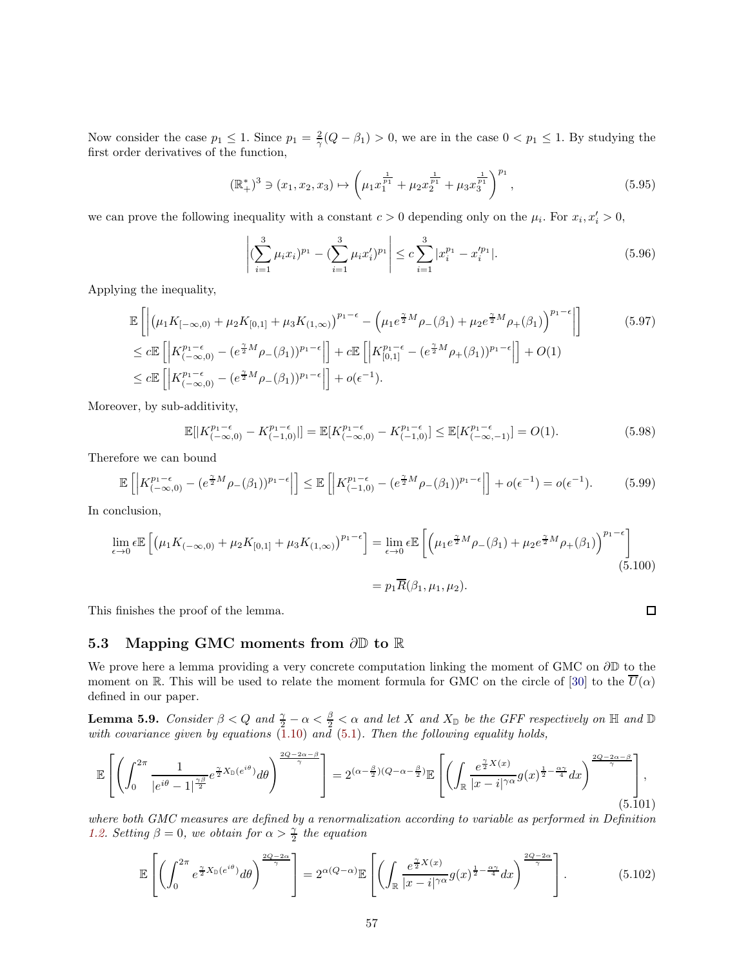Now consider the case  $p_1 \leq 1$ . Since  $p_1 = \frac{2}{\gamma}(Q - \beta_1) > 0$ , we are in the case  $0 < p_1 \leq 1$ . By studying the first order derivatives of the function,

$$
(\mathbb{R}^*)^3 \ni (x_1, x_2, x_3) \mapsto \left(\mu_1 x_1^{\frac{1}{p_1}} + \mu_2 x_2^{\frac{1}{p_1}} + \mu_3 x_3^{\frac{1}{p_1}}\right)^{p_1},\tag{5.95}
$$

we can prove the following inequality with a constant  $c > 0$  depending only on the  $\mu_i$ . For  $x_i, x'_i > 0$ ,

$$
\left| \left( \sum_{i=1}^{3} \mu_i x_i \right)^{p_1} - \left( \sum_{i=1}^{3} \mu_i x_i' \right)^{p_1} \right| \leq c \sum_{i=1}^{3} |x_i^{p_1} - x_i'^{p_1}|. \tag{5.96}
$$

Applying the inequality,

$$
\mathbb{E}\left[\left|(\mu_1 K_{[-\infty,0)} + \mu_2 K_{[0,1]} + \mu_3 K_{(1,\infty)})^{p_1-\epsilon} - \left(\mu_1 e^{\frac{\gamma}{2}M} \rho_{-}(\beta_1) + \mu_2 e^{\frac{\gamma}{2}M} \rho_{+}(\beta_1)\right)^{p_1-\epsilon}\right]\right] \tag{5.97}
$$
\n
$$
\leq c \mathbb{E}\left[\left|K_{(-\infty,0)}^{p_1-\epsilon} - (e^{\frac{\gamma}{2}M} \rho_{-}(\beta_1))^{p_1-\epsilon}\right|\right] + c \mathbb{E}\left[\left|K_{[0,1]}^{p_1-\epsilon} - (e^{\frac{\gamma}{2}M} \rho_{+}(\beta_1))^{p_1-\epsilon}\right|\right] + O(1)
$$
\n
$$
\leq c \mathbb{E}\left[\left|K_{(-\infty,0)}^{p_1-\epsilon} - (e^{\frac{\gamma}{2}M} \rho_{-}(\beta_1))^{p_1-\epsilon}\right|\right] + o(\epsilon^{-1}).
$$

Moreover, by sub-additivity,

$$
\mathbb{E}[|K_{(-\infty,0)}^{p_1-\epsilon} - K_{(-1,0)}^{p_1-\epsilon}|] = \mathbb{E}[K_{(-\infty,0)}^{p_1-\epsilon} - K_{(-1,0)}^{p_1-\epsilon}] \leq \mathbb{E}[K_{(-\infty,-1)}^{p_1-\epsilon}] = O(1).
$$
\n(5.98)

Therefore we can bound

$$
\mathbb{E}\left[\left|K_{(-\infty,0)}^{p_1-\epsilon} - (e^{\frac{\gamma}{2}M}\rho_{-}(\beta_1))^{p_1-\epsilon}\right|\right] \leq \mathbb{E}\left[\left|K_{(-1,0)}^{p_1-\epsilon} - (e^{\frac{\gamma}{2}M}\rho_{-}(\beta_1))^{p_1-\epsilon}\right|\right] + o(\epsilon^{-1}) = o(\epsilon^{-1}).\tag{5.99}
$$

In conclusion,

$$
\lim_{\epsilon \to 0} \epsilon \mathbb{E} \left[ \left( \mu_1 K_{(-\infty,0)} + \mu_2 K_{[0,1]} + \mu_3 K_{(1,\infty)} \right)^{p_1 - \epsilon} \right] = \lim_{\epsilon \to 0} \epsilon \mathbb{E} \left[ \left( \mu_1 e^{\frac{\gamma}{2} M} \rho_{-}(\beta_1) + \mu_2 e^{\frac{\gamma}{2} M} \rho_{+}(\beta_1) \right)^{p_1 - \epsilon} \right]
$$
\n
$$
= p_1 \overline{R}(\beta_1, \mu_1, \mu_2).
$$
\n(5.100)

This finishes the proof of the lemma.

## <span id="page-56-0"></span>5.3 Mapping GMC moments from ∂D to R

We prove here a lemma providing a very concrete computation linking the moment of GMC on ∂D to the moment on R. This will be used to relate the moment formula for GMC on the circle of [\[30\]](#page-65-4) to the  $\overline{U}(\alpha)$ defined in our paper.

<span id="page-56-1"></span>**Lemma 5.9.** *Consider*  $\beta < Q$  *and*  $\frac{\gamma}{2} - \alpha < \frac{\beta}{2} < \alpha$  *and let* X *and*  $X_{\mathbb{D}}$  *be the GFF respectively on* H *and*  $\mathbb{D}$ *with covariance given by equations* [\(1.10\)](#page-4-3) *and* [\(5.1\)](#page-43-2)*. Then the following equality holds,*

$$
\mathbb{E}\left[\left(\int_0^{2\pi} \frac{1}{|e^{i\theta}-1|^{\frac{\gamma\beta}{2}}} e^{\frac{\gamma}{2}X_{\mathbb{D}}(e^{i\theta})} d\theta\right)^{\frac{2Q-2\alpha-\beta}{\gamma}}\right] = 2^{(\alpha-\frac{\beta}{2})(Q-\alpha-\frac{\beta}{2})}\mathbb{E}\left[\left(\int_{\mathbb{R}} \frac{e^{\frac{\gamma}{2}X(x)}}{|x-i|^{\gamma\alpha}} g(x)^{\frac{1}{2}-\frac{\alpha\gamma}{4}} dx\right)^{\frac{2Q-2\alpha-\beta}{\gamma}}\right],\tag{5.101}
$$

*where both GMC measures are defined by a renormalization according to variable as performed in Definition [1.2.](#page-4-4) Setting*  $\beta = 0$ *, we obtain for*  $\alpha > \frac{\gamma}{2}$  *the equation* 

$$
\mathbb{E}\left[\left(\int_0^{2\pi} e^{\frac{\gamma}{2}X_{\mathbb{D}}(e^{i\theta})} d\theta\right)^{\frac{2Q-2\alpha}{\gamma}}\right] = 2^{\alpha(Q-\alpha)} \mathbb{E}\left[\left(\int_{\mathbb{R}} \frac{e^{\frac{\gamma}{2}X(x)}}{|x-i|^{\gamma\alpha}} g(x)^{\frac{1}{2}-\frac{\alpha\gamma}{4}} dx\right)^{\frac{2Q-2\alpha}{\gamma}}\right].
$$
 (5.102)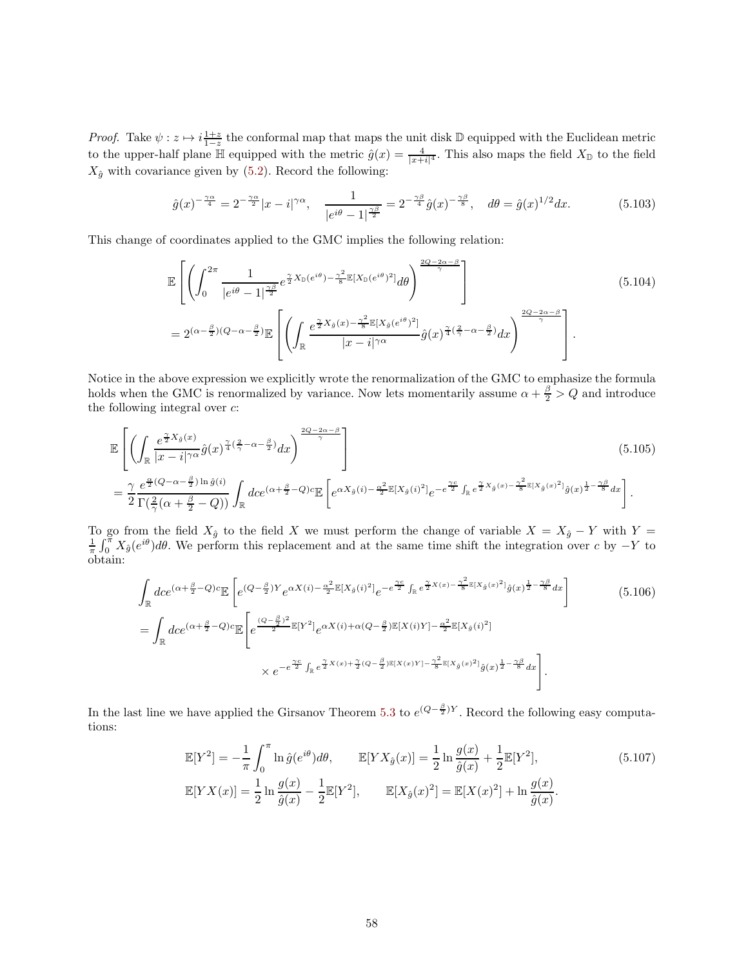*Proof.* Take  $\psi: z \mapsto i \frac{1+z}{1-z}$  the conformal map that maps the unit disk D equipped with the Euclidean metric 1−*z*<sub>1−z</sub> and comorning may may maps the time disk  $\omega$  equipped with the Education metric to the upper-half plane  $\mathbb{H}$  equipped with the metric  $\hat{g}(x) = \frac{4}{|x+i|^4}$ . This also maps the field  $X_{\mathbb{D}}$  to the fie  $X_{\hat{g}}$  with covariance given by [\(5.2\)](#page-44-1). Record the following:

$$
\hat{g}(x)^{-\frac{\gamma\alpha}{4}} = 2^{-\frac{\gamma\alpha}{2}}|x - i|^{\gamma\alpha}, \quad \frac{1}{|e^{i\theta} - 1|^{\frac{\gamma\beta}{2}}} = 2^{-\frac{\gamma\beta}{4}}\hat{g}(x)^{-\frac{\gamma\beta}{8}}, \quad d\theta = \hat{g}(x)^{1/2}dx. \tag{5.103}
$$

This change of coordinates applied to the GMC implies the following relation:

<span id="page-57-0"></span>
$$
\mathbb{E}\left[\left(\int_{0}^{2\pi} \frac{1}{|e^{i\theta}-1|^{\frac{\gamma\beta}{2}}} e^{\frac{\gamma}{2}X_{\mathbb{D}}(e^{i\theta})-\frac{\gamma^{2}}{8}} \mathbb{E}[X_{\mathbb{D}}(e^{i\theta})^{2}] d\theta\right)^{\frac{2Q-2\alpha-\beta}{\gamma}}\right]
$$
\n
$$
=2^{(\alpha-\frac{\beta}{2})(Q-\alpha-\frac{\beta}{2})} \mathbb{E}\left[\left(\int_{\mathbb{R}} \frac{e^{\frac{\gamma}{2}X_{\hat{g}}(x)-\frac{\gamma^{2}}{8}} \mathbb{E}[X_{\hat{g}}(e^{i\theta})^{2}]}{|x-i|^{\gamma\alpha}} \hat{g}(x)^{\frac{\gamma}{4}(\frac{2}{\gamma}-\alpha-\frac{\beta}{2})} dx\right)^{\frac{2Q-2\alpha-\beta}{\gamma}}\right].
$$
\n(5.104)

Notice in the above expression we explicitly wrote the renormalization of the GMC to emphasize the formula holds when the GMC is renormalized by variance. Now lets momentarily assume  $\alpha + \frac{\beta}{2} > Q$  and introduce the following integral over  $c$ :

$$
\mathbb{E}\left[\left(\int_{\mathbb{R}}\frac{e^{\frac{\gamma}{2}X_{\hat{g}}(x)}}{|x-i|^{\gamma\alpha}}\hat{g}(x)^{\frac{\gamma}{4}(\frac{2}{\gamma}-\alpha-\frac{\beta}{2})}dx\right)^{\frac{2Q-2\alpha-\beta}{\gamma}}\right]
$$
\n
$$
=\frac{\gamma}{2}\frac{e^{\frac{\alpha}{2}(Q-\alpha-\frac{\beta}{2})\ln\hat{g}(i)}}{\Gamma(\frac{2}{\gamma}(\alpha+\frac{\beta}{2}-Q))}\int_{\mathbb{R}}dce^{(\alpha+\frac{\beta}{2}-Q)c}\mathbb{E}\left[e^{\alpha X_{\hat{g}}(i)-\frac{\alpha^{2}}{2}\mathbb{E}[X_{\hat{g}}(i)^{2}] }e^{-e^{\frac{\gamma c}{2}}\int_{\mathbb{R}}e^{\frac{\gamma}{2}X_{\hat{g}}(x)-\frac{\gamma^{2}}{8}\mathbb{E}[X_{\hat{g}}(x)^{2}] }\hat{g}(x)^{\frac{1}{2}-\frac{\gamma\beta}{8}}dx\right].
$$
\n(5.105)

To go from the field  $X_{\hat{g}}$  to the field X we must perform the change of variable  $X = X_{\hat{g}} - Y$  with  $Y = \frac{1}{\pi} \int_0^{\pi} X_{\hat{g}}(e^{i\theta}) d\theta$ . We perform this replacement and at the same time shift the integration over c obtain:

$$
\int_{\mathbb{R}} dce^{(\alpha + \frac{\beta}{2} - Q)c} \mathbb{E}\left[e^{(Q - \frac{\beta}{2})Y} e^{\alpha X(i) - \frac{\alpha^2}{2}\mathbb{E}[X_{\hat{g}}(i)^2]} e^{-e^{\frac{\gamma c}{2}} \int_{\mathbb{R}} e^{\frac{\gamma}{2}X(x) - \frac{\gamma^2}{8}\mathbb{E}[X_{\hat{g}}(x)^2]} \hat{g}(x)^{\frac{1}{2} - \frac{\gamma \beta}{8}} dx}\right]
$$
\n
$$
= \int_{\mathbb{R}} dce^{(\alpha + \frac{\beta}{2} - Q)c} \mathbb{E}\left[e^{\frac{(Q - \frac{\beta}{2})^2}{2}\mathbb{E}[Y^2]} e^{\alpha X(i) + \alpha(Q - \frac{\beta}{2})\mathbb{E}[X(i)Y] - \frac{\alpha^2}{2}\mathbb{E}[X_{\hat{g}}(i)^2]} \right]
$$
\n
$$
\times e^{-e^{\frac{\gamma c}{2}} \int_{\mathbb{R}} e^{\frac{\gamma}{2}X(x) + \frac{\gamma}{2}(Q - \frac{\beta}{2})\mathbb{E}[X(x)Y] - \frac{\gamma^2}{8}\mathbb{E}[X_{\hat{g}}(x)^2]} \hat{g}(x)^{\frac{1}{2} - \frac{\gamma \beta}{8}} dx}\right].
$$
\n(5.106)

In the last line we have applied the Girsanov Theorem [5.3](#page-45-0) to  $e^{(Q-\frac{\beta}{2})Y}$ . Record the following easy computations:

$$
\mathbb{E}[Y^2] = -\frac{1}{\pi} \int_0^{\pi} \ln \hat{g}(e^{i\theta}) d\theta, \qquad \mathbb{E}[YX_{\hat{g}}(x)] = \frac{1}{2} \ln \frac{g(x)}{\hat{g}(x)} + \frac{1}{2} \mathbb{E}[Y^2],
$$
\n
$$
\mathbb{E}[YX(x)] = \frac{1}{2} \ln \frac{g(x)}{\hat{g}(x)} - \frac{1}{2} \mathbb{E}[Y^2], \qquad \mathbb{E}[X_{\hat{g}}(x)^2] = \mathbb{E}[X(x)^2] + \ln \frac{g(x)}{\hat{g}(x)}.
$$
\n(5.107)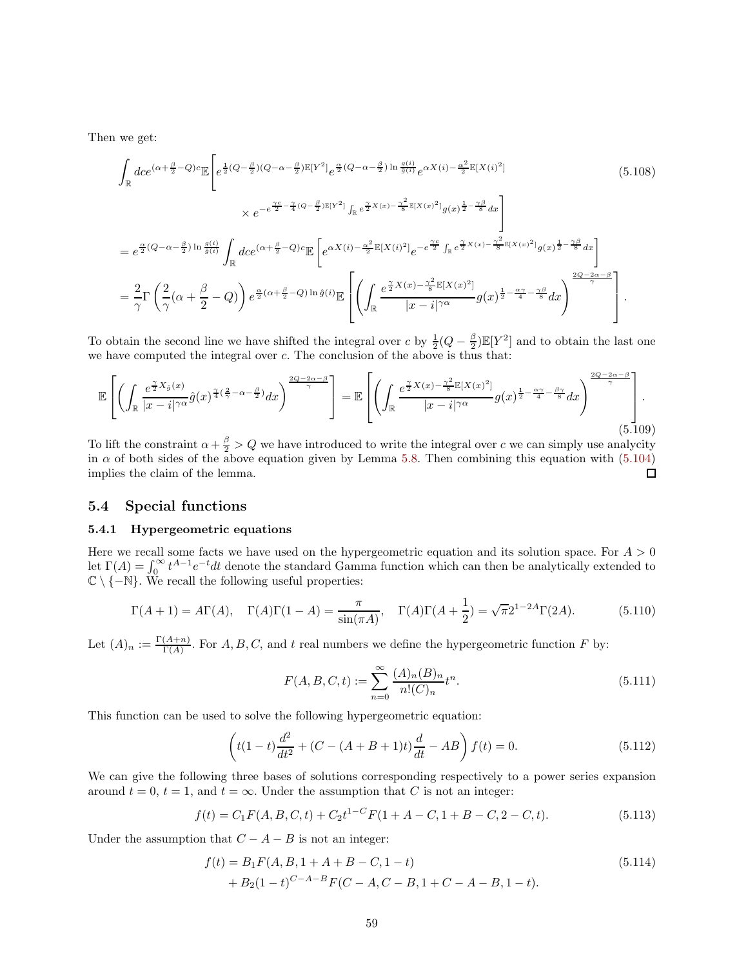Then we get:

$$
\int_{\mathbb{R}} dce^{(\alpha + \frac{\beta}{2} - Q)c} \mathbb{E}\left[e^{\frac{1}{2}(Q - \frac{\beta}{2})(Q - \alpha - \frac{\beta}{2})\mathbb{E}[Y^{2}]} e^{\frac{\alpha}{2}(Q - \alpha - \frac{\beta}{2})\ln\frac{g(i)}{g(i)}} e^{\alpha X(i) - \frac{\alpha^{2}}{2}\mathbb{E}[X(i)^{2}]}\right] \times e^{-e^{\frac{\gamma c}{2} - \frac{\gamma}{4}(Q - \frac{\beta}{2})\mathbb{E}[Y^{2}]} \int_{\mathbb{R}} e^{\frac{\gamma}{2}X(x) - \frac{\gamma^{2}}{8}\mathbb{E}[X(x)^{2}]} g(x)^{\frac{1}{2} - \frac{\gamma\beta}{8}} dx}\right]
$$
\n
$$
= e^{\frac{\alpha}{2}(Q - \alpha - \frac{\beta}{2})\ln\frac{g(i)}{\hat{g}(i)}} \int_{\mathbb{R}} dce^{(\alpha + \frac{\beta}{2} - Q)c} \mathbb{E}\left[e^{\alpha X(i) - \frac{\alpha^{2}}{2}\mathbb{E}[X(i)^{2}] } e^{-e^{\frac{\gamma c}{2}} \int_{\mathbb{R}} e^{\frac{\gamma}{2}X(x) - \frac{\gamma^{2}}{8}\mathbb{E}[X(x)^{2}] } g(x)^{\frac{1}{2} - \frac{\gamma\beta}{8}} dx\right]
$$
\n
$$
= \frac{2}{\gamma} \Gamma\left(\frac{2}{\gamma}(\alpha + \frac{\beta}{2} - Q)\right) e^{\frac{\alpha}{2}(\alpha + \frac{\beta}{2} - Q)\ln\hat{g}(i)} \mathbb{E}\left[\left(\int_{\mathbb{R}} \frac{e^{\frac{\gamma}{2}X(x) - \frac{\gamma^{2}}{8}\mathbb{E}[X(x)^{2}]} |g(x)^{\frac{1}{2} - \frac{\alpha\gamma}{4} - \frac{\gamma\beta}{8}} dx}\right)^{\frac{2Q - 2\alpha - \beta}{\gamma}}\right].
$$
\n(5.108)

To obtain the second line we have shifted the integral over c by  $\frac{1}{2}(Q - \frac{\beta}{2})\mathbb{E}[Y^2]$  and to obtain the last one we have computed the integral over  $c$ . The conclusion of the above is thus that:

$$
\mathbb{E}\left[\left(\int_{\mathbb{R}}\frac{e^{\frac{\gamma}{2}X_{\hat{g}}(x)}}{|x-i|^{\gamma\alpha}}\hat{g}(x)^{\frac{\gamma}{4}(\frac{2}{\gamma}-\alpha-\frac{\beta}{2})}dx\right)^{\frac{2Q-2\alpha-\beta}{\gamma}}\right]=\mathbb{E}\left[\left(\int_{\mathbb{R}}\frac{e^{\frac{\gamma}{2}X(x)-\frac{\gamma^{2}}{8}}\mathbb{E}[X(x)^{2}]}{|x-i|^{\gamma\alpha}}g(x)^{\frac{1}{2}-\frac{\alpha\gamma}{4}-\frac{\beta\gamma}{8}}dx\right)^{\frac{2Q-2\alpha-\beta}{\gamma}}\right].\tag{5.109}
$$

To lift the constraint  $\alpha + \frac{\beta}{2} > Q$  we have introduced to write the integral over c we can simply use analycity in  $\alpha$  of both sides of the above equation given by Lemma [5.8.](#page-52-0) Then combining this equation with [\(5.104\)](#page-57-0) implies the claim of the lemma.  $\Box$ 

## <span id="page-58-2"></span><span id="page-58-0"></span>5.4 Special functions

#### 5.4.1 Hypergeometric equations

Here we recall some facts we have used on the hypergeometric equation and its solution space. For  $A > 0$ let  $\Gamma(A) = \int_0^\infty t^{A-1} e^{-t} dt$  denote the standard Gamma function which can then be analytically extended to  $\mathbb{C} \setminus \{-\mathbb{N}\}.$  We recall the following useful properties:

$$
\Gamma(A + 1) = A\Gamma(A), \quad \Gamma(A)\Gamma(1 - A) = \frac{\pi}{\sin(\pi A)}, \quad \Gamma(A)\Gamma(A + \frac{1}{2}) = \sqrt{\pi}2^{1-2A}\Gamma(2A).
$$
 (5.110)

Let  $(A)_n := \frac{\Gamma(A+n)}{\Gamma(A)}$  $\frac{(A+n)}{\Gamma(A)}$ . For A, B, C, and t real numbers we define the hypergeometric function F by:

<span id="page-58-1"></span>
$$
F(A, B, C, t) := \sum_{n=0}^{\infty} \frac{(A)_n (B)_n}{n!(C)_n} t^n.
$$
\n(5.111)

This function can be used to solve the following hypergeometric equation:

$$
\left(t(1-t)\frac{d^2}{dt^2} + (C - (A+B+1)t)\frac{d}{dt} - AB\right)f(t) = 0.
$$
\n(5.112)

We can give the following three bases of solutions corresponding respectively to a power series expansion around  $t = 0$ ,  $t = 1$ , and  $t = \infty$ . Under the assumption that C is not an integer:

$$
f(t) = C_1 F(A, B, C, t) + C_2 t^{1-C} F(1 + A - C, 1 + B - C, 2 - C, t).
$$
 (5.113)

Under the assumption that  $C - A - B$  is not an integer:

$$
f(t) = B_1 F(A, B, 1 + A + B - C, 1 - t)
$$
  
+ 
$$
B_2 (1 - t)^{C - A - B} F(C - A, C - B, 1 + C - A - B, 1 - t).
$$
 (5.114)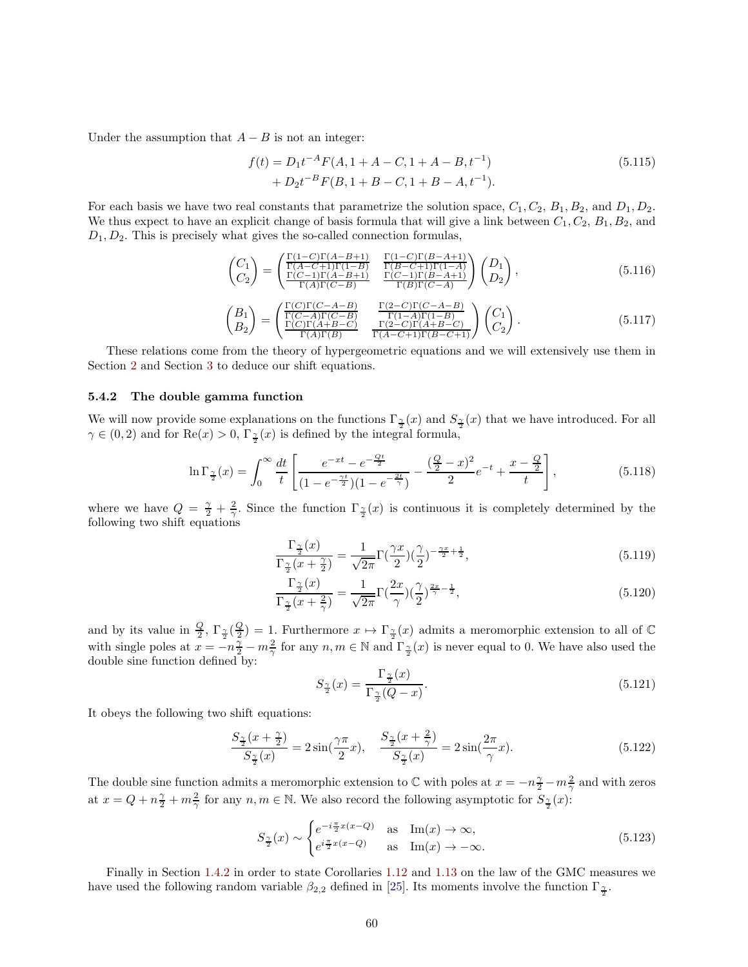Under the assumption that  $A - B$  is not an integer:

$$
f(t) = D_1 t^{-A} F(A, 1 + A - C, 1 + A - B, t^{-1})
$$
  
+ 
$$
D_2 t^{-B} F(B, 1 + B - C, 1 + B - A, t^{-1}).
$$
 (5.115)

For each basis we have two real constants that parametrize the solution space,  $C_1, C_2, B_1, B_2$ , and  $D_1, D_2$ . We thus expect to have an explicit change of basis formula that will give a link between  $C_1, C_2, B_1, B_2$ , and  $D_1, D_2$ . This is precisely what gives the so-called connection formulas,

<span id="page-59-2"></span>
$$
\begin{pmatrix} C_1 \ C_2 \end{pmatrix} = \begin{pmatrix} \frac{\Gamma(1-C)\Gamma(A-B+1)}{\Gamma(A-C+1)\Gamma(1-B)} & \frac{\Gamma(1-C)\Gamma(B-A+1)}{\Gamma(B-C+1)\Gamma(1-A)} \\ \frac{\Gamma(C-1)\Gamma(A-B+1)}{\Gamma(A)\Gamma(C-B)} & \frac{\Gamma(C-1)\Gamma(B-A+1)}{\Gamma(B)\Gamma(C-A)} \end{pmatrix} \begin{pmatrix} D_1 \\ D_2 \end{pmatrix},
$$
\n(5.116)

<span id="page-59-1"></span>
$$
\begin{pmatrix} B_1 \ B_2 \end{pmatrix} = \begin{pmatrix} \frac{\Gamma(C)\Gamma(C-A-B)}{\Gamma(C-A)\Gamma(C-B)} & \frac{\Gamma(2-C)\Gamma(C-A-B)}{\Gamma(1-A)\Gamma(1-B)} \\ \frac{\Gamma(C)\Gamma(A+B-C)}{\Gamma(A)\Gamma(B)} & \frac{\Gamma(2-C)\Gamma(A+B-C)}{\Gamma(A-C+1)\Gamma(B-C+1)} \end{pmatrix} \begin{pmatrix} C_1 \\ C_2 \end{pmatrix}.
$$
 (5.117)

These relations come from the theory of hypergeometric equations and we will extensively use them in Section [2](#page-15-0) and Section [3](#page-21-0) to deduce our shift equations.

## <span id="page-59-0"></span>5.4.2 The double gamma function

We will now provide some explanations on the functions  $\Gamma_{\frac{\gamma}{2}}(x)$  and  $S_{\frac{\gamma}{2}}(x)$  that we have introduced. For all  $\gamma \in (0, 2)$  and for  $\text{Re}(x) > 0$ ,  $\Gamma_{\frac{\gamma}{2}}(x)$  is defined by the integral formula,

$$
\ln \Gamma_{\frac{\gamma}{2}}(x) = \int_0^\infty \frac{dt}{t} \left[ \frac{e^{-xt} - e^{-\frac{Qt}{2}}}{(1 - e^{-\frac{\gamma t}{2}})(1 - e^{-\frac{2t}{\gamma}})} - \frac{(\frac{Q}{2} - x)^2}{2} e^{-t} + \frac{x - \frac{Q}{2}}{t} \right],\tag{5.118}
$$

where we have  $Q = \frac{\gamma}{2} + \frac{2}{\gamma}$ . Since the function  $\Gamma_{\frac{\gamma}{2}}(x)$  is continuous it is completely determined by the following two shift equations

$$
\frac{\Gamma_{\frac{\gamma}{2}}(x)}{\Gamma_{\frac{\gamma}{2}}(x+\frac{\gamma}{2})} = \frac{1}{\sqrt{2\pi}} \Gamma\left(\frac{\gamma x}{2}\right) \left(\frac{\gamma}{2}\right)^{-\frac{\gamma x}{2}+\frac{1}{2}},\tag{5.119}
$$

$$
\frac{\Gamma_{\frac{\gamma}{2}}(x)}{\Gamma_{\frac{\gamma}{2}}(x+\frac{2}{\gamma})} = \frac{1}{\sqrt{2\pi}}\Gamma(\frac{2x}{\gamma})(\frac{\gamma}{2})^{\frac{2x}{\gamma}-\frac{1}{2}},\tag{5.120}
$$

and by its value in  $\frac{Q}{2}$ ,  $\Gamma_{\frac{\gamma}{2}}(\frac{Q}{2})=1$ . Furthermore  $x \mapsto \Gamma_{\frac{\gamma}{2}}(x)$  admits a meromorphic extension to all of  $\mathbb C$ with single poles at  $x = -n\frac{\gamma}{2} - m\frac{2}{\gamma}$  for any  $n, m \in \mathbb{N}$  and  $\Gamma_{\frac{\gamma}{2}}(x)$  is never equal to 0. We have also used the double sine function defined by:

<span id="page-59-3"></span>
$$
S_{\frac{\gamma}{2}}(x) = \frac{\Gamma_{\frac{\gamma}{2}}(x)}{\Gamma_{\frac{\gamma}{2}}(Q-x)}.\tag{5.121}
$$

It obeys the following two shift equations:

$$
\frac{S_{\frac{\gamma}{2}}(x+\frac{\gamma}{2})}{S_{\frac{\gamma}{2}}(x)} = 2\sin(\frac{\gamma\pi}{2}x), \quad \frac{S_{\frac{\gamma}{2}}(x+\frac{2}{\gamma})}{S_{\frac{\gamma}{2}}(x)} = 2\sin(\frac{2\pi}{\gamma}x). \tag{5.122}
$$

The double sine function admits a meromorphic extension to  $\mathbb C$  with poles at  $x = -n\frac{\gamma}{2} - m\frac{2}{\gamma}$  and with zeros at  $x = Q + n\frac{\gamma}{2} + m\frac{2}{\gamma}$  for any  $n, m \in \mathbb{N}$ . We also record the following asymptotic for  $S_{\frac{\gamma}{2}}(x)$ :

$$
S_{\frac{\gamma}{2}}(x) \sim \begin{cases} e^{-i\frac{\pi}{2}x(x-Q)} & \text{as } \operatorname{Im}(x) \to \infty, \\ e^{i\frac{\pi}{2}x(x-Q)} & \text{as } \operatorname{Im}(x) \to -\infty. \end{cases} \tag{5.123}
$$

Finally in Section [1.4.2](#page-10-0) in order to state Corollaries [1.12](#page-10-2) and [1.13](#page-11-3) on the law of the GMC measures we have used the following random variable  $\beta_{2,2}$  defined in [\[25\]](#page-65-8). Its moments involve the function  $\Gamma_{\frac{\gamma}{2}}$ .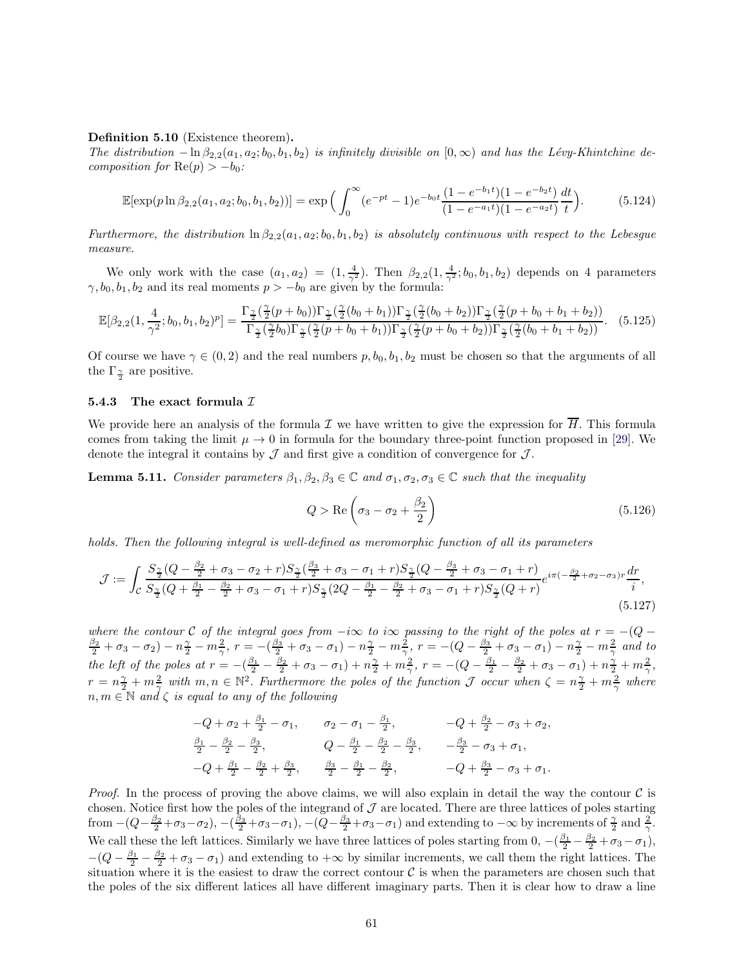#### Definition 5.10 (Existence theorem).

*The distribution*  $-\ln \beta_{2,2}(a_1, a_2; b_0, b_1, b_2)$  *is infinitely divisible on*  $[0, \infty)$  *and has the Lévy-Khintchine decomposition for*  $\text{Re}(p) > -b_0$ *:* 

$$
\mathbb{E}[\exp(p\ln\beta_{2,2}(a_1,a_2;b_0,b_1,b_2))] = \exp\Big(\int_0^\infty (e^{-pt}-1)e^{-b_0t}\frac{(1-e^{-b_1t})(1-e^{-b_2t})}{(1-e^{-a_1t})(1-e^{-a_2t})}\frac{dt}{t}\Big). \tag{5.124}
$$

*Furthermore, the distribution*  $\ln \beta_{2,2}(a_1, a_2; b_0, b_1, b_2)$  *is absolutely continuous with respect to the Lebesgue measure.*

We only work with the case  $(a_1, a_2) = (1, \frac{4}{\gamma^2})$ . Then  $\beta_{2,2}(1, \frac{4}{\gamma^2}; b_0, b_1, b_2)$  depends on 4 parameters  $\gamma, b_0, b_1, b_2$  and its real moments  $p > -b_0$  are given by the formula:

$$
\mathbb{E}[\beta_{2,2}(1,\frac{4}{\gamma^2};b_0,b_1,b_2)^p] = \frac{\Gamma_{\frac{\gamma}{2}}(\frac{\gamma}{2}(p+b_0))\Gamma_{\frac{\gamma}{2}}(\frac{\gamma}{2}(b_0+b_1))\Gamma_{\frac{\gamma}{2}}(\frac{\gamma}{2}(b_0+b_2))\Gamma_{\frac{\gamma}{2}}(\frac{\gamma}{2}(p+b_0+b_1+b_2))}{\Gamma_{\frac{\gamma}{2}}(\frac{\gamma}{2}(b_0)\Gamma_{\frac{\gamma}{2}}(\frac{\gamma}{2}(p+b_0+b_1))\Gamma_{\frac{\gamma}{2}}(\frac{\gamma}{2}(p+b_0+b_2))\Gamma_{\frac{\gamma}{2}}(\frac{\gamma}{2}(b_0+b_1+b_2))}.
$$
(5.125)

Of course we have  $\gamma \in (0, 2)$  and the real numbers  $p, b_0, b_1, b_2$  must be chosen so that the arguments of all the  $\Gamma_{\frac{\gamma}{2}}$  are positive.

#### <span id="page-60-0"></span>5.4.3 The exact formula  $I$

We provide here an analysis of the formula T we have written to give the expression for  $\overline{H}$ . This formula comes from taking the limit  $\mu \to 0$  in formula for the boundary three-point function proposed in [\[29\]](#page-65-2). We denote the integral it contains by  $\mathcal J$  and first give a condition of convergence for  $\mathcal J$ .

<span id="page-60-1"></span>**Lemma 5.11.** *Consider parameters*  $\beta_1, \beta_2, \beta_3 \in \mathbb{C}$  *and*  $\sigma_1, \sigma_2, \sigma_3 \in \mathbb{C}$  *such that the inequality* 

<span id="page-60-2"></span>
$$
Q > \text{Re}\left(\sigma_3 - \sigma_2 + \frac{\beta_2}{2}\right) \tag{5.126}
$$

*holds. Then the following integral is well-defined as meromorphic function of all its parameters*

$$
\mathcal{J} := \int_{\mathcal{C}} \frac{S_{\frac{\gamma}{2}}(Q - \frac{\beta_2}{2} + \sigma_3 - \sigma_2 + r)S_{\frac{\gamma}{2}}(\frac{\beta_3}{2} + \sigma_3 - \sigma_1 + r)S_{\frac{\gamma}{2}}(Q - \frac{\beta_3}{2} + \sigma_3 - \sigma_1 + r)}{S_{\frac{\gamma}{2}}(Q + \frac{\beta_1}{2} - \frac{\beta_2}{2} + \sigma_3 - \sigma_1 + r)S_{\frac{\gamma}{2}}(2Q - \frac{\beta_1}{2} - \frac{\beta_2}{2} + \sigma_3 - \sigma_1 + r)S_{\frac{\gamma}{2}}(Q + r)} e^{i\pi(-\frac{\beta_2}{2} + \sigma_2 - \sigma_3)r} \frac{dr}{i},\tag{5.127}
$$

where the contour C of the integral goes from  $-i\infty$  to i $\infty$  passing to the right of the poles at  $r = -(Q - \frac{\beta_2}{2} + \sigma_3 - \sigma_2) - n\frac{\gamma}{2} - m\frac{2}{\gamma}$ ,  $r = -(\frac{\beta_3}{2} + \sigma_3 - \sigma_1) - n\frac{\gamma}{2} - m\frac{2}{\gamma}$ ,  $r = -(Q - \frac{\beta_3}{2} + \sigma_3 - \sigma_1)$ *the left of the poles at*  $r = -(\frac{\beta_1}{2} - \frac{\beta_2}{2} + \sigma_3 - \sigma_1) + n\frac{\gamma}{2} + m\frac{2}{\gamma}$ ,  $r = -(Q - \frac{\beta_1}{2} - \frac{\beta_2}{2} + \sigma_3 - \sigma_1) + n\frac{\gamma}{2} + m\frac{2}{\gamma}$ ,  $r = n\frac{\gamma}{2} + m\frac{2}{\gamma}$  with  $m, n \in \mathbb{N}^2$ . Furthermore the poles of the function  $\mathcal J$  occur when  $\zeta = n\frac{\gamma}{2} + m\frac{2}{\gamma}$  where  $n, m \in \mathbb{N}$  and  $\zeta$  *is equal to any of the following* 

$$
-Q + \sigma_2 + \frac{\beta_1}{2} - \sigma_1, \qquad \sigma_2 - \sigma_1 - \frac{\beta_1}{2}, \qquad \qquad -Q + \frac{\beta_2}{2} - \sigma_3 + \sigma_2,
$$
  

$$
\frac{\beta_1}{2} - \frac{\beta_2}{2} - \frac{\beta_3}{2}, \qquad \qquad Q - \frac{\beta_1}{2} - \frac{\beta_2}{2} - \frac{\beta_3}{2}, \qquad -\frac{\beta_3}{2} - \sigma_3 + \sigma_1,
$$
  

$$
-Q + \frac{\beta_1}{2} - \frac{\beta_2}{2} + \frac{\beta_3}{2}, \qquad \frac{\beta_3}{2} - \frac{\beta_1}{2} - \frac{\beta_2}{2}, \qquad -Q + \frac{\beta_3}{2} - \sigma_3 + \sigma_1.
$$

*Proof.* In the process of proving the above claims, we will also explain in detail the way the contour  $\mathcal C$  is chosen. Notice first how the poles of the integrand of  $\mathcal J$  are located. There are three lattices of poles starting from  $-(Q-\frac{\beta_2}{2}+\sigma_3-\sigma_2), -(\frac{\beta_3}{2}+\sigma_3-\sigma_1), -(Q-\frac{\beta_3}{2}+\sigma_3-\sigma_1)$  and extending to  $-\infty$  by increments of  $\frac{\gamma}{2}$  and  $\frac{2}{\gamma}$ . We call these the left lattices. Similarly we have three lattices of poles starting from  $0, -(\frac{\beta_1}{2} - \frac{\beta_2}{2} + \sigma_3 - \sigma_1)$ ,  $-(Q - \frac{\beta_1}{2} - \frac{\beta_2}{2} + \sigma_3 - \sigma_1)$  and extending to  $+\infty$  by similar increments, we call them the right lattices. The situation where it is the easiest to draw the correct contour  $\mathcal C$  is when the parameters are chosen such that the poles of the six different latices all have different imaginary parts. Then it is clear how to draw a line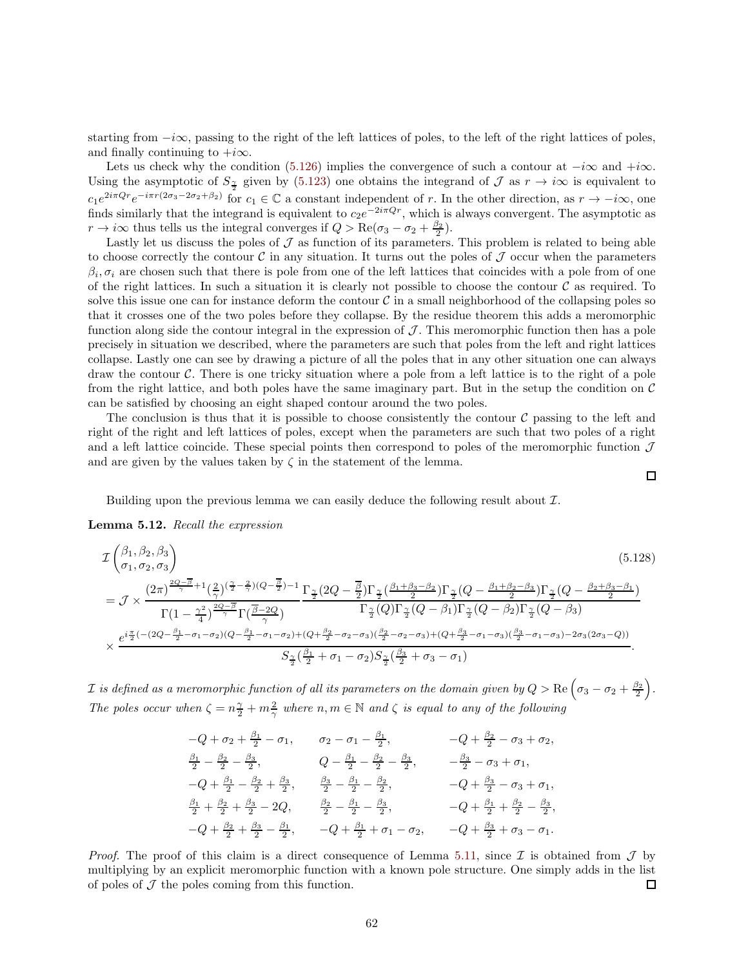starting from  $-i\infty$ , passing to the right of the left lattices of poles, to the left of the right lattices of poles, and finally continuing to  $+i\infty$ .

Lets us check why the condition [\(5.126\)](#page-60-2) implies the convergence of such a contour at  $-i\infty$  and  $+i\infty$ . Using the asymptotic of  $S_2$  given by [\(5.123\)](#page-59-3) one obtains the integrand of  $\mathcal J$  as  $r \to i\infty$  is equivalent to  $c_1e^{2i\pi Qr}e^{-i\pi r(2\sigma_3-2\sigma_2+\beta_2)}$  for  $c_1 \in \mathbb{C}$  a constant independent of r. In the other direction, as  $r \to -i\infty$ , one finds similarly that the integrand is equivalent to  $c_2e^{-2i\pi Qr}$ , which is always convergent. The asymptotic as  $r \to i\infty$  thus tells us the integral converges if  $Q > \text{Re}(\sigma_3 - \sigma_2 + \frac{\beta_2}{2})$ .

Lastly let us discuss the poles of  $\mathcal J$  as function of its parameters. This problem is related to being able to choose correctly the contour C in any situation. It turns out the poles of  $\mathcal J$  occur when the parameters  $\beta_i, \sigma_i$  are chosen such that there is pole from one of the left lattices that coincides with a pole from of one of the right lattices. In such a situation it is clearly not possible to choose the contour  $\mathcal C$  as required. To solve this issue one can for instance deform the contour  $\mathcal C$  in a small neighborhood of the collapsing poles so that it crosses one of the two poles before they collapse. By the residue theorem this adds a meromorphic function along side the contour integral in the expression of  $\mathcal J$ . This meromorphic function then has a pole precisely in situation we described, where the parameters are such that poles from the left and right lattices collapse. Lastly one can see by drawing a picture of all the poles that in any other situation one can always draw the contour C. There is one tricky situation where a pole from a left lattice is to the right of a pole from the right lattice, and both poles have the same imaginary part. But in the setup the condition on  $\mathcal C$ can be satisfied by choosing an eight shaped contour around the two poles.

The conclusion is thus that it is possible to choose consistently the contour  $\mathcal C$  passing to the left and right of the right and left lattices of poles, except when the parameters are such that two poles of a right and a left lattice coincide. These special points then correspond to poles of the meromorphic function  $\mathcal J$ and are given by the values taken by  $\zeta$  in the statement of the lemma.

<span id="page-61-0"></span> $\Box$ 

Building upon the previous lemma we can easily deduce the following result about  $\mathcal{I}$ .

Lemma 5.12. *Recall the expression*

$$
\mathcal{I}\begin{pmatrix}\n\beta_{1},\beta_{2},\beta_{3} \\
\sigma_{1},\sigma_{2},\sigma_{3}\n\end{pmatrix}
$$
\n
$$
= \mathcal{J} \times \frac{(2\pi)^{\frac{2Q-\overline{\beta}}{\gamma}+1}(\frac{2}{\gamma})^{(\frac{\gamma}{2}-\frac{2}{\gamma})(Q-\frac{\overline{\beta}}{2})-1}}{\Gamma(1-\frac{\gamma^{2}}{4})^{\frac{2Q-\overline{\beta}}{\gamma}}\Gamma(\frac{\overline{\beta}-2Q}{\gamma})} \frac{\Gamma_{\frac{\gamma}{2}}(2Q-\frac{\overline{\beta}}{2})\Gamma_{\frac{\gamma}{2}}(\frac{\beta_{1}+\beta_{3}-\beta_{2}}{2})\Gamma_{\frac{\gamma}{2}}(Q-\frac{\beta_{1}+\beta_{2}-\beta_{3}}{2})\Gamma_{\frac{\gamma}{2}}(Q-\frac{\beta_{2}+\beta_{3}-\beta_{1}}{2})}{\Gamma(\frac{\gamma}{2})^{\frac{2Q-\overline{\beta}}{\gamma}}\Gamma(\frac{\overline{\beta}-2Q}{\gamma})} \frac{\Gamma_{\frac{\gamma}{2}}(2Q-\frac{\beta_{1}}{2})\Gamma_{\frac{\gamma}{2}}(Q-\beta_{1})\Gamma_{\frac{\gamma}{2}}(Q-\beta_{2})\Gamma_{\frac{\gamma}{2}}(Q-\beta_{3})}{\Gamma_{\frac{\gamma}{2}}(Q)\Gamma_{\frac{\gamma}{2}}(Q-\beta_{1})\Gamma_{\frac{\gamma}{2}}(Q-\beta_{2})\Gamma_{\frac{\gamma}{2}}(Q-\beta_{3})} \times \frac{e^{i\frac{\pi}{2}(-(2Q-\frac{\beta_{1}}{2}-\sigma_{1}-\sigma_{2})(Q-\frac{\beta_{1}}{2}-\sigma_{1}-\sigma_{2})+(Q+\frac{\beta_{2}}{2}-\sigma_{2}-\sigma_{3})(\frac{\beta_{2}}{2}-\sigma_{1}-\sigma_{3})(\frac{\beta_{3}}{2}-\sigma_{1}-\sigma_{3})-2\sigma_{3}(2\sigma_{3}-Q))}{S_{\frac{\gamma}{2}}(\frac{\beta_{1}}{2}+\sigma_{1}-\sigma_{2})S_{\frac{\gamma}{2}}(\frac{\beta_{3}}{2}+\sigma_{3}-\sigma_{1})}.
$$
\n(A)

 ${\cal I}$  *is defined as a meromorphic function of all its parameters on the domain given by*  $Q > \text{Re}\left(\sigma_3-\sigma_2+\frac{\beta_2}{2}\right)$ . *The poles occur when*  $\zeta = n\frac{\gamma}{2} + m\frac{2}{\gamma}$  *where*  $n, m \in \mathbb{N}$  *and*  $\zeta$  *is equal to any of the following* 

$$
-Q + \sigma_2 + \frac{\beta_1}{2} - \sigma_1, \qquad \sigma_2 - \sigma_1 - \frac{\beta_1}{2}, \qquad \qquad -Q + \frac{\beta_2}{2} - \sigma_3 + \sigma_2,
$$
  
\n
$$
\frac{\beta_1}{2} - \frac{\beta_2}{2} - \frac{\beta_3}{2}, \qquad Q - \frac{\beta_1}{2} - \frac{\beta_2}{2} - \frac{\beta_3}{2}, \qquad -\frac{\beta_3}{2} - \sigma_3 + \sigma_1,
$$
  
\n
$$
-Q + \frac{\beta_1}{2} - \frac{\beta_2}{2} + \frac{\beta_3}{2}, \qquad \frac{\beta_3}{2} - \frac{\beta_1}{2} - \frac{\beta_2}{2}, \qquad -Q + \frac{\beta_3}{2} - \sigma_3 + \sigma_1,
$$
  
\n
$$
\frac{\beta_1}{2} + \frac{\beta_2}{2} + \frac{\beta_3}{2} - 2Q, \qquad \frac{\beta_2}{2} - \frac{\beta_1}{2} - \frac{\beta_3}{2}, \qquad -Q + \frac{\beta_1}{2} + \frac{\beta_2}{2} - \frac{\beta_3}{2},
$$
  
\n
$$
-Q + \frac{\beta_2}{2} + \frac{\beta_3}{2} - \frac{\beta_1}{2}, \qquad -Q + \frac{\beta_1}{2} + \sigma_1 - \sigma_2, \qquad -Q + \frac{\beta_3}{2} + \sigma_3 - \sigma_1.
$$

*Proof.* The proof of this claim is a direct consequence of Lemma [5.11,](#page-60-1) since  $\mathcal I$  is obtained from  $\mathcal J$  by multiplying by an explicit meromorphic function with a known pole structure. One simply adds in the list of poles of  $J$  the poles coming from this function.  $\Box$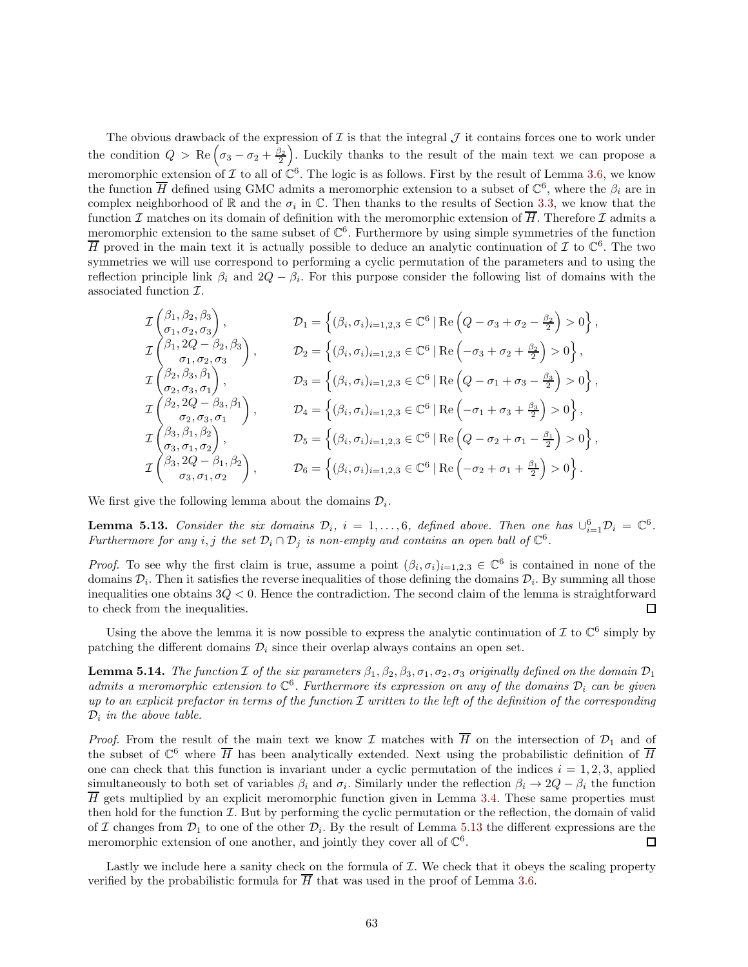The obvious drawback of the expression of  $\mathcal I$  is that the integral  $\mathcal J$  it contains forces one to work under the condition  $Q > \text{Re}(\sigma_3 - \sigma_2 + \frac{\beta_2}{2})$ . Luckily thanks to the result of the main text we can propose a meromorphic extension of  $\mathcal I$  to all of  $\mathbb C^6$ . The logic is as follows. First by the result of Lemma [3.6,](#page-27-1) we know the function  $\overline{H}$  defined using GMC admits a meromorphic extension to a subset of  $\mathbb{C}^6$ , where the  $\beta_i$  are in complex neighborhood of  $\mathbb R$  and the  $\sigma_i$  in  $\mathbb C$ . Then thanks to the results of Section [3.3,](#page-33-0) we know that the function I matches on its domain of definition with the meromorphic extension of  $\overline{H}$ . Therefore I admits a meromorphic extension to the same subset of  $\mathbb{C}^6$ . Furthermore by using simple symmetries of the function  $\overline{H}$  proved in the main text it is actually possible to deduce an analytic continuation of  $\mathcal I$  to  $\mathbb C^6$ . The two symmetries we will use correspond to performing a cyclic permutation of the parameters and to using the reflection principle link  $\beta_i$  and  $2Q - \beta_i$ . For this purpose consider the following list of domains with the associated function I.

$$
\mathcal{I}\begin{pmatrix}\n\beta_{1},\beta_{2},\beta_{3} \\
\sigma_{1},\sigma_{2},\sigma_{3}\n\end{pmatrix},\n\mathcal{D}_{1} = \left\{ (\beta_{i},\sigma_{i})_{i=1,2,3} \in \mathbb{C}^{6} | \operatorname{Re}\left(Q-\sigma_{3}+\sigma_{2}-\frac{\beta_{2}}{2}\right) > 0 \right\},
$$
\n
$$
\mathcal{I}\begin{pmatrix}\n\beta_{1},2Q-\beta_{2},\beta_{3} \\
\sigma_{1},\sigma_{2},\sigma_{3}\n\end{pmatrix},\n\mathcal{D}_{2} = \left\{ (\beta_{i},\sigma_{i})_{i=1,2,3} \in \mathbb{C}^{6} | \operatorname{Re}\left(-\sigma_{3}+\sigma_{2}+\frac{\beta_{2}}{2}\right) > 0 \right\},
$$
\n
$$
\mathcal{I}\begin{pmatrix}\n\beta_{2},\beta_{3},\beta_{1} \\
\sigma_{2},\sigma_{3},\sigma_{1}\n\end{pmatrix},\n\mathcal{D}_{3} = \left\{ (\beta_{i},\sigma_{i})_{i=1,2,3} \in \mathbb{C}^{6} | \operatorname{Re}\left(Q-\sigma_{1}+\sigma_{3}-\frac{\beta_{3}}{2}\right) > 0 \right\},
$$
\n
$$
\mathcal{I}\begin{pmatrix}\n\beta_{2},2Q-\beta_{3},\beta_{1} \\
\sigma_{2},\sigma_{3},\sigma_{1}\n\end{pmatrix},\n\mathcal{D}_{4} = \left\{ (\beta_{i},\sigma_{i})_{i=1,2,3} \in \mathbb{C}^{6} | \operatorname{Re}\left(-\sigma_{1}+\sigma_{3}+\frac{\beta_{3}}{2}\right) > 0 \right\},
$$
\n
$$
\mathcal{I}\begin{pmatrix}\n\beta_{3},\beta_{1},\beta_{2} \\
\sigma_{3},\sigma_{1},\sigma_{2}\n\end{pmatrix},\n\mathcal{D}_{5} = \left\{ (\beta_{i},\sigma_{i})_{i=1,2,3} \in \mathbb{C}^{6} | \operatorname{Re}\left(Q-\sigma_{2}+\sigma_{1}-\frac{\beta_{1}}{2}\right) > 0 \right\},
$$
\n
$$
\mathcal{I}\begin{pmatrix}\n\beta_{3},\beta_{1},\beta_{2} \\
\sigma_{3},\sigma_{1},\sigma_{2}\n\end
$$

We first give the following lemma about the domains  $\mathcal{D}_i$ .

<span id="page-62-0"></span>**Lemma 5.13.** Consider the six domains  $\mathcal{D}_i$ ,  $i = 1, \ldots, 6$ , defined above. Then one has  $\cup_{i=1}^6 \mathcal{D}_i = \mathbb{C}^6$ . *Furthermore for any i*, *j the set*  $\mathcal{D}_i \cap \mathcal{D}_j$  *is non-empty and contains an open ball of*  $\mathbb{C}^6$ *.* 

*Proof.* To see why the first claim is true, assume a point  $(\beta_i, \sigma_i)_{i=1,2,3} \in \mathbb{C}^6$  is contained in none of the domains  $\mathcal{D}_i$ . Then it satisfies the reverse inequalities of those defining the domains  $\mathcal{D}_i$ . By summing all those inequalities one obtains  $3Q < 0$ . Hence the contradiction. The second claim of the lemma is straightforward to check from the inequalities. П

Using the above the lemma it is now possible to express the analytic continuation of  $\mathcal I$  to  $\mathbb C^6$  simply by patching the different domains  $\mathcal{D}_i$  since their overlap always contains an open set.

**Lemma 5.14.** *The function*  $\mathcal I$  *of the six parameters*  $\beta_1, \beta_2, \beta_3, \sigma_1, \sigma_2, \sigma_3$  *originally defined on the domain*  $\mathcal D_1$  $admits a meromorphic extension to  $\mathbb{C}^6$ . Furthermore its expression on any of the domains  $\mathcal{D}_i$  can be given$ *up to an explicit prefactor in terms of the function* I *written to the left of the definition of the corresponding*  $\mathcal{D}_i$  *in the above table.* 

*Proof.* From the result of the main text we know I matches with  $\overline{H}$  on the intersection of  $\mathcal{D}_1$  and of the subset of  $\mathbb{C}^6$  where  $\overline{H}$  has been analytically extended. Next using the probabilistic definition of  $\overline{H}$ one can check that this function is invariant under a cyclic permutation of the indices  $i = 1, 2, 3$ , applied simultaneously to both set of variables  $\beta_i$  and  $\sigma_i$ . Similarly under the reflection  $\beta_i \to 2Q - \beta_i$  the function  $\overline{H}$  gets multiplied by an explicit meromorphic function given in Lemma [3.4.](#page-26-3) These same properties must then hold for the function  $\mathcal{I}$ . But by performing the cyclic permutation or the reflection, the domain of valid of I changes from  $\mathcal{D}_1$  to one of the other  $\mathcal{D}_i$ . By the result of Lemma [5.13](#page-62-0) the different expressions are the meromorphic extension of one another, and jointly they cover all of  $\mathbb{C}^6$ .  $\Box$ 

Lastly we include here a sanity check on the formula of  $\mathcal I$ . We check that it obeys the scaling property verified by the probabilistic formula for  $\overline{H}$  that was used in the proof of Lemma [3.6.](#page-27-1)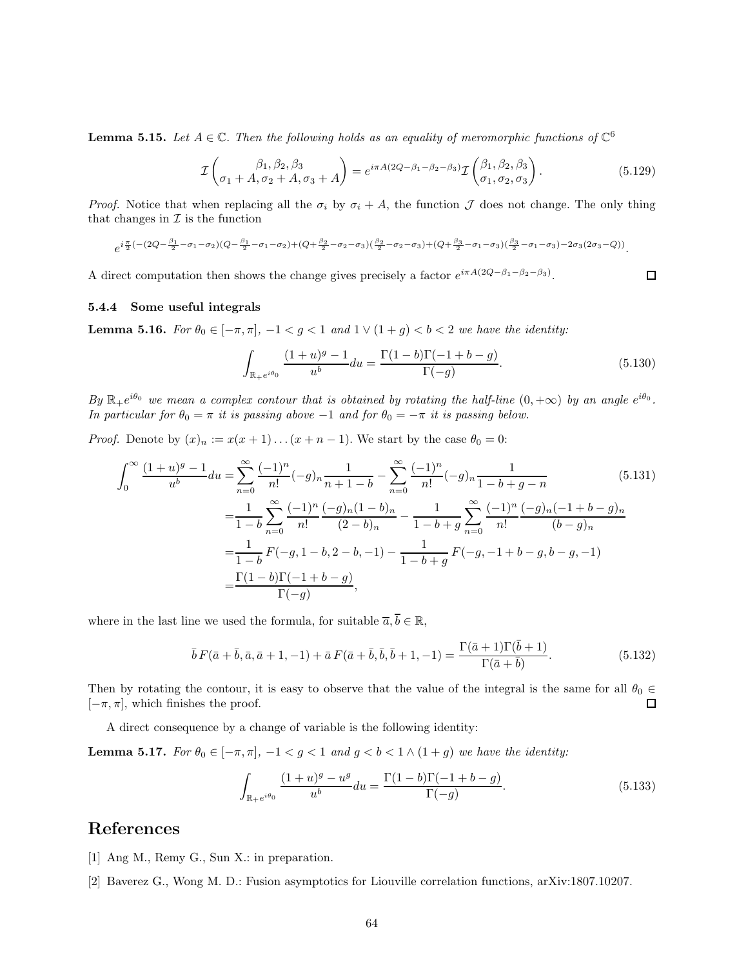<span id="page-63-4"></span>**Lemma 5.15.** Let  $A \in \mathbb{C}$ . Then the following holds as an equality of meromorphic functions of  $\mathbb{C}^6$ 

$$
\mathcal{I}\left(\beta_{1}, \beta_{2}, \beta_{3}\right) = e^{i\pi A(2Q - \beta_{1} - \beta_{2} - \beta_{3})} \mathcal{I}\left(\beta_{1}, \beta_{2}, \beta_{3}\right).
$$
\n(5.129)

*Proof.* Notice that when replacing all the  $\sigma_i$  by  $\sigma_i + A$ , the function  $\mathcal J$  does not change. The only thing that changes in  $\mathcal I$  is the function

$$
e^{i\frac{\pi}{2}(-(2Q-\frac{\beta_1}{2}-\sigma_1-\sigma_2)(Q-\frac{\beta_1}{2}-\sigma_1-\sigma_2)+(Q+\frac{\beta_2}{2}-\sigma_2-\sigma_3)(\frac{\beta_2}{2}-\sigma_2-\sigma_3)+(Q+\frac{\beta_3}{2}-\sigma_1-\sigma_3)(\frac{\beta_3}{2}-\sigma_1-\sigma_3)-2\sigma_3(2\sigma_3-Q))}.
$$

A direct computation then shows the change gives precisely a factor  $e^{i\pi A(2Q-\beta_1-\beta_2-\beta_3)}$ .

#### <span id="page-63-2"></span>5.4.4 Some useful integrals

**Lemma 5.16.** *For*  $\theta_0 \in [-\pi, \pi]$ ,  $-1 < g < 1$  *and*  $1 \vee (1 + g) < b < 2$  *we have the identity:* 

<span id="page-63-3"></span>
$$
\int_{\mathbb{R}_{+}e^{i\theta_{0}}} \frac{(1+u)^{g}-1}{u^{b}} du = \frac{\Gamma(1-b)\Gamma(-1+b-g)}{\Gamma(-g)}.
$$
\n(5.130)

 $By \mathbb{R}_{+}e^{i\theta_0}$  we mean a complex contour that is obtained by rotating the half-line  $(0, +\infty)$  by an angle  $e^{i\theta_0}$ . *In particular for*  $\theta_0 = \pi$  *it is passing above* −1 *and for*  $\theta_0 = -\pi$  *it is passing below.* 

*Proof.* Denote by  $(x)_n := x(x+1)...(x+n-1)$ . We start by the case  $\theta_0 = 0$ :

$$
\int_0^\infty \frac{(1+u)^g - 1}{u^b} du = \sum_{n=0}^\infty \frac{(-1)^n}{n!} (-g)_n \frac{1}{n+1-b} - \sum_{n=0}^\infty \frac{(-1)^n}{n!} (-g)_n \frac{1}{1-b+g-n}
$$
(5.131)  

$$
= \frac{1}{1-b} \sum_{n=0}^\infty \frac{(-1)^n}{n!} \frac{(-g)_n (1-b)_n}{(2-b)_n} - \frac{1}{1-b+g} \sum_{n=0}^\infty \frac{(-1)^n}{n!} \frac{(-g)_n (-1+b-g)_n}{(b-g)_n}
$$
  

$$
= \frac{1}{1-b} F(-g, 1-b, 2-b, -1) - \frac{1}{1-b+g} F(-g, -1+b-g, b-g, -1)
$$
  

$$
= \frac{\Gamma(1-b)\Gamma(-1+b-g)}{\Gamma(-g)},
$$
(5.131)

where in the last line we used the formula, for suitable  $\overline{a}, \overline{b} \in \mathbb{R}$ ,

$$
\bar{b} F(\bar{a} + \bar{b}, \bar{a}, \bar{a} + 1, -1) + \bar{a} F(\bar{a} + \bar{b}, \bar{b}, \bar{b} + 1, -1) = \frac{\Gamma(\bar{a} + 1)\Gamma(\bar{b} + 1)}{\Gamma(\bar{a} + \bar{b})}.
$$
\n(5.132)

Then by rotating the contour, it is easy to observe that the value of the integral is the same for all  $\theta_0 \in [-\pi, \pi]$ , which finishes the proof.  $[-\pi, \pi]$ , which finishes the proof.

A direct consequence by a change of variable is the following identity:

**Lemma 5.17.** *For*  $\theta_0 \in [-\pi, \pi]$ ,  $-1 < g < 1$  *and*  $g < b < 1 \wedge (1 + g)$  *we have the identity:* 

$$
\int_{\mathbb{R}_{+}e^{i\theta_{0}}} \frac{(1+u)^{g} - u^{g}}{u^{b}} du = \frac{\Gamma(1-b)\Gamma(-1+b-g)}{\Gamma(-g)}.
$$
\n(5.133)

# <span id="page-63-0"></span>References

- <span id="page-63-1"></span>[1] Ang M., Remy G., Sun X.: in preparation.
- [2] Baverez G., Wong M. D.: Fusion asymptotics for Liouville correlation functions, arXiv:1807.10207.

 $\Box$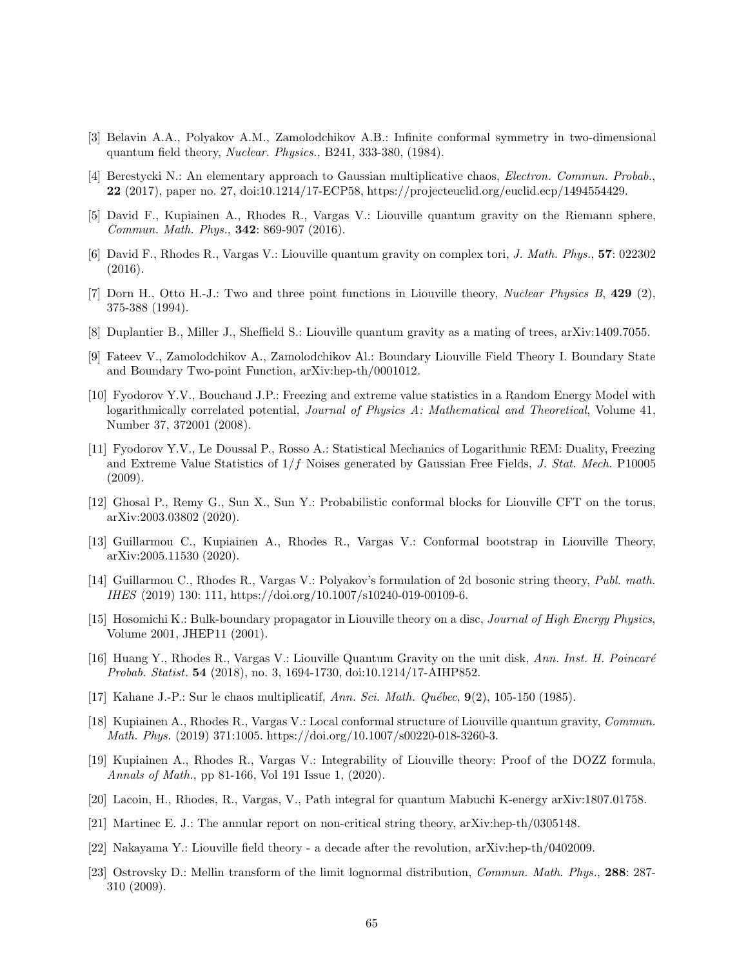- <span id="page-64-13"></span><span id="page-64-0"></span>[3] Belavin A.A., Polyakov A.M., Zamolodchikov A.B.: Infinite conformal symmetry in two-dimensional quantum field theory, *Nuclear. Physics.*, B241, 333-380, (1984).
- [4] Berestycki N.: An elementary approach to Gaussian multiplicative chaos, *Electron. Commun. Probab.*, 22 (2017), paper no. 27, doi:10.1214/17-ECP58, https://projecteuclid.org/euclid.ecp/1494554429.
- <span id="page-64-4"></span>[5] David F., Kupiainen A., Rhodes R., Vargas V.: Liouville quantum gravity on the Riemann sphere, *Commun. Math. Phys.*, 342: 869-907 (2016).
- <span id="page-64-6"></span>[6] David F., Rhodes R., Vargas V.: Liouville quantum gravity on complex tori, *J. Math. Phys.*, 57: 022302 (2016).
- <span id="page-64-1"></span>[7] Dorn H., Otto H.-J.: Two and three point functions in Liouville theory, *Nuclear Physics B*, 429 (2), 375-388 (1994).
- <span id="page-64-17"></span><span id="page-64-2"></span>[8] Duplantier B., Miller J., Sheffield S.: Liouville quantum gravity as a mating of trees, arXiv:1409.7055.
- [9] Fateev V., Zamolodchikov A., Zamolodchikov Al.: Boundary Liouville Field Theory I. Boundary State and Boundary Two-point Function, arXiv:hep-th/0001012.
- <span id="page-64-10"></span>[10] Fyodorov Y.V., Bouchaud J.P.: Freezing and extreme value statistics in a Random Energy Model with logarithmically correlated potential, *Journal of Physics A: Mathematical and Theoretical*, Volume 41, Number 37, 372001 (2008).
- <span id="page-64-14"></span>[11] Fyodorov Y.V., Le Doussal P., Rosso A.: Statistical Mechanics of Logarithmic REM: Duality, Freezing and Extreme Value Statistics of 1/f Noises generated by Gaussian Free Fields, *J. Stat. Mech.* P10005 (2009).
- <span id="page-64-16"></span>[12] Ghosal P., Remy G., Sun X., Sun Y.: Probabilistic conformal blocks for Liouville CFT on the torus, arXiv:2003.03802 (2020).
- <span id="page-64-11"></span>[13] Guillarmou C., Kupiainen A., Rhodes R., Vargas V.: Conformal bootstrap in Liouville Theory, arXiv:2005.11530 (2020).
- <span id="page-64-7"></span>[14] Guillarmou C., Rhodes R., Vargas V.: Polyakov's formulation of 2d bosonic string theory, *Publ. math. IHES* (2019) 130: 111, https://doi.org/10.1007/s10240-019-00109-6.
- <span id="page-64-3"></span>[15] Hosomichi K.: Bulk-boundary propagator in Liouville theory on a disc, *Journal of High Energy Physics*, Volume 2001, JHEP11 (2001).
- <span id="page-64-5"></span>[16] Huang Y., Rhodes R., Vargas V.: Liouville Quantum Gravity on the unit disk, *Ann. Inst. H. Poincar´e Probab. Statist.* 54 (2018), no. 3, 1694-1730, doi:10.1214/17-AIHP852.
- <span id="page-64-12"></span><span id="page-64-8"></span>[17] Kahane J.-P.: Sur le chaos multiplicatif, *Ann. Sci. Math. Qu´ebec*, 9(2), 105-150 (1985).
- [18] Kupiainen A., Rhodes R., Vargas V.: Local conformal structure of Liouville quantum gravity, *Commun. Math. Phys.* (2019) 371:1005. https://doi.org/10.1007/s00220-018-3260-3.
- <span id="page-64-9"></span>[19] Kupiainen A., Rhodes R., Vargas V.: Integrability of Liouville theory: Proof of the DOZZ formula, *Annals of Math.*, pp 81-166, Vol 191 Issue 1, (2020).
- <span id="page-64-19"></span><span id="page-64-18"></span>[20] Lacoin, H., Rhodes, R., Vargas, V., Path integral for quantum Mabuchi K-energy arXiv:1807.01758.
- [21] Martinec E. J.: The annular report on non-critical string theory, arXiv:hep-th/0305148.
- <span id="page-64-15"></span>[22] Nakayama Y.: Liouville field theory - a decade after the revolution, arXiv:hep-th/0402009.
- [23] Ostrovsky D.: Mellin transform of the limit lognormal distribution, *Commun. Math. Phys.*, 288: 287- 310 (2009).